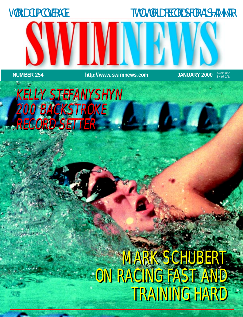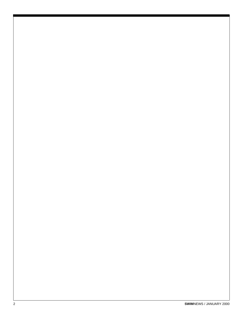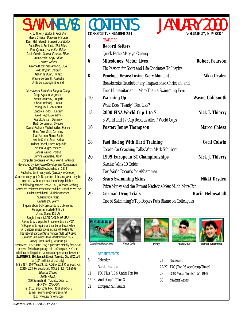| N. J. Thierry, Editor & Publisher<br>Marco Chiesa, Business Manager<br>Karin Helmstaedt, International Editor<br>Russ Ewald, Sunland, USA Editor<br>Paul Quinlan, Australian Editor<br>Cecil Colwin, Ottawa, Features Editor<br>Anita Smale, Copy Editor<br><b>Feature Writers</b><br>George Block, San Antonio, USA<br>Nikki Dryden, Calgary<br>Katharine Dunn, Halifax<br>Wayne Goldsmith, Australia<br>Anita Lonsbrough, England<br>International Statistical Support Group:<br>Jorge Aguado, Argentina<br>Rumen Atanasov, Bulgaria<br>Chaker Belhadj, Tunisia<br>Young-Ryul Cho, Korea<br>Szabolcs Fodor, Hungary<br>Gerd Heydn, Germany<br>Franck Jensen, Denmark<br>Berth Johansson, Sweden<br>Daniel Pichon / Michel Salles, France<br>Hans Peter Sick, Germany<br>Juan Antonio Sierra, Spain<br>Neville Smith, South Africa<br>Fratisek Stochl, Czech Republic<br>Nelson Vargas, Mexico<br>Janusz Wasko, Poland<br>Sumire Watanabe, Japan<br>Computer programs for TAG, World Rankings<br>developed by EveryWare Development Corporation.<br>SWIMNEWS established in 1974<br>Published ten times yearly (January to October)<br>reprinted without permission of the publisher.<br>The following names: SWIM, TAG, TOP and Making<br>is strictly prohibited. All rights reserved.<br>Subscription rates:<br>Canada \$35 yearly<br>Inquire about bulk discounts to club teams.<br>Foreign (air mailed) \$45 US<br>United States \$35 US<br>Single issues \$4.95 CAN \$4.95 USA<br>Payments by cheque, bank money orders and VISA<br>VISA payments require card number and expiry date<br>All Canadian subscriptions include 7% Federal GST<br>International Standard Serial Number ISSN 1209-5966<br>Canadian Publications Mail Registration no. 3534<br>Gateway Postal Facility, Mississauga.<br>SWIMNEWS (USPS #015-207) is published monthly for US \$35<br>per year. Periodicals postage paid at Champlain, N.Y. and<br>SWIMNEWS, 356 Sumach Street, Toronto, ON, M4X 1V4<br>or (USA and International only)<br>IMS of N.Y., 100 Walnut St. #3, P.O.Box 1518, Champlain, N.Y.<br>12919-1518. For details call: IMS at 1 (800) 428-3003<br><b>Editorial Offices:</b><br>SWIMNEWS,<br>356 Sumach St., Toronto, Ontario,<br>M4X 1V4, CANADA<br>Tel: (416) 963-5599 Fax: (416) 963-5545 | <b>RV</b><br><b>JM</b>                                         |
|-----------------------------------------------------------------------------------------------------------------------------------------------------------------------------------------------------------------------------------------------------------------------------------------------------------------------------------------------------------------------------------------------------------------------------------------------------------------------------------------------------------------------------------------------------------------------------------------------------------------------------------------------------------------------------------------------------------------------------------------------------------------------------------------------------------------------------------------------------------------------------------------------------------------------------------------------------------------------------------------------------------------------------------------------------------------------------------------------------------------------------------------------------------------------------------------------------------------------------------------------------------------------------------------------------------------------------------------------------------------------------------------------------------------------------------------------------------------------------------------------------------------------------------------------------------------------------------------------------------------------------------------------------------------------------------------------------------------------------------------------------------------------------------------------------------------------------------------------------------------------------------------------------------------------------------------------------------------------------------------------------------------------------------------------------------------------------------------------------------------------------------------------------------------------------------------------------------------------------------------------------------------------------------------------|----------------------------------------------------------------|
|                                                                                                                                                                                                                                                                                                                                                                                                                                                                                                                                                                                                                                                                                                                                                                                                                                                                                                                                                                                                                                                                                                                                                                                                                                                                                                                                                                                                                                                                                                                                                                                                                                                                                                                                                                                                                                                                                                                                                                                                                                                                                                                                                                                                                                                                                               |                                                                |
|                                                                                                                                                                                                                                                                                                                                                                                                                                                                                                                                                                                                                                                                                                                                                                                                                                                                                                                                                                                                                                                                                                                                                                                                                                                                                                                                                                                                                                                                                                                                                                                                                                                                                                                                                                                                                                                                                                                                                                                                                                                                                                                                                                                                                                                                                               |                                                                |
|                                                                                                                                                                                                                                                                                                                                                                                                                                                                                                                                                                                                                                                                                                                                                                                                                                                                                                                                                                                                                                                                                                                                                                                                                                                                                                                                                                                                                                                                                                                                                                                                                                                                                                                                                                                                                                                                                                                                                                                                                                                                                                                                                                                                                                                                                               |                                                                |
|                                                                                                                                                                                                                                                                                                                                                                                                                                                                                                                                                                                                                                                                                                                                                                                                                                                                                                                                                                                                                                                                                                                                                                                                                                                                                                                                                                                                                                                                                                                                                                                                                                                                                                                                                                                                                                                                                                                                                                                                                                                                                                                                                                                                                                                                                               |                                                                |
|                                                                                                                                                                                                                                                                                                                                                                                                                                                                                                                                                                                                                                                                                                                                                                                                                                                                                                                                                                                                                                                                                                                                                                                                                                                                                                                                                                                                                                                                                                                                                                                                                                                                                                                                                                                                                                                                                                                                                                                                                                                                                                                                                                                                                                                                                               |                                                                |
|                                                                                                                                                                                                                                                                                                                                                                                                                                                                                                                                                                                                                                                                                                                                                                                                                                                                                                                                                                                                                                                                                                                                                                                                                                                                                                                                                                                                                                                                                                                                                                                                                                                                                                                                                                                                                                                                                                                                                                                                                                                                                                                                                                                                                                                                                               |                                                                |
|                                                                                                                                                                                                                                                                                                                                                                                                                                                                                                                                                                                                                                                                                                                                                                                                                                                                                                                                                                                                                                                                                                                                                                                                                                                                                                                                                                                                                                                                                                                                                                                                                                                                                                                                                                                                                                                                                                                                                                                                                                                                                                                                                                                                                                                                                               |                                                                |
|                                                                                                                                                                                                                                                                                                                                                                                                                                                                                                                                                                                                                                                                                                                                                                                                                                                                                                                                                                                                                                                                                                                                                                                                                                                                                                                                                                                                                                                                                                                                                                                                                                                                                                                                                                                                                                                                                                                                                                                                                                                                                                                                                                                                                                                                                               |                                                                |
|                                                                                                                                                                                                                                                                                                                                                                                                                                                                                                                                                                                                                                                                                                                                                                                                                                                                                                                                                                                                                                                                                                                                                                                                                                                                                                                                                                                                                                                                                                                                                                                                                                                                                                                                                                                                                                                                                                                                                                                                                                                                                                                                                                                                                                                                                               |                                                                |
|                                                                                                                                                                                                                                                                                                                                                                                                                                                                                                                                                                                                                                                                                                                                                                                                                                                                                                                                                                                                                                                                                                                                                                                                                                                                                                                                                                                                                                                                                                                                                                                                                                                                                                                                                                                                                                                                                                                                                                                                                                                                                                                                                                                                                                                                                               |                                                                |
|                                                                                                                                                                                                                                                                                                                                                                                                                                                                                                                                                                                                                                                                                                                                                                                                                                                                                                                                                                                                                                                                                                                                                                                                                                                                                                                                                                                                                                                                                                                                                                                                                                                                                                                                                                                                                                                                                                                                                                                                                                                                                                                                                                                                                                                                                               |                                                                |
|                                                                                                                                                                                                                                                                                                                                                                                                                                                                                                                                                                                                                                                                                                                                                                                                                                                                                                                                                                                                                                                                                                                                                                                                                                                                                                                                                                                                                                                                                                                                                                                                                                                                                                                                                                                                                                                                                                                                                                                                                                                                                                                                                                                                                                                                                               |                                                                |
|                                                                                                                                                                                                                                                                                                                                                                                                                                                                                                                                                                                                                                                                                                                                                                                                                                                                                                                                                                                                                                                                                                                                                                                                                                                                                                                                                                                                                                                                                                                                                                                                                                                                                                                                                                                                                                                                                                                                                                                                                                                                                                                                                                                                                                                                                               |                                                                |
|                                                                                                                                                                                                                                                                                                                                                                                                                                                                                                                                                                                                                                                                                                                                                                                                                                                                                                                                                                                                                                                                                                                                                                                                                                                                                                                                                                                                                                                                                                                                                                                                                                                                                                                                                                                                                                                                                                                                                                                                                                                                                                                                                                                                                                                                                               |                                                                |
|                                                                                                                                                                                                                                                                                                                                                                                                                                                                                                                                                                                                                                                                                                                                                                                                                                                                                                                                                                                                                                                                                                                                                                                                                                                                                                                                                                                                                                                                                                                                                                                                                                                                                                                                                                                                                                                                                                                                                                                                                                                                                                                                                                                                                                                                                               | Contents copyright © No portion of this magazine may be        |
|                                                                                                                                                                                                                                                                                                                                                                                                                                                                                                                                                                                                                                                                                                                                                                                                                                                                                                                                                                                                                                                                                                                                                                                                                                                                                                                                                                                                                                                                                                                                                                                                                                                                                                                                                                                                                                                                                                                                                                                                                                                                                                                                                                                                                                                                                               | Waves are registered trademarks and their unauthorized use     |
|                                                                                                                                                                                                                                                                                                                                                                                                                                                                                                                                                                                                                                                                                                                                                                                                                                                                                                                                                                                                                                                                                                                                                                                                                                                                                                                                                                                                                                                                                                                                                                                                                                                                                                                                                                                                                                                                                                                                                                                                                                                                                                                                                                                                                                                                                               |                                                                |
|                                                                                                                                                                                                                                                                                                                                                                                                                                                                                                                                                                                                                                                                                                                                                                                                                                                                                                                                                                                                                                                                                                                                                                                                                                                                                                                                                                                                                                                                                                                                                                                                                                                                                                                                                                                                                                                                                                                                                                                                                                                                                                                                                                                                                                                                                               |                                                                |
|                                                                                                                                                                                                                                                                                                                                                                                                                                                                                                                                                                                                                                                                                                                                                                                                                                                                                                                                                                                                                                                                                                                                                                                                                                                                                                                                                                                                                                                                                                                                                                                                                                                                                                                                                                                                                                                                                                                                                                                                                                                                                                                                                                                                                                                                                               |                                                                |
|                                                                                                                                                                                                                                                                                                                                                                                                                                                                                                                                                                                                                                                                                                                                                                                                                                                                                                                                                                                                                                                                                                                                                                                                                                                                                                                                                                                                                                                                                                                                                                                                                                                                                                                                                                                                                                                                                                                                                                                                                                                                                                                                                                                                                                                                                               |                                                                |
|                                                                                                                                                                                                                                                                                                                                                                                                                                                                                                                                                                                                                                                                                                                                                                                                                                                                                                                                                                                                                                                                                                                                                                                                                                                                                                                                                                                                                                                                                                                                                                                                                                                                                                                                                                                                                                                                                                                                                                                                                                                                                                                                                                                                                                                                                               |                                                                |
|                                                                                                                                                                                                                                                                                                                                                                                                                                                                                                                                                                                                                                                                                                                                                                                                                                                                                                                                                                                                                                                                                                                                                                                                                                                                                                                                                                                                                                                                                                                                                                                                                                                                                                                                                                                                                                                                                                                                                                                                                                                                                                                                                                                                                                                                                               | additional mailing offices. Address changes should be sent to: |
|                                                                                                                                                                                                                                                                                                                                                                                                                                                                                                                                                                                                                                                                                                                                                                                                                                                                                                                                                                                                                                                                                                                                                                                                                                                                                                                                                                                                                                                                                                                                                                                                                                                                                                                                                                                                                                                                                                                                                                                                                                                                                                                                                                                                                                                                                               |                                                                |
|                                                                                                                                                                                                                                                                                                                                                                                                                                                                                                                                                                                                                                                                                                                                                                                                                                                                                                                                                                                                                                                                                                                                                                                                                                                                                                                                                                                                                                                                                                                                                                                                                                                                                                                                                                                                                                                                                                                                                                                                                                                                                                                                                                                                                                                                                               |                                                                |
|                                                                                                                                                                                                                                                                                                                                                                                                                                                                                                                                                                                                                                                                                                                                                                                                                                                                                                                                                                                                                                                                                                                                                                                                                                                                                                                                                                                                                                                                                                                                                                                                                                                                                                                                                                                                                                                                                                                                                                                                                                                                                                                                                                                                                                                                                               |                                                                |
| http://www.swimnews.com                                                                                                                                                                                                                                                                                                                                                                                                                                                                                                                                                                                                                                                                                                                                                                                                                                                                                                                                                                                                                                                                                                                                                                                                                                                                                                                                                                                                                                                                                                                                                                                                                                                                                                                                                                                                                                                                                                                                                                                                                                                                                                                                                                                                                                                                       | E-mail: swimnews@inforamp.net                                  |

|    | JANJART                                                                        |                            |
|----|--------------------------------------------------------------------------------|----------------------------|
|    | <b>CONSECUTIVE NUMBER 254</b>                                                  | <b>VOLUME 27, NUMBER 1</b> |
| 4  | <b>FEATURES</b><br><b>Record Setters</b>                                       |                            |
|    | Quick Facts: Marylyn Chiang                                                    |                            |
| 6  | <b>Milestones: Victor Lives</b>                                                | <b>Robert Pearson</b>      |
|    | His Passion for Sport and Life Continues To Inspire                            |                            |
| 8  | <b>Penelope Heyns: Loving Every Moment</b>                                     | Nikki Dryden               |
|    | Breaststroke Revolutionary, Impassioned Christian, and                         |                            |
|    | True Humanitarian-More Than a Swimming Hero                                    |                            |
| 10 | <b>Warming Up</b>                                                              | <b>Wayne Goldsmith</b>     |
|    | What Does "Ready" Feel Like?                                                   |                            |
| 13 | 2000 FINA World Cup 1 to 7                                                     | <b>Nick J. Thierry</b>     |
|    | 6 World and 17 Cup Records After 7 World Cups                                  |                            |
| 16 | <b>Poster: Jenny Thompson</b>                                                  | <b>Marco Chiesa</b>        |
| 18 | <b>Fast Racing With Hard Training</b>                                          | <b>Cecil Colwin</b>        |
|    | Colwin On Coaching Talks With Mark Schubert                                    |                            |
| 20 | 1999 European SC Championships                                                 | <b>Nick J. Thierry</b>     |
|    | Sweden Wins 10 Golds                                                           |                            |
|    | Two World Records for Alshammar                                                |                            |
| 28 | <b>Sears Swimming Skins</b>                                                    | Nikki Dryden               |
|    | Prize Money and the Format Made the Meet Much More Fun                         |                            |
| 29 | <b>German Drug Trials</b>                                                      | <b>Karin Helmsatedt</b>    |
|    | One of Swimming's Top Dopers Puts Blame on Colleagues                          |                            |
|    |                                                                                |                            |
|    |                                                                                |                            |
|    | <b>Victor Davis</b><br>Cover photo: Marco Chiesa<br><b>Adam Sioui</b><br>Penny | <b>Therese Alshammar</b>   |
|    | <b>DEPARTMENTS</b>                                                             |                            |

- 5 Calendar [About This Issue](#page-4-0) [11 TOP Plus \(10 & Under Top 10\)](#page-10-0)
- [12-13 World Cup 1-7 Top 3](#page-11-0)
- [21 European SC Results](#page-20-0)
- [21 Backwash](#page-20-0)
- [22-27 TAG \(Top 25 Age Group Times\)](#page-21-0)
- [28 GDR Medal Totals 1954-1989](#page-27-0)
- [30 Making Waves](#page-29-0)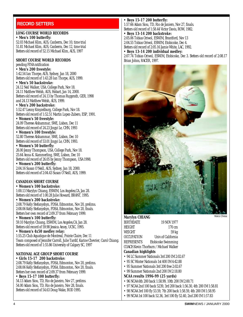# <span id="page-3-0"></span>**RECORD SETTERS**

# **LONG COURSE WORLD RECORDS**

**• Men's 100 butterfly:**

52.03 Michael Klim, AUS, Canberra, Dec 10, time trial 51.81 Michael Klim, AUS, Canberra, Dec 12, time trial Betters old record of 52.15 Michael Klim, AUS, 1997

# **SHORT COURSE WORLD RECORDS**

## pending FINA ratification

**• Men's 200 freestyle:**

1:42.54 Ian Thorpe, AUS, Sydney, Jan 18, 2000 Betters old record of 1:43.28 Ian Thorpe, AUS, 1999.

# **• Men's 50 backstroke:**

24.12 Neil Walker, USA, College Park, Nov 18. 24.11 Matthew Welsh, AUS, Hobart, Jan 14, 2000. Betters old record of 24.13 by Thomas Rupprath, GER, 1998 and 24.13 Matthew Welsh, AUS, 1999.

# **• Men's 200 backstroke:**

1:52.47 Lenny Krayzelburg, College Park, Nov 18. Betters old record of 1:52.51 Martin Lopez-Zubero, ESP, 1991.

# **• Women's 50 freestyle:**

24.09 Therese Alshammar, SWE, Lisbon, Dec 11 Betters old record of 24.23 Jingyi Le, CHN, 1993

# **• Women's 100 freestyle:**

52.80 Therese Alshammar, SWE, Lisbon, Dec 10 Betters old record of 53.01 Jingyi Le, CHN, 1993.

# **• Women's 50 butterfly:**

26.00 Jenny Thompson, USA, College Park, Nov 18. 25.64 Anna-K. Kammerling, SWE, Lisbon, Dec 10 Betters old record of 26.05 by Jenny Thompson, USA 1998.

# **• Women's 200 butterfly:**

2:04.16 Susan O'Neill, AUS, Sydney, Jan 18, 2000. Betters old record of 2:04.43 Susan O'Neill, AUS, 1999.

# **CANADIAN SHORT COURSE**

**• Women's 100 backstroke:**

1:00.13 Marylyn Chiang, ESWIM, Los Angeles,CA, Jan 28. Betters old record of 1:00.28 Julie Howard, BRANT, 1995.

# **• Women's 200 backstroke:**

2:08.79 Kelly Stefanyshyn, PDSA, Edmonton, Nov 20, prelims. 2:08.06 Kelly Stefanyshyn, PDSA, Edmonton, Nov 20, finals. Betters her own record of 2:09.37 from February 1999.

# **• Women's 100 butterfly:**

59.10 Marylyn Chiang, ESWIM, Los Angeles,CA, Jan 28. Betters old record of 59.98 Jessica Amey, UCSC, 1995.

# **• Women's 4x50 medley relay:**

1:55.25 Club Aquatique de Montreal, Pointe Claire, Dec 11 Team composed of Jennifer Carroll, Julie Tardif, Karine Chevrier, Carol Chiang. Betters old record of 1:55.86 University of Calgary SC, 1997

# **NATIONAL AGE GROUP SHORT COURSE**

# **• Girls 15-17 200 backstroke:**

2:08.79 Kelly Stefanyshyn, PDSA, Edmonton, Nov 20, prelims. 2:08.06 Kelly Stefanyshyn, PDSA, Edmonton, Nov 20, finals. Betters her own record of 2:09.37 from February 1999.

# **• Boys 15-17 100 butterfly:**

54.13 Adam Siou, TD, Rio de Janeiro, Nov 27, prelims. 54.00 Adam Siou, TD, Rio de Janeiro, Nov 28, finals. Betters old record of 54.63 Doug Wake, ROD 1995.

# **• Boys 15-17 200 butterfly:**

1:57.66 Adam Siou, TD, Rio de Janiero, Nov 27, finals. Betters old record of 1:58.44 Victor Davis, ROW, 1982.

# **• Boys 13-14 200 backstroke:**

2:05.06 Tobias Oriwol, ESWIM, Brantford, Nov 13

2:04.55 Tobias Oriwol, ESWIM, Etobicoke, Dec 4. Betters old record of 2:05.16 Jamie White, LAC, 1992.

**• Boys 13-14 200 individual medley:**

2:07.74 Tobias Oriwol, ESWIM, Etobicoke, Dec 3. Betters old record of 2:08.17 Brian Johns, RACER, 1997.



# **Marylyn CHIANG**

| BIRTHDATE                             | 19 NOV 1977               |  |  |
|---------------------------------------|---------------------------|--|--|
| HEIGHT                                | $170 \text{ cm}$          |  |  |
| WEIGHT                                | $59 \text{ kg}$           |  |  |
| OCCUPATION                            | Univ.of California        |  |  |
| REPRESENTS                            | <b>Etobicoke Swimming</b> |  |  |
| COACH Kevin Thorburn / Michael Walker |                           |  |  |

# **Canadian highlights**

- 94 LC Summer Nationals 3rd 200 IM 2:02.67
- 95 SC Winter Nationals 1st 400 IM 4:42.88
- 95 Summer Nationals 3rd 200 free 2:02.67
- 99 Summer Nationals 2nd 200 IM 2:18.80

# **NCAA results 1996-99 (25 yards)**

- 96 NCAA 6th 200 back 1:58.99, 10th 200 IM 2:00.71
- 97 NCAA 2nd 100 back 5239, 3rd 200 back 1:56.30, 4th 200 IM 1:58.81
- 98 NCAA 3rd 100 fly 53.59, 7th 200 back 1:58.59, 4th 200 IM 1:58.95
- 99 NCAA 1st 100 back 52.36, 3rd 100 fly 52.40, 2nd 200 IM 1:57.83

Marco Chiesa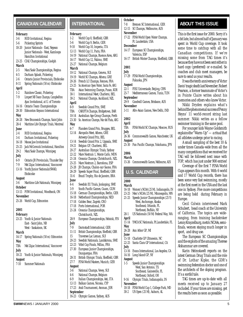# <span id="page-4-0"></span>CANADIAN CALENDAR **ABOUT THIS ISSUE**

### **February**

- 3-6 ROD Invitational, Regina
- 5-6 Pickering Sprints
- 18-20 Junior Nationals East, Nepean Junior Nationals - West, Kamloops
- Hamilton Invitational 23-25 CIAU Championships, Guelph
- **March**
- 2-5 Man/Sask Championships, Regina
- 4-5 Durham Splash, Pickering
- 2-6 Ontario Junior Provincials, Etobicoke
- 8-11 Spring Nationals (50 m) Etobicoke

### **April**

- 1-2 Rainbow Classic, Pickering
- 7-9 Limpert NB Team Champs, Campbellton Ajax Invitational, at U. of Toronto
- 14-16 Ontario Team Championships
- 28-30 Edmonton Keyano International
- **May**

- 26-28 New Brunswick Champs, Saint John 28-4 Maritime Life Olympic Trials, Montreal
	-

# **June**

- 2-4 ROD Invitational, Regina
- 3-4 Durham Invitational, Pickering
- 16-18 Moose Jaw Invitational
- 25-25 Jack McCormick Invitational, Hamilton 29-2 Man/Sask Champs, Winnipeg
- **July**
	-
- 6-9 Ontario JR Provincials, Thunder Bay 7-9 Mel Zajac International, Vancouver
- 13-16 Youth/Junior Nationals/SWAD,

### Etobicoke

### **August**

3-6 Maritime Life Nationals, Winnipeg **October** 13-15 POW Invitational, Woodtsock, ON

# **November**

25-26 World Cup, Edmonton

# **2001**

### **February**

23-25 Youth & Junior Nationals East - Saint John, NB West - Saskatoon, SK

## **March**

14-17 Spring Nationals (50 m) Edmonton

# **May**

- TBA Mel Zajac International, Vancouver **July**
- 18-21 Youth & Junior Nationals, Winnipeg

# **August**

7-10 Summer Nationals

# **INTERNATIONAL**

### **February**

- 1-2 World Cup 8, Sheffield, GBR
- 5-6 World Cup 9, Berlin, GER
- 9-10 World Cup 10, Imperia, ITA
- 12-13 World Cup 11, Paris, FRA 14-19 National Champs, Buenos Aires, ARG
- 16-17 World Cup 12, Malmo, SWE
- 25-27 National Champs, Belgium

# **March**

# 10-12 National Champs, Geneva, SUI

- 19-19 World SC Champs, Athens, GRE
- 20-26 French LC Champs, Rennes, FRA
- 23-25 So.American Open Water, Santa Fe, ARG
- TBA Asian Swimming Champs, Pusan, KOR
- 30-1 International Meet, Charleroi, BEL
- 30-2 National Champs, Auckland, NZL

# **April**

- 8-9 Swedish Grand Prix, SWE
- TBA CARIFTA Champs, Bridgetown, BAR
- 10-14 Australian Age Group Champs, Perth
- 23-30 So. American Champs, Mar del Plata, ARG
- **May** 6-7 Flanders Grand Prix, Brugges, BEL
- 12-14 Akropolis Meet, Athens, GRE
	- Antwerp Grand Priz, BEL
- 13-14 Swedish Grand Prix 2, Uppsala, SWE 19-21 Belgian GP, Charleroi, BEL
- 20-27 Australian Olympic Trials, Sydney
- 22-22 Mare Nostrum 1, Monte Carlo, MON
- 21-24 Oceania Champs, Christchurch, NZL
- 25-25 Mare Nostrum 2, Barcelona, ESP
- 25-28 JR Champs, Chalon-sur-Saone, FRA
- 26-29 Speedo Super Final, Sheffield, GBR 31-6 Brazil Trophy, Rio de Janeiro, BRA
- **June**
- 4-4 Swedish EU Trials, Jonkoping, SWE
- 3-9 South Pacific Games, Guam, GUM
- 15-18 German Championships, Berlin, GER
- 16-18 Netherland Championships, NED
- 17-18 Golden Bear, Zagreb, CRO
- 17-18 Porto International, POR 21-24 Oceania Championships,
	- Christchurch, NZL
- 28-9 European Championships, Helsinki, FIN **July**
- 7-9 Darmstadt International, GER
- 11-11 British Championships, Sheffield, GBR
- 15 Traversee Lac Leman, SUI<br>20-23 Swedish Nationals, Landsk Swedish Nationals, Landskrona, SWE
- 22-23 Vittel Cup Finals, Millau, FRA
- 27-30 European Junior Championships,
- Dunquerque, FRA 28-31 British Olympic Trials, Sheffield, GBR
- 27-7 FINA World Masters, Munich, GER
- **August**
- 3-6 National Champs, Vevey, SUI 4-6 National Champs, Belgium
- 6-9 Italian Championships, Asti, ITA
- 12-13 Balkan Games, Nicosia, CYP
- 17-23 Arab Tournament, Amman, JOR
- **September**
- 16-23 Olympic Games, Sydney, AUS

**SWIM**NEWS / JANUARY 2000 5

# **October**

**November**

**December**<br>14-17 Euro

**2001 July**<br>17-29

**August**

**September**<br>29-9 Good

**November**<br>3-11 Afro-

**2002 April**

**July**

**August**

**2006 March**

**2000 March**

**April**

**May**<br>26-28

**June**

**July**<br>13-16

**August**

**November**

Bremen SC International, GER SC Champs, Melbourne, AUS

17-22 FINA World Open Water Champs, Ft. Lauderdale, USA

European SC Championships,

16-17 British Winter Champs, Sheffield, GBR

FINA World Championships,

29-9 Goodwill Games, Brisbane, AUS

3-11 Afro-Asian Games, New Delhi, IND

TBA FINA World SC Champs, Moscow, RUS

25-30 Pan Pacific Champs, Yokohama, JPN

15-26 Commonwealth Games, Melbourne, AUS

16-18 Women's NCAA (25 M), Indianapolis, IN 23-25 Men's NCAA (25 M), Minneapolis, MN 21-25 Speedo Junior Championships (25 Y) Southeast, Orlando, FL Northeast, Buffalo, NY 28-1 US Nationals (50 M) Federal Way, WA

11-14 YMCA SC Nationals, Ft.Lauderdale, FL

Evans International, Los Angeles, CA

Commonwealth Games, Manchester, UK

22-1 FISU Universiade, Beijing, CHN 25-7 Mediterranean Games, Tunis, TUN

Valencia, ESP

Fukuoka, JPN

This is the first issue for 2000. Sorry it's a bit late, but almost half of January was spent in World Cup coverage. It took some time to catchup with all the Canadian competitions. If we're missing some from TAG times it's because they have not been sent either in hard copy (preferred) or e-mailed. So coaches and club meet managers, be

sure to send us your results.

Europe.

sport, and drug use.

Alshammar are covered.

It's a sordid tale.

Cecil Colwin interviewed Mark Schubert, head coach at the University of Calfornia. The topics are wideranging, from training backstroker Lenny Krayzelburg, metric NCAAs, semifinals, women staying much longer in

The European SC Championships and the exploits of the amazing Therese

Karin Helmstaedt reports on the latest German Drug Trials and the role of Dr. Lothar Kipke, the GDR's swimming federation doctor and one of the architects of the doping program.

TAG times are up-to-date with all meets received up to January 27 included. If your times are missing, get the results here as soon as possible.

It was the tenth anniversary of Victor Davis' tragic death last November. Robert Pearson, a former teammate of Victor's in Pointe Claire writes about his memories and others who knew Victor. Nikki Dryden explains what's behind the phenomenal success of Penny Heyns' 11 world-record string last summer. Nikki writes as a fellow swimmer training in the same pool. For younger kids Wayne Goldsmith explains the "Warm-Up" —a ritual that all athletes undergo prior to racing. A small sampling of the best 10 & under times Canada-wide from all the many competitions that we received for TAG will be followed next issue with TOP, which has just under 900 entries! Coverage of the first 7 FINA World Cups appears this month. With 6 world and 17 World Cup records, there has been some very fast swimming, mostly at the first meet in the USA and the last one in Sydney. Five more competitions are being held during February in

**INTERNATIONAL** West, Anchorage, Alaska

Ann Arbor GP, MI

15-18 Charlotte GP Ultraswim, NC 22-25 Santa Clara GP International, CA

1-5 Speedo Junior Championships West, San Antonio, TX Southeast, Gainesville, FL Northeast, Oxford, OH 9-16 Olympic Trials, Indianapolis, IN

18-18 FINA World Cup 1, College Park, MD 30-2 US Open (25 M), Auburn, AL

14-16 Long Island GP, NY

**U.S. CALENDAR**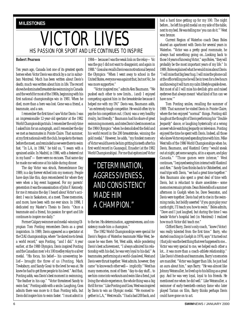# <span id="page-5-0"></span>**MILESTONES**

# VICTOR LIVES HIS PASSION FOR SPORT AND LIFE CONTINUES TO INSPIRE

# **Robert Pearson**

Ten years ago, Canada lost one of its greatest sports heroes when Victor Davis was struck by a car in suburban Montreal. Much has been written about Davis's death; much was written about him in life. The record shows he dominated breaststroke swimming in Canada and the world for most of the 1980s, beginning with his first national championships win in 1981. When he died, more than a hero was lost. Gone was a friend, a teammate, and a son.

I remember the first time I saw Victor Davis: I was an impressionable 12-year-old spectator at the 1982 World Championships trials. I remember the only time I asked him for an autograph, and I remember the day we met as teammates in Pointe Claire. That summer, at my first nationals with the club, he spoke to the team before the meet, and reminded us we were there to swim fast. "In L.A., in 1984," he told us, "I swam with a sprained ankle. In Madrid, in 1986, with a festered cut in my hand"—there were no excuses. That same day he made me welcome at his table during dinner.

The day Victor was struck, Remembrance Day 1989, is a day forever etched into my memory. People have days like this, days remembered for where they were when a big event happened. For my parents' generation it was the assassination of John F. Kennedy; for me it remains the day I heard about Victor's accident: I was in Saskatoon, at a meet. These memories, and more, have been with me ever since. In 1998, I dedicated my Master's Thesis to Davis: "Once a teammate and a friend, his passion for sport and life continues to inspire me daily."

Former Calgary swimmer and medal-winning Olympian Tom Ponting remembers Davis as a great inspiration. In 1989, Davis appeared as a spectator at the CIAU championships, where "he dared me to break a world record," says Ponting, "and I did." A year earlier, at the 1988 Olympics, Davis inspired Ponting and the Canadian men's 4 x 100 medley relay to a silver medal. "His focus, his belief—his unwavering belief—brought the three of us (Ponting, Mark Tewksbury, and Sandy Goss) to the level he was at. He knew he had to get three people to his level." And that, Ponting adds, was Davis's best moment in swimming, "the feather in his cap." "Victor threatened Sandy to swim fast," Ponting adds with a smile. Laughing, Goss admits there was more to it than Ponting tells, but Davis did inspire him to swim faster. "I must admit in

1984—because I was the weak link on the relay—Vic was the guy I did not want to disappoint; and again in 1988." Goss also recalls Davis was motivational beyond the Olympics: "When I went away to school in the United States, everyone was against that, but not Vic, he was more supportive."

"Victor inspired me," admits Alex Baumann. "We pushed each other to new limits... (and) I enjoyed competing against him in the breaststroke because it helped me with my IM." Davis was, Baumann adds, "an extremely tough competitor. He would often try to psyche his competitors out. (Ours) was a very healthy rivalry, but friendly." Baumann had his share of great swimming moments, and rates Davis's best moment as the 1984 Olympics "when he demolished the field and his world record in the 200 breaststroke, winning the gold medal." However, he adds, "my fondest memory of Victor would have to be him gritting his teeth after his first world record in Guayaquil, Ecuador (at the 1982 World Championships). For me that epitomized Victor

# "DETERMINATION, AGGRESSIVENESS, AND CONSISTENCY MADE HIM A CHAMPION."

to the tee. His determination, aggressiveness, and consistency made him a champion."

The 1982 World Championships were special for Davis's Region of Waterloo teammate Mike West, because he was there. Yet, West adds, while pondering Davis's best achievement, "I always admired his relationship with his dad, he was very loyal to his dad." As teammates, performing at a world-class level, West and Davis were thrust together. West admits, however, they came "to know each other well—implicitly." West has many memories, most of them "day-to-day stuff... to see him come into workouts and swim like a fiend, just living the whole experience, the whole thing was a big thrill for me." Like Ponting and Goss, West was inspired by Davis to win an Olympic medal. "We roomed together in L.A.," West recalls. "I had a bad 200 back, and had a hard time getting up for my 100. The night before... he left his gold medal on my side of the table, next to my bed. He was telling me 'you can do it.'" West won bronze.

Current Region of Waterloo coach Dean Boles shared an apartment with Davis for several years in Waterloo. "Victor was a pretty good roommate, he always had something going on...Looking back to those 14 years of knowing Victor," says Boles, "they will probably be the most important years of my life." In 1989, Boles explained what he would miss about Davis: "I will miss that big bear hug. I will miss the phone call at the office telling me he will be in town for a few hours and knowing it will turn my calm lifestyle upside down. But most of all I will miss his devilish grin and raised eyebrows that always meant 'what kind of fun can we have now.'"

Tom Ponting smiles, recalling the summer of 1989. That summer he visited Davis in Pointe-Claire, where the two enjoyed "normal" things. Ponting still laughs at the thought of Davis performing his "Double Jeopardy" dance, or laughing hysterically at a wrong answer while watching Jeopardy on television. Ponting enjoyed the time he spent with Davis. Indeed, all those who knew Victor enjoyed spending time with him. Mike West tells of the 1986 World Championships when he, Davis, Baumann, and Vlastimil Cerny "would sneak out at night, get some sangria, sit in a square, and play Canasta." "Those games were intense," West continues, "I enjoyed seeing him interact with Vlastimil and Alex." Sandy Goss thinks back to Oktoberfest, and road trips with Davis, "we had a great time together." Alex Baumann also spent a great deal of time with Davis, but is reluctant to share anecdotes—some memories remain private. Dean Boles tells of a summer afternoon in Guelph when he, Dave Swanston, and Davis were together. Davis had yet to rise in the swimming ranks, but boldly asserted "if you guys play your cards right, I'll teach you how to swim." Boles admits, "Dave and I just laughed, but during the time I was beside Victor's hospital bed (in Montreal) I realized how much Victor *did* teach me."

Clifford Barry, Davis's only coach, "knew (Victor) was really talented from the first time." Barry, who started coaching in Guelph in 1976, says "it turned out (that job) was the best thing that ever happened to me... Victor was very special to me, we helped each other a lot... it was more than a coach-athlete relationship." Like Davis's friends and teammates, Barry's memories are manifest. "Victor was bigger than life, he just had an aura about him," says Barry. "He was almost like Johnny Weismuller, he lived up to his billing as a great guy. And he was very loyal, loyal to his friends. He mentioned me when he did well." Like Weismuller, a swimmer of early-twentieth-century fame who later played Tarzan on film, Barry thinks perhaps Davis could have gone on to act.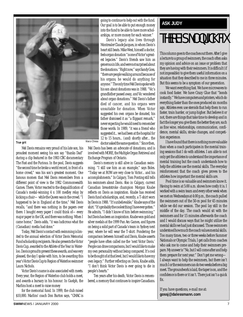

Mel Davis remains very proud of his late son, his proudest moment seeing his son say "thanks Dad" during a clip featured in the 1983 CBC documentary The Fast and the Furious. In the pool, Davis suggests "the second time he broke a world record, in front of a home crowd," was his son's greatest moment. One famous momen that Mel Davis remembers from a different point of view is the 1982 Commonwealth Games. There, Victor reacted to the disqualification of Canada's medal-winning 4 x 100 medley relay by kicking a chair—while the Queen was in the crowd. "I happened to be in England at the time," Mel Davis recalls, "and there was nothing in the papers over there. I bought every paper I could think of—every major paper in the UK, and there was nothing. When I came home," Davis adds, "it was ludicrous what the (Canadian) media had done."

Today, Mel Davis's contact with swimming is limited to the annual selection of Victor Davis Memorial Fund scholarship recipients. He also presents the Victor Davis Cup, awarded to the Athlete of the Year in Waterloo. Davis is proud to present these awards, and was very pleased, the day I spoke with him, to be awarding this year's Victor Davis Cup to Region of Waterloo swimmer Laura Nichols.

Victor Davis's name is also associated with meets. Every year, the Region of Waterloo club holds a meet, and awards a bursary in his honour. In Guelph, the Marlins host a meet to raise money

for the memorial fund. In 1999, the club raised \$10,000. Marlins' coach Don Burton says, "GMAC is

Davis's legacy also lives through Montrealer Claude Jacques, in whom Davis's heart still beats. Mike West, himself a doctor, feels organ donation "is one of Victor's greatest legacies." Davis's friends saw him as generous in life, and were not surprised about the donations. "Right now," says Sandy Goss, "there are people walking around because of his organs; he would do anything for anyone." The only time Mel Davis spoke with his son about donations was in 1988. "Vic's grandfather passed away, and Vic wondered about organ donations." Mel Davis's father died of cancer, and his organs were unsuitable for donation. When Victor suggested his own organs be donated, his father dismissed it as "a flippant remark," never expecting he would need to remember those words. In 1989, "it was a friend who suggested it... we had been at the hospital for 12 to 15 hours... (and) shortly after... the doctor asked the same question." Since then,

Mel Davis has been an advocate of donations, and is involved with MORE, the Multiple Organ Retrieval and Exchange Program of Ontario.

Davis's memory is still alive in Canadian swimming. "I still use him as an example," says Boles. "Today we at ROW are very close to Victor... and his accomplishments." In Calgary, Tom Ponting still tells his swimmers about Davis. Also in Calgary, current Canadian breaststroke champion Morgan Knabe reflects on Davis as inspiration. Knabe has received Davis fund scholarships, and, recently, a T-shirt worn by Davis in 1988. "It's unbelievable," Knabe says of the shirt. "It's probably the coolest thing I have ever gotten." He admits, "I didn't know of him before swimming," but Davis has been an inspiration. Knabe won gold and silver medals at the 1999 Pan Am Games, and figures on being a solid part of Canada's team in Sydney next year, where he will wear the T-shirt. Pondering the comparison between himself and Davis, Knabe asserts "people have often called me the 'next Victor Davis.' People can draw comparisons, but I would like to make my own personality without being compared. It's cool to be thought of at that level, but I would like to have my own legacy." Further reflecting on Davis, Knabe adds, "I don't think Victor Davis is ever going to die in people's hearts."

Ten years after his death, Victor Davis is remembered, a memory that continues to inspire Canadians.

# **ASK JUDY**

# THERE IS NO QUICK FIX

This column goes to the coaches out there. After I give a lecture to a group of swimmers, the coach often asks my opinion and advice on an issue or problem that they are having with their swimmers. It is difficult (if not impossible) to give them useful information on a situation that they described to me in three minutes. But this seems to be a symptom of our generation.

We want everything fast. We have microwaves to cook food faster. We have Crazy Glue that "bonds instantly." We have computers and printers, which do everything faster than the ones produced six months ago. Athletes even use steroids that help them to run faster, train harder, or jump higher. But believe it or not, there are things that take time to develop and in fact the longer you give them the better they are, such as fine wine, relationships, communication, confidence, mental skills, stroke changes, and competition experience.

I have found that there is nothing more valuable than when a coach participates in the mental training sessions that I do with athletes. I am able to not only get the athletes to understand the importance of mental training but the coach understands how to help the athletes use the mental skills. The everyday reinforcement that the coach gives proves to the athletes how important the mental skills are.

Pool time is so valuable and swimmers know it. Having to swim at 5:00 a.m. shows how costly it is. I worked with a swim team and every other week when we met on Wednesdays at 4:00 p.m., the coach pulled the swimmers out of the 50-m pool for 45 minutes while we did our session. The pool lay still in the middle of the day. The coach would sit with the swimmers and for 15 minutes afterwards the coach and I would discuss ways that he might utilize the mental skills we had just discussed. Those swimmers understood how much the coach values mental skills. Too many times, two or three weeks before Summer Nationals or Olympic Trials, I get calls from coaches who ask me to come and help their swimmers prepare. My answer is "No, but I will come after and help them prepare for next year." Don't get me wrong— I always want to help the swimmers, but there isn't much I or the swimmers can do two weeks before a big meet. The groundwork is laid, the taper is on, and the confidence is there or it isn't. There just isn't a quick fix.

If you have questions, e-mail me at: **gossj@dalessmann.com**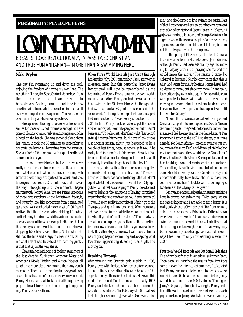# <span id="page-7-0"></span>**PERSONALITY: PENELOPE HEYNS**

# LOVING EVERY MOMENT BREASTSTROKE REVOLUTIONARY, IMPASSIONED CHRISTIAN, AND TRUE HUMANITARIAN—MORE THAN A SWIMMING HERO

# **Nikki Dryden**

One day I'm swimming up and down the pool, enjoying the freedom of having my own lane. The next thing I know, the Sport Centre kids are back from their training camp and I am drowning in breaststrokers. My big, beautiful end lane is now crawling with them. While this sudden influx is a bit overwhelming, it is not surprising. You see, there is one reason they are here: Penny is back.

She appeared the night before with hellos and smiles for those of us not fortunate enough to have gone to Florida to tan ourselves and lounge around in a hotel on the beach. She was so nonchalant about her return it took me 30 minutes to remember to congratulate her on all her swims from the summer. She laughed off the congrats with a quick smile and a humble thank you.

I am not a breaststroker. In fact, I have never really cared for the stroke much at all, and I am somewhat of a snob when it comes to training with breaststrokers. They are quite often weird, and they take up so much room. Or should I say that this was the way I thought up until the moment I began training with Penny Heyns. You see, Penny is not one of those breaststrokers whose backstroke, freestyle, and butterfly look like something from a mutilated gene pool. As she schooled me on a set of 100 frees, I realized that this girl can swim. Holding 1:10s days earlier for my hundreds would have been respectable after a year out of the water, except for the fact that on this, Penny's second week back in the pool, she was dropping 1:06s like it was nothing. All the while she still had the time and energy to cheer me on, telling me what a star I was. But what I am learning quickly is that that is just the way she is.

I have trained with some of the best swimmers of the last decade. Surinam's Anthony Nesty and Americans Nicole Haislett and Allison Wagner all taught me more about swimming than any coach ever could. There is something in the eyes of these champions that doesn't exist in everyone you meet. Penny Heyns has that look, and although giving props to breaststrokers is not something I enjoy doing, Penny deserves them.

**When Three World Records Just Aren't Enough** Los Angeles, July 1999: It started out like just any other in-season meet, but this particular Janet Evans Invitational will now be remembered as the beginning of Penny Heyns' amazing eleven-worldrecord streak. When Penny touched the wall after her heat swim in the 200 breaststroke she thought she had swum around a 2:30, but then she looked at the scoreboard. "I thought perhaps that the touchpad had malfunctioned," was Penny's reaction to her 2:24. In time Penny has been able to put that swim and ten more just like it into perspective, but it hasn't been easy. "To be honest I don't know if it [her record swims] has even hit me yet...but I have to look at it as just another season, that it just happened to be a couple of best times, because otherwise it would be really hard to come back this season. Already it has been a bit of a mental struggle to accept that it obviously takes time to get back to that level."

Penny admits that there are some negative moments that emerge from such success. "There are times when there has been the thought that if I don't equal what I did this season—even if I win Olympic gold—will it feel as satisfying?" Penny looks to next year to balance the emotions of having completed everything that most swimmers could ever dream of. "It would seem really incomplete if I didn't go to the Olympics and give it my best shot. When someone achieves a goal, immediately there is a fear that sets in 'what if you don't do it next time?' There is always a challenge to improve yourself and at the same time be somehow satisfied. I don't think you ever achieve that. But ultimately, somehow I will have to find a way of going beyond swimming and accepting what I've done, appreciating it, seeing it as a gift, and moving on."

# **Breaking Through**

After winning two Olympic gold medals in 1996, Penny toyed with the idea of retirement from competition. Initially she continued to swim because of the expectation by others for her to do so. However, this made for some difficult times and in early 1998 Penny undertook much soul-searching before she was able to continue. "In February of '98 I realized that this [her swimming] was what God wanted for

me." She also learned to love swimming again. Part of that happiness was her new training environment at the Canadian National Sports Centre in Calgary. "I enjoy swimming a lot now, and being able to train in a group where there are a couple of other people my age makes it easier. I'm still the oldest girl, but I'm not the only granny in the group now!"

In the spring of 1998 Penny relocated to Canada to train with her former Nebraska coach Jan Bidrman. Although Penny had been adamantly against moving to Calgary, after much praying she realized she would make the move. "The reason I came [to Calgary] is because I felt the conviction that this is what God wants for me. At the time I came here I had no desire to swim, but since my move I have really learned to enjoy swimming again. Being on this team with people to travel with, who are focused and moving in the same direction as I am, has been good. I never realized how important that support was until I moved to Calgary."

"I don't think I can ever verbalize how important Canada's support is to me. I appreciate South African Swimming and all they've done for me, but now if I'm at a meet I feel like my team is the Canadians. At Pan Pacs when I touched the wall I was happy that it was a medal for South Africa—another event to put my country on the map. But I would immediately look to my teammates and they would be the Canadians." Penny has the South African Springbok tattooed on her shoulder, a constant reminder of her homeland. Yet she often jokes of having a maple leaf put on her other shoulder. Penny values Canada greatly and understands fully how lucky she is to have two countries behind her; "I look forward to belonging to two teams at the Olympics next year."

Penny also acknowledges that maturity and time have improved her swimming. "With every season the base is bigger and I am able to train better. It is really only since the Olympics that I feel I am actually able to train consistently. Prior to that I'd break down every two or three weeks." Like many older women swimmers around the world, Penny also believes that she is stronger in the weight room. "I know my body better now and my race strategy has matured. In some ways I feel like I'm only now learning to swim the 200."

# **Fourteen World Records Are But Small Splashes**

One of my best friends is American swimmer Jenny Thompson. As I watched the results from Pan Pacs come in over the internet last summer, I calculated that Penny was most likely going to break a world record in the 100 breast heats—hours before Jenny would break one in the 100 fly finals. There goes Jenny's 25 grand, I thought. I was right; Penny broke her fifth world record in a row and won the cash payout instead of Jenny. Weeks later I was to hang my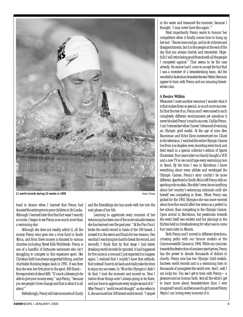

**11 world records during 10 weeks in 1999** Marco Chiesa and The Marco Chiesa and The Marco Chiesa and The Marco Chiesa

head in shame when I learned that Penny had donated the entire prize to poor children in Sri Lanka. Although I learned later that that fact wasn't exactly accurate, I began to see Penny as so much more than a swimming star.

Although she does not readily admit it, all the money Penny wins goes into a trust fund in South Africa, and from there money is donated to various charities including Street Kids Worldwide. Penny is one of a handful of fortunate swimmers who isn't struggling to compete in this expensive sport. Her Christian faith has always supported tithing, and her charitable thinking began back in 1991. It was then that she won her first prize in the sport, 400 Rand the equivalent of about \$80. "It's such a blessing to be able to give your money away," says Penny, "because you see people's lives change and that is what it is all about."

Refreshingly, Penny will take moments of clarity

and the friendships she has made with her into the next phase of her life.

Learning to appreciate every moment of her swimming has been one of the most valuable lessons she has learned over the past year. "At the Pan Pacs I broke the world record in heats of the 100 breast. I missed it in the semis and finals for two reasons. One was that I was trying too hard to break the record, and secondly I think that by that stage I had taken breaking world records for granted; it had happened for five races in a row and I just expected it to happen again. I realized that I couldn't have that attitude, that instead I have to sit back and really take the time to enjoy my successes. In '96 at the Olympics I didn't do that; I took the moment and moved on. Now I realize those things aren't always going to be there, and you have to appreciate every single second of it." After Penny's "world record drought" as she refers to it, she savoured her 200 breast world record. "I stayed

in the water and treasured the moment, because I thought, 'I may never have this again.'"

Most importantly Penny wants to honour her competitors when it finally comes time to hang up her suit. "Races come and go, and so do victories and disappointments, but it is the people at the end of the day that you always cherish and remember. Hopefully I will retire being good friends with all the people I competed against." That seems to be the case already. No sooner had I come to accept the fact that I was a member of a breaststroking team, did the wonderful Australian breaststroke star Helen Denman appear to train with Penny and our amazing breaststroke clan.

# **A Desire Within**

Whenever I meet another swimmer I wonder what it is that makes them so special, so much more successful that the rest of us. Penny and I were raised in such completely different environments yet somehow it never blocked Penny's road to success. Unlike Penny, I can't remember when I haven't dreamed of winning an Olympic gold medal. At the age of nine Alex Baumman and Victor Davis mesmerized me. Glued to the television, I watched the entire Olympic Games live from Los Angeles, even recording every track and field result in a special collector's edition of Sports Illustrated. Four years later our family bought a VCR and a new TV so we could tape every swimming race in Seoul. By the time I was in Barcelona I knew everything about every athlete and worshiped the Olympic Games. Penny's story couldn't be more different. Apartheid in South Africa left Penny with no sporting role models. She didn't even know anything about her country's swimming nationals until she herself was competing in them. When Penny was picked for the 1992 Olympics she was more worried about how this would affect her status as a prefect in her school, than competing in the Olympic Games. Upon arrival in Barcelona, her pessimism towards the event itself was evident and her placings in the thirties held no foreshadowing for what was to come four years later in Atlanta.

Both Penny and I moved in different directions, crossing paths with our bronze medals at the Commonwealth Games in 1994. While my cynicism towards the destruction of amateur sport grows, Penny has the power to donate thousands of dollars to charity. Penny now has two Olympic Gold medals, fourteen world records and is a swimming hero to thousands of youngsters the world over. And I, well I am lucky too. You see I get to train with Penny—a pleasure and an honour both. And all the while I get to learn more about breaststrokers than I ever imagined I would, and because of a girl named Penny Heyns I am loving every moment of it.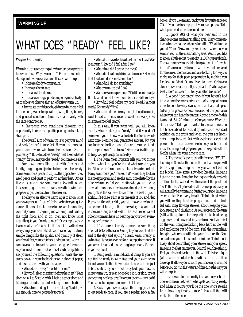# <span id="page-9-0"></span>**WARMING UP**

# WHAT DOES "READY" FEEL LIKE?

# **Wayne Goldsmith**

Warming up is something all swimmers do to prepare to swim fast. Why warm up? From a scientific standpoint, we know that an effective warm up:

- Increases body temperature.
- Increases heart rate.
- Increases blood pressure.

• Increases energy-producing enzyme activity. As coaches we observe that an effective warm up:

• Increases confidence by giving swimmers a feel for the pool, water temperature, wall, flags, blocks, and general conditions (increases familiarity with the race conditions).

• Increases race readiness through the opportunity to rehearse specific pacing and stroking strategies.

The overall aim of warm up is to get your mind and body "ready" to race fast. How many times has your coach or your swim team friends asked "So, are you ready?" But what does "ready" feel like? What is "ready" for you may not be "ready" for someone else.

Some swimmers like to sit with friends and family, laughing and joking to help them feel ready. Some swimmers prefer to do just the opposite—they need peace and quiet to perform at their best. Others like to listen to music, some read, a few walk, others talk, some jog—there are many ways that swimmers prepare to get the best from themselves.

The key to an effective warm up is to know what your own personal "ready" feels like *before*you get to a meet. It doesn't make sense to prepare for months, commit yourself to training and working hard, eating the right foods and so on, then not know what actually gets you "ready to race." One simple way to learn what your "ready" is all about is to write down everything you can about your race-day routine, simple things like the quality and quantity of sleep, your breakfast, your stretches, and your pool warm up can have a real impact on your racing performance. At your next minor meet or local club competition, ask yourself the following questions. Write the answers down in your logbook or on a sheet of paper, and discuss them with your coach:

•What does "ready" feel like for me?

•How did I sleep the night before the meet? (Rate sleep on a 1 to 5 scale, with 1 being a poor sleep and 5 being a sound sleep and waking up refreshed).

•What time did I get up on meet day? Did it give me enough time to get ready to race?

•What did I have for breakfast on meet day? Was it enough? How did I feel after I ate?

•What time did I get to the meet?

•What did I eat and drink at the meet? How did that food and drink make me feel?

•What did I do for stretching?

•What warm up did I do?

•Was the warm up enough? Did it get me ready? If not, what could I have done better or differently?

•How did I feel before my race? Ready? Almost ready? Not ready? Why?

•What did I do before my race (listened to music, read, talked to friends, relaxed, went for a walk)? Did this make me feel ready?

In this way, if you swim well, you will know exactly what makes you "ready" and if you don't swim well, you'll know what to do better (or to avoid) next time. Nothing can guarantee success, but you can increase the likelihood of success by understanding the process of "readiness." Here are a few little tips to help you get ready on race day:

1. The Swim Meet Program tells you two things only—*what lane you're in* and *what race are you in.* All other information is relatively unimportant. Many swimmers get "freaked out" when they look in the meet program and see the entry times listed by the other swimmers. It doesn't matter who you are racing or what times they may have claimed to have done, your job is the same—to swim to the best of *your* ability. If Michael Klim is on one side of you and Alex Popov on the other side, you still have to swim the same race distance, in the same water, in a lane that is the same length and width. The race credentials of other swimmers have no bearing on your own swimming performance.

2. If you are not ready to race, do something about it *before* the race. Going to your coach at the end of the day and saying "I really wasn't ready to swim fast" is not an excuse for a poor performance. If you are not ready, do something to get ready. Success is your choice!

3. Being ready is an individual thing. If *you* are not feeling ready to swim fast and your swim team friends are off to the showers, don't go with them just to be sociable. If *you* are not ready to do your best, do more warm up, or rest, or go for a jog, or skip, or eat something, or sleep, or talk to your coach—just do it! You can catch up on the meet chat later.

4. Pack in your swim bag all the things you need to get ready to race. If you are a reader, pack a few books. If you like music, pack your favourite tapes or CDs. If you like to sleep, pack your own pillow. Take what you need to get the job done.

5. Ignore 90% of what you hear said in the change rooms and marshalling area. Every competitive swimmer has heard questions like "What time do you do?" or "How many sessions a week do you swim?" etc., in the marshalling area. Would you like to know a little secret? Most of it is 100% pure rubbish. The swimmers who try this cheap attempt at "psyching out" are usually the ones who have not prepared for the meet themselves and are looking for ways to make up for their poor preparation by making you feel less confident. Do not listen to them. Or have a clever answer for them. If you get asked "What's your best time?" answer "I'll tell you after this race."

6. A good "get ready" trick if you haven't had time to practise race starts as part of your pool warm up is to do a few *dry starts.* Find a clear, flat space (ideally on grass) somewhere around the pool area where you can hear the starter. A good time to do this is around 15 to 20 minutes before your race. When the starter says "Take your marks" to the swimmers on the blocks about to race, drop into your race start position on the grass and when the gun (or horn) goes, jump forward fast with explosive speed and power. This is a great exercise to get your brain and muscles firing and prepares you to explode off the blocks when it is your time to race.

7. Try the *walk the race-talk the race*(WR/TR) technique. Stand at the end of the pool where you will be starting from. Imagine how you will feel behind the blocks. Take some slow deep breaths. Imagine hearing the gun. Imagine feeling your body explode off the blocks. Walk down the side of the pool and "feel" the race. Try to walk at the same speed that you will actually be swimming during your race. Imagine every stroke. Feel every breath. Think about where you will breathe, about keeping smooth and controlled with long flowing strokes, about keeping your kick strong and rhythmic. As you approach the turn (still walking along side the pool) think about being aggressive and powerful in your turn. Feel your feet on the wall. Imagine kicking back hard at the wall and exploding out of the turn. Feel the streamline. Imagine where you will take your first breath. Concentrate on your skills and technique. Think positively about controlling your stroke and your speed. Imagine the last ten metres. Control your breathing. Feel your body drive hard to the wall. This technique (also called *mental rehearsal*) is a great skill to develop. It allows you to swim your race in your mind *before*you do it in the water and fine tune the way you will compete.

If you want to race really fast, and never be the one to come in last, learn what gets your body ready, and when it counts you'll be the one who's steady! Learn how to get ready to race. It is a skill that will make the difference.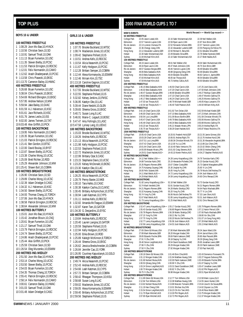# <span id="page-10-0"></span>**TOP PLUS**

## **BOYS 10 & UNDER**

### **100 METRES FREESTYLE**

 1:08.29 Joon Mo Bae,10,HYACK 1:10.56 Christian Seon,10,SD 1:10.91 Samuel Thrall,10,OAK 1:11.13 Bryan Fumerton,10,USC 1:11.35 Steven Bielby,10,PCSC 1:11.53 Patrick Errington,10,RDCSC 1:12.01 Felix Normandin,10,CAMO 1:12.62 Arash Ghaderpanah,10,PCSC 1:13.58 Chris Piasecki,10,EKSC 10 1:13.70 Cameron Bailey,10,HWAC **400 METRES FREESTYLE** 5:26.68 Bryan Fumerton,10,USC 5:38.04 Chris Piasecki,10,EKSC 5:54.69 Richard Elkington,10,EKSC 5:57.95 Andrew Nelson,10,MM 5:59.94 Jake Bailey,10,GVAC 6:01.59 A.J. Halverson,10,KSC 6:01.61 Jace Richards,10,KSC 6:01.76 James Leslie,10,ISS 6:02.00 James Twinem,10,TAT 10 6:03.48 Alex Griffith,10,PICK **100 METRES BACKSTROKE** 1:19.95 Felix Normandin,10,CAMO 1:20.35 Bryan Fumerton,10,USC 1:21.03 Patrick Errington,10,RDCSC 1:21.41 Ben Gordon,10,BTSC 1:22.00 David Boulay,10,BYST 1:22.87 Steven Bielby,10,PCSC 1:23.38 Charles Wong,10,UCSC 1:25.09 Brett Richter,10,ROD 1:25.29 Alexander Johnson,10,MM 10 1:25.41 Shawn Bull,10,COBRA **100 METRES BREASTSTROKE** 1:26.90 Christian Seon,10,SD 1:29.89 Charles Wong,10,UCSC 1:32.39 Adam Driedger,9,CASC 1:34.32 A.J. Halverson,10,KSC 1:34.50 Steven Bielby,10,PCSC 1:34.93 Thomas Chang,10,TORCH 1:37.06 Joon Mo Bae,10,HYACK 1:38.58 Patrick Errington,10,RDCSC 1:38.64 Alexander Johnson,10,MM **100 METRES BUTTERFLY** 1:15.01 Joon Mo Bae,10,HYACK 1:15.42 Jonathan Blouin,10,CNQ 1:20.61 Bryan Fumerton,10,USC 1:21.17 Samuel Thrall,10,OAK 1:23.79 Patrick Errington,10,RDCSC 1:24.74 Steven Bielby,10,PCSC 1:24.86 Arash Ghaderpanah,10,PCSC 1:25.44 Alex Griffith,10,PICK 1:25.59 Christian Seon,10,SD 10 1:26.54 Oleg Murzenko,10,ESWIM **200 METRES IND.MEDLEY** 2:51.50 Joon Mo Bae,10,HYACK 2:53.14 Charles Wong,10,UCSC 2:53.50 Steven Bielby,10,PCSC 2:54.03 Bryan Fumerton,10,USC 2:54.35 Thomas Chang,10,TORCH 2:55.41 Patrick Errington,10,RDCSC 2:58.14 Felix Normandin,10,CAMO 3:00.61 Cameron Bailey,10,HWAC 3:01.03 Samuel Thrall,10,OAK 10 3:01.48 Adam Driedger,9,CASC

# **100 METRES FREESTYLE**

**SWIM**NEWS / JANUARY 2000 11 **GIRLS 10 & UNDER** 1:07.70 Brooke Buckland,10,WTSC 1:08.74 Mackenzie Jones,10,UCSC 1:09.42 Stephanie Pollard,10,IS 1:10.51 Andrea Kells,10,RDCSC 1:10.54 Alicia Neasmith,10,PCSC 1:11.67 Kelly Hodgson,10,PCSC 1:12.28 Brittani Semper,10,COBRA 1:12.44 Alexa Kormanycky,10,ESWIM 1:12.46 Miriam Kim,10,TSC 10 1:13.18 Caroline Gagnon,10,UCSC **400 METRES FREESTYLE** 5:17.55 Brooke Buckland,10,WTSC 5:22.55 Stephanie Pollard,10,IS 5:32.82 Kelsey Jenkins,10,FMSC 5:36.95 Katelyn Oke,10,LAC 5:39.44 Diane Nesbitt,10,GLEN 5:39.65 Sheena Gross,10,EKSC 5:40.71 Susan Long,9,LAC 5:46.91 Marie-C. Legault,10,BOSC 5:47.47 Amy Follinglo,10,LASC 10 5:47.58 Lynsey Lang,10,LEDUC **100 METRES BACKSTROKE** 1:15.03 Brooke Buckland,10,WTSC 1:18.26 Andrea Kells,10,RDCSC 1:21.13 Alicia Neasmith,10,PCSC 1:21.98 Kelly Hodgson,10,PCSC 1:22.53 Stephanie Pollard,10,IS 1:22.72 Mackenzie Jones,10,UCSC 1:22.99 Brittany Ozar,9,CASC 1:23.15 Stephanie Davis,10,UCSC 1:23.20 Kelsey McDonald,10,BOSC 10 1:23.30 Katelyn Oke,10,LAC **100 METRES BREASTSTROKE** 1:26.25 Alicia Neasmith,10,PCSC 1:28.79 Penny Baxter,10,NKB 1:30.10 Tara Hahto,10,CASC 1:30.38 Katelyn Cachia,10,CLMSC 1:30.45 Brittany Achtymichuk,10,STSC 1:30.94 Leah Katzman,10,CYPS 1:31.11 Andrea Kells,10,RDCSC 1:32.82 Amanda McTeague,10,ESWIM 1:32.87 Karen Tam,10,GATOR 10 1:34.30 G. Desjardins,10,EYSC **100 METRES BUTTERFLY** 1:19.84 Andrea Kells,10,RDCSC 1:20.40 Lauren Lavigna,10,GATOR 1:20.59 Stephanie Pollard,10,IS 1:22.94 Kelly Hodgson,10,PCSC 1:25.00 Erika Brown,10,ROD 1:25.89 Kaleigh McKinnon,9,TORCH 1:26.44 Sheena Gross,10,EKSC 1:26.62 Jessica Bredschneider,10,COBRA 1:26.84 Jennifer Cao,10,YORK 10 1:26.95 Courtney Kapustianyk,10,GOLD **200 METRES IND.MEDLEY** 2:49.74 Alicia Neasmith,10,PCSC 2:52.43 Andrea Kells,10,RDCSC 2:54.66 Leah Katzman,10,CYPS 2:57.72 Brittani Semper,10,COBRA 2:58.42 Rheagan Thompson,10,KISU 2:58.68 Susan Long,9,LAC 2:59.02 Mackenzie Jones,10,UCSC 2:59.05 Alexa Komarnycky,9,ESWIM 2:59.40 Brittany Achtymichuk,10,STSC 10 2:59.56 Stephanie Pollard,10,IS

# **2000 FINA WORLD CUPS 1 TO 7**

# **MEN'S EVENTS**

```
50 METRES FREESTYLE<br>College Park 22.05 Jason Lezak.USA
College Park 22.05 Jason Lezak, USA 22.16 Sabir Muhammad, USA 22.39 Neil Walker, USA<br>22.07 Stembra 20.57 Yannick Lupien, CAN 22.59 Ryan Laurin, CAN 22.87 Sion Brinn, GBR
Edmonton 22.57 Yannick Lupien,CAN 22.59 Ryan Laurin,CAN 22.87 Sion Brinn,GBR<br>Rio de Janiero 22.13 Lorenzo Vismara ITA 22.52 Fernando Scherer RRA 22.57 Yannick Lunien CAN
Shanghai 22.36 Chengji Jiang,CHN 22.42 Alexander Luderitz, GER 22.55 Piergiorg De Felice<br>Iong Kong 22.12 Alexander Luderitz, GER 22.50 Richard S. Bera, INA 22.51 Edvaldo Silva, BRA
                        22.12 Alexander Luderitz, GER 22.50 Richard S. Bera, INA 22.51 Edvaldo Silva, BRA<br>22.30 Sabir Muhammad, USA 22.49 Edvaldo Silva, BRA 22.78 Stefan Nystrand, SWE
Hobart 22.30 Sabir Muhammad, USA 22.49 Edvaldo Silva, BRA 22.78 Stefan Nystrand, Sydney 21.94 Michael Klim, AUS<br>Sydney 21.94 Michael Klim, AUS 22.10 Sabir Muhammad, USA 22.27 Brett Hawke, AUS
                        21.94 Michael Klim,AUS
100 METRES FREESTYLE
College Park 48.19 Jason Lezak, USA 48.61 Neil Walker, USA 49.04 Sabir Muhammad, USA<br>Fdmonton 49.34 Rvan Laurin CAN 49.47 Mark Johnston CAN 49.75 Sion Brinn GBR
Edmonton 49.34 Ryan Laurin, CAN 49.47 Mark Johnston, CAN 49.75 Sion Brinn, GBR<br>Rio de Janiero 48.57 Gustavo Borges, BRA 49.46 Yannick Lupien, CAN 49.49 Edvaldo Silva, BRA
Rio de Janiero 48.57 Gustavo Borges, BRA 49.46 Yannick Lupien, CAN 49.49 Edvaldo Silva, BRA<br>Shanghai 49.06 Bela Szabados HUN 49.88 Oingsong Deng. CHN 50.06 Edvaldo Silva, BRA
Shanghai 49.06 Bela Szabados,HUN 49.88 Qingsong Deng,CHN<br>Hong Kong 49.03 Bela Szabados,HUN 49.04 Edvaldo Silva,BRA
Hong Kong 49.03 Bela Szabados,HUN 49.04 Edvaldo Silva,BRA 49.82 Carlos A. Jayme,BRA
Hobart 47.83 Michael Klim,AUS 49.05 Ian Thorpe,AUS 49.54 Edvaldo Silva,BRA<br>Sydney 47.59 Michael Klim AUS 48.73 Ashley Callus AUS 48.93 Edvaldo Silva BRA
200 METRES FREESTYLE<br>College Park 1:46.15 Bel
College Park 1:46.15 Bela Szabados,HUN 1:46.50 Chad Carvin,USA 1:47.25 Josh Davis,USA<br>Edmonton 1:46.02 Bela Szabados,HUN 1:47.20 Chad Carvin,USA 1:47.50 Mark Johnston,C
Edmonton 1:46.02 Bela Szabados,HUN 1:47.20 Chad Carvin,USA 1:47.50 Mark Johnston,CAN<br>Rio de Janiero 1:48.47 Gustavo Borges,BRA 1:48.68 Edvaldo Silva,BRA 1:49.27 Rodrigo Castro,BRA
Rio de Janiero 1:48.47 Gustavo Borges, BRA 1:48.68 Edvaldo Silva, BRA Shanghai 1:46.63 Bela Szabados, HUN 1:47.10 Chad Carvin, USA
Hong Kong 1:45.17 Bela Szabados, HUN 1:46.24 Chad Carvin, USA 1:48.25 Moreno Gallina, ITA<br>1:49.05 Klaus Lanzarini, ITA 1:49.79 Michael Kiedel, GER 1:49.05 Klaus Lanzarini, ITA
Hobart 1:47.03 Ian Thorpe,AUS 1:48.79 Michael Kiedel,GER 1:49.05 Klaus Lanzarini,ITA<br>1:48.59 Sydney 1:42.54 Ian Thorpe,AUS - 1:46.40 Todd Pearson,AUS 1:46.50 William Kirby,AUS
                        1:42.54 Ian Thorpe,AUS ••
400 METRES FREESTYLE<br>
College Park 3:42.16 Chad Carvin, USA
College Park 3:42.16 Chad Carvin,USA 3:51.92 Tom Dolan,USA 3:52.59 Michael Kiedel,GER
Rio de Janiero 3:50.54 Luiz Lima, BRA 3:51.09 Bruno Bonfim, BRA 3:51.58 Christian Minotti, ITA<br>Shanghai 3:45.47 Chad Carvin, USA 3:49.79 Bela Szabados, HUN 3:50.06 Moreno Gallina, ITA
Shanghai 3:45.47 Chad Carvin, USA 3:49.79 Bela Szabados, HUN 3:50.06 Moreno Gallina, ITA<br>Hong Kong 3:45.49 Chad Carvin, USA 3:48.34 Bela Szabados, HUN 3:50.88 Moreno Gallina, ITA
Hong Kong 3:45.49 Chad Carvin, USA 3:48.34 Bela Szabados, HUN 3:50.88 Moreno Gallina, IT<br>Hobart 3:43.23 Ian Thorpe, AUS 3:45.21 Masato Hirano, JPN 3:50.24 Andrea Righi, ITA
Hobart 3:43.23 Ian Thorpe,AUS 3:45.21 Masato Hirano,JPN 3:50.24 Andrea Righi,ITA
                        3:35.75 Ian Thorpe,AUS •
1500 METRES FREESTYLE<br>College Park 15:05.43 Chad Carvin.USA
College Park 15:05.43 Chad Carvin, USA 15:20.91 Frederik Hviid, ESP 15:21.55 Jamie Grimes, USA<br>Edmonton 15:03.28 Chad Carvin, USA 15:06.91 Andrea Righi, ITA 15:13.76 Andrew Hurd, CAN
Edmonton 15:03.28 Chad Carvin,USA 15:06.91 Andrea Righi,ITA 15:13.76 Andrew Hurd,CAN
Rio de Janiero 15:07.51 Luiz Lima, BRA 15:08.36 Christian Minotti, ITA 15:31.30 Alexandre Angelotti, BRA<br>Shanghai 15:07.42 Chad Carvin, USA 15:12.00 Yu Liu, CHN 15:13.89 Zuo Chen, CHN
Shanghai 15:07.42 Chad Carvin,USA 15:12.00 Yu Liu,CHN 15:13.89 Zuo Chen,CHN<br>1999 Kong 15:01.64 Chad Carvin,USA 15:16.40 Fabio Venturini,ITA 15:23.02 Shibin Zheng,C
Hobart 14:55.95 Masato Hirano,JPN 15:01.92 Craig Stevens,AUS 15:09.53 Andrea Righi,ITA
Sydney 14:29.51 Grant Hackett,AUS • 14:43.10 Kieren Perkins,AUS 14:54.27 Stephen Penfold,AUS
50 METRES BACKSTROKE<br>College Park 24.12 Neil Walker, USA ••
                        24.12 Neil Walker, USA •• 24.28 Lenny Krayzelburg, USA 24.76 Tomislav Karlo, CRO<br>24.88 Tomislav Karlo, CRO 25.19 Alexandre Pichette, CAN 25.23 Gordan Kozulj, CRO
Edmonton 24.88 Tomislav Karlo,CRO 25.19 Alexandre Pichette,CAN<br>Rio de Janiero 25.35 Rogerio Romero,BRA 25.67 Cleber Costa,BRA
Rio de Janiero 25.35 Rogerio Romero,BRA 25.67 Cleber Costa,BRA 25.73 Gabriel Mangabeira,BRA<br>Shanghai 24.75 Kunpeng Ouvang CHN 25.30 Jinghai Hu.CHN 25.65 Yi Lin CHN
Shanghai 24.75 Kunpeng Ouyang, CHN 25.30 Jinghai Hu, CH<br>Hong Kong 26.00 Felix Sutanto, INA 26.05 Yong Fu, CHN
Hong Kong 26.00 Felix Sutanto, INA 26.05 Yong Fu,CHN 26.79 Nicolo Dell'Andrea, ITA<br>
Hobart 24.11 Matt Welsh, AUS • 24.72 Lenny Krayzelburg, USA 24.94 Josh Walson, AUS
                        24.11 Matt Welsh,AUS •• 24.72 Lenny Krayzelburg,USA 24.94 Josh Watson,AUS<br>24.29 Matt Welsh,AUS 24.59 Lenny Krayzelburg,USA 24.60 Chris Renaud,CAN
Sydney 24.29 Matt Welsh,AUS 24.59 Lenny Krayzelburg,USA
100 METRES BACKSTROKE<br>College Park 51.82 Lenny I
                       51.82 Lenny Krayzelburg, USA • 52.18 Neil Walker, USA 53.73 Gordan Kozulj, CRO
Edmonton 53.74 Mark Versfeld,CAN 53.91 Gordan Kozulj,CRO 54.31 Rogerio Romero,BRA
Rio de Janiero 54.21 Rogerio Romero, BRA 54.28 Marko Strahija, CRO 54.64 Paulo Mach<br>Shanghai 53.32 Kunpeng Ouyang, CHN 55.20 Yong Fu, CHN 55.77 Yi Lin, CHN
Shanghai 53.32 Kunpeng Ouyang, CHN 55.20 Yong Fu, CHN 55.77 Yi Lin, CHN<br>Hong Kong 55.74 Yong Fu, CHN 56.06 Nicolo Dell'Andrea, ITA 57.32 Liam Short, AUS
Hong Kong 55.74 Yong Fu,CHN 56.06 Nicolo Dell'Andrea,ITA 57.32 Liam Short,AUS<br>1-Hobart 52.67 Matt Welsh,AUS 52.85 Lenny Krayzelburg,USA 53.31 Josh Watson,AUS
Sydney 51.73 Lenny Krayzelburg,USA .
200 METRES BACKSTROKE
College Park 1:52.47 Lenny Krayzelburg,USA••1:55.17 Gordan Kozulj,CRO 1:55.79 Rogerio Romero,BRA<br>Edmonton 1:55.43 Gordan Kozulj,CRO 1:56.80 Rogerio Romero,BRA 1:57.12 Aaron Peirsol,USA
Edmonton 1:55.43 Gordan Kozulj,CRO 1:56.80 Rogerio Romero,BRA 1:57.12 Aaron Peirsol,USA<br>Rio de Janiero 1:55.78 Rogerio Romero,BRA 1:56.39 Marko Strahija,CRO 1:57.60 Paulo Machado,BRA
Rio de Janiero 1:55.78 Rogerio Romero,BRA 1:56.39 Marko Strahija,CRO 1:57.60 Paulo Machado<br>Shanghai 1:57.15 Yong Fu,CHN 1:58.21 Rui Yu,CHN 1:58.80 Xin Shu,CHN
Shanghai 1:57.15 Yong Fu,CHN 1:58.21 Rui Yu,CHN<br>Hong Kong 1:57.75 Yong Fu,CHN 2:00.20 Nicolo Dell'Andrea, ITA
Hobart 1:52.77 Lenny Krayzelburg,USA 1:55.58 Josh Watson,AUS 1:57.28 Matt Welsh,AUS
                        1:52.56 Lenny Krayzelburg,USA
50 MÉTRES BREASTSTROKÉ<br>College Park 27.65 Glenn Ed
College Park 27.65 Glenn Ed Moses, USA 27.90 Mark Warnecke, GER 28.34 Jason Ward, USA<br>28.19 Edmonton 27.89 Mark Warnecke, GER 28.20 Morgan Knabe, CAN 28.44 Jarrod Marrs, USA
Edmonton 27.89 Mark Warnecke,GER 28.20 Morgan Knabe,CAN 28.44 Jarrod Marrs,USA
                       28.65 Eduardo Fischer, BRA
Shanghai 27.91 Yi Zhu,CHN 28.18 Daqing Yu,CHN 28.29 Qiliang Zeng,CHN<br>29.65 Hong Kong 29.40 Simon Leighfield,AUS 29.54 David Gustafsson,SWE 29.65 Jonathan Lewis,GE
                        Hong Kong 29.40 Simon Leighfield,AUS 29.54 David Gustafsson,SWE 29.65 Jonathan Lewis,GBR
Hobart 27.96 Yi Zhu,CHN 28.29 Morgan Knabe,CAN 28.33 Patrik Isaksson,SWE
100 METRES BREASTSTROKE<br>College Park 1:00.18 Glenn Ec
                        1:00.18 Glenn Ed Moses,USA 1:01.46 Elvin Chia,MAS 1:02.43 Domenico Fioravanti,ITA<br>1:01.12 Morgan Knabe.CAN 1:01.94 Matthew Huang.CAN 1:02.27 Hugues Duboscg FRA
Edmonton 1:01.12 Morgan Knabe,CAN 1:01.94 Matthew Huang,CAN Rio de Janiero 1:01.69 Norbert Rozsa,HUN 1:02.00 Patrik Isaksson,SWE
Rio de Janiero 1:01.69 Norbert Rozsa, HUN 1:02.00 Patrik Isaksson, SWE 1:02.49 Eduardo Fischer, BRA<br>
Shanghai 1:00.53 Qiliang Zeng, CHN 1:00.99 Yi Zhu, CHN 1:01.07 Daging Yu, CHN
Shanghai 1:00.53 Qiliang Zeng,CHN 1:00.99 Yi Zhu,CHN 1:01.07 Daqing Yu,CHN<br>1:03.47 Jonathan Levis,GBR 1:03.31 David Gustafsson,SWE 1:03.47 Jonathan Lewis,GBR
Hong Kong 1:03.24 Simon Leighfield,AUS 1:03.31 David Gustafsson,SWE 1:03.47 Jonathan Lewis,G<br>1:06 Hobart 1:00.73 Morgan Knabe,CAN 1:00.82 Yi Zhu,CHN 1:01.62 Phil Rogers,AUS
                        1:00.73 Morgan Knabe,CAN
Sydney 59.75 Yi Zhu,CHN 59.98 Morgan Knabe,CAN 1:00.51 Ryan Mitchell,AUS
200 METRES BREASTSTROKE
College Park 2:11.89 Glenn Ed Moses,USA 2:12.77 Tom Wilkens,USA 2:13.58 Matic Lipovz,SLO
                       Edmonton 2:12.94 Tom Wilkens,USA 2:13.38 Matthew Huang,CAN 2:14.55 Jason Hunter,CAN
Rio de Janiero 2:13.62 Norbert Rozsa, HUN 2:13.88 Marcelo Tomazini, BRA 2:15.64 Jose B. De Souza<br>Shanghai 2:11.19 Hao Cheng, CHN 2:13.01 Shichao Xia, CHN 2:14.62 Ziquian Liu, CHN
Shanghai 2:11.19 Hao Cheng,CHN 2:13.01 Shichao Xia,CHN 2:14.62 Ziquian Liu,CHN<br>1-2:15.54 Hong 2:15.54 Simon Leighfield,AUS 2:16.23 Chi Kin Tam,HKG 2:18.40 Ross Martin,GBR
 Hong Kong 2:15.54 Simon Leighfield,AUS 2:16.23 Chi Kin Tam,HKG 2:18.40 Ross Martin,GBR
Hobart 2:11.70 Ryan Mitchell,AUS 2:13.30 Phil Rogers,AUS 2:13.75 Morgan Knabe,CAN
Sydney 2:07.95 Ryan Mitchell,AUS 2:10.72 Phil Rogers,AUS 2:12.37 Morgan Knabe,CAN
```
22.52 Fernando Scherer, BRA 22.57 Yannick Lupien, CAN<br>22.42 Alexander Luderitz, GER 22.55 Piergiorg De Felice. ITA 48.73 Ashley Callus,AUS 3:47.10 Bela Szabados,HUN **World Record = •• World Cup record = •**

52.85 Lenny Krayzelburg, USA 53.31 Josh Watson, AUS<br>52.25 Matt Welsh, AUS 52.61 Chris Renaud, CAN

27.92 Morgan Knabe,CAN

```
1:48.47 Moreno Gallina,ITA
```

```
15:23.02 Shibin Zheng.CHN
```
2:01.07 Lik Sung Fong,HKG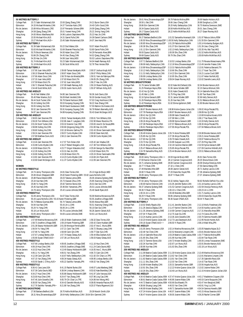<span id="page-11-0"></span>

|                                       | 50 METRES BUTTERFLY                                       |                                                                  |                                                           |
|---------------------------------------|-----------------------------------------------------------|------------------------------------------------------------------|-----------------------------------------------------------|
| College Park                          | 23.72 Sabir Muhammad, USA                                 | 23.93 Qiang Zhang, CHN<br>24.37 Tomislav Karlo.CRO               | 24.21 Byron Davis, USA                                    |
| Edmonton<br>Rio de Janiero            | 24.33 Michael Mintenko, CAN<br>23.89 Milos Milosevic, CRO | 23.97 Fernando Scherer, BRA                                      | 24.40 Collin Sood, CAN<br>24.09 Qiang Zhang, CHN          |
| Shanghai                              | 24.58 Qiang Zhang, CHN                                    | 25.01 Yuewei Hong, CHN                                           | 25.22 Jiming Yang, CHN                                    |
| Hong Kong                             | 24.65 Wisnu Wardhana, INA                                 | 24.96 Ludovic Depickere, FRA                                     | 25.22 Hao Jin, CHN                                        |
| Hobart                                | 23.55 Michael Klim, AUS                                   | 24.31 Garret Pulle, CAN                                          | 24.39 Daniel Carlsson, SWE                                |
| Sydney<br>100 METRES BUTTERFLY        | 23.27 Michael Klim, AUS .                                 | 23.45 Sabir Muhammad, USA                                        | 24.07 Jere Hard, FIN                                      |
| College Park                          | 52.39 Sabir Muhammad, USA                                 | 53.22 Dod Wales, USA                                             | 53.57 Adam Pine.AUS                                       |
| Edmonton                              | 53.63 Michael Mintenko, CAN                               | 53.69 Shamek Pietucha, CAN                                       | 53.80 Garret Pulle, CAN                                   |
| Rio de Janiero                        | 53.76 Brock Newman, USA                                   | 54.00 Adam Sioui, CAN                                            | 54.29 Fernando Alves, BRA                                 |
| Shanghai                              | 53.86 Zhi Zhang, CHN<br>54.35 Hao Jin, CHN                | 54.45 Xiao Zhang, CHN<br>54.99 Juan Veloz, MEX                   | 54.52 Qiang Zhang, CHN<br>55.02 Ludovic Depickere, FRA    |
| Hong Kong<br>Hobart                   | 51.74 Michael Klim, AUS                                   | 53.23 Sabir Muhammad, USA                                        | 54.04 Heath Ramsay, AUS                                   |
| Svdnev                                | 51.18 Michael Klim.AUS                                    | 51.96 Scott Miller, AUS                                          | 52.78 Theo Verster, RSA                                   |
| 200 METRES BUTTERFLY                  |                                                           |                                                                  |                                                           |
| College Park<br>Edmonton              | 1:57.90 Juan Veloz, MEX<br>1:58.10 Shamek Pietucha, CAN   | 1:59.69 Tamas Kerekjarto, HUN<br>1:58.87 Adam Sioui, CAN         | 2:00.57 Joshua Krogh, AUS<br>1:59.67 Philip Weiss, CAN    |
| Rio de Janiero                        | 1:57.66 Adam Sioui, CAN                                   | 1:58.78 Kaio de Almeida, BRA                                     | 1:59.51 Yann de Fabrique, FRA                             |
| Shanghai                              | 1:57.33 Juan Veloz, MEX                                   | 1:57.83 Massi Eroli, ITA                                         | 1:59.05 Zhi Zhang, CHN                                    |
| Hong Kong                             | 1:57.59 Massi Eroli, ITA                                  | 1:57.62 Juan Veloz, MEX                                          | 1:58.27 Hao Jin, CHN                                      |
| Hobart<br>Sydney                      | 1:56.71 Shamek Pietucha, CAN<br>1:54.48 Scott Miller, AUS | 1:57.08 Heath Ramsay, AUS<br>1:55.50 Justin Norris, AUS          | 1:59.19 Shane Fielding, AUS<br>1:55.97 William Kirby, AUS |
| 100 METRES IND.MEDLEY                 |                                                           |                                                                  |                                                           |
| College Park                          | 54.45 Neil Walker, USA                                    | 54.80 Jani Sievinen, FIN                                         | 56.36 Josh Davis, USA                                     |
| Edmonton                              | 55.40 Peter Mankoc, SLO                                   | 56.09 Mark Versfeld, CAN                                         | 56.30 Gordan Kozulj, CRO                                  |
| Rio de Janiero<br>Shanghai            | 56.44 Scott Tucker, USA<br>55.33 Xufeng Xie, CHN          | 56.78 Daniel Karlsson, SWE<br>55.53 Kunpeng Ouyang, CHN          | 57.02 Craig Hutchison, CAN<br>56.22 Xiao Zhang, CHN       |
| Hong Kong                             | 55.55 Xufeng Xie,CHN                                      | 56.68 David Gustavsson.SWE                                       | 57.55 Rahmin De Krester, AUS                              |
| Hobart                                | 55.52 Jani Sievinen, FIN                                  | 55.91 Kunpeng Ouyang, CHN                                        | 56.78 Robert Abernethy, AUS                               |
| Sydney                                | 54.87 Jani Sievinen, FIN                                  | 54.88 Kunpeng Ouyang, CHN                                        | 55.43 Grant McGregor, AUS                                 |
| 200 METRES IND.MEDLEY<br>College Park | 1:58.83 Jani Sievinen, FIN                                | 1:59.61 Tamas Kerekjarto, HUN                                    | 2:00.61 Tom Wilkens, USA                                  |
| Edmonton                              | 1:59.26 Tom Wilkens, USA                                  | 2:02.86 Jean-F. Langlais, CAN                                    | 2:02.90 Massi Rosolino, ITA                               |
| Rio de Janiero                        | 2:01.94 Scott Tucker, USA                                 | 2:03.32 Kresimir Cac,CRO                                         | 2:03.83 Jose B. De Souza, BRA                             |
| Shanghai                              | 1:58.88 Xufeng Xie, CHN                                   | 2:00.66 Qingsong Deng, CHN<br>2:02.18 Moreno Gallina.ITA         | 2:01.90 Hao Jin, CHN                                      |
| Hong Kong<br>Hobart                   | 1:59.60 Xufeng Xie, CHN<br>1:59.24 Jani Sievinen, FIN     | 1:59.57 Curtis Myden, CAN                                        | 2:02.43 Olivier Saminadin, FRA<br>2:00.82 Dean Kent, NZL  |
| Sydney                                | 1:57.89 Matthew Dunn, AUS                                 | 1:58.13 Jani Sievinen, FIN                                       | 1:58.58 Curtis Myden, CAN                                 |
| 400 METRES IND.MEDLEY                 |                                                           |                                                                  |                                                           |
| College Park<br>Edmonton              | 4:13.44 Jani Sievinen, FIN                                | 4:17.57 Tom Dolan, USA                                           | 4:20.42 Jan Vitazka, CZE                                  |
| Rio de Janiero                        | 4:15.98 Curtis Myden, CAN<br>4:19.99 Massi Eroli, ITA     | 4:16.27 Robert Margalis, USA<br>4:23.77 Grigori Matuzkov, KAZ    | 4:17.38 Tom Wilkens, USA<br>4:25.84 George Du Rand, RSA   |
| Shanghai                              | 4:12.26 Xufeng Xie, CHN                                   | 4:15.31 Hao Jin, CHN                                             | 4:15.82 Massi Eroli, ITA                                  |
| Hong Kong                             | 4:16.66 Xufeng Xie, CHN                                   | 4:19.36 Massi Eroli, ITA                                         | 4:20.24 Olivier Saminadin, FRA                            |
| Hobart<br>Sydney                      | 4:13.82 Jani Sievinen, FIN<br>4:10.60 Grant McGregor, AUS | 4:14.23 Curtis Myden, CAN<br>4:11.37 Curtis Myden, CAN           | 4:16.68 Jim Piper, AUS<br>4:12.09 Jani Sievinen, FIN      |
|                                       |                                                           |                                                                  |                                                           |
| <b>WOMEN</b>                          |                                                           |                                                                  |                                                           |
| 50 METRES FREESTYLE<br>College Park   |                                                           | 24.81 Dara Torres, USA                                           | 25.13 Inge de Bruijn, NED                                 |
| Edmonton                              | 24.74 Jenny Thompson, USA<br>25.69 Alison Sheppard, GBR   | 25.82 Karen Pickering, GBR / 25.82 Laura Nicholls, CAN           |                                                           |
| Rio de Janiero                        | 25.88 Flavia Delaroli, BRA                                | 26.03 Tatiana Lemos, BRA                                         | 26.09 Johanna Sjoberg, SWE                                |
| Shanghai                              | 25.34 Xue Han, CHN                                        | 25.73 Xiaowei Zhou, CHN                                          | 25.85 Xiaorong Cheng, CHN                                 |
| Hong Kong<br>Hobart                   | 25.86 Yu Yang, CHN<br>25.45 Xue Han, CHN                  | 25.92 Tammie Stone, USA<br>25.96 Emi Yamamoto, JPN               | 26.01 Dan Sun.CHN<br>26.01 Louise Johncke, SWE            |
| Sydney                                | 24.78 Jenny Thompson, USA                                 | 25.42 Louise Johncke, SWE                                        | 25.46 Sarah Ryan, AUS                                     |
| 100 METRES FREESTYLE                  |                                                           |                                                                  |                                                           |
| College Park                          |                                                           |                                                                  |                                                           |
|                                       | 53.49 Jenny Thompson, USA                                 | 54.07 Dara Torres, USA                                           | 55.06 Martina Moravcova, SVK                              |
| Edmonton                              | 55.43 Laura Nicholls, CAN / 55.43 Karen Pickering, GBR    |                                                                  | 55.55 Josefine Lillhage, SWE                              |
| Rio de Janiero<br>Shanghai            | 56.73 Rebeca Gusmao,BRA<br>54.94 Xue Han, CHN             | 56.74 Tatiana Lemos, BRA<br>55.43 Jin Li, CHN                    | 56.80 Alessa Ries,GER<br>55.51 Xiaorong Cheng, CHN        |
| Hong Kong                             | 55.26 Yu Yang, CHN                                        | 56.06 Jin Li, CHN                                                | 56.10 Dan Sun, CHN                                        |
| Hobart                                | 55.18 Lori Munz, AUS                                      | 55.78 Louise Johncke, SWE                                        | 56.28 Jasmin Geisel, AUS                                  |
| Sydney                                | 53.05 Jenny Thompson, USA .                               | 54.83 Louise Johncke, SWE                                        | 54.91 Lori Munz, AUS                                      |
| 200 METRES FREESTYLE<br>College Park  | 1:57.69 Martina Moravcova, SVK                            | 1:58.16 Malin Svahnstrom, SWE                                    | 1:58.32 Dara Torres, USA                                  |
| Edmonton                              | 1:58.73 Josefine Lillhage, SWE                            | 1:59.19 Karen Pickering, GBR                                     | 2:00.42 Claire Huddart, GBR                               |
| Rio de Janiero                        | 2:01.38 Stacey Holdsworth, GBR                            | 2:01.58 Monique Ferreira, BRA                                    | 2:02.47 Ana C. Muniz, BRA                                 |
| Shanghai                              | 1:56.54 Yu Yang, CHN                                      | 1:57.21 Caini Tan.CHN<br>1:58.90 Caini Qin, CHN                  | 1:58.72 Shuang Liang, CHN<br>1:59.77 Dan Sun, CHN         |
| Hong Kong<br>Hobart                   | 1:57.96 Yu Yang, CHN<br>1:57.67 Lindsay Benko, USA        | 1:57.74 Kasey Giteau, AUS                                        | 1:59.44 Elka Graham, AUS                                  |
| Sydney                                | 1:55.66 Susan O'Neill, AUS .                              | 1:57.36 Lori Munz, AUS                                           | 1:58.03 Kasey Giteau, AUS                                 |
| <b>400 METRES FREESTYLE</b>           |                                                           |                                                                  |                                                           |
| College Park<br>Edmonton              | 4:07.66 Lindsay Benko, USA<br>4:09.19 Hua Chen, CHN       | 4:09.65 Josefine Lillhage, SWE<br>4:09.55 Josefine Lillhage, SWE | 4:11.16 Hua Chen, CHN<br>4:11.24 Carla Geurts, NED        |
| Rio de Janiero                        | 4:10.32 Hua Chen, CHN                                     | 4:13.49 Stacey Holdsworth, GBR                                   | 4:16.05 Ana C. Muniz, BRA                                 |
| Shanghai                              | 4:06.11 Yu Yang, CHN                                      | 4:06.51 Yan Zhang, CHN                                           | 4:06.72 Caini Qin, CHN                                    |
| Hong Kong                             | 4:12.39 Caini Qin,CHN                                     | 4:16.67 Kelly Stefanyshyn, CAN                                   | 4:21.92 Chi Chan Lin, TPE                                 |
| Hobart<br>Sydney                      | 4:07.15 Yan Zhang, CHN<br>4:03.50 Sarah-J. D'Arcy, AUS ·  | 4:08.34 Kasey Giteau, AUS<br>4:05.22 Sachiko Yamada, JPN         | 4:09.95 Lindsay Benko, USA                                |
| 800 METRES FREESTYLE                  |                                                           |                                                                  | 4:06.02 Yan Zhang, CHN                                    |
| College Park                          | 8:36.41 Cara Lane, USA                                    | 8:41.15 Rachel Burke, USA                                        | 8:49.07 Lotta Wanberg, SWE                                |
| Edmonton                              | 8:37.36 Carla Geurts, NED                                 | 8:38.94 Lindsay Beavers, CAN                                     | 8:53.62 Kate Brambley, CAN                                |
| Rio de Janiero<br>Shanghai            | 8:34.27 Hua Chen, CHN<br>8:23.00 Hua Chen, CHN            | 8:35.88 Stacey Holdsworth, GBR<br>8:24.47 Yan Zhang, CHN         | 8:41.97 Julie Varozza, USA<br>8:37.96 Ling Cao, CHN       |
| Hong Kong                             | 8:47.46 Julie Gravelle, CAN                               | 9:05.79 Chi Chan Lin, TPE                                        | 9:24.89 Ann Wong, HKG                                     |
| Hobart                                | 8:30.00 Yan Zhang, CHN                                    | 8:34.42 Danielle Woods, AUS                                      | 8:38.65 Amanda Pascoe, AUS                                |
| Sydney                                | 8:17.76 Sachiko Yamada, JPN ·                             | 8:21.88 Yan Zhang, CHN                                           | 8:25.57 Flavia Rigamonti, SUI                             |
| 50 METRES BACKSTROKE<br>College Park  | 27.90 Barbara Bedford, USA                                | 28.70 Kellie McMillan, AUS                                       | 29.39 Marshi Smith, USA                                   |

```
12 SWIMNEWS / JANUARY 2000
                                                                                                                            Shanghai 4:38.66 Shuang Liang,CHN 4:40.53 Yan Chen,CHN 4:40.91 Ying Liu,CHN<br>Hong Kong 4:46.69 Kristen Bradley,CAN 4:49.71 Samantha Hunter,GBR 4:54.54 Gemma Howel
                                                                                                                            Hong Kong 4:46.69 Kristen Bradley,CAN 4:49.71 Samantha Hunter,GBR 4:54.54 Gemma Howells,GBR<br>Hobart 4:37.24 Kristine Quance-Julian,USA 4:40.07 Joanne Malar,CAN 4:43.15 Allssa Searston,AUS
                                                                                                                            Hobart (4:37.24 Kristine Quance-Julian,USA 4:40.07 Joanne Malar,CAN 4:43.15 Alissa Searston,AUS<br>1.36.47 Kristine Quance-Julian,USA 4:39.00 Joanne Malar,CAN 4:39.26 Rachel Corner,GBR
                                                                                                                                             4:36.47 Kristine Quance-Julian,USA 4:39.00 Joanne Malar,CAN
```
Sydney 1:00.89 Xue Han,CHN 1:01.63 Shu Zhan,CHN 1:02.18 Lori Munz,AUS

2:12.15 Kristine Quance-Julian,USA

Rio de Janiero 28.61 Nina Zhivanevskaya,ESP 28.78 Fabiola Molina,BRA 29.69 Natalie Holston,AUS<br>Shanghai 28.50 Li Bei,CHN 28.66 Jiaru Cheng,CHN 28.88 Donghua Lu,CHN

Hong Kong 28.86 Erin Gammel,CAN 29.20 Kelly Stefanyshyn,CAN 30.75 Martina Svensson,SWE

College Park 59.27 Barbara Bedford,USA 1:01.52 Samantha Arsenault,USA 1:01.97 Raluca Udroiu,ROM Edmonton 1:00.50 Nina Zhivanevskaya,ESP / 1:00.50 Kelly Stefanyshyn,CAN 1:01.55 Erin Gammel,CAN<br>Rio de Janiero 1:00.85 Nina Zhivanevskaya,ESP 1:01.29 Fabiola Molina,BRA 1:03.14 Kimberley Budgen,AUS Rio de Janiero de Janiero 1:01.29 Fabiola Molina, BRA 1:03.14 Kimberley Budgen,<br>1:00.38 Shu Zhan, CHN 1:01.37 Erin Gammel, CAN 1:01.39 Jiaru Cheng, CHN

Shanghai 1:00.38 Shu Zhan,CHN 1:01.37 Erin Gammel,CAN 1:01.39 Jiaru Cheng,CHN<br>1:02.13 Hung Kong 1:01.12 Erin Gammel,CAN 1:02.13 Kelly Stefanyshyn,CAN 1:03.35 Hiu Wai Tsai,HKG Hong Kong 1:01.12 Erin Gammel,CAN 1:02.13 Kelly Stefanyshyn,CAN 1:03.35 Hiu Wai Tsai,HKG

Sydney 59.68 Dyana Calub,AUS 59.79 Shu Zhan,CHN 1:00.69 Kellie McMillan,AUS

Shanghai 2:10.12 Kelly Stefanyshyn,CAN 2:10.66 Shu Zhan,CHN 2:11.17 Xuan Tao,CHN<br>Hong Kong 2:11.31 Kelly Stefanyshyn,CAN 2:14.22 Frin Gammel.CAN 2:16.21 Louise Coull.GBR Hong Kong 2:11.31 Kelly Stefanyshyn,CAN 2:14.22 Erin Gammel,CAN 2:16.21 Louise Coull,GBR Hobart 2:09.99 Lindsay Benko,USA 2:10.95 Shu Zhan,CHN 2:11.67 Helen Norfolk,NZL<br>219.99 2:08.59 Lindsay Benko,USA 2:09.04 Giaan Rooney,AUS 2:10.02 Danielle Lewis,AUS

College Park 31.79 Janne Schafer,GER 32.02 Katie McClelland,USA 32.04 Brooke Hanson,AUS

Rio de Janiero 32.42 Hui Qi,CHN 32.81 Katie Clewett,AUS 33.14 Gabrielle Rose,USA<br>Shanghai 31.45 Wei Li,CHN 31.75 Ping Hao,CHN 31.90 Tian Ruan,CHN Shanghai 31.45 Wei Li,CHN 31.75 Ping Hao,CHN 31.90 Tian Ruan,CHN<br>Hong Kong 32.16 Sylvia Gerasch,GER 32.31 Janne Schafer,GER 32.96 Kelly Denner,AUS Hong Kong 32.16 Sylvia Gerasch, GER 32.31 Janne Schafer, GER 32.96 Kelly Denner, AUS<br>
Hobart 31.26 Penelope Heyns, RSA 31.26 Xue Han, CHN 31.51 Rebecca Brown, AUS Hobart 31.26 Penelope Heyns,RSA 31.26 Xue Han,CHN 31.51 Rebecca Brown,AUS<br>Sydney 31.42 Penelope Heyns,RSA 31.62 Emma Igelstrom,SWE 31.90 Brooke Hanson,AUS 31.62 Emma Igelstrom,SWE

College Park 1:08.67 Brooke Hanson,AUS 1:08.98 Kristine Quance-Julian,USA 1:09.02 Alicja Peczak,POL<br>Edmonton 1:07.78 Penelope Hevns.RSA 1:08.87 Brooke Hanson.AUS 1:08.89 Hui Qi.CHN

Rio de Janiero 1:08.41 Hui Qi,CHN 1:09.98 Katie Clewett,AUS 1:10.68 Krisztina Kovacs,HUN<br>Shanghai 1:07.50 Hui Qi,CHN 1:07.99 Wei Li,CHN 1:08.17 Tian Ruan,CHN Shanghai 1:07.50 Hui Qi,CHN 1:07.99 Wei Li,CHN 1:08.17 Tian Ruan,CHN<br>1:09 Hong Kong 1:09.18 Alicja Peczak,POL 1:09.98 Sylvia Gerasch,GER 1:10.33 Kelly Denner,AUS 1:09.18 Alicja Peczak,POL 1:09.98 Sylvia Gerasch,GER<br>1:07.38 Penelone Hevns RSA 1:07.57 Rehecca Brown AUS Hobart 1:07.38 Penelope Heyns,RSA 1:07.57 Rebecca Brown,AUS 1:08.30 Alicja Peczak,POL

College Park 2:26.49 Kristine Quance-Julian,USA 2:26.74 Anne Poleska,GER 2:26.98 Brooke Hanson,AUS<br>Edmonton 2:25.85 Hui Qi,CHN 2:27.39 Alicja Peczak,POL 2:28.21 Anne Poleska,GER

26.00 Jenny Thompson,USA •• 26.59 Inge de Bruijn,NED 26.81 Dara Torres,USA Edmonton 27.69 Karine Chevrier,CAN 28.12 Carmen Cosgrove,AUS 28.25 Shona Kitson,CAN<br>Rio de Janiero 26.71 Johanna Sjoberg,SWE 28.08 Carmen Cosgrove,AUS 28.09 Orsolya Ferenczy,HUN

Shanghai 26.77 Yi Ruan,CHN 27.32 Li Chen,CHN 27.56 Danna Wang,CHN Hong Kong 27.49 Marietta Uhle,GER 28.08 Jasmin Geisel,AUS 28.71 Audrey Lacroix,CAN<br>
Hobart 26.90 Yi Ruan,CHN 27.20 Diane Bui Duyet,FRA 27.39 Johanna Sjoberg,SW

Sydney 26.08 Jenny Thompson,USA 26.87 Yi Ruan,CHN 27.07 Johanna Sjoberg,SWE **100 METRES BUTTERFLY** College Park 57.64 Jenny Thompson, USA 59.32 Ashley Tappin, USA 59.82 Richelle DePold-Fox, USA<br>Edmonton 1:00.00 Karine Chevrier, CAN 1:01.05 Jennifer Button, CAN 1:01.18 Audrey Lacroix, CAN Edmonton 1:00.00 Karine Chevrier, CAN 1:01.05 Jennifer Button, CAN 1:01.18 Audrey Lacroix, CAN<br>Rio de Janiero 59.37 Johanna Sjoberg, SWE 1:01.52 Carmen Cosgrove, AUS 1:02.59 Orsolya Ferenczy, HUN Rio de Janiero 59.37 Johanna Sjoberg, SWE 1:01.52 Carmen Cosgrove, AUS 1:02.59 Orsolya Ferenczy, Hunders Shanna Sjoberg, SWE 1:00.10 Li Chen. CHN 1:00.23 Jin Li CHN

College Park 2:10.02 Shelly Ripple, USA 2:11.41 Jennifer Button, CAN 2:12.10 Molly Freedman, USA<br>
Edmonton 2:11.29 Jessica Deglau, CAN 2:11.47 Karine Chevrier, CAN 2:14.50 Audrey Lacroix, CAN Edmonton 2:11.29 Jessica Deglau,CAN 2:11.47 Karine Chevrier,CAN 2:14.50 Audrey Lacroix,CAN<br>Rio de Janiero 2:11.35 Johanna Sioberg,SWF 2:14.69 Carmen Cosgrove AUS 2:17.31 Marcella Amar.BRA

Shanghai 2:07.04 Yi Ruan,CHN 2:12.70 Juan Du,CHN 2:12.74 Caixia Zhu,CHN<br>Hong Kong 2:13.24 Audrey Lacroix,CAN 2:13.36 Julie Gravelle,CAN 2:20.70 Gemma Howells, Hong Kong 2:13.24 Audrey Lacroix, CAN 2:13.36 Julie Gravelle, CAN 2:20.70 Gemma Howells, GBR<br>
Hobart 2:10.23 Kristine Quance-Julian, USA 2:12.73 Lara Davenport, AUS 2:12.95 Nicole Hunter, AUS Hobart 2:10.23 Kristine Quance-Julian,USA 2:12.73 Lara Davenport,AUS 2:12.95 Nicole Hunter,A<br>1.2.10.2.14 Sydney 2:04.16 Susan O'Neill,AUS • 2:06.50 Yi Ruan,CHN 2:08.14 Maki Mita,JPN

College Park 1:01.00 Jenny Thompson,USA 1:02.14 Martina Moravcova,SVK 1:03.05 Natasha Kejzar,SLO Edmonton 1:02.48 Yan Chen, CHN 1:02.52 Marianne Limpert, CAN 1:03.81 Brooke Hanson, AUS<br>Rio de Janiero 1:03.14 Gabrielle Rose, USA 1:03.29 Beatrice Coada-Caslaru, ROM 1:03.77 Fabiola Molina, BRA

College Park 2:11.09 Beatrice Coada-Caslaru,ROM 2:11.30 Kristine Quance-Julian,USA 2:13.49 Martina Moravcova,SVK<br>Edmonton 2:11.84 Beatrice Coada-Caslaru,ROM 2:13.62 Yan Chen,CHN 2:13.91 Marianne Limpert,CAN Edmonton 2:11.84 Beatrice Coada-Caslaru, ROM 2:13.62 Yan Chen, CHN 2:13.91 Marianne Limpert, Cr<br>Rio de Janiero 2:11.82 Beatrice Coada-Caslaru, ROM 2:13.81 Yan Chen, CHN 2:17.35 Gabrielle Rose. USA Rio de Janiero 2:11.82 Beatrice Coada-Caslaru, ROM 2:13.81 Yan Chen, CHN 2:17.35 Gabrielle Rose, L<br>Shanghai 2:11.11 Shu Zhan, CHN 2:12.03 Yan Chen, CHN 2:14.42 Tian Ruan, CHN Shanghai 2:11.11 Shu Zhan,CHN 2:12.03 Yan Chen,CHN 2:14.42 Tian Ruan,CHN Hong Kong 2:16.68 Kristen Bradley,CAN 2:20.31 Samantha Hunter,GBR 2:20.56 Angela Kan,AUS

College Park 4:34.43 Beatrice Coada-Caslaru,ROM 4:37.47 Kristine Quance-Julian,USA 4:43.17 Madeleine Crippen,USA<br>Edmonton 4:38.61 Beatrice Coada-Caslaru,ROM 4:40.89 Joanne Malar,CAN 4:45.53 Carrie Burgoyne,CAN Edmonton 4:38.61 Beatrice Coada-Caslaru,ROM 4:40.89 Joanne Malar,CAN 4:45.53 Carrie Burgoyne,CAN

1:01.85 Shu Zhan,CHN 1:01.99 Xue Han,CHN 1:02.84 Tian Ruan,CHN<br>1:03.72 Tammie Stone,USA 1:04.72 Kristen Bradley,CAN 1:05.55 Linnea Tossavai Hong Kong 1:03.72 Tammie Stone,USA 1:04.72 Kristen Bradley,CAN 1:05.55 Linnea Tossavainen,SWE Hobart 1:02.34 Xue Han,CHN 1:02.67 Lori Munz,AUS 1:03.91 Brooke Hanson,AUS

26.90 Yi Ruan,CHN 27.20 Diane Bui Duyet,FRA 27.39 Johanna Sjoberg,SWE<br>26.08 Jenny Thompson,USA 26.87 Yi Ruan,CHN 27.07 Johanna Sjoberg,SWE

1:00.10 Li Chen,CHN<br>1:00.48 Marietta Uhle GER Hong Kong 1:00.33 Jin Li, CHN 1:00.48 Marietta Uhle, GER 1:01.71 Audrey Lacroix, CAN<br>1:00.03 Diane Bui Duyet FRA 1:00.03 Diane Bui Duyet FRA Hobart 58.29 Yi Ruan,CHN 58.86 Johanna Sjoberg,SWE 1:00.03 Diane Bui Duyet,FRA

Shanghai 2:23.73 Hui Qi,CHN 2:24.89 Xuejuan Luo,CHN 2:27.26 Ping Hao,CHN<br>Hong Kong 2:26.36 Alicja Peczak,POL 2:32.18 Caroline Warren,GBR 2:32.59 Sylvia Gerasch, Hong Kong 2:26.36 Alicja Peczak, POL 2:32.18 Caroline Warren, GBR 2:32.59 Sylvia Gerasch, GER<br>
Hobart 2:25.47 Rebecca Brown, AUS 2:25.85 Alicja Peczak, POL 2:27.09 Caroline Hildreth, AU Hobart 2:25.47 Rebecca Brown,AUS 2:25.85 Alicja Peczak,POL 2:27.09 Caroline Hildreth,AUS

College Park 2:07.71 Barbara Bedford, USA 2:10.52 Lindsay Benko, USA 2:11.70 Roxana Maracineanu, FRA<br>Edmonton 2:08.06 Kelly Stefanyshyn, CAN 2:12.18 Nina Zhivanevskaya, ESP 2:13.49 Jennifer Fratesi, CAN Edmonton 2:08.06 Kelly Stefanyshyn, CAN 2:12.18 Nina Zhivanevskaya, ESP 2:13.49 Jennifer Fratesi, CAN<br>Rio de Janiero 2:10.89 Nina Zhivanevskava ESP 2:13.31 Fabiola Molina RRA 2:13.91 Federica Rarsanti ITA

28.27 Giaan Rooney AUS

2:29.97 Federica Biscia ITA

Shanghai 28.50 Li Bei,CHN 28.66 Jiaru Cheng,CHN<br>
Hong Kong 28.86 Erin Gammel,CAN 29.20 Kelly Stefanyshyn,CAN

Hobart 28.34 Dyana Calub, AUS 28.58 Kellie McMillan, AUS<br>28.021 Sydney 28.17 Dyana Calub, AUS 28.22 Kellie McMillan, AUS

Form 59.93 Dyana Calub,AUS 1:00.09 Shu Zhan,CHN 1:00.09 Shu Zhan,CHN 1:00.09 Shu Zhan,CHN

**100 METRES BACKSTROKE**

**50 METRES BREASTSTROKE**<br>College Park 31.79 Janne So

**100 METRES BREASTSTROKE**<br>College Park 1:08.67 Brooke F

**50 METRES BUTTERFLY**<br>College Park 26.00 Jen

Sydney 1:06.61 Penelope Heyns,RSA . **200 METRES BREASTSTROKE**<br>College Park 2:26.49 Kristine Q

**200 METRES BACKSTROKE**<br> **200 METRES BACKSTROKE**<br>
College Park 2:07.71 Barbara Bedford, USA

2:10.89 Nina Zhivanevskaya,ESP

2:08.59 Lindsay Benko,USA

31.25 Penelope Heyns,RSA

Edmonton 1:07.78 Penelope Heyns, RSA 1:08.87 Brooke Hanson, AU<br>Rio de Janiero 1:08.41 Hui Qi,CHN 1:09.98 Katie Clewett. AUS

Edmonton 2:25.85 Hui Qi,CHN 2:27.39 Alicja Peczak,POL<br>Rio de Janiero 2:27.83 Hui Qi CHN 2:29.70 Katie Clewett ALIS

Rio de Janiero 26.71 Johanna Sjoberg, SWE 28.08 Carmen Cosgrove, AUS<br>Shanghai 26.77 Yi Ruan, CHN 27.32 Li Chen, CHN

2:24.78 Samantha Riley,AUS

57.29 Jenny Thompson,USA

2:11.35 Johanna Sjoberg,SWE<br>2:07.04 Yi Ruan.CHN

2:04.16 Susan O'Neill AUS ••

Rio de Janiero 1:03.14 Gabrielle Rose, USA 1:03.29 Beatrice Coada-Caslaru, ROM<br>Shanghai 1:01.85 Shu Zhan, CHN 1:01.99 Xue Han, CHN

Hobart 2:10.91 Shu Zhan, CHN 2:12.22 Kristine Quance-Julian, USA<br>Sydney 2:10.26 Shu Zhan, CHN • 2:10.40 Lori Munz, AUS

Rio de Janiero 4:44.72 Beatrice Coada-Caslaru ROM 4:50.66 Eva Masetti ITA

**200 METRES BUTTERFLY**<br>
College Park 2:10.02 Shelly Ripple, USA

**100 METRES IND.MEDLEY**

**200 METRES IND.MEDLEY**<br>College Park 2:11.09 Beatri

**400 METRES IND.MEDLEY**<br>College Park **4:34.43 Beat**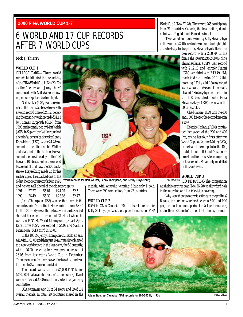# <span id="page-12-0"></span>**2000 FINA WORLD CUP 1-7**

# 6 WORLD AND 17 CUP RECORDS AFTER 7 WORLD CUPS

# **Nick J. Thierry**

# **WORLD CUP 1**

COLLEGE PARK—Three world records highlighted the second day of the FINA World Cup 1 (Nov 20-22) as the "Lenny and Jenny show" continued, with Neil Walker elbowing in for a spot in the limelight.

Neil Walker (USA) was the winner of the men's 50 backstroke with a world record time of 24.12, bettering the existing world record of 24.13 by Thomas Rupprath (GER) from 1998 and recently tied by Matt Welsh (AUS) in September. Walker touched ahead of superstar backstroker Lenny Krayzleburg (USA), whose 24.28 was second. Later that night, Walker added a third in the 50 free. He was second the previous day in the 100 free and 100 back. But in the second last event of that day, the 200 backstroke, Krayzelburg made up for his earlier upset. He attacked one of the oldest short-course records from 1991

and he was well ahead of the old record splits: 1991 27.27 55.81 1:24.07 1:52.51 1999 26.49 55.30 1:23.86 1:52.47

Jenny Thompson (USA) won her third event in the second evening's first final. Her winning time of 53.49 for the 100 freestyle was the fastest ever in the U.S.A. but short of her American record of 53.24, set when she won the FINA SC World Championships last April. Dara Torres (USA) was second in 54.07 and Martina Moravcova (SVK) third in 55.06.

In the 100 IM, Jenny Thompson cruised to an easy win with 1:01.00 and then just 16 minutes later blasted to a new world record in the last event, the 50 butterfly, with a 26.00, bettering her own previous record of 26.05 from last year's World Cup in December. Thompson won five events over the two days and was top female Swimmer of the Meet.

The record swims earned a \$4,000 FINA bonus (\$40,000 total available for the 12-meet series). Event winners received \$500 each from the local organizing committee.

USA swimmers won 25 of 34 events and 59 of 102 overall medals. In total, 20 countries shared in the



**World records for Neil Walker, Jenny Thompson, and Lenny Krayzelburg**

medals, with Australia winning 6 but only 1 gold. There were 290 competitors from 42 countries.

## **WORLD CUP 2**

EDMONTON-A Canadian 200 backstroke record for Kelly Stefanyshyn was the top performance of FINA World Cup 2 (Nov 27-28). There were 265 participants from 21 countries. Canada, the host nation, dominated with14 golds and 48 medals in total.

Two Canadian record swims by Kelly Stefanyshyn in the women's 200 backstroke were one the highlights of the first day. In the prelims, Stefanyshyn bettered her

own record with a 2:08.79. In the finals, she lowered it to 2:08.06. Nina Zhivanevskaya (ESP) was second with 2:12.18 and Jennifer Fratesi (CAN) was third with 2:13.49. "My coach told me to swim 2:10-12 this morning," Kelly said. "So my record swim was a surprise and I am really pleased." Stefanyshyn tied for first in the 100 backstroke with Nina Zhivanevskaya (ESP), who won the 50 backstroke.

Chad Carvin (USA) won the 400 and 1500 free for the second meet in a row.

Beatrice Caslaru (ROM) continued her sweep of the 200 and 400 IMs, giving her four firsts after two World Cups, as Joanne Malar (CAN), in the lead at the midpoint of the 400, couldn't hold off Coada's stronger breast and free legs. After competing in four events, Malar only medalled in this one event.

# **WORLD CUP 3**

RIO DE JANIERO-The competition was held over three days (Nov 26-28) to allow for finals in the morning and live television coverage. Marco Chiesa

Why were there so many fast times in the prelims? Because the prelims were held between 5:00 and 7:00 pm, the most common period for fast performances, rather than 9:00 am to 12 noon for the finals, the more



**Adam Siou, set Canadian NAG records for 100-200 fly in Rio**

Marco Chiesa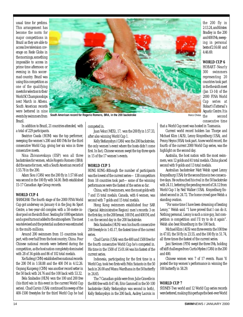usual time for prelims. This arrangement has become the norm for major competitions in Brazil as they are able to access live television coverage on Rede Globo in the mornings, something impossible to access in prime time afternoon or evening in this soccermad country. Brazil was using this competition as one of the qualifying meets for selection to their World SC Championships next March in Athens. South American records were bettered in nine events by swimmers from Brazil.



**South American record for Rogerio Romero, BRA, in the 200 backstroke** Marco Chiesa Marco Chiesa

In addition to Brazil, 21 countries attended, with a total of 229 participants.

Beatrice Coada (ROM) was the top performer, sweeping the women's 200 and 400 IMs for the third consecutive World Cup, giving her six wins in three consecutive meets.

Nina Zhivanevskaya (ESP) won all three backstrokes for women, while Rogerio Romero (BRA) did the same for men, with a South American record of 1:55.78 in the 200.

Adam Siou (CAN) won the 200 fly in 1:57.66 and was second in the 100 fly with 54.00. Both established 15-17 Canadian Age Group records.

# **WORLD CUP 4**

SHANGHAI-The fourth stage of the 2000 FINA World Cup got underway on January 4 in the Jing An Sport Centre, a two-year-old complex with a 50-metre indoor pool on the sixth floor. Seating for 1000 spectators and a good turnout added to the atmosphere. The meet was televised and the potential audience was estimated in the multi-millions.

Around 200 swimmers from 15 countries took part, with over half from the host country, China. Four Chinese national records were bettered during the competition, as the host nation completely dominated with 28 of 34 golds and 86 of 102 total medals.

Xie Xufeng (CHN) established two national records: the 200 IM in 1:58.88 and the 400 IM in 4:12.26. Ouyang Kunpeng (CHN) was another record setter in the 50 back with 24.76 and the 100 back with 53.32.

Bela Szabados (HUN) won the 100 and 200 free (his third win in this event in the current World Cup series). Chad Carvin (USA) continued his sweep of the 400-1500 freestyles for the third World Cup he had competed in.

Juan Veloz (MEX), 17, won the 200 fly in 1:57.33, after also winning World Cup 1.

Kelly Stefanyshyn (CAN) won the 200 backstroke, the only women's event where the hosts didn't come first. In fact, Chinese women swept the top three spots in 15 of the 17 women's events.

# **WORLD CUP 5**

HONG KONG-Although the number of participants was the lowest of the current series—138 competitors from 18 countries took part—some of the winning performances were the fastest of the series so far.

China, with 9 swimmers, won the most golds with 7 and 15 total medals. Canada, with 6 women, was second with 7 golds and 15 total medals.

Hong Kong swimmers established four SAR (Special Administrative Region) men's records: 3 on the first day, in the 200 breast, 100 IM, and 400 IM, and 1 on the second day in the 200 backstroke.

Bela Szabados (HUN) won his fourth consecutive 200 freestyle in 1:45.17, the fastest time of the current series.

Chad Carvin (USA) won the 400 and 1500 free for the fourth consecutive World Cup he's competed in. His time in the 1500 of 15:01.64 was his fastest of the current series.

Indonesia, participating for the first time in a World Cup, took two firsts with Felix Sutanto in the 50 back in 26.00 and Wisnu Wardhana in the 50 butterfly in 24.65.

The 7 Canadian golds were from Julie Gravelle in the 800 free with 8:47.46, Erin Gammell in the 50-100 backstroke (Kelly Stefanyshyn was second in both), Kelly Stefanyshyn in the 200 back, Audrey Lacroix in the 200 fly in 2:13.24, and Kristen Bradley in the 200 and 400 IMs, sweeping in personal bests of 2:16.68 and 4:46.69.

# **WORLD CUP 6**

HOBART-Nearly 300 swimmers representing 20 countries took part in the the sixth meet (Jan 13-14) of the 2000 FINA World Cup series at Hobart's Tattersal's Aquatic Centre. It is the second consecutive time

that a World Cup meet was hosted in Tasmania.

Current world record holders Ian Thorpe and Michael Klim (AUS), Lenny Krayzelburg (USA), and Penny Heyns (RSA) took part. A new world record, the fourth of the current 2000 World Cup series, was the highlight on the second day.

Australia, the host nation with the most swimmers, won 12 golds and 41 total medals. China placed second with 9 golds and 13 total medals.

Australian backstroker Matt Welsh upset Lenny Krayzelburg (USA) for the second time in two consecutive days. He outtouched his rival in the 50 backstroke with 24.11, bettering the pending record of 24.12 from World Cup 1 by Neil Walker (USA). Krayzelburg finished second in 24.72. The home crowd gave Welsh a standing ovation.

"For some time I have been dreaming of beating Lenny," Welsh said. "I have proved that I can do it. Nothing personal, Lenny is such a nice guy, but competition is competition and I'll try to do it again". Welsh also beat Krazelburg in the 100 back.

Michael Klim (AUS) won three events: the 100 free in 47.83, the 50 fly in 23.55, and the 100 fly in 51.74, all three times the fastest of the current series.

Jani Sievinen (FIN) swept the three IMs, holding off stiff challenges from Curtis Myden (CAN) in the 200 and 400.

Chinese women won 7 of 17 events. Ruan Yi posted the top women's performance in winning the 100 butterfly in 58.29.

# **WORLD CUP 7**

SYDNEY-Two world and 12 World Cup series records were bettered, making this perhaps the best-ever World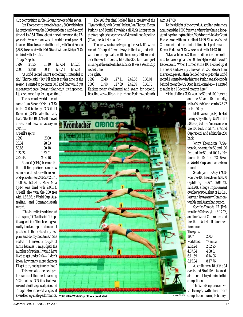Cup competition in the 12-year history of the series.

Ian Thorpe sent a crowd of nearly 3000 wild when he predictably won the 200 freestyle in a world-record time of 1:42.54. Throughout his solitary race, the 17 year-old Sydney man was at world-record pace. He touched 10 metres ahead of the field, with Todd Person (AUS) in second with 1:46.40 and William Kirby (AUS) in third with 1:46.50.

| Thorpe's splits: |  |  |
|------------------|--|--|

| 1999 | 24.55                                          | 51 10 | 1:17.64  | 1:43.28 |
|------|------------------------------------------------|-------|----------|---------|
| 2000 | 23.98                                          | 50.11 | -1:16.41 | 1:42.54 |
|      | "A world record ween't something I intended to |       |          |         |

"A world record wasn't something I intended to do," Thorpe said. "But I'll take it at this time of the season. I wanted to go out in 50.8 and that would put me on record pace. It wasn't planned, it just happened. I just set myself up for a good time."

The second world record came from Susan O'Neill (AUS) in the 200 butterfly. O'Neill let Ruan Yi (CHN) take the early lead. After the 100,O'Neill moved ahead and flew to victory in 2:04.16.

| O'Neill's splits: |         |
|-------------------|---------|
| 1999              | 2000    |
| 28.34             | 28.63   |
| 59.85             | 1:00.18 |
| 1:32.22           | 1:32.01 |
| 2:04.43           | 2:04.16 |

Ruan Yi (CHN) became the third all-time performer and new Asian record-holder with her second-place time of 2:06.50 (28.73, 1:00.86, 1:33.43). Maki Mita (JPN) was third with 2:08.14. O'Neill also won the 200 free with 1:55.66, a World Cup, Australian, and Commonweath record.

"This is my first world record at this pool," O'Neill said. "I hope it's a good sign. The cheering was really loud and spurred me on. I just tried to think about my race plan and do my best time." She added, " I missed a couple of turns because I misjudged the number of strokes. I would have liked to get under 2:04—I don't know how many more chances I'll get to try and get under that."

This was also the best performance of the meet, earning 1026 points. O'Neill's feat was rewarded with a special prize and Thorpe also received a special award for top male performance. **2000 FINA World Cup off to a great start** Marco Chiesa Chiesa competitions during February.

The 400 free final looked like a preview of the Olympic final, with Grant Hackett, Ian Thorpe, Kieren Perkins, and Daniel Kowalski (all AUS) lining up on the starting blocks together and Massimiliano Rosolino (ITA), the fastest qualifier.

Thorpe was obviously going for Hackett's world record. "Thorpedo" was always in the lead, under the world-record split at the 100 turn, only 0.01 seconds over the world record split at the 300 turn, and just missing at the end with his 3:35.75. It was a World Cup record time.

| The splits:                                            |       |         |                       |                                               |  |
|--------------------------------------------------------|-------|---------|-----------------------|-----------------------------------------------|--|
| 1999                                                   | 52.40 | 1:47.11 | 2:42.08               | 3:35.01                                       |  |
| 2000                                                   |       |         | 51.90 1:47.69 2:42.09 | 3:35.75                                       |  |
|                                                        |       |         |                       | Hackett never challenged and swam for second. |  |
| Rosolino was well back in third and Perkins was fourth |       |         |                       |                                               |  |

Krombacher

# with 3:47.08.

To the delight of the crowd, Australian swimmers dominated the 1500 freestyle, where they have a longstanding winning tradition. World record-holder Grant Hackett won with an excellent 14:29.52, a new World Cup record and the third all-time best performance. Kieren Perkins (AUS) was second with 14:43.10.

"My coach Denis Cotterell and I decided before the race to have a go at the 800 freestyle world record," Hackett said. "When I turned at the 400 I looked up at the board and saw my time was 3:46.00 (slower than the record pace). I then decided not to go for the world record. I wanted to win this race. Perkins was 5 seconds behind me at the US Open last December—I wanted to make it a 10-second margin here."

Michael Klim (AUS) won the 50 and 100 freestyle

and the 50 and 100 butterfly, with a World Cup record of 23.27 in the 50 fly.

Matt Welsh (AUS) bested Lenny Krayzelburg (USA) in the 50 back, but the American won the 100 back in 51.73, a World Cup record, and added the 200 back.

Jenny Thompson (USA) won four events: the 50 and 100 free and the 50 and 100 fly. Her time in the 100 free of 53.05 was a World Cup and American record.

Sarah Jane D'Arcy (AUS) won the 400 freesyle in 4:03.50 (splitting 59.67, 2:01.42, 3:03.20), a huge improvement over her previous best of 4:10.41 last year. It was a new Commonwealth and Australian record.

Sachiko Yamada, 17 (JPN) won the 800 freestyle in 8:17.76, another World Cup record and the third-fastest all time performance.

| The splits: |         |
|-------------|---------|
| 1987        | 2000    |
| world best  | Yamada  |
| 2:02.24     | 2:02.95 |
| 4:07.04     | 4:08.51 |
| 6:11.69     | 6:14.06 |
| 8:15.34     | 8:17.76 |

Australia won 18 of the 34 events and 50 of 103 total medals to completely dominate this competition.

The World Cup series moves to Europe, with five more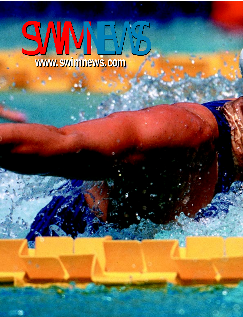# <span id="page-15-0"></span>**www.swimnews.com www.swimnews.com** SWIMMENS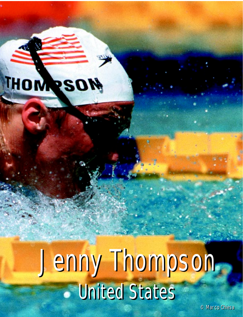# THOMPSON

# Jenny Thompson Jenny Thompson United States United States

© Marco Chiesa © Marco Chiesa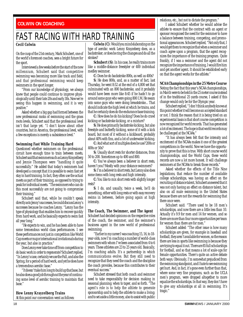# <span id="page-17-0"></span>FAST RACING WITH HARD TRAINING

# **Cecil Colwin**

On the cusp of the 21st century, Mark Schubert, one of the world's foremost coaches, sees a bright future for the sport.

Interviewed a few weeks before the start of the new millennium, Schubert said that competitive swimming was becoming more like track and field, and that professional swimming would keep swimmers in the sport longer.

"From our knowledge of physiology, we always knew that people could continue to improve physiologically until their late 20s and early 30s. Now we're seeing this happen in swimming, and it is very positive."

Asked whether a big gap had formed between the new professional ranks of swimming and the grass roots levels, Schubert said that the professional level isn't that large yet. "I don't know about other countries, but in America, the professional level, with a few exceptions is merely a subsistence level."

# **Swimming Fast While Training Hard**

Questioned whether swimmers on the professional circuit have enough time to train between meets, Schubert said that swimmers such as Lenny Krayzelberg and Jennie Thompson were "handling it quite successfully." He added that today's swimmers had developed a concept that it is possible to swim fast yet stay in hard training. In fact, they often use the actual meets as part of their training, as opposed to trying to peak for individual meets. "The swimmers who can do this most successfuly are not going to compromise their training."

Schubert said that, while he couldn't speak directly as to Jenny's successes, he could discuss Lenny's successes because he coaches Lenny. "Lenny has the type of physiology that enables him to recover quickly from hard work, and he basically expects to swim fast all year long."

"He expects to win, and he has been able to have some tremendous world class performances. I see these performances not just in competition like World Cup meets or major international invitationals during the year, but also in practice."

Does Lenny ever take time off from competition to do basic work in order to regenerate? Schubert replied, "In Lenny's case, certainly we use the Fall, and also the Spring, for a period of hard work, and yet he does have a tremendous aerobic base."

"It doesn't take him long to build up that base, but he also does a good job throughout the year of continuing some level of aerobic training to maintain that base."

# **How Lenny Krayzelberg Trains**

At this point our conversation went as follows:

**Colwin (C)**: Would you mind elaborating on the type of aerobic work Lenny Krayzeberg does, as a backstroker, or does he ring the changes and do all the strokes?

**Schubert (S)**: In his case, he really trains more like a middle-distance freestyler or 400 individual medley swimmer.

**C:** Does he do backstroke 800s, as well as 400s?

**S:** He does 800s, and, as a matter of fact, last Thursday, he went 8:52 at the end of a 4,800 set that culminated with an 800 backstroke, and it probably would have been more like 8:45 if he hadn't to go around some guys who were going 800 I.M. He swam into some guys who were doing breaststroke... That should indicate the high level at which he trains, and that he certainly does do the endurance base training.

**C:** How does he do his kicking? Does he do crawl kicking or backstroke kicking, or a mixture?

**S:** He does primarily backstroke kicking, but also freestyle and butterfly kicking, some of it with a kick board, but most of it without a kickboard, probably about 40% with fins, and a lot of underwater kicking.

**C:**And what sort of multiples does he use? 200s or 400s or 50s?

**S:** Usually short rests for shorter distances, from 50 to 200. Sometimes up to 400 and 800.

**C:** You've always been a believer in short rests, haven't you? Mostly with your distance swimmers?

**S:**I'm a believer in short rests, but Lenny also does some items with long rests and high intensity.

**C:**You like to mix short rests with slightly longer rests?

**S**: I do, and usually, twice a week, he'll do something, either with long rests or with easy recovery swims in between, before going again at high intensity.

# **The Coach, The Swimmer, and The Agent**

Schubert had decided opinions on the respective roles of the coach, the swimmer, and the swimmer's business agent in the new world of professional swimming.

"Earlier in my career I was coaching 15, 16, to 18 year-olds, now I'm coaching a number of world-class swimmers with whom I've been associated from 4 to 6 years. These athletes are 23 to 25 years old. Basically, I'm coaching adults. It's a partnership in which communications evolve. But they still need to recognize that they need the coach and the discipline the coach provides, because this contributes to their eventual success."

Schubert stressed that both coach and swimmer need to take responsibilty for decision making in seasonal planning; when to taper, and so forth. "The agent's role is to help the athlete to generate sponsorship and to help the athlete to make a living; and to set aside a little money, also to assist with public relations, etc., but not to dictate the program."

I asked Schubert whether he would advise the athlete to ensure that the contract with an agent or sponsor recognised the need for the swimmer to have a balance between training, competing, and promotional appearances. Schubert replied, "Not only that, I would get them to recognize that when a swimmer and coach agree upon a program, that the agent recognizes the importance of the training program. Quite frankly, if I was a swimmer and the agent did not recognize the importance of training, I would fire him and get another agent. It should be established early on that the agent works for the athlete."

# **NCAA Championships in the 25 Metre Course**

Noting the fact that this year's NCAA championships, in March were to be held in the 25 meter course instead of in the traditional 25 yards course, I asked if this change would only be for the Olympic year.

Schubert replied, "I don't think anybody knows at this point whether it will become an accepted standard or not. I think the reason that it is being tried on an experimental basis is that short course competition is now recognized for world records. That has generated a lot of excitement. The hope is that world records may be challenged at the NCAAs."

"It has always been felt that the intensity and excitement of the NCAAs makes it one of the greatest competitions in the world. Now we have the opportunity to prove that this is true. With short course world championships, and the World Cups, these world records are now a lot more honest. It will challenge swimmers at the NCAAs to break those records."

Asked whether the effects of the Title Nine legislations, that reduce the number of available college scholarships, was having an effect on the recruiting of distance talent, Schubert answered that it was not only having an effect on distance talent, but also on all male swimming in the United States because there are not the rewards for swimming that there once were.

Schubert said: "There used to be 18 men's scholarships, and now there are a little less than 10. Actually it's 9.9 for men and 14 for women, and so there are more than four more opportunities per team for women than there are for men."

Schubert added: "The other issue is how many scholarships are given, for example in baseball and football, they aren't available for women, so the reason there are less in sports like swimming is because they are trying to equal it out. There are 85 full scholarships for football, and so that means a lot of scale-ups for female opportunities. There's quite an active debate both ways. Obviously, I'm somewhat prejudiced from the swimming standpoint, and I hate to see swimming get hurt. And, in fact, it's gone even further than that, where some very fine programs, such as the UCLA men's program, were dropped altogether to more equalize the scholarships. In that way, they don't have to give any scholarships at all in swimming. It's tragic."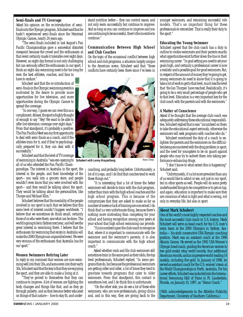# **Semi-finals and TV Coverage**

Asked his opinion on the re-introduction of semifinals into the Olympic program, Schubert said that he hadn't experienced semi-finals since the Montreal Olympic Games, nearly 24 years ago.

"The semi-finals included in last August's Pan Pacific Championships gave a somewhat distorted viewpoint because the crowd and the enthusiasm at that event certainly made it tolerable over eight days. However, an eight-day format is not only challenging but can seriously affect the enthusiasm in our sport. I think an eight-day swimming meet is far too long for even the best athletes, coaches, and fans to have to endure."

Schubert said that the re-introduction of semi-finals in the Olympic swimming events is motivated by the desire to provide more opportunities for live television, and more opportunities during the Olympic Games to spread the coverage.

"In one way, I guess we can view this as a compliment. At least, the sport is highly thought of enough to say "Hey! We want to be able to offer live television coverage over eight days." From that standpoint, it's probably a positive. The Pan Pacifics Meet was my first opportunity to deal with semi-finals as a coach, and if the athletes train for it, and if they're psychologically prepared for it, they can deal with it successfully."

Schubert said that the level of TV coverage of swimming in Australia "was eye-opening to **Schubert with Lenny Krayzelburg** Marco Chiesaall of us who attended the Pan Pacific Cham-

pionships. The interest in Australia in the sport, the interest in the people, and their knowledge of the sport—you walk into a grocery store, and people wouldn't even know that you were involved with the sport—and they would be talking about the sport. They would be talking about the personalities, like Thorpe and Michael Klim."

Schubert believes that the mentality of the people involved in our sport is such that we believe that this same level of interest couldn't happen worldwide. "I believe that we sometimes do think small; certainly those of us who were there, saw what can be done. The world is going to be in Sydney next year, and will see the great interest in swimming there. I believe that the enthusiasm for swimming that exists in Australia will make the 2000 Olympics an unparalled event. We were very envious of the enthusiasm that Australia has for our sport."

# **Women Swimmers Retiring Later**

In reply to my comment that women are now swimming well into their 20s, and some even into their early 30s, Schubert said that the key is that they are enjoying the sport, and they are able to make a living at it.

"They've proved to themselves that they can continue to improve. A lot of women are fighting the body changes and things like that, and as they go through puberty, and as they become better educated on things of that nature—how to stay fit, and under-

stand nutrition better—they can control issues, and not only swim successfully but continue to improve. And as long as you can continue to improve and you are continuing to be successful, there's the incentive to continue."

# **Communication Between High School and Club Coaches**

On the topic of the occasional conflict between high school and club programs, a situation largely unique to the American scene, Schubert said that "these conflicts have certainly been there since I've been in



coaching, and probably long before. Unfortunately, a lot of it is ego, and I do find that coaches tend to work these things out."

"It is interesting that a lot of times the better swimmers will decide to train with the club program, rather than train with the high school coaches and the high school program. This is because of the compromises that they are asked to make as far as number of meets or lack of training are concerned. I do think that's a very unfortunate thing, because there's nothing more motivating than competing for your school and having recognition among your peers at your school that high school swimming can provide.

"It is incumbent upon the club coach to recognize that, where it is important to communicate with the swimmer and the swimmer's parents, it is also important to communicate with the high school coach."

Asked whether rank and file club swimmers still sometimes train in the same pool as their idols, the top level professionals, Schubert replied, "In some programs they do, but because the professional swimmers are getting older and older, a lot of times they tend to gravitate towards programs that cater to older swimmers. From that standpoint, this contact is sometimes lost, and I do think this is unfortunate.

"On the other side, you do see a lot of these elite swimmers, who are now professionals, giving clinics and, and in this way, they are giving back to the younger swimmers, and remaining successful role models. That's an important thing for these professionals to remember. That is really their duty to the sport."

# **Educating the Young Swimmer**

Schubert agreed that the club coach has a duty to outline to rookie swimmers and their parents exactly what opportunities exist further down the line in their swimming career. "In goal setting you need to set your goals high, and certainly a professional career is now a realistic and a possible goal for good swimmers. But, in respect of the amount of money they're going to get, young swimmers do need to know that it is going to take a lot of work to get to that level, much less the level that 'the Ian Thorpes' have reached. Realistically, it's going to be a very small percentage of people who get to that level. Education is a very important key for the club coach with the parents and with the swimmers."

# **A Matter of Conscience**

Asked if he thought that the average club coach was adequately addressing these educational responsibilities, Schubert replied that is was "incumbent on them to take the educational aspect seriously, otherwise the swimmers will seek programs with coaches who do."

Schubert mentioned the duty of a coach to enlighten the parents and the swimmers on the difficulties being encountered with the drug problem in sport, and the need for youngsters to be on guard against people who may try to subvert them into taking performance-enhancing drugs.

"I don't know to what extent this is happening" Schubert said.

"Unfortunately, it's a lot more prevalent than any of us would like to admit or see, not just in our sport, but in other sports as well. People will do some pretty underhanded things to be competitive or to get on top, and again, education is important to make sure they are conscious of what is right and what is wrong, not only in everyday life, but also in sport.

# **About Mark Schubert**

One of the world's most highly respected coaches and the most successful club coach in U.S. history, Mark Schubert will serve as head coach for the U.S. men's swim team at the 2000 Olympics in Sydney, Australia—his sixth consecutive USA Olympic coaching position. Mark was an assistant coach at the 1996 Atlanta Games. He served as the 1992 USA Women's Olympic head coach, guiding the American women to two gold-medal relay world records, four additional American records, and an impressive world-leading 14 medals, including five gold. In January of 1998, he served as assistant coach for the U.S. women's team at the World Championships in Perth, Australia. For his career efforts, Schubert was inducted into the International Swimming Hall of Fame in Ft. Lauderdale, Florida, on January 10, 1997, as "Honor Coach."

(With acknowledgements to the Athletics Publicity Department, University of Southern California.)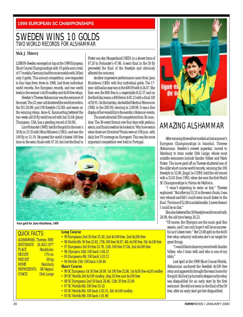# <span id="page-19-0"></span>**1999 EUROPEAN SC CHAMPIONSHIPS**

# TWO WORLD RECORDS FOR ALSHAMMAR SWEDEN WINS 10 GOLDS

# **Nick J. Thierry**

LISBON-Sweden emerged on top at the 1999 European Short Course Championships with 10 golds and a total of 17 medals; Germany had the most medals with 26 but only 5 golds. This annual competition, now expanded to four days from three in 1998, had three individual world records, five European records, and two world bests in the women's 4x50 medley and 4x50 free relays.

Sweden's Therese Alshammar was the swimmer of the meet. The 22-year-old shattered the world records in the 50 (24.09) and 100 freestyle (52.80) and swam on the winning relays. Anne-K. Kammerling bettered the two-week-old 50 fly world record with her 25.64 (Jenny Thompson, USA, has a pending record of 26.00).

Lars Frolander (SWE) tied for the gold in the men's 50 fly in 23.35 with Milos Milosevic (CRO), and won the 100 fly in 51.19. He posted the world's fastest 100 free time in the semi-finals with 47.16, but lost the final to

Pieter van den Hoogenband (NED) in a slower time of 47.20 to Frolander's 47.86. A semi-final in the 50 fly preceeded the final of the freestyle and obviously affected the outcome.

Another impressive performance came from Jana Klochkova (UKR) with four individual golds. The 17 year-old had an easy win in the 400 IM with 4:34.07. She then won the 800 free in a respectable 8:22.37 and on the third day swam a 400 free in 4:05.12 with a final 100 of 59.91. On the last day, she battled Martina Moravcova (SVK) in the 200 IM, winning in 2:09.08. It was a fine display of her versatility in the aerobic (distance) events.

The meet attracted 350 competitors from 36 countries. The 38-event format over four days with prelims, semis, and finals needs to be looked at. Why have semis when there are 18 entries? Finals were at 3:00 p.m. with daily live TV coverage on Eurosport. This was the most important competition ever held in Portugal.



**Four gold for Jana Klochkova, UKR**

| <b>QUICK FACTS:</b>            |                   |
|--------------------------------|-------------------|
| <b>ALSHAMMAR, Therese, SWE</b> |                   |
| <b>BIRTHDATE</b>               | 26 AUG 1977       |
| <b>PLACE</b>                   | <b>Stockholm</b>  |
| <b>HEIGHT</b>                  | $179 \text{ cm}$  |
| <b>WEIGHT</b>                  | $60 \text{ kg}$   |
| <b>HOME</b>                    | <b>Hamburg</b>    |
| <b>REPRESENTS</b>              | <b>SK Neptun</b>  |
| <b>COACH</b>                   | <b>Dirk Lange</b> |
|                                |                   |
|                                |                   |

### **Long Course**

- 99 Europeans 2nd 50 free 25.30, 2nd 4x100 free, 2nd 4x200 free
- 98 Worlds 6th 50 free 25.83, 17th 100 free 56.87, 4th 4x100 free, 5th 4x100 free
- 97 Europeans 3rd 50 free 25.78, 12th 100 free 57.04, 2nd 4x100 free
- 96 Olympics 16th 100 back 1:04.15
- 95 Europeans 4th 100 back 1:03.12
- 94 Worlds 15th 100 back 1:04.46

# **Short Course**

- 99 SC Europeans 1st 50 free 24.09, 1st 100 free 52.80, 1st 4x50 free-4x50 medley
- 99 SC Worlds 3rd 4x100 medley, disq 50 free and 4x100 free
- 98 SC Europeans 2nd 50 back 28.46, 12th 50 free 25.06
- 97 SC Worlds 8th 100 free 55.18
- 95 SC Worlds 8th 100 back 1:02.31, 4th 4x100 medley
- 93 SC Worlds 9th 100 back 1:01.90



# AMAZING ALSHAMMAR

After winning three silver medals at last summer's European Championships in Istanbul, Therese Alshammar, Sweden's newest superstar, moved to Hamburg to train under Dirk Lange, whose most notable swimmers include Sandra Volker and Mark Foster. The move paid off as Therese shattered one of the older short course world records, winning the 100 freestyle in 52.80. Jingyi Le (CHN) held the old record with a 53.01 from 1993, when she won the first World SC Championships in Palma de Mallorca.

"I wasn't expecting to swim so fast," Therese explained. "But after my 53.31 in the semi-finals, I was very relaxed and felt I could swim much faster in the final. The time of 52.80 is unbelievable. I never dreamt I could be so fast."

She also bettered the 50 freestyle world record with 24.09, the old time being 24.23.

"Of course, the Olympics are the main goal this season, and I can only hope it will be as successful as it's been here." Her 23.80 split on the 4x50 free relay certainly indicates she's on target for great things.

"I would like to share my record with Sandra Volker, who I train with and who is one of my idols."

Last April at the 1999 Short Course Worlds, Alshammar anchored the Swedish 4x100 free relay and apparently brought the team home for the gold. But her joy turned to despair as the relay was disqualified for an early start by the first swimmer. She did not swim in the final of the 50 free, after an early start got her disqualified.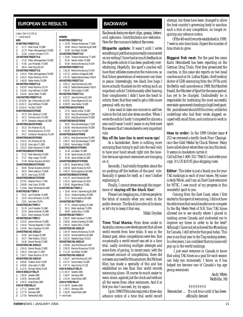# <span id="page-20-0"></span>**EUROPEAN SC RESULTS**

Lisbon, Dec 9-12 (25 m)

• = world record **MEN 50 METRES FREESTYLE** 1) 21.71 Mark Foster, 70, GBR 2) 21.79 Pieter vdHoogenband,78,NED 3) 21.83 Lorenzo Vismara,75,ITA **100 METRES FREESTYLE** 1) 47.20 Pieter vdHoogenband,78,NED 2) 47.86 Lars Frolander 74 SWF 3) 48.44 Karel Novy,80,SUI **200 METRES FREESTYLE** 1) 1:44.34 Pieter vdHoogenband,78,NED 2) 1:45.22 Massi Rosolino,78,ITA 3) 1:46.09 Stefan Herbst,78,GER **400 METRES FREESTYLE** 1) 3:42.00 Massi Rosolino,78,ITA 2) 3:42.88 Jorg Hoffmann, 70, GER<br>3) 3:43.48 James Salter 76 GRR 3) 3:43.48 James Salter,76,GBR **1500 METRES FREESTYLE** 1) 14:42.05 Igor Chervynskiy,81,UKR 2) 14:45.71 Jorg Hoffmann,70,GER 3) 14:59.43 Teo Edo,79,ESP **50 METRES BACKSTROKE** 1) 24.70 Miro Zeravica,72,CRO 2) 24.72 Tomislav Karlo,70,CRO 3) 24.79 Sebastian Halgasch, 80, GER **100 METRES BACKSTROKE** 1) 53.13 Orn Arnarson,81,ISL 2) 53.17 Derya Buyukuncu,76,TUR 3) 53.27 Volodymyr Nikolaychuk,75,UKR **200 METRES BACKSTROKE** 1) 1:54.23 Orn Arnarson 81 ISL 2) 1:55.19 Jirka Letzin,71,GER 3) 1:55.25 Adam Ruckwood,74,GBR **50 METRES BREASTSTROKE** 1) 27.10 Mark Warnecke,70,GER 2) 27.37 Oleg Lisogor,79,UKR 3) 27.38 Roman Sloudnov, 80, RUS **100 METRES BREASTSTROKE** 1) 58.85 Roman Sloudnov,80,RUS 2) 59.32 Patrik Isaksson,73,SWE 3) 59.70 Jose Couto,78,POR **200 METRES BREASTSTROKE** 2:07.82 Stephan Perrot, 77, FRA 2) 2:09.98 Jose Couto,78,POR 3) 2:10.98 Adam Whitehead,80,GBR **50 METRES BUTTERFLY** 1) 23.31 Lars Frolander,74,SWE 2) 23.35 Milos Milosevic, 72 CRO 3) 23.81 Jere Hard,78,FIN **100 METRES BUTTERFLY** 1) 51.19 Lars Frolander,74,SWE 2) 51.43 James Hickman,76,GBR 3) 52.01 Denis Sylantyev,76,UKR **200 METRES BUTTERFLY** 1) 1:53.52 James Hickman,76,GBR 2) 1:54.43 Thomas Rupprath,77,GER 3) 1:54.86 Denis Sylantyev,76,UKR **100 METRES IND.MEDLEY** 1) 53.93 Jens Kruppa,76,GER 2) 54.27 Peter Mankoc,78,SLO 3) 54.38 Marcel Wouda,72,NED **200 METRES IND.MEDLEY** 1) 1:56.45 Marcel Wouda,72,NED 2) 1:58.23 Jirka Letzin,71,GER 3) 1:58.57 Massi Rosolino,78,ITA **400 METRES IND.MEDLEY** 1) 4:08.85 Frederik Hviid,74,ESP 2) 4:09.85 Jirka Letzin,71,GER 3) 4:12.25 Michael Halika,78,ISR **4X50 M MEDLEY RELAY** 1) 1:36.00 Sweden,SWE 2) 1:36.56 Germany,GER 3) 1:36.78 Great Britain,GBR **4X50 M FREE RELAY** 1) 1:27.12 Sweden,SWE 2) 1:27.76 Germany,GER

**WOMEN 50 METRES FREESTYLE** 1) • 24.09 Therese Alshammar,77,SWE 2) 24.90 Anna-K. Kammerling,80,SWE 3) 24.90 Sue Rolph,78,GBR **100 METRES FREESTYLE** 1) • 52.80 Therese Alshammar, 77, SWE 2) 53.34 Sandra Volker,74,GER 3) 54.09 Martina Moravcova,76,SVK **200 METRES FREESTYLE** 1) 1:56.28 Martina Moravcova,76,SVK 2) 1:57.15 Josefine Lillhage,80,SWE 3) 1:57.33 Natalia Baranovskaia,79,BLR **400 METRES FREESTYLE** 1) 4:05.12 Jana Klochkova,82,UKR 2) 4:06.13 Natalia Baranovskaia,79,BLR<br>3) 4:06.48 Silvia Szalai.75.GER 3) 4:06.48 Silvia Szalai,75,GER 800 **METRES FREESTYLE**<br>1) 8:22.37 Jana Klochkov 8:22.37 Jana Klochkova,82,UKR 2) 8:25.82 Flavia Rigamonti,81,SUI 3) 8:28.09 Jana Henke,73,GER **50 METRES BACKSTROKE** 1) 27.31 Sandra Volker,74,GER 2) 28.24 Nina Zhivanevskaya,77,ESP 3) 28.35 Antje Buschschulte,78,GER **100 METRES BACKSTROKE** 1) 59.87 Nina Zhivanevskaya,77,ESP 2) 1:00.08 Antje Buschschulte,78,GER 3) 1:00.88 Sarah Price,79,GBR **200 METRES BACKSTROKE** 1) 2:08.11 Antje Buschschulte,78,GER 2) 2:09.47 Nina Zhivanevskaya,77,ESP 3) 2:09.62 Nicole Hetzer,79,GER **50 METRES BREASTSTROKE** 1) 31.40 Zoe Baker,76,GBR 2) 31.49 Agnes Kovacs,81,HUN 3) 31.95 Janne Schafer, 81, GER **100 METRES BREASTSTROKE** 1) 1:08.15 Brigitte Becue,72,BEL 2) 1:08.30 Agnes Kovacs,81,HUN 3) 1:08.74 Emma Igelstrom,80,SWE **200 METRES BREASTSTROKE** 1) 2:24.78 Anne Poleska,80,GER 2) 2:25.41 Agnes Kovacs,81,HUN 3) 2:26.82 Brigitte Becue,72,BEL **50 METRES BUTTERFLY** 1) • 25.64 Anna-K. Kammerling,80,SWE 2) 26.42 Johanna Sjoberg,78,SWE 3) 27.17 Nicola Jackson,84,GBR **100 METRES BUTTERFLY** 1) 57.73 Johanna Sjoberg,78,SWE 2) 59.11 Mette Jacobsen,73,DEN 3) 59.80 Sophia Skou,73,DEN **200 METRES BUTTERFLY** 1) 2:06.87 Mette Jacobsen,73,DEN 2) 2:08.62 Johanna Sjoberg,78,SWE 3) 2:09.33 Sophia Skou,73,DEN **100 METRES IND.MEDLEY** 1) 1:00.78 Martina Moravcova,76,SVK 2) 1:01.82 Annika Mehlhorn,83,GER 3) 1:02.16 Natasha Kejzar,76,SLO **200 METRES IND. MEDLEY**<br>1) 2:09:08 Jana Klochkova 2:09.08 Jana Klochkova,82,UKR 2) 2:09.25 Martina Moravcova,76,SVK 3) 2:11.29 Sue Rolph,78,GBR **400 METRES IND.MEDLEY** 1) 4:34.07 Jana Klochkova,82,UKR 2) 4:37.47 Nicole Hetzer,79,GER 3) 4:37.74 Hana Cerna,74 CZE **4X50 M MEDLEY RELAY** 1) # 1:49.47 Sweden,SWE 2) 1:49.87 Germany,GER 3) 1:51.64 Great Britain,GBR **4X50 M FREE RELAY** 1) # 1:38.45 Sweden,SWE 2) 1:39.21 Germany,GER 3) 1:39.93 Great Britain,GBR # = world best

# **BACKWASH**

*Backwash features short clips, gossip, letters and opinions. Contributions are welcome. Now for the rumours behind the news.*

**Etiquette update:** It wasn't until I wrote something in jest that anyone really commented on my writing! I have had so much feedback on the etiquette article it has been positively overwhelming. Hopefully, the sport's coaches will have their athletes memorize the rules now, so that future generations of swimmers can train in peace. Interestingly, two black line hogs I know actually thanked me for writing such an important article! Unfortunately after hearing their compliments I didn't have the heart to inform them that they need to get a little more personal with my story.

I also want to take one minute to add two rules to the list and also stress another. When I wrote the article I hadn't competed for almost a year and it wasn't until I swam in my first meet this season that I remembered a very important rule:

# **Stay off the lane-line in meet warm-ups!**

As a backstroker, there is nothing more annoying than trying to pull into the wall only to have your hand smash right into the laneline because ignorant swimmers are lounging on it.

Secondly, I had totally forgotten about the no-pushing-off-the-bottom-of-the-pool rule. Basically it speaks for itself, so I won't bother explaining it.

Finally, I cannot stress enough the importance of **staying off the black line!**

Please I am begging you; it drives people to the brink of insanity when you swim in the public domain. The black line is for all to share, so let's try to keep it that way.

*Nikki Dryden*

**Time Trial Mania:** From down under in Australia comes a new development that allows world records from time trials. It was in the distant past, when competitions were few, that occasionally a world record was set in a time trial, usally involving multiple attempts and some form of pacing. In recent years, with the increased amount of competitions, there did not seem any need for this anymore. But Michael Klim has made a specialty of this and has established no less than four world records swimming alone. Of course its much easier to swim alone, against just the clock and without all the waves from other swimmers. And if at first you don't succeed, try, try again.

Up to 1998 FINA rules required a three-day advance notice of a time trial world record

attempt, but these have been changed to allow the host country's governing body to sanction such a trial at any competition, no longer requiring any advance notice.

Of the 48 world records established in 1999, 7 were in solo time trials. Expect the number of time trials to grow.

**Biggest fish next:** For the past few years Karin Helmstaedt has been reporting on the German Drug Trials. First they prosecuted the coaches, in this issue she reports on two head coaches and on Dr. Lothar Kipke, chief medical doctor of GDR swimming from the 1970s until the Berlin wall came down in 1989. But Manfred Ewald, the Minister of Sport for the same period, has yet to be charged. Undoubtedly he is responsible for instituting the most successful ever state-sponsored cheating in high level sport. His punishment should fit his crime, unlike his underlings who had their wrists slapped, escaped with small fines, and continue to work in sport.

**How to order:** In the 1999 October issue # 253 we reviewed a terrific book *Four Champions One Gold Medal* by Chuck Warner. Many have called about where they can buy this book. It seems no bookstore carries it.

Call toll free 1-800-352-7946 X 1 and order your copy. It's US \$19.95 plus shipping costs.

**Editor:** This letter is just a thank you for your TAG rankings in each of your issues. My name is Andy White, and I am an East Coast swimmer for WTSC. I owe much of my progress in this wonderful sport to you.

Coming from the East Coast, when I first started in this sport of swimming, I did not have the elite times that would enable me to compete In the Big Meets West of N.B. Your TAG times allowed me to see exactly where I placed in ranking across Canada and motivated me to improve my times in order to be the best!! Although I have not yet achieved the #1ranking for Canada, I still strive for that goal today. This year is my final year in the Tag ranking system. In a few years, I am confident that my name will pop up in the world rankings.

I just want everyone in Canada to know that using TAG times as a goal for each season can help you immensely. I know, as it has helped me become one of Canada's top age group swimmers.

> *Andy White Wolfville, NS*

✌✌✌✌✌✌✌✌ *Remember … It's not true until it has been officially denied*

3) 1:27.95 Netherlands,NED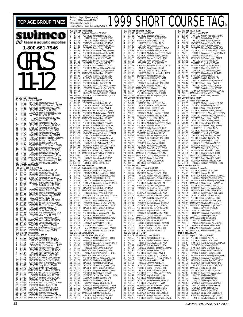<span id="page-21-0"></span>

|                                                                                                                 | Rankings for the period (results received)                                                                         | <b>1999 SHORT COURSE TAG®</b>                                                                                     |                                                                                                                 |
|-----------------------------------------------------------------------------------------------------------------|--------------------------------------------------------------------------------------------------------------------|-------------------------------------------------------------------------------------------------------------------|-----------------------------------------------------------------------------------------------------------------|
| <b>TOP AGE GROUP TIMES</b>                                                                                      | October 1, 1999 to January 28, 2000<br>TAG is financially supported by                                             |                                                                                                                   |                                                                                                                 |
|                                                                                                                 | Swimming/Natation Canada. Compiled by SWIMNEWS                                                                     |                                                                                                                   |                                                                                                                 |
|                                                                                                                 |                                                                                                                    |                                                                                                                   |                                                                                                                 |
|                                                                                                                 | <b>400 METRES FREESTYLE</b>                                                                                        | 100 METRES BREASTSTROKE                                                                                           | 200 METRES IND.MEDLEY                                                                                           |
| swimco                                                                                                          | Rec: 4:23.93 Stephanie Shewchuk, PCSC, 87<br>1 4:39.06 YOUTHDEC Amanda Long, 12, LAC                               | Rec: 1:10.11 Allison Higson, ESC, 85<br>1 1:17.61 YOUTHDEC Elizabeth Engs, 12, CAJ                                | Rec: 2:19.25 Allison Higson, ESC, 85<br>1 2:28.64 KCSDEC Mallory Hoekstra, 12, EKSC                             |
|                                                                                                                 | $\overline{2}$                                                                                                     | $\overline{2}$                                                                                                    | $\overline{2}$                                                                                                  |
|                                                                                                                 | 4:39.64                                                                                                            | 1:17.6                                                                                                            | 2:28.81                                                                                                         |
|                                                                                                                 | KCSDEC Anne Schmuck, 12, PSW                                                                                       | KCSDEC Anne Schmuck, 12, PSW                                                                                      | YOUTHDEC Amanda Long, 12, LAC                                                                                   |
|                                                                                                                 | 3                                                                                                                  | 3                                                                                                                 | 3                                                                                                               |
|                                                                                                                 | 4:40.96                                                                                                            | 1:18.80                                                                                                           | 2:29.00                                                                                                         |
|                                                                                                                 | KCSDEC Mallory Hoekstra, 12, EKSC                                                                                  | BRANTNOV Whitney Rich, 11, ISS                                                                                    | KCSDEC Anne Schmuck, 12, PSW                                                                                    |
| $\infty$ team a aquatic supplies                                                                                | 4:46.07                                                                                                            | $\overline{4}$                                                                                                    | 2:33.84                                                                                                         |
|                                                                                                                 | BRANTNOV Amanda Kelly, 12, HWAC                                                                                    | 1:19.46                                                                                                           | RAPIDDEC Carleen Ready, 12, LASC                                                                                |
|                                                                                                                 | $\overline{4}$                                                                                                     | KCSDEC Johanna Wick, 12, PN                                                                                       | $\Delta$                                                                                                        |
| 1-800-661-7946                                                                                                  | 4:46.11                                                                                                            | 5                                                                                                                 | 2:33.88                                                                                                         |
|                                                                                                                 | BRANTNOV Clare Dermody, 12, HWAC                                                                                   | 1:19.69                                                                                                           | BRANTNOV Clare Dermody, 12, HWAC                                                                                |
|                                                                                                                 | 5                                                                                                                  | PCSCDEC Kim Labbett, 12, OAK                                                                                      | 5                                                                                                               |
|                                                                                                                 | 6                                                                                                                  | 6                                                                                                                 | 2:34.00                                                                                                         |
|                                                                                                                 | 4:46.75                                                                                                            | 1:19.73                                                                                                           | $\sqrt{2}$                                                                                                      |
|                                                                                                                 | YOUTHDEC Bevan Haley, 12, WTSC                                                                                     | CASCNOV Mallory Hoekstra, 11, EKSC                                                                                | YOUTHDEC Monica Wakeman, 12, NEW                                                                                |
|                                                                                                                 | ISCUPNOV G. Poirier-Leroy, 12, NRS1                                                                                | $\overline{7}$                                                                                                    | 2:34.63                                                                                                         |
|                                                                                                                 | 4:50.13                                                                                                            | 1:20.15                                                                                                           | YOUTHDEC Jennifer MacLachlan, 12, NEW                                                                           |
|                                                                                                                 | -7                                                                                                                 | ISCUPNOV Michelle Miller, 12, PDSA                                                                                | 7                                                                                                               |
|                                                                                                                 | YOUTHDEC Allison Bennett, 12, NYAC                                                                                 | YOUTHDEC Michelle Claessens, 12, MMST                                                                             | 8                                                                                                               |
|                                                                                                                 | 8                                                                                                                  | 8                                                                                                                 | 2:34.99                                                                                                         |
|                                                                                                                 | 4:51.07                                                                                                            | 1:21.02                                                                                                           | PCSCDEC Genevieve Saumur, 12, CAMO                                                                              |
|                                                                                                                 | YOUTHDEC Michelle Mange, 12, PDSA                                                                                  | 9                                                                                                                 | 9                                                                                                               |
|                                                                                                                 | 9                                                                                                                  | 1:21.32                                                                                                           | 2:35.20                                                                                                         |
|                                                                                                                 | 4:53.30                                                                                                            | YOUTHDEC Michelle Mange, 12, PDSA                                                                                 | UTJAN21 Elizabeth Engs, 12, CAJ                                                                                 |
|                                                                                                                 | 4:53.60                                                                                                            | 10                                                                                                                | 10                                                                                                              |
|                                                                                                                 | PCSCDEC Jody Jelen, 12, ESWIM                                                                                      | 1:21.66                                                                                                           | 2:35.67                                                                                                         |
|                                                                                                                 | 10                                                                                                                 | RAPIDDEC Carleen Ready, 12, LASC                                                                                  | ISCUPNOV G. Poirier-Leroy, 12, NRST                                                                             |
| GIRLS                                                                                                           | MANTADEC Brittany Reimer, 11, SKSC                                                                                 | PCSCDEC Kelly Salvador, 12, TMSC                                                                                  | 2:35.71                                                                                                         |
|                                                                                                                 | 11                                                                                                                 | 1:22.05                                                                                                           | KCSDEC Johanna Wick, 12, PN                                                                                     |
|                                                                                                                 | 4:54.01                                                                                                            | 11                                                                                                                | 11                                                                                                              |
|                                                                                                                 | YOUTHDEC Jackie Sweers, 12, CAJ                                                                                    | 1:22.08                                                                                                           | ESWIMJAN Jody Jelen, 12, ESWIM                                                                                  |
|                                                                                                                 | 4:54.02                                                                                                            | PCSCDEC Alice Chow, 11, PCSC                                                                                      | 2:35.80                                                                                                         |
|                                                                                                                 | 12                                                                                                                 | 12                                                                                                                | 12                                                                                                              |
|                                                                                                                 | 4:54.89                                                                                                            | 1:22.28                                                                                                           | ISCUPNOV Melissa Lam, 12, SPART                                                                                 |
|                                                                                                                 | YOUTHDEC Carol Starratt, 12, CASC                                                                                  | NORACJAN Kristyna Cleminson, 12, BYST                                                                             | 2:35.98                                                                                                         |
|                                                                                                                 | 13                                                                                                                 | 13                                                                                                                | 13                                                                                                              |
|                                                                                                                 | 14                                                                                                                 | 1:22.32                                                                                                           | 14                                                                                                              |
|                                                                                                                 | 4:55.28                                                                                                            | 14                                                                                                                | 2:36.63                                                                                                         |
|                                                                                                                 | YOUTHDEC Monica Wakeman, 12, NEW                                                                                   | NKBOCT Andrea Zarins, 12, NKB                                                                                     | PCSCDEC Alice Chow, 11, PCSC                                                                                    |
|                                                                                                                 | 15                                                                                                                 | 1:22.42                                                                                                           | 2:37.52                                                                                                         |
|                                                                                                                 | 4:56.14                                                                                                            | KCSDEC Dana Williams, 12, STSC                                                                                    | 15                                                                                                              |
|                                                                                                                 | PICKDEC Emily Gillespie, 12, PERTH                                                                                 | 15                                                                                                                | LACNOV Julia Wilkinson.12.SKY                                                                                   |
|                                                                                                                 | MANTADEC Caitlyn Harris, 12, SKSC                                                                                  | 1:22.45                                                                                                           | YOUTHDEC Allison Bennett, 12, NYAC                                                                              |
|                                                                                                                 | 16                                                                                                                 | 16                                                                                                                | 16                                                                                                              |
|                                                                                                                 | 4:56.51                                                                                                            | KCSDEC Elizabeth Hendrick, 11, NCSA                                                                               | 2:37.53                                                                                                         |
|                                                                                                                 | 17                                                                                                                 | 1:22.67                                                                                                           | 17                                                                                                              |
|                                                                                                                 | 4:56.61                                                                                                            | 17                                                                                                                | 2:37.56                                                                                                         |
|                                                                                                                 | PCSCDEC Caitlin O'Neill, 12, LUSC                                                                                  | ESWIMJAN Amanda Long, 12, LAC                                                                                     | BRANTNOV Whitney Rich, 11, ISS                                                                                  |
| $11-12$                                                                                                         | 18<br>4:56.87<br>ISCUPNOV Brittani Barber, 12, PSW<br>4:58.10<br>RAPIDDEC Michelle Miller, 12, PDSA<br>19          | 1:22.82<br>YOUTHDEC Kristen Low, 11, ESWIM<br>18<br>1:22.94<br>PCSCDEC Julie Vincent, 12, CAMO<br>19              | 2:37.97<br>ESWIMJAN Heather Julien, 12, LAC<br>18<br>19                                                         |
|                                                                                                                 | 4:58.20<br>YOUTHDEC Heather Julien, 12, LAC<br>20                                                                  | 1:22.96<br>CASCNOV Lauren Crawford, 12, UCSC<br>20                                                                | 2:38.32<br>PICKDEC Emily Gillespie, 12, PERTH<br>2:38.47<br>YOUTHDEC Bevan Haley, 12, WTSC<br>20                |
|                                                                                                                 | 21                                                                                                                 | 1:22.99                                                                                                           | 21                                                                                                              |
|                                                                                                                 | 4:59.14                                                                                                            | YOUTHDEC Melanie Nelson, 12, IS                                                                                   | 2:38.87                                                                                                         |
|                                                                                                                 | YOUTHDEC Martha Ziolkowski, 12, YORK                                                                               | 21                                                                                                                | PICKDEC Tawnya Rudy, 12, TORCH                                                                                  |
|                                                                                                                 | 22                                                                                                                 | 1:23.23                                                                                                           | 2:38.99                                                                                                         |
|                                                                                                                 | 4:59.16                                                                                                            | 22                                                                                                                | TDJAN Nadia Kumentas, 12, WISC                                                                                  |
|                                                                                                                 | PCSCDEC Shannon McQueen, 12, GO                                                                                    | MANTADEC Jane Harrington, 11, MM                                                                                  | 22                                                                                                              |
|                                                                                                                 | 23                                                                                                                 | 1:23.23                                                                                                           | 23                                                                                                              |
|                                                                                                                 | 4:59.28                                                                                                            | CASCNOV Allison Rehill, 12, NCSA                                                                                  | 2:39.67                                                                                                         |
|                                                                                                                 | KCSDEC Kayla Rawlings, 12, PSW                                                                                     | 23                                                                                                                | CASCNOV Kirsten Pomerleau, 11, UCSC                                                                             |
|                                                                                                                 | 24                                                                                                                 | 1:23.58                                                                                                           | 24                                                                                                              |
|                                                                                                                 | 4:59.83                                                                                                            | YOUTHDEC Tawnya Rudy, 12, TORCH                                                                                   | 2:39.82                                                                                                         |
|                                                                                                                 | CNMNJAN Audrey Portelance, 12, CNSJ                                                                                | 24                                                                                                                | MANTADEC Landice Yestrau, 12, MM                                                                                |
| <b>50 METRES FREESTYLE</b>                                                                                      | YOUTHDEC Carla Henderson, 12, PDSA                                                                                 | ESWIMJAN Kim Kernaghan, 12, NEW                                                                                   | 25                                                                                                              |
|                                                                                                                 | 25                                                                                                                 | 1:23.64                                                                                                           | 2:40.00                                                                                                         |
|                                                                                                                 | 5:00.71                                                                                                            | 25                                                                                                                | HWACOCT Katie Davis, 12, BRANT                                                                                  |
|                                                                                                                 | 800 METRES FREESTYLE                                                                                               | 200 METRES BREASTSTROKE                                                                                           | 400 METRES IND.MEDLEY                                                                                           |
| Rec: 26.34 Lori Melien, AAC, 85                                                                                 | Stephanie Shewchuk, PCSC, 87<br>Rec:<br>8:55.85                                                                    | Rec: 2:30.55<br>Courtenay Chuy, HYACK, 98                                                                         | Rec: 4:55.03<br>Allison Higson, ESC, 85                                                                         |
| RAPIDDEC Melissa Lam, 12, SPART<br>28.00<br>CASCNOV Kirsten Pomerleau, 12, UCSC<br>$\mathcal{P}$<br>28.06       | YOUTHDEC Amanda Long, 12, LAC<br>9:38.20<br>KCSDEC Anne Schmuck, 12, PSW<br>2<br>9:44.36                           | UTJAN21 Elizabeth Engs, 12, CAJ<br>2:43.21<br>-1<br>2:45.80<br>$\overline{2}$<br>KCSDEC Anne Schmuck, 12, PSW     | KCSDEC Mallory Hoekstra, 12, EKSC<br>5:12.50<br>1<br>$\overline{2}$<br>YOUTHDEC Amanda Long, 12, LAC<br>5:14.58 |
| 28.18                                                                                                           | YOUTHDEC Bevan Haley, 12, WTSC                                                                                     | 3                                                                                                                 | 3                                                                                                               |
| YOUTHDEC Allison Bennett, 12, NYAC                                                                              | 3                                                                                                                  | 2:48.41                                                                                                           | 5:19.10                                                                                                         |
| 3                                                                                                               | 9:47.74                                                                                                            | PCSCDEC Kim Labbett, 12, OAK                                                                                      | KCSDEC Anne Schmuck, 12, PSW                                                                                    |
| PCSCDEC Alice Chow, 11, PCSC<br>28.65<br>-4<br>ESWIMJAN Monica Wakeman, 12, NEW<br>5<br>28.66                   | MANTADEC Brittany Reimer, 11, SKSC<br>10:02.62<br>4<br>YOUTHDEC Michelle Mange, 12, PDSA<br>5<br>10:03.10          | 2:49.74<br>BRANTNOV Whitney Rich, 11, ISS<br>$\overline{4}$<br>5<br>2:50.60<br>CASCNOV Mallory Hoekstra, 11, EKSC | YOUTHDEC Michelle Mange, 12, PDSA<br>5:23.83<br>4<br>5<br>5:26.06                                               |
| 28.72<br>6<br>WLBFJAN Kirsty Teit, 12, PGB                                                                      | ISCUPNOV G. Poirier-Leroy, 12, NRST<br>10:06.46<br>6                                                               | 2:51.09<br>ISCUPNOV Michelle Miller, 12, PDSA<br>6                                                                | YOUTHDEC Jennifer MacLachlan, 12, NEW<br>5:26.15<br>PCSCDEC Genevieve Saumur, 12, CAMO<br>6                     |
| 28.73<br>TDJAN Nadia Kumentas, 12, WISC<br>$\overline{7}$<br>8<br>LACNOV Whitney Rich, 11, ISS<br>28.84         | MANTADEC Caitlyn Harris, 12, SKSC<br>10:07.29<br>8                                                                 | PGBNOV Johanna Wick, 12, PN<br>$\overline{7}$<br>2:51.82<br>8                                                     | 5:27.40<br>YOUTHDEC Bevan Haley, 12, WTSC<br>7<br>8                                                             |
| YOUTHDEC Amanda Long, 12, LAC<br>9<br>28.89                                                                     | LACNOV Heather Julien, 12, LAC<br>10:08.81<br>YOUTHDEC Carol Starratt, 12, CASC<br>9<br>10:12.05                   | 2:52.91<br>YOUTHDEC Michelle Mange, 12, PDSA<br>9<br>2:53.97<br>YOUTHDEC Michelle Claessens, 12, MMST             | PCSCDEC Clare Dermody, 12, HWAC<br>5:28.29<br>9<br>YOUTHDEC Kayla Truswell, 12, LAC<br>5:29.41                  |
| PCSCDEC Clare Dermody, 12, HWAC<br>10<br>28.95                                                                  | 10 10:12.98<br>ISCUPNOV Michelle Miller, 12, PDSA                                                                  | 10 <sup>10</sup><br>2:54.61<br>YOUTHDEC Melanie Nelson, 12, IS                                                    | ISCUPNOV G. Poirier-Leroy, 12, NRST<br>10<br>5:32.04                                                            |
| BRANTNOV Amanda Kelly, 12, HWAC<br>11<br>29.13<br>12<br>29.20<br>RAPIDDEC Carleen Ready, 12, LASC               | 11 10:13.88<br>ISCUPNOV Brittani Barber, 12, PSW<br>12 10:14.76<br>COBRAJAN Allison Bennett, 12, NYAC              | 2:55.79<br>PCSCDEC Kelly Salvador, 12, TMSC<br>11<br>2:56.26<br>CASCNOV Elizabeth Hendrick, 12, NCSA<br>12        | KCSDEC Johanna Wick, 12, PN<br>5:32.06<br>11<br>12<br>5:32.32<br>YOUTHDEC Melanie Nelson, 12, IS                |
| 13<br>29.24<br>KCSDEC Amanda Maxey, 12, CASC                                                                    | CNMNJAN Audrey Portelance, 12, CNSJ<br>13 10:15.56                                                                 | 13<br>2:56.55<br>ESWIMJAN Amanda Long, 12, LAC                                                                    | 13<br>5:33.59<br>ESWIMJAN Jody Jelen, 12, ESWIM                                                                 |
| 29.40<br>RAPIDDEC G. Poirier-Leroy, 12, NRST<br>14<br>15<br>29.45<br>TMSCNOV Shannon Hazelton, 12, SSMAC        | LACNOV Emiley Jellie, 11, ROW<br>14 10:23.44<br>15 10:23.68<br>COBRANOV Kim Kernaghan, 12, NEW                     | 2:56.73<br>ESWIMJAN Kim Kernaghan, 12, NEW<br>14<br>15<br>2:57.09<br>CASCNOV Lauren Crawford, 12, UCSC            | 14<br>5:34.30<br>KCSDEC Kayla Rawlings, 12, PSW<br>YOUTHDEC Heather Julien, 12, LAC<br>15<br>5:34.98            |
| 29.49<br>YOUTHDEC Brittney Lowe, 12, LAC<br>16                                                                  | 16 10:25.05<br>YOUTHDEC Monica Wakeman, 12, NEW                                                                    | 2:57.94<br>16<br>PCSCDEC Julie Vincent, 12, CAMO                                                                  | BRANTNOV Whitney Rich, 11, ISS<br>16<br>5:35.61                                                                 |
| 17<br>29.54<br>YOUTHDEC Heather Julien, 12, LAC<br>18<br>29.56<br>ESWIMOCT Martha Ziolkowski, 12, YORK          | 17 10:26.06<br>LACNOV Julia Wilkinson, 12, SKY<br>18 10:26.55<br>ISCUPNOV Kathryn Johnson, 11, PDSA                | 2:58.06<br>17<br>PCSCDEC Ivana Corovic, 11, OAK<br>2:58.72<br>18<br>YOUTHDEC Kristen Low,11,ESWIM                 | 17<br>5:35.70<br>LACNOV Julia Wilkinson, 12, SKY<br>5:35.92<br>ISCUPNOV Melissa Lam, 12, SPART<br>18            |
| 19<br>29.67<br>MANTADEC Sarah Heckford, 12, MANTA<br>20<br>29.89<br>MANTADEC Brittany Reimer, 11, SKSC          | YOUTHDEC Rachael Bosma, 12, STJJ<br>19 10:26.58<br>20 10:27.68<br>MANTADEC Hailee Traa, 11, MANTA                  | 2:59.59<br>CASCNOV Dana Williams, 12, STSC<br>19<br>2:59.73<br>20                                                 | 19<br>5:36.66<br>YOUTHDEC Elizabeth Engs, 12, CAJ<br>20<br>5:37.05                                              |
| 21<br>29.90<br>KCSDEC Kayla Rawlings, 12, PSW                                                                   | 21 10:27.81<br>MANTADEC Whitney Reed, 12, MANTA                                                                    | ISCUPNOV G. Poirier-Leroy, 12, NRST<br>3:00.19<br>MANTADEC Jane Harrington, 11, MM<br>21                          | ISCUPNOV Brittani Barber, 12, PSW<br>YOUTHDEC Tawnya Rudy, 12, TORCH<br>21<br>5:37.24                           |
| 22<br>29.92<br>YOUTHDEC Carla Henderson, 12, PDSA<br>23<br>29.95<br>MANTADEC Kimberly Wilson, 11, GPP           | 22 10:30.67<br>LACNOV Whitney Rich, 11, ISS<br>23 10:31.99<br>LACNOV Laura Kendall, 12, ROW                        | 3:00.29<br>MANTADEC Jennifer Klein, 11, MANTA<br>22<br>3:00.56<br>CNQOCT Cecile Dufour, 12, UL<br>23              | 5:39.00<br>MANTADEC Caitlyn Harris, 12, SKSC<br>22<br>23<br>YOUTHDEC Carol Starratt, 12, CASC<br>5:41.22        |
| 24<br>29.96<br>LACNOV Danielle Armstrong, 12, TAT                                                               | 24 10:32.55<br>COBRAJAN Jody Jelen, 12, ESWIM                                                                      | 3:00.66<br>PCSCDEC Alice Chow, 11, PCSC<br>24                                                                     | 24<br>ISCUPNOV Michelle Miller, 12, PDSA<br>5:42.26                                                             |
| 29.98<br>PCSCDEC Ogechi Abara, 12, RHAC<br>25<br>100 METRES FREESTYLE                                           | 25 10:32.95<br>GOLDOCT Elyse Silzer, 12, ROD<br>100 METRES BACKSTROKE                                              | 3:00.89<br>RAPIDDEC Hollis Roth, 11, IS<br>25<br>100 METRES BUTTERFLY                                             | 25<br>5:42.31<br>KCSDEC Kimberly Kabesh, 12, STSC<br>4X50 M MEDLEY RELAY                                        |
| Rec: 57.36 Lori Melien, AAC, 85                                                                                 | Rec: 1:05.71<br>Stephanie Brueschke, MAC, 94                                                                       | Rec: 1:05.24<br>Allison Barriscale, KMSC, 89                                                                      | Rec: 2:07.70 Markham AC, MAC, 94                                                                                |
| YOUTHDEC Amanda Long, 12, LAC<br>1:01.39<br>1<br>$\overline{2}$<br>RAPIDDEC Melissa Lam, 12, SPART<br>1:01.44   | 1:09.83<br>RAPIDDEC Melissa Lam, 12, SPART<br>-1<br>$\mathcal{P}$<br>CASCNOV Mallory Hoekstra, 11, EKSC<br>1:10.02 | 1:08.01<br>YOUTHDEC Amanda Long, 12, LAC<br>-1<br>$\overline{2}$<br>1:08.77<br>RAPIDDEC Carleen Ready, 12, LASC   | 2:12.84<br>YOUTHDEC Newmarket SC, NEW<br>$\overline{2}$<br>2:14.79<br>YOUTHDEC London AC,LAC                    |
| YOUTHDEC Allison Bennett, 12, NYAC                                                                              | YOUTHDEC Monica Wakeman, 12, NEW                                                                                   | 3                                                                                                                 | 3                                                                                                               |
| 3                                                                                                               | 3                                                                                                                  | 1:09.76                                                                                                           | 2:14.85                                                                                                         |
| 1:01.90                                                                                                         | 1:10.48                                                                                                            | KCSDEC Mallory Hoekstra, 12, EKSC                                                                                 | BRANTNOV Hamilt-Wentworth AC, HWAC                                                                              |
| BRANTNOV Amanda Kelly, 12, HWAC                                                                                 | 1:10.77                                                                                                            | PCSCDEC Genevieve Saumur, 12, CAMO                                                                                | 2:16.15                                                                                                         |
| $\overline{4}$                                                                                                  | ESWIMJAN Amanda Long, 12, LAC                                                                                      | 1:10.20                                                                                                           | PCSCDEC Montreal Aquatique, CAMO                                                                                |
| 1:01.96                                                                                                         | 4                                                                                                                  | 4                                                                                                                 | $\overline{4}$                                                                                                  |
| CASCNOV Kirsten Pomerleau, 11, UCSC                                                                             | PICKDEC Emily Gillespie, 12, PERTH                                                                                 | 5                                                                                                                 | 2:17.79                                                                                                         |
| 5                                                                                                               | 5                                                                                                                  | 1:10.67                                                                                                           | 5                                                                                                               |
| 1:02.00                                                                                                         | 1:10.99                                                                                                            | PCSCDEC Shannon Hazelton, 12, SSMAC                                                                               | ISCUPNOV Fraser Valley Spartans, SPART                                                                          |
| 1:02.06                                                                                                         | BRANTNOV Genevieve Saumur, 12, CAMO                                                                                | YOUTHDEC Heather Julien, 12, LAC                                                                                  | 2:18.40                                                                                                         |
| HWACOCT Clare Dermody, 12, HWAC                                                                                 | 1:11.01                                                                                                            | 6                                                                                                                 | MANTADEC Manta Swim Club, MANTA                                                                                 |
| 6                                                                                                               | 6                                                                                                                  | 1:11.39                                                                                                           | 6                                                                                                               |
| TDJAN Emily Gillespie, 12, PERTH<br>1:02.29<br>$\overline{7}$<br>1:02.98<br>TDJAN Nadia Kumentas, 12, WISC<br>8 | YOUTHDEC Kayla Truswell, 12, LAC<br>HWACOCT Amanda Kelly, 12, HWAC<br>1:11.17<br>8<br>1:11.32                      | 7<br>1:11.76<br>BRANTNOV Laura Connor.12.0AK<br>8<br>1:11.77<br>CASCNOV Kirsten Pomerleau, 11, UCSC               | 2:19.31<br>YOUTHDEC North York AC, NYAC<br>-7<br>8<br>2:20.24<br>BROCKOCT Cambridge Aquajets, CAJ               |
| YOUTHDEC Heather Julien, 12, LAC<br>1:03.00                                                                     | 9<br>1:11.46<br>MANTADEC Landice Yestrau, 12, MM                                                                   | 9<br>1:11.88<br>TDJAN Nadia Kumentas, 12, WISC                                                                    | 9<br>2:20.98<br><b>ISCUPNOV Pacific Sea Wolves, PSW</b>                                                         |
| YOUTHDEC Monica Wakeman, 12, NEW                                                                                | KCSDEC Anne Schmuck.12.PSW                                                                                         | ISCUPNOV Kayla Rawlings, 12, PSW                                                                                  | 2:21.34                                                                                                         |
| 10                                                                                                              | 10                                                                                                                 | 10                                                                                                                | GOLDOCT Cascade Swim Club, CASC                                                                                 |
| 1:03.02                                                                                                         | 1:11.86                                                                                                            | 1:12.00                                                                                                           | 10                                                                                                              |
| 1:03.58                                                                                                         | 11                                                                                                                 | 11                                                                                                                | 11                                                                                                              |
| ISCUPNOV G. Poirier-Leroy, 12, NRST                                                                             | 1:11.97                                                                                                            | 1:12.05                                                                                                           | 2:21.88                                                                                                         |
| 11                                                                                                              | YOUTHDEC Jennifer MacLachlan, 12, NEW                                                                              | ESWIMJAN Monica Wakeman, 12, NEW                                                                                  | PCSCDEC Pointe Claire SC, PCSC                                                                                  |
| 12<br>WLBFJAN Kirsty Teit, 12, PGB<br>1:03.95                                                                   | MANTADEC Elyse Silzer, 12, ROD<br>12 1:12.05                                                                       | TDJAN Emily Gillespie, 12, PERTH<br>12 1:12.18                                                                    | YOUTHDEC Pacific Dolphins, PDSA<br>12<br>2:22.20                                                                |
| KCSDEC Amanda Maxey, 12, CASC                                                                                   | UTJAN21 Alyssa Hubert, 12, CYPS                                                                                    | KCSDEC Johanna Wick, 12, PN                                                                                       | ISCUPNOV Nanaimo Riptide ST, NRST                                                                               |
| 13                                                                                                              | 13                                                                                                                 | 13                                                                                                                | 13                                                                                                              |
| 1:04.11                                                                                                         | 1:12.20                                                                                                            | 1:12.21                                                                                                           | 2:22.82                                                                                                         |
| MANTADEC Brittany Reimer, 11, SKSC                                                                              | PCSCDEC Shannon McQueen, 12, GO                                                                                    | PCSCDEC Amanda Gordon, 12, HWAC                                                                                   | MANTADEC Manitoba Marlins, MM                                                                                   |
| 14                                                                                                              | 14                                                                                                                 | 14                                                                                                                | 14                                                                                                              |
| 1:04.15                                                                                                         | 1:12.25                                                                                                            | 1:12.44                                                                                                           | 2:23.10                                                                                                         |
| YOUTHDEC Martha Ziolkowski, 12, YORK                                                                            | 15                                                                                                                 | YOUTHDEC Tawnya Rudy, 12, TORCH                                                                                   | 15                                                                                                              |
| 15                                                                                                              | 1:12.29                                                                                                            | 1:12.49                                                                                                           | 2:24.00                                                                                                         |
| 1:04.24                                                                                                         | CASCNOV Kirsten Pomerleau, 11, UCSC                                                                                | 15                                                                                                                | MANTADEC Regina Opt.Dolphins,ROD                                                                                |
| 1:04.50                                                                                                         | 16                                                                                                                 | YOUTHDEC Kristine Bunker, 12, NYAC                                                                                | KCSDEC Island Swimming, IS                                                                                      |
| KCSDEC Johanna Wick, 12, PN                                                                                     | 1:12.34                                                                                                            | 1:13.02                                                                                                           | 2:24.13                                                                                                         |
| 16                                                                                                              | HWACOCT Clare Dermody, 12, HWAC                                                                                    | 16                                                                                                                | 16                                                                                                              |
| 17                                                                                                              | 17                                                                                                                 | ESWIMJAN Kayla Truswell, 12, LAC                                                                                  | 17                                                                                                              |
| 1:04.50                                                                                                         | 1:12.57                                                                                                            | 17                                                                                                                | 2:24.45                                                                                                         |
| YOUTHDEC Jackie Sweers, 12, CAJ                                                                                 | RAPIDDEC Carleen Ready, 12, LASC                                                                                   | 1:13.33                                                                                                           | PCSCDEC Oakville AC, OAK                                                                                        |
| YOUTHDEC Carla Henderson, 12, PDSA                                                                              | YOUTHDEC Carla Henderson, 12, PDSA                                                                                 | CASCNOV Amanda Maxey, 12, CASC                                                                                    | 2:24.69                                                                                                         |
| 1:04.56                                                                                                         | 18                                                                                                                 | 1:13.50                                                                                                           | EKSCJAN Edmonton Keyano, EKSC                                                                                   |
| 18                                                                                                              | 1:12.62                                                                                                            | 18                                                                                                                | 18                                                                                                              |
| PCSCDEC Alice Chow, 11, PCSC                                                                                    | 19                                                                                                                 | 1:13.60                                                                                                           | 19                                                                                                              |
| 19                                                                                                              | YOUTHDEC Heather Julien, 12, LAC                                                                                   | ESWIMOCT Jennifer MacLachlan, 12, NEW                                                                             | 2:25.31                                                                                                         |
| 1:04.81                                                                                                         | 1:13.15                                                                                                            | 19                                                                                                                | CNQOCT CN Beauport, CNCB                                                                                        |
| 20                                                                                                              | 20                                                                                                                 | MANTADEC Jamie MacLeod, 12, USC                                                                                   | 20                                                                                                              |
| 1:05.19                                                                                                         | 1:13.21                                                                                                            | 20                                                                                                                | MANTADEC Uxbridge SC,USC                                                                                        |
| TDJAN Julia Wilkinson, 12, SKY                                                                                  | YOUTHDEC Meghan Croucher, 12, NEW                                                                                  | 1:13.90                                                                                                           | 2:26.47                                                                                                         |
| MANTADEC Whitney Reed, 11, MANTA                                                                                | 21                                                                                                                 | MANTADEC Elyse Silzer, 12, ROD                                                                                    | 21                                                                                                              |
| 1:05.32                                                                                                         | 1:13.42                                                                                                            | 21                                                                                                                | PICKDEC Markham AC, MAC                                                                                         |
| 21                                                                                                              | PCSCDEC Carolyn Ross, 12, CAMO                                                                                     | 1:14.00                                                                                                           | 2:26.47                                                                                                         |
| MANTADEC Jamie MacLeod, 12, USC                                                                                 | LACNOV Whitney Rich, 11, ISS                                                                                       | PCSCDEC Claire Lawrence, 12, HWAC                                                                                 | 22                                                                                                              |
| 22                                                                                                              | 22                                                                                                                 | 22                                                                                                                | 2:26.85                                                                                                         |
| 1:05.34                                                                                                         | 1:13.84                                                                                                            | 1:14.06                                                                                                           | PICKDEC Mississauga AC, MSSAC                                                                                   |
| 23                                                                                                              | 23                                                                                                                 | 23                                                                                                                | 23                                                                                                              |
| 1:05.36                                                                                                         | 1:14.28                                                                                                            | 1:14.07                                                                                                           | 2:27.03                                                                                                         |
| ESWIMJAN Jody Jelen, 12, ESWIM                                                                                  | YOUTHDEC Carol Starratt, 12, CASC                                                                                  | KCSDEC Kimberly Kabesh, 12, STSC                                                                                  | RHACNOV Richmond Hill AC, RHAC                                                                                  |
| 1:05.44                                                                                                         | 24                                                                                                                 | 1:14.09                                                                                                           | 24                                                                                                              |
| MANTADEC Sarah Heckford, 12, MANTA                                                                              | 1:14.31                                                                                                            | PCSCDEC Robyn Pimm, 12, RHAC                                                                                      | 2:27.05                                                                                                         |
| 24                                                                                                              | MACJAN Martha Ziolkowski, 12, YORK                                                                                 | 24                                                                                                                | CHAMPDEC Ajax Aquatic Club, AAC                                                                                 |
| YOUTHDEC Bevan Haley, 12, WTSC                                                                                  | 25                                                                                                                 | 1:14.44                                                                                                           | 25                                                                                                              |
| 1:05.45                                                                                                         | 1:14.40                                                                                                            | YOUTHDEC Melanie Nelson, 12, IS                                                                                   | 2:27.57                                                                                                         |
| 25                                                                                                              | KCSDEC Kimberly Kabesh, 12, STSC                                                                                   | 25                                                                                                                | MANTADEC Kenora Swimming, KSS                                                                                   |
| <b>200 METRES FREESTYLE</b>                                                                                     | 200 METRES BACKSTROKE                                                                                              | 200 METRES BUTTERFLY                                                                                              | 4X50 M FREE RELAY                                                                                               |
| Rec: 2:05.41                                                                                                    | Jennifer Fratesi, SSMAC, 97                                                                                        | Rec: 2:18.09                                                                                                      | Regina Opt.Dolphins, ROD, 90                                                                                    |
| Shauna Collins, ROD, 90                                                                                         | Rec: 2:20.47                                                                                                       | Michelle Coulombe, CNMN, 78                                                                                       | Rec: 1:53.45                                                                                                    |
| YOUTHDEC Amanda Long, 12, LAC<br>2:13.22<br>-1<br>2<br>2:13.24<br>BRANTNOV Amanda Kelly, 12, HWAC               | CASCNOV Mallory Hoekstra, 11, EKSC<br>2:28.27<br>ESWIMJAN Amanda Long, 12, LAC<br>2:29.91<br>2                     | 2:30.79<br>YOUTHDEC Amanda Long, 12, LAC<br>-1<br>2:32.55<br>KCSDEC Mallory Hoekstra, 12, EKSC<br>$\overline{2}$  | 1:57.77<br>YOUTHDEC London AC,LAC<br>1<br>YOUTHDEC Newmarket SC, NEW<br>$\overline{2}$<br>1:58.22               |
| 3                                                                                                               | 2:29.97                                                                                                            | KCSDEC Kayla Rawlings, 12, PSW                                                                                    | 3                                                                                                               |
| 2:13.95                                                                                                         | PCSCDEC Genevieve Saumur, 12, CAMO                                                                                 | 3                                                                                                                 | 1:58.48                                                                                                         |
| CASCNOV Mallory Hoekstra, 11, EKSC                                                                              | 3                                                                                                                  | 2:34.38                                                                                                           | BRANTNOV Hamilt-Wentworth AC, HWAC                                                                              |
| 2:14.41                                                                                                         | 2:30.74                                                                                                            | 2:37.12                                                                                                           | 2:00.09                                                                                                         |
| CASCNOV Kirsten Pomerleau, 11, UCSC                                                                             | YOUTHDEC Kayla Truswell, 12, LAC                                                                                   | $\overline{4}$                                                                                                    | YOUTHDEC North York AC, NYAC                                                                                    |
| $\overline{4}$                                                                                                  | 4                                                                                                                  | RAPIDDEC Carleen Ready, 12, LASC                                                                                  | 4                                                                                                               |
| 5                                                                                                               | KCSDEC Anne Schmuck, 12, PSW                                                                                       | 2:37.94                                                                                                           | <b>BRANTNOV Pointe Claire SC, PCSC</b>                                                                          |
| 2:15.37                                                                                                         | 5                                                                                                                  | PCSCDEC Shannon Hazelton, 12, SSMAC                                                                               | 5                                                                                                               |
| YOUTHDEC Allison Bennett, 12, NYAC                                                                              | 2:31.07                                                                                                            | 5                                                                                                                 | 2:02.33                                                                                                         |
| 2:15.56                                                                                                         | MANTADEC Landice Yestrau, 12, MM                                                                                   | YOUTHDEC Heather Julien, 12, LAC                                                                                  | MANTADEC Manta Swim Club, MANTA                                                                                 |
| PCSCDEC Clare Dermody, 12, HWAC                                                                                 | 2:31.47                                                                                                            | 2:37.95                                                                                                           | 2:02.38                                                                                                         |
| 6                                                                                                               | 6                                                                                                                  | 6                                                                                                                 | 6                                                                                                               |
| 2:16.14                                                                                                         | CASCNOV Kirsten Pomerleau, 11, UCSC                                                                                | YOUTHDEC Bevan Haley, 12, WTSC                                                                                    | CASCNOV Calgary Swimming, UCSC                                                                                  |
| KCSDEC Anne Schmuck, 12, PSW                                                                                    | 2:32.45                                                                                                            | $\overline{7}$                                                                                                    | $\overline{7}$                                                                                                  |
| 7                                                                                                               | -7                                                                                                                 | 2:38.82                                                                                                           | 2:02.73                                                                                                         |
| 2:17.04                                                                                                         | 8                                                                                                                  | 2:39.84                                                                                                           | ISCUPNOV Fraser Valley Spartans, SPART                                                                          |
| RAPIDDEC Melissa Lam, 12, SPART                                                                                 | 2:32.72                                                                                                            | BRANTNOV Tawnya Rudy, 12, TORCH                                                                                   | 8                                                                                                               |
| 8                                                                                                               | MANTADEC Elyse Silzer, 12, ROD                                                                                     | 8                                                                                                                 | 2:03.30                                                                                                         |
| $\mathsf{Q}$                                                                                                    | YOUTHDEC Monica Wakeman, 12, NEW<br>ISCUPNOV Melissa Lam, 12, SPART                                                | 9                                                                                                                 | 9                                                                                                               |
| 2:17.48                                                                                                         | 9                                                                                                                  | 2:40.01                                                                                                           | 2:03.45                                                                                                         |
| ISCUPNOV G. Poirier-Leroy, 12, NRST                                                                             | 2:33.03                                                                                                            | PCSCDEC Genevieve Saumur, 12, CAMO                                                                                | CASCNOV Edmonton Keyano, EKSC                                                                                   |
| 2:17.52<br>RAPIDDEC Carleen Ready, 12, LASC<br>10<br>2:17.76<br>YOUTHDEC Monica Wakeman, 12, NEW<br>11          | 10<br>2:33.63<br>2:33.97<br>HWACOCT Amanda Kelly, 12, HWAC<br>11                                                   | LACNOV Whitney Rich, 11, ISS<br>2:40.60<br>10<br>2:42.51<br>KCSDEC Johanna Wick, 12, PN<br>11                     | ISCUPNOV Nanaimo Riptide ST, NRST<br>10<br>2:04.26<br>2:04.67<br>ISCUPNOV Pacific Sea Wolves, PSW<br>11         |
| 2:18.18                                                                                                         | 12                                                                                                                 | 2:42.97                                                                                                           | 12                                                                                                              |
| PCSCDEC Jody Jelen, 12, ESWIM                                                                                   | 2:34.42                                                                                                            | PCSCDEC Claire Lawrence, 12, HWAC                                                                                 | 2:04.80                                                                                                         |
| 12                                                                                                              | PCSCDEC Shannon McQueen, 12, GO<br>HWACOCT Clare Dermody, 12, HWAC                                                 | 12                                                                                                                | KCSDEC Cascade Swim Club, CASC<br>MANTADEC Uxbridge SC, USC                                                     |
| YOUTHDEC Bevan Haley, 12, WTSC<br>2:18.40<br>13<br>MANTADEC Whitney Reed, 12, MANTA<br>2:18.63<br>14            | 13<br>2:34.60<br>14<br>2:35.02<br>YOUTHDEC Meghan Croucher, 12, NEW                                                | 13<br>2:44.45<br>PCSCDEC Robyn Pimm, 12, RHAC<br>2:44.52<br>KCSDEC Katie Kotlowski, 11, PSW<br>14                 | 13<br>2:06.11<br>14<br>2:06.44<br>YOUTHDEC Pacific Dolphins, PDSA                                               |
| 2:18.72                                                                                                         | 15                                                                                                                 | 2:44.56                                                                                                           | 15                                                                                                              |
| MANTADEC Brittany Reimer, 11, SKSC                                                                              | 2:35.25                                                                                                            | YOUTHDEC Jennifer MacLachlan, 12, NEW                                                                             | 2:06.49                                                                                                         |
| 15                                                                                                              | YOUTHDEC Carol Starratt, 12, CASC                                                                                  | 15                                                                                                                | BROCKOCT Cambridge Aquajets, CAJ                                                                                |
| PICKDEC Emily Gillespie, 12, PERTH                                                                              | 16                                                                                                                 | 16                                                                                                                | 16                                                                                                              |
| 2:19.08                                                                                                         | 2:35.41                                                                                                            | 2:44.92                                                                                                           | 2:06.73                                                                                                         |
| 16                                                                                                              | YOUTHDEC Jennifer MacLachlan, 12, NEW                                                                              | YOUTHDEC Kayla Truswell, 12, LAC                                                                                  | PICKDEC Markham AC, MAC                                                                                         |
| ISCUPNOV Michelle Miller, 12, PDSA                                                                              | ESWIMJAN Heather Julien, 12, LAC                                                                                   | YOUTHDEC Mélanie Nelson, 12, IS                                                                                   | OAKOCT East York SC, EYSC                                                                                       |
| 2:19.12                                                                                                         | 17                                                                                                                 | 2:45.13                                                                                                           | 17                                                                                                              |
| 17                                                                                                              | 2:35.71                                                                                                            | 17                                                                                                                | 2:07.25                                                                                                         |
| 2:19.14                                                                                                         | 18                                                                                                                 | 2:45.96                                                                                                           | CNQOCT CN Beauport, CNCB                                                                                        |
| YOUTHDEC Jackie Sweers, 12, CAJ                                                                                 | 2:35.77                                                                                                            | PCSCDEC Amanda Gordon, 12, HWAC                                                                                   | 18                                                                                                              |
| 18                                                                                                              | BRANTNOV Natalie Gill, 12, PCSC                                                                                    | 18                                                                                                                | 2:08.09                                                                                                         |
| 2:19.33                                                                                                         | 19                                                                                                                 | 19                                                                                                                | 19                                                                                                              |
| YOUTHDEC Martha Ziolkowski, 12, YORK                                                                            | 2:36.13                                                                                                            | 2:46.30                                                                                                           | 2:08.12                                                                                                         |
| 19                                                                                                              | UTJAN21 Alyssa Hubert, 12, CYPS                                                                                    | YOUTHDEC Jody Jelen, 11, ESWIM                                                                                    | VKSCNOV Vernon KokaneeSC, VKSC                                                                                  |
| 2:19.40                                                                                                         | CNMNJAN Audrey Portelance, 12, CNSJ                                                                                | 2:46.89                                                                                                           | 20                                                                                                              |
| YOUTHDEC Heather Julien, 12, LAC                                                                                | 20                                                                                                                 | ESWIMJAN Monica Wakeman, 12, NEW                                                                                  | PICKDEC Perth Stingrays, PERTH                                                                                  |
| 20                                                                                                              | 2:36.37                                                                                                            | 20                                                                                                                | 2:08.15                                                                                                         |
| 2:20.65                                                                                                         | 21                                                                                                                 | 21                                                                                                                | 21                                                                                                              |
| UTJAN21 Alyssa Hubert, 12, CYPS                                                                                 | 2:36.59                                                                                                            | 2:48.74                                                                                                           | 2:08.49                                                                                                         |
| 21                                                                                                              | YOUTHDEC Martha Ziolkowski, 12, YORK                                                                               | ESWIMJAN Jamie MacLeod, 12, USC                                                                                   | CASCNOV Silver Tide SC, STSC                                                                                    |
| 22                                                                                                              | 22                                                                                                                 | 2:49.29                                                                                                           | 22                                                                                                              |
| 2:20.81                                                                                                         | 2:37.26                                                                                                            | 22                                                                                                                | 2:08.83                                                                                                         |
| RAPIDDEC Amanda Bell, 11, SPART                                                                                 | YOUTHDEC Carla Henderson, 12, PDSA                                                                                 | KCSDEC Stephanie McColl, 12, IS                                                                                   | MEGADEC Barrie Trojans, BTSC                                                                                    |
| 2:20.96                                                                                                         | 23                                                                                                                 | 23                                                                                                                | 23                                                                                                              |
| MANTADEC Katy Murdoch, 12, KSS                                                                                  | MANTADEC Katy Murdoch, 12, KSS                                                                                     | 2:49.74                                                                                                           | 2:08.91                                                                                                         |
| 23                                                                                                              | 2:37.66                                                                                                            | ISCUPNOV G. Poirier-Leroy, 12, NRST                                                                               | CDSCNOV Chena Swim Club, CHENA                                                                                  |
| YOUTHDEC Carla Henderson, 12, PDSA                                                                              | 24                                                                                                                 | 2:50.06                                                                                                           | 24                                                                                                              |
| 24                                                                                                              | 2:37.68                                                                                                            | 24                                                                                                                | 2:08.96                                                                                                         |
| 2:21.44                                                                                                         | KCSDEC Kayla Rawlings, 12, PSW                                                                                     | RAPIDDEC Kathryn Johnson, 11, PDSA                                                                                | RODSCJAN Regina Opt.Dolphins, ROD                                                                               |
| 25<br>MANTADEC Caitlyn Harris, 12, SKSC<br>2:21.73                                                              | 25<br>2:37.85<br>YOUTHDEC Bevan Haley, 12, WTSC                                                                    | 25<br>2:50.46<br>YOUTHDEC Rachael Kloosterman, 11, WISC                                                           | 25 2:09.06<br>CNQOCT Univ.Laval Rouge & Or, UL                                                                  |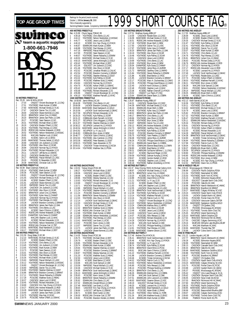| <b>TOP AGE GROUP TIMES</b>                                                                                                                                                                                                                                                                                                                                                                                                                                                                                                                                                                                                                                                                                                                                                                                                                                                                                                                                                                                                                                                                                                                                                                                                                                                                                                                                                                                                                                                                     | Rankings for the period (results received)<br>October 1, 1999 to January 28, 2000<br>TAG is financially supported by<br>Swimming/Natation Canada. Compiled by SWIMNEWS                                                                                                                                                                                                                                                                                                                                                                                                                                                                                                                                                                                                                                                                                                                                                                                                                                                                                                                                                                                                                                                                                                                                                                                                                                                                                                                                      | 1999 SHORT COURSE TAG®                                                                                                                                                                                                                                                                                                                                                                                                                                                                                                                                                                                                                                                                                                                                                                                                                                                                                                                                                                                                                                                                                                                                                                                                                                                                                                                                                                                                                                                                                                                               |                                                                                                                                                                                                                                                                                                                                                                                                                                                                                                                                                                                                                                                                                                                                                                                                                                                                                                                                                                                                                                                                                                                                                                                                                                                                                                                                                                                                                                                                                                          |
|------------------------------------------------------------------------------------------------------------------------------------------------------------------------------------------------------------------------------------------------------------------------------------------------------------------------------------------------------------------------------------------------------------------------------------------------------------------------------------------------------------------------------------------------------------------------------------------------------------------------------------------------------------------------------------------------------------------------------------------------------------------------------------------------------------------------------------------------------------------------------------------------------------------------------------------------------------------------------------------------------------------------------------------------------------------------------------------------------------------------------------------------------------------------------------------------------------------------------------------------------------------------------------------------------------------------------------------------------------------------------------------------------------------------------------------------------------------------------------------------|-------------------------------------------------------------------------------------------------------------------------------------------------------------------------------------------------------------------------------------------------------------------------------------------------------------------------------------------------------------------------------------------------------------------------------------------------------------------------------------------------------------------------------------------------------------------------------------------------------------------------------------------------------------------------------------------------------------------------------------------------------------------------------------------------------------------------------------------------------------------------------------------------------------------------------------------------------------------------------------------------------------------------------------------------------------------------------------------------------------------------------------------------------------------------------------------------------------------------------------------------------------------------------------------------------------------------------------------------------------------------------------------------------------------------------------------------------------------------------------------------------------|------------------------------------------------------------------------------------------------------------------------------------------------------------------------------------------------------------------------------------------------------------------------------------------------------------------------------------------------------------------------------------------------------------------------------------------------------------------------------------------------------------------------------------------------------------------------------------------------------------------------------------------------------------------------------------------------------------------------------------------------------------------------------------------------------------------------------------------------------------------------------------------------------------------------------------------------------------------------------------------------------------------------------------------------------------------------------------------------------------------------------------------------------------------------------------------------------------------------------------------------------------------------------------------------------------------------------------------------------------------------------------------------------------------------------------------------------------------------------------------------------------------------------------------------------|----------------------------------------------------------------------------------------------------------------------------------------------------------------------------------------------------------------------------------------------------------------------------------------------------------------------------------------------------------------------------------------------------------------------------------------------------------------------------------------------------------------------------------------------------------------------------------------------------------------------------------------------------------------------------------------------------------------------------------------------------------------------------------------------------------------------------------------------------------------------------------------------------------------------------------------------------------------------------------------------------------------------------------------------------------------------------------------------------------------------------------------------------------------------------------------------------------------------------------------------------------------------------------------------------------------------------------------------------------------------------------------------------------------------------------------------------------------------------------------------------------|
| swimco<br>$\infty$ team a aquatic supplies<br>1-800-661-7946<br>BOYS<br>11.12                                                                                                                                                                                                                                                                                                                                                                                                                                                                                                                                                                                                                                                                                                                                                                                                                                                                                                                                                                                                                                                                                                                                                                                                                                                                                                                                                                                                                  | <b>400 METRES FREESTYLE</b><br>Rec: 4:15.89 Chuck Sayao, TOMAC, 95<br>YOUTHDEC Chris Bento 12.LAC<br>4:39.18<br>YOUTHDEC Nelson Niedzielski, 12, MSSAC<br>2<br>4:44.12<br>3<br>4:45.77<br>KCSDEC Jesse Lund.12.EKSC<br>$\overline{4}$<br>4:46.10<br>KCSDEC Kris Yap-Chung, 12, HYACK<br>5<br>4:46.67<br>ESWIMJAN Mark Kurtzer, 12, NEW<br>6<br>YOUTHDEC Paul Mereau, 12, CASC<br>4:46.88<br>RAPIDDEC Pascal Wollach, 12, LASC<br>$\overline{7}$<br>4:47.16<br>PCSCDEC Sean Dawson, 12, GO<br>8<br>4:47.69<br>$\mathsf{Q}$<br>YOUTHDEC Steven Rubacha, 11, ESWIM<br>4:48.07<br>10<br>4:49.53<br>MANTADEC Michael Smela, 12, YLSC<br>4:50.15<br>MANTADEC James McKnight, 12, GOLD<br>11<br>YOUTHDEC Michael Allain, 12, BST<br>4:50.42<br>12<br>GOLDOCT Jim Judiesch, 12, CASC<br>13<br>4:51.04<br>4:51.46<br>YOUTHDEC Alex Olson, 12, SCAR<br>14<br>15<br>4:52.52<br>PCSCDEC Jonathan Rinaldi, 12, CALAC<br>4:52.54<br>PCSCDEC Brandon Connerty, 12, BRANT<br>16<br>YOUTHDEC Stephen Malinas, 12, GGST<br>17<br>4:53.22<br>YOUTHDEC Kyle Palfrey, 12, SCAR<br>PCSCDEC Matthew Scott, 12, HWAC<br>4:53.32<br>18<br>19<br>4:53.95<br>20<br>4:54.64<br>CASCNOV Norman Ng, 12, HYACK<br>21<br>4:54.75<br>PCSCDEC Kellan O'Neill, 12, SSMAC                                                                                                                                                                                                                                                                       | 100 METRES BREASTSTROKE<br>Matthew Huang, ARBU, 97<br>Rec: 1:07.51<br>CASCNOV Rodale Estor, 12, CASC<br>1:14.59<br>2<br>1:16.09<br>MANTADEC Michael Smela, 12, YLSC<br>3<br>RODSCJAN Andrew Malawski, 12, ROD<br>1:16.51<br>1:17.18<br>YOUTHDEC Bryan Mell, 11, NEW<br>4<br>5<br>1:17.93<br>CASCNOV Darren Tso, 12, LASC<br>1:17.97<br>YOUTHDEC Kyles Vara, 12, CHAMP<br>6<br>BRANTNOV James San Pedro, 12, OAK<br>$\overline{7}$<br>1:18.20<br>YOUTHDEC Alex Olson, 12, SCAR<br>8<br>1:19.19<br>YOUTHDEC Kyle Palfrey, 12, SCAR<br>9<br>1:19.48<br>CASCNOV Jésse Lund, 12, EKSC<br>10 <sup>10</sup><br>1:19.51<br>YOUTHDEC Chris Bento, 12, LAC<br>1:19.69<br>11<br>YOUTHDEC Bryn Jones, 12, NEW<br>1:20.00<br>12<br>CHAMPDEC Kyle Svara, 12, CHAMP<br>13<br>1:20.04<br>YOUTHDEC Jámie Ross, 12, AUROR<br>1:20.18<br>14<br>RAPIDDEC Geoffrey Chen, 12, RAPID<br>1:21.72<br>15<br>YOUTHDEC Steven Rubacha, 11, ESWIM<br>1:21.84<br>16<br>1:21.88<br>KCSDEC Brad Barton, 12, VKSC<br>17<br>18<br>1:21.95<br>LACNOV Brandon Connerty, 12, BRANT<br>19<br>1:22.17<br>PCSCDEC Marc-A. Duchesneau, 12, CAMO<br>1:22.35<br>PCSCDEC Philippe Grand'Maison, 12, CAMO<br>20<br>21<br>1:22.40<br>LACNOV Kevin Dickson, 12, GMAC                                                                                                                                                                                                                                                                                                                                | 200 METRES IND.MEDLEY<br>Rec: 2:17.55 Matthew Huang, ARBU, 97<br>KCSDEC Jesse Lund, 12, EKSC<br>2:28.09<br>2<br>2:28.33<br>KCSDEC Braden O'Neill, 12, OSC<br>3<br>2:29.35<br>CASCNOV Michael Smela, 12, YLSC<br>2:31.67<br>YOUTHDEC Kyle Palfrey, 12, SCAR<br>$\overline{4}$<br>5<br>2:32.41<br>YOUTHDEC Alex Olson, 12, SCAR<br>2:32.65<br>RAPIDDEC Darren Tso, 12, LASC<br>6<br>YOUTHDEC Mark Kurtzer, 12, NEW<br>2:33.07<br>7<br>YOUTHDEC Chris Bento, 12, LAC<br>8<br>2:33.71<br>YOUTHDEC Paul Mereau, 12, CASC<br>$\mathsf{Q}$<br>2:34.76<br>10<br>2:35.91<br>BRANTNOV Julian Cino, 12, HWAC<br>PCSCDEC Richard Zieba, 12, PCSC<br>11<br>2:36.63<br>12<br>2:36.76<br>RODSCJAN Andrew Malawski, 12, ROD<br>CASCNOV Norman Ng, 12, HYACK<br>13<br>2:37.12<br>RODSCJAN Alexander Love, 12, ROD<br>2:37.17<br>14<br>KCSDEC Leonard Ho, 12, HYACK<br>15<br>2:37.33<br>2:37.49<br>LACNOV Scott VanDoormaal, 12, GMAC<br>16<br>2:37.57<br>YOUTHDEC Rodale Estor, 12, CASC<br>17<br>18<br>2:37.74<br>PCSCDEC Kellan O'Neill, 12, SSMAC<br>YOUTHDEC Matthew Pariselli, 12, NYAC<br>19<br>2:38.03<br>YOUTHDEC Bryn Jones, 12, NEW<br>20<br>2:38.21<br>21<br>2:38.28<br>MACJAN Scott Samuel, 12, OAK                                                                                                                                                                                                                                                                                                           |
| 50 METRES FREESTYLE<br>Rec: 25.28 John M.Mills, GO, 93<br>27.03<br>CNQOCT Vincent Boulanger-M., 12, CNQ<br>YOUTHDEC Mark Kurtzer, 12, NEW<br>$\overline{2}$<br>27.51<br>MANTADEC Michael Smela, 12, YLSC<br>3<br>27.60<br>CASCNOV Darren Tso, 12, LASC<br>$\overline{4}$<br>27.67<br>5<br>28.00<br>CASCNOV Shane Kemmet, 12, LASC<br>28.10<br>BRANTNOV Julian Cino, 12, HWAC<br>6<br>BRANTNOV James San Pedro, 12, OAK<br>28.20<br>7<br>8<br>28.27<br>PCSCDEC Sean Dawson, 12, GO<br>9<br>28.31<br>YOUTHDEC Michael Allain, 12, BST<br>10<br>28.33<br>CASCNOV Braden O'Neill, 12, OSC<br>YOUTHDEC Paul Mereau, 12, CASC<br>11<br>28.34<br>12<br>28.35<br>RODSCJAN Andrew Malawski, 12, ROD<br>13<br>28.52<br>YOUTHDEC Nelson Niedzielski, 12, MSSAC<br>14<br>28.65<br>MACJAN Stephen Louli, 12, MAC<br>15<br>28.81<br>KCSDEC Aaron Loh, 12, EKSC<br>16<br>28.85<br>MANTADEC Thomas Seibel, 12, GOLD<br>17<br>28.90<br>CASCNOV Jim Judiesch, 12, CASC<br>18<br>28.94<br>YOUTHDEC Alex Olson, 12, SCAR<br>19<br>CASCNOV Norman Ng, 12, HYACK<br>28.99<br>20<br>29.04<br>YOUTHDEC Richard Alexander, 12, IS<br>21<br>29.11<br>LUSCOCT Jeff Byrne, 12, SSMAC<br>22<br>29.12<br>CASCNOV Rodale Estor, 12, CASC<br>23<br>29.17<br>RAPIDDEC Pascal Wollach, 12, LASC                                                                                                                                                                                                                                  | LACNOV Scott VanDoormaal, 12, GMAC<br>22<br>4:55.42<br>YOUTHDEC Richard Alexander, 12, IS<br>23<br>4:55.58<br>24<br>4:55.99<br>CNQOCT Vincent Boulanger-M., 12, CNQ<br>25<br>4:56.10<br>YOUTHDEC Matthew Pariselli, 12, NYAC<br><b>1500 METRES FREESTYLE</b><br>Jamie White, LAC, 90<br>Rec: 16:58.85<br>YOUTHDEC Chris Bento, 12, LAC<br>18:44.08<br>1<br>$\overline{2}$<br>19:09.08<br>LACNOV Brandon Connerty, 12, BRANT<br>3<br>19:09.80<br>MANTADEC Brad Hankewich, 12, GOLD<br>LACNOV Scott VanDoormaal, 12, GMAC<br>$\overline{4}$<br>19:10.56<br>5<br>19:27.58<br><b>ISCUPNOV Richard Alexander.12.IS</b><br>19:29.25<br>YOUTHDEC Kyle Palfrey, 12, SCAR<br>6<br>COBRAJAN Mark Pariselli, 14, NYAC<br>19:31.22<br>7<br>19:31.27<br>ISCUPNOV Chris Wiggans, 11, PDSA<br>8<br>9<br>19:31.97<br>YOUTHDEC Stephen Malinas, 12, GGST<br>10 19:38.22<br>ISCUPNOV Leonard Ho, 12, HYACK<br>MANTADEC James McKnight, 12, GOLD<br>11 19:40.54<br>ISCUPNOV Lu Yi Lay, 12, IŠ<br>12 19:42.82<br>COBRAJAN Bryn Jones, 12, NEW<br>13 19:46.83<br>CASCNOV Gavin D'Amico, 12, EKSC<br>14 19:48.77<br>YOUTHDEC Alex Cambreri, 11, CPAC<br>15 19:52.63<br>16 19:53.36<br>MEGADEC Peter Bastedo, 11, GGST<br>17 19:59.15<br>YOUTHDEC Sean Alexander, 12, TD<br>CASCNOV Tristan Armstrong, 12, NCSA<br>18 20:00.01<br>19 20:14.64<br>YOUTHDEC Matthew Sze, 11, PDSA                                                                                                                                                    | 1:22.48<br>PICKDEC Stephen Louli, 12, MAC<br>22<br>KCSDEC Nathan Chernoff, 12, HYACK<br>23<br>1:23.36<br>24<br>1:23.52<br>CNQOCT Luc Pepin,27,CNQ<br>ESWIMJAN Daniel Baier, 11, COBRA<br>25<br>1:23.64<br><b>200 METRES BREASTSTROKE</b><br>Matthew Huang, ARBU, 97<br>Rec: 2:26.87<br>CASCNOV Rodale Estor 12, CASC<br>2:44.31<br>1<br>$\overline{2}$<br>2:44.39<br>MANTADEC Michael Smela, 12, YLSC<br>3<br>2:46.43<br>ESWIMJAN Bryan Mell, 11, NEW<br>YOUTHDEC Kyles Vara, 12, CHAMP<br>2:46.93<br>4<br>5<br>2:48.52<br>BRANTNOV James San Pedro, 12, OAK<br>2:49.17<br>BRANTNOV Chris Bento.11.LAC<br>6<br>2:49.66<br>YOUTHDEC Alex Olson, 12, SCAR<br>7<br>2:49.85<br>YOUTHDEC Bryn Jones, 12, NEW<br>8<br>9<br>2:50.07<br>RAPIDDEC Darren Tso, 12, LASC<br>2:50.12<br>10<br>RODSCJAN Andrew Malawski, 12, ROD<br>2:52.73<br>RAPIDDEC Geoffrey Chen, 12, RAPID<br>11<br>YOUTHDEC Kyle Palfrey, 12, SCAR<br>2:54.87<br>12<br>2:55.02<br>PCSCDEC Brandon Connerty, 12, BRANT<br>13<br>2:55.75<br>YOUTHDEC Yann Peeters, 12, UNATT<br>14<br>2:56.08<br>YOUTHDEC Jamie Ross, 12, AUROR<br>15<br>2:56.26<br>PCSCDEC Philippe Grand'Maison, 12, CAMO<br>16<br>ESWIMJAN Daniel Baier, 11, COBRA<br>2:57.11<br>17<br>2:57.83<br>CNMNJAN Etienne Beauchamp, 11, CNMN<br>18<br>2:58.80<br>KCSDEC Brad Barton, 12, VKSC<br>19<br>2:59.31<br>20<br>CNMNJAN Guillaume Vallieres-L., 11, CNSJ<br>2:59.37<br>KCSDEC Raymond Rieger, 12, KSC<br>21<br>22<br>YOUTHDEC Damian Kurtyka,12,NYAC<br>2:59.59                                                          | PICKDEC Nelson Niedzielski, 12, MSSAC<br>22<br>2:38.61<br>RAPIDDEC Pascal Wollach, 12, LASC<br>23<br>2:39.14<br>ESWIMJAN Bryan Mell, 11, NEW<br>24<br>2:39.25<br>KCSDEC Gavin D'Amico, 12, EKSC<br>25<br>2:39.36<br>400 METRES IND. MEDLEY<br>Rec: 4:52.13 Keith Barrett, UCSC, 94<br>YOUTHDEC Kyle Palfrey, 12, SCAR<br>5:18.36<br>YOUTHDEC Chris Bento, 12, LAC<br>$\overline{2}$<br>5:19.11<br>5:19.62<br>MANTADEC Michael Smela, 12, YLSC<br>3<br>5:19.79<br>KCSDEC Jesse Lund.12.EKSC<br>$\overline{4}$<br>PCSCDEC Brandon Connerty, 12, BRANT<br>.5<br>5:25.82<br>5:27.32<br>YOUTHDEC Mark Kurtzer, 12, NEW<br>6<br>5:28.47<br>YOUTHDEC Matthew Pariselli, 12, NYAC<br>5:29.11<br>ESWIMJAN Nelson Niedzielski, 12, MSSAC<br>8<br>5:29.34<br>PCSCDEC Richard Zieba, 12, PCSC<br>9<br>10<br>5:30.61<br>CASCNOV Norman Ng, 12, HYACK<br>PCSCDEC Kellan O'Neill, 12, SSMAC<br>5:31.23<br>11<br>KCSDEC Richard Alexander, 12, IS<br>5:32.50<br>12<br>5:34.28<br>RAPIDDEC Pascal Wollach, 12, LASC<br>13<br>BRANTNOV Scott VanDoormaal, 12, GMAC<br>5:34.38<br>14<br>KCSDEC Tristan Armstrong, 12, NCSA<br>5:34.90<br>15<br>YOUTHDEC Steven Rubacha, 11, ESWIM<br>5:36.84<br>16<br>YOUTHDEC Patrick Cuch, 11, TSC<br>5:37.99<br>17<br>CASCNOV Rodale Estor, 12, CASC<br>5:39.04<br>18<br>ESWIMJAN Bryan Mell, 11, NEW<br>5:39.37<br>19<br>ISCUPNOV Leonard Ho, 12, HYACK<br>5:39.59<br>20<br>21<br>5:39.90<br>PCSCDEC Philippe Noelting, 12, ESWIM<br>22<br>5:40.90<br>RODSCJAN Andrew Malawski, 12, ROD |
| 24<br>PICKDEC B. Beaudette, 12, ROC<br>29.33<br>25<br>29.39<br>MANTADEC Christian Carl, 12, TBT<br><b>100 METRES FREESTYLE</b><br>Rec: 55.99 Brad Creelman, TOMAC, 83<br>YOUTHDEC Mark Kurtzer, 12, NEW<br>1:00.14<br>$\overline{2}$<br>PCSCDEC Sean Dawson, 12, GO<br>1:00.36<br>3<br>CNQOCT Vincent Boulanger-M., 12, CNQ<br>1:00.81<br>CASCNOV Michael Smela, 12, YLSC<br>4<br>1:01.55<br>5<br>1:01.86<br>KCSDEC Braden O'Neill.12.0SC<br>1:01.91<br>LASCNOV Shane Kemmet, 12, LASC<br>6<br>1:01.92<br>RAPIDDEC Darren Tso, 12, LASC<br>7<br>1:01.99<br>CASCNOV Jim Judiesch, 12, CASC<br>8<br>9<br>1:02.33<br>YOUTHDEC Alex Olson, 12, SCAR<br>10<br>BRANTNOV Julian Cino, 12, HWAC<br>1:02.62<br>11<br>1:02.65<br>YOUTHDEC Kyles Vara, 12, CHAMP<br>12.<br>1:02.81<br>CASCNOV Norman Ng, 12, HYACK<br>13<br>1:02.97<br>YOUTHDEC Paul Mereau, 12, CASC<br>LACNOV Brandon Connerty, 12, BRANT<br>14<br>1:03.28<br>15<br>1:03.38<br>BRANTNOV James San Pedro, 12, OAK<br>1:03.38<br>YOUTHDEC Chris Bento, 12, LAC<br>16<br>17<br>1:03.41<br>KCSDEC Gavin D'Amico, 12, EKSC<br>1:03.52<br>RODSCJAN Andrew Malawski, 12, ROD<br>18<br>19<br>1:03.53<br>CHAMPDEC Kyle Svara, 12, CHAMP<br>MACJAN Stephen Louli, 12, MAC<br>20<br>1:03.56<br>KCSDEC Richard Alexander, 12, IS<br>21<br>1:03.79<br>YOUTHDEC Nelson Niedzielski, 12, MSSAC<br>22<br>1:03.84<br>23<br>1:03.86<br>RODSCJAN Christian Carl, 12, TBT<br>24<br>MANTADEC Brad Hankewich, 12, GOLD<br>1:03.91                             | <b>100 METRES BACKSTROKE</b><br>Rec: 1:03.53 Tobias Oriwol, PCSC, 98<br>YOUTHDEC Michael Allain, 12, BST<br>1<br>1:08.27<br>$\overline{2}$<br>1:08.36<br>CASCNOV Jesse Lund, 12, EKSC<br>3<br>1:08.68<br>KCSDEC Braden O'Neill, 12, OSC<br>1:09.96<br>YOUTHDEC Wesley Newman, 12, CAC<br>4<br>5<br>YOUTHDEC Richard Alexander, 12, IS<br>1:10.63<br>6<br>1:10.68<br>CNQOCT Vincent Boulanger-M., 12, CNQ<br>VKSCNOV Brad Barton.12.VKSC<br>1:10.71<br>8<br>1:10.86<br>RAPIDDEC Pascal Wollach, 12, LASC<br>YOUTHDEC Stephen Malinas, 12, GGST<br>9<br>1:11.24<br>PCSCDEC Brandon Connerty, 12, BRANT<br>10<br>1:11.24<br>BRANTNOV Steven Rubacha, 11, ESWIM<br>11<br>1:11.56<br>12<br>1:12.03<br>YOUTHDEC Alex Olson, 12, SCAR<br>13<br>1:12.14<br>LACNOV Scott VanDoormaal, 12, GMAC<br>14<br>1:12.20<br>CASCNOV Michael Smela, 12, YLSC<br>15<br>1:12.31<br>MACJAN Scott Samuel, 12, OAK<br>BRANTNOV Matthew Scott, 12, HWAC<br>1:12.42<br>16<br>RODSCJAN Christian Carl, 12, TBT<br>1:12.48<br>17<br>YOUTHDEC Mark Kurtzer, 12, NEW<br>1:12.68<br>18<br>ESWIMJAN Nelson Niedzielski, 12, MSSAC<br>19<br>1:13.08<br>YOUTHDEC Paul Mereau, 12, CASC<br>20<br>1:13.39<br>MANTADEC Lee Grant, 11, UCSC<br>PCSCDEC Kevin Jones, 11, OAK<br>RAPIDDEC Darren Tso, 12, LASC<br>21<br>1:13.41<br>22<br>1:13.52<br>23<br>1:13.57<br>24<br>1:13.73<br>LACNOV James San Pedro, 12, OAK                                                                                                                               | 23<br>2:59.67<br>KCSDEC Gordon Nuttall, 12, VKSC<br>24<br>2:59.90<br>PICKDEC Stephen Louli, 12, MAC<br>25<br>3:00.18<br>YOUTHDEC Nathan Zonenberg, 12, NYAC<br>100 METRES BUTTERFLY<br>Rec: 1:02.37 Drew Chorney, TMSC, 91/Michael Calkins, IS, 91<br>CASCNOV Michael Smela, 12, YLSC<br>1:08.97<br>1.<br>1:09.76<br>BRANTNOV Julian Cino, 12, HWAC<br>2<br>3<br>KCSDEC Kris Yap-Chung, 12, HYACK<br>1:10.20<br>1:10.89<br>PCSCDEC David Milot, 12, PCSC<br>4<br>5<br>YOUTHDEC Lu Yi Lay, 12, IS<br>1:11.21<br>KCSDEC Braden O'Neill.12.0SC<br>6<br>1:11.52<br>MACJAN Stephen Louli, 12, MAC<br>7<br>1:11.63<br>8<br>1:12.05<br>LASCNOV Shane Kemmet, 12, LASC<br>9<br>1:12.18<br>BRANTNOV_Scott VanDoormaal.12.GMAC<br>10 <sup>10</sup><br>YOUTHDEC Kyle Palfrey, 12, SCAR<br>1:12.39<br>YOUTHDEC Matthew Pariselli, 12, NYAC<br>11<br>1:13.14<br>12<br>1:13.16<br>TSCJAN Patrick Cuch, 11, TSC<br>13<br>1:13.20<br>CNQOCT Vincent Boulanger-M., 12, CNQ<br>YOUTHDEC Nelson Niedzielski, 12, MSSAC<br>1:13.22<br>14<br>CNMNJAN Mathieu Bois, 11, HIPPO<br>1:13.24<br>15<br>YOUTHDEC Alex Olson, 12, SCAR<br>1:13.36<br>16<br>1:13.49<br>KCSDEC Jesse Lund, 12, EKSC<br>17<br>CASCNOV Tyson Larone, 12, EKSC<br>1:14.03<br>18<br>PCSCDEC Felix Renaud, 12, CNB<br>1:14.07<br>19<br>1:14.14<br>YOUTHDEC Richard Alexander, 12, IS<br>20<br>21<br>1:14.28<br>CASCNOV Norman Ng, 12, HYACK<br>MACJAN Scott Samuel, 12, OAK<br>1:14.38<br>22<br>1:14.71<br>23<br>PCSCDEC Philippe Noelting, 12, ESWIM<br>YOUTHDEC Paul Mereau, 12, CASC<br>1:14.91<br>24 | 23<br>5:41.26<br>YOUTHDEC Bryn Jones, 12, NEW<br>KCSDEC Krís Yap-Chung, 12, HYACK<br>24<br>5:42.38<br>RAPIDDEC Davor Isic, 11, PDSA<br>25<br>5:42.52<br>4X50 M MEDLEY RELAY<br>Rec: 2:05.03 Mississauga AC, TOMAC, 92<br>CDSCNOV Pacific Dolphins, PDSA<br>2:06.99<br>-1<br>$\overline{2}$<br>2:11.54<br>YOUTHDEC Newmarket SC, NEW<br>YOUTHDEC North York AC, NYAC<br>3<br>2:15.03<br>KCSDEC Edmonton Keyano, EKSC<br>$\overline{A}$<br>2:15.15<br>5<br>2:15.96<br>GOLDOCT Cascade Swim Club, CASC<br>PCSCDEC Oakville AC, OAK<br>6<br>2:16.59<br>BRANTNOV Hamilt-Wentworth AC, HWAC<br>2:16.98<br>8<br>2:18.84<br>BRANTNOV Brantford AC, BRANT<br>2:19.27<br>MANTADEC Calgary Killarney SC, KSC<br>9<br>10<br>2:20.24<br>CDSCNOV Hyack Swim Club, HYACK<br>2:20.55<br>LACNOV Guelph Marlin AC, GMAC<br>11<br>12<br>2:20.61<br>PCSCDEC Pointe Claire SC, PCSC<br>13<br>2:21.26<br>CDSCNOV Vancouver Gators, GATOR<br>MANTADEC Saskatoon Goldfins, GOLD<br>14<br>2:21.59<br>CNQOCT CN Quebec, CNQ<br>15<br>2:21.81<br>PICKDEC Mississauga AC, MSSAC<br>16<br>2:23.78<br>YOUTHDEC Toronto Swim Club, TSC<br>2:24.13<br>17<br>2:25.45<br><b>ISCUPNOV Island Swimming, IS</b><br>18<br>2:25.53<br>MANTADEC Selkirk Dolphins, SD<br>19<br>2:27.54<br>RHACNOV Richmond Hill AC, RHAC<br>20<br>CASCDEC Calgary Swimming, UCSC<br>WLBFJAN Williams Lake Bluefins, WLBF<br>21<br>2:27.55<br>2:29.16<br>22<br>23<br>2:29.25<br>MACJAN Markham AC, MAC<br>24<br>2:30.66<br>MANTADEC Thunder Bay, TBT               |
| 25<br>YOUTHDEC Michael Allain, 12, BST<br>1:04.17<br>200 METRES FREESTYLE<br>Rec: 2:01.59 Doug Wake, YLSC, 90<br>MANTADEC Michael Smela, 12, YLSC<br>2:12.10<br>$\overline{2}$<br>KCSDEC Braden O'Neill, 12, OSC<br>2:12.87<br>3<br>YOUTHDEC Chris Bento, 12, LAC<br>2:13.19<br>2:13.45<br>YOUTHDEC Jim Judiesch, 12, CASC<br>4<br>5<br>2:13.55<br>YOUTHDEC Mark Kurtzer, 12, NEW<br>PCSCDEC Sean Dawson, 12, GO<br>6<br>2:13.73<br>$\overline{7}$<br>YOUTHDEC Alex Olson, 12, SCAR<br>2:15.01<br>YOUTHDEC Paul Mereau, 12, CASC<br>8<br>2:15.04<br>YOUTHDEC Michael Allain, 12, BST<br>9<br>2:15.35<br>10<br>2:15.63<br>RAPIDDEC Pascal Wollach, 12, LASC<br>2:16.12<br>YOUTHDEC Nelson Niedzielski, 12, MSSAC<br>11<br>CNQOCT Vincent Boulanger-M., 12, CNQ<br>12<br>2:16.60<br>RAPIDDEC Darren Tso, 12, LASC<br>13<br>2:16.60<br>YOUTHDEC Stephen Malinas, 12, GGST<br>14<br>2:16.85<br>15<br>2:16.86<br>BRANTNOV Brandon Connerty, 12, BRANT<br>YOUTHDEC Steven Rubacha, 11, ESWIM<br>16<br>2:17.11<br>PCSCDEC Matthew Scott, 12, HWAC<br>17<br>2:17.29<br>18<br>2:18.37<br>CASCNOV Jesse Lund, 12, EKSC<br>19<br>2:18.45<br>YOUTHDEC Richard Alexander, 12, IS<br>2:18.69<br>CASCNOV Kris Yap-Chung, 12, HYACK<br>20<br>2:19.27<br>RODSCJAN Andrew Malawski, 12, ROD<br>21<br>22<br>2:19.28<br>MANTADEC Brad Hankewich, 12, GOLD<br>LACNOV James San Pedro, 12, OAK<br>23<br>2:19.40<br>YOUTHDEC Max Kan, 12, NYAC<br>24<br>2:19.75<br>25<br>2:19.76<br>PCSCDEC Kellan O'Neill, 12, SSMAC | 25<br>1:13.89<br>LASCNOV Shane Kemmet, 12, LASC<br><b>200 METRES BACKSTROKE</b><br>Rec: 2:14.05 Tobias Oriwol, PCSC, 98<br>YOUTHDEC Michael Allain, 12, BST<br>2:26.75<br>1<br>$\overline{2}$<br>2:26.79<br>KCSDEC Braden O'Neill, 12, OSC<br>$\mathbf{3}$<br>2:28.85<br>YOUTHDEC Richard Alexander, 12, IS<br>$\overline{4}$<br>2:29.74<br>ESWIMJAN Mark Kurtzer, 12, NEW<br>5<br>YOUTHDEC Stephen Malinas, 12, GGST<br>2:29.94<br>PCSCDEC Brandon Connerty, 12, BRANT<br>6<br>2:30.67<br>YOUTHDEC Wesley Newman, 12, CAC<br>7<br>2:30.87<br>8<br>2:31.20<br>PCSCDEC Matthew Scott, 12, HWAC<br>9<br>2:32.50<br>CASCNOV Jesse Lund, 12, EKSC<br>KCSDEC Brad Barton, 12, VKSC<br>10<br>2:32.85<br>2:33.06<br>11<br>MACJAN Scott Samuel, 12, OAK<br>12<br>2:33.59<br>RAPIDDEC Pascal Wollach, 12, LASC<br>13<br>2:34.36<br>CASCNOV Michael Smela, 12, YLSC<br>2:34.99<br>BRANTNOV Scott VanDoormaal, 12, GMAC<br>14<br>15<br>2:35.13<br>MANTADEC James McKnight, 12, GOLD<br>2:35.63<br>PCSCDEC Kevin Jones, 11, OAK<br>16<br>2:35.64<br>BRANTNOV Steven Rubacha, 11, ESWIM<br>17<br>2:35.92<br>ESWIMJAN Chris Bento, 12, LAC<br>18<br>ESWIMJAN Donald Ellison, 12, NEW<br>19<br>2:37.32<br>MANTADEC Lee Grant, 11, UCSC<br>20<br>2:37.46<br>CASCNOV Kris Yap-Chung, 12, HYACK<br>21<br>2:38.64<br>LUSCOCT Jeff Byrne, 12, SSMAC<br>22<br>2:38.66<br>23<br>KCSDEC Brent Carter, 12, OSC<br>2:38.71<br>24<br>2:39.30<br>RODSCJAN Christian Carl, 12, TBT<br>PCSCDEC Brandon Holden, 12, HWAC<br>25<br>2:39.82 | MANTADEC Graeme Gibson, 12, KSC<br>25<br>1:15.66<br>200 METRES BUTTERFLY<br>Rec: 2:17.46 Andrew Cho, HYACK, 91<br>BRANTNOV Scott VanDoormaal, 12, GMAC<br>2:35.41<br>1<br>KCSDEC Kris Yap-Chung, 12, HYACK<br>$\overline{2}$<br>2:35.46<br>3<br>YOUTHDEC Lu Yi Lay, 12, IS<br>2:38.60<br>YOUTHDEC Kyle Palfrey, 12, SCAR<br>$\overline{4}$<br>2:38.74<br>BRANTNOV David Milot, 12, PCSC<br>5<br>2:39.55<br>EKSCJAN Gavin D'Amico, 12, EKSC<br>2:40.61<br>6<br>YOUTHDEC Matthew Pariselli, 12, NYAC<br>$\overline{1}$<br>2:41.22<br>8<br>2:41.98<br>LACNOV Brandon Connerty, 12, BRANT<br>9<br>KCSDEC Tristan Armstrong, 12, NCSA<br>2:43.46<br>10<br>2:44.52<br>YOUTHDEC Patrick Cuch, 11, TSC<br>2:44.63<br>YOUTHDEC Nelson Niedzielski, 12, MSSAC<br>11<br>2:45.90<br>PCSCDEC Felix Renaud, 12, CNB<br>12<br>PCSCDEC Philippe Noelting, 12, ESWIM<br>2:46.14<br>13<br>2:46.15<br>BRANTNOV Chris Bento, 11, LAC<br>14<br>2:46.26<br>ESWIMJAN Mehmet Dinc, 12, COBRA<br>15<br>2:47.09<br>MACJAN Scott Samuel, 12, OAK<br>16<br>2:47.51<br>ESWIMJAN John Lukovich, 12, COBRA<br>17<br>MANTADEC Graeme Gibson, 12, KSC<br>2:48.63<br>18<br>GOLDOCT Michael Smela, 12, YLSC<br>2:49.19<br>19<br>2:49.20<br>KCSDEC Leonard Ho, 12, HYACK<br>20<br>2:49.81<br>MANTADEC Brad Hankewich, 12, GOLD<br>21<br>PCSCDEC Adam Eilath, 12, RHAC<br>22<br>2:50.80<br>YOUTHDEC Viktor Verblac, 11, YORK<br>23<br>2:51.24<br>24<br>2:51.26<br>EKSCJAN Matthew Kunyk, 12, EKSC<br>25 2:51.44<br>ESWIMJAN Mark Kurtzer, 12, NEW                                         | 2:30.99<br>LACNOV Cobra Swim Club, COBRA<br>25<br>4X50 M FREE RELAY<br>Rec: 1:51.22 London Aquatic, LAC, 88<br>BRANTNOV Hamilt-Wentworth AC, HWAC<br>1:57.77<br>-1<br>$\overline{2}$<br>1:59.28<br>KCSDEC Edmonton Keyano, EKSC<br>YOUTHDEC Newmarket SC, NEW<br>3<br>1:59.99<br>CASCNOV Cascade Swim Club, CASC<br>2:00.13<br>$\overline{4}$<br>5<br>2:00.44<br>BRANTNOV Oakville AC, OAK<br>MANTADEC Saskatoon Goldfins, GOLD<br>2:00.68<br>6<br>2:00.88<br>YOUTHDEC North York AC, NYAC<br>7<br>8<br>2:00.97<br>PCSCDEC Brantford AC, BRANT<br>9<br>2:02.70<br>CNQOCT CN Quebec, CNQ<br>10<br>2:03.11<br>CDSCNOV Hyack Swim Club, HYACK<br>MANTADEC Calgary Killarney SC, KSC<br>11<br>2:03.24<br>12<br>2:03.75<br>PCSCDEC Pointe Claire SC, PCSC<br>2:03.98<br>LACNOV Guelph Marlin AC, GMAC<br>13<br>PICKDEC Mississauga AC, MSSAC<br>14<br>2:05.37<br>15<br>2:05.42<br>CNQOCT Univ.Laval Rouge & Or,UL<br>2:05.62<br>CASCNOV Olympian Swim Club, OSC<br>16<br>CASCNOV Nose Creek SA, NCSA<br>2:06.05<br>17<br>RHACNOV Richmond Hill AC, RHAC<br>18<br>2:07.03<br>ISCUPNOV Island Swimming, IS<br>19<br>2:07.60<br>YOUTHDEC Pacific Dolphins, PDSA<br>20<br>2:08.35<br>MANTADEC Selkirk Dolphins, SD<br>21<br>2:08.95<br>PCSCDEC Beaconsfield Bluefins, BBF<br>22<br>2:08.99<br>CASCDEC Calgary Swimming, UCSC<br>23<br>2:09.07<br>YOUTHDEC Toronto Swim Club, TSC<br>24<br>2:09.60<br>PGBNOV Points North SC, PN<br>25<br>2:09.84                                                                  |

**SWIM**NEWS JANUARY 2000 23

 $\epsilon$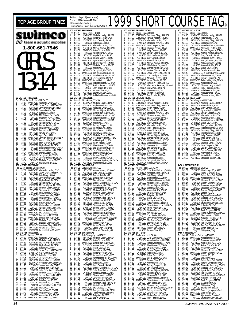|                                                                                                                                                                        | Rankings for the period (results received)<br>October 1, 1999 to January 28, 2000                                                                                            |                                                                                                                                                                            |                                                                                                                                                                                             |
|------------------------------------------------------------------------------------------------------------------------------------------------------------------------|------------------------------------------------------------------------------------------------------------------------------------------------------------------------------|----------------------------------------------------------------------------------------------------------------------------------------------------------------------------|---------------------------------------------------------------------------------------------------------------------------------------------------------------------------------------------|
| <b>TOP AGE GROUP TIMES</b>                                                                                                                                             | TAG is financially supported by<br>Swimming/Natation Canada. Compiled by SWIMNEWS                                                                                            | 1999 SHORT COURSE TAG®                                                                                                                                                     |                                                                                                                                                                                             |
|                                                                                                                                                                        | <b>400 METRES FREESTYLE</b>                                                                                                                                                  | 100 METRES BREASTSTROKE                                                                                                                                                    | 200 METRES IND.MEDLEY                                                                                                                                                                       |
| swimco                                                                                                                                                                 | Rec: 4:14.43 Elissa Purvis, CDSC, 85<br>4:22.80<br>RAPIDDEC Michelle Landry, 14, PDSA<br>4:25.67                                                                             | Rec: 1:08.64 Allison Higson, ESC, 88<br>EDMONNOV Courtenay Chuy, 14, HYACK<br>1:12.95<br>1<br>EDMONNOV Tamara Wagner, 14, TORCH<br>$\overline{2}$<br>1:13.03               | Rec: 2:16.79 Allison Higson, ESC, 87<br>RAPIDDEC Michelle Landry, 14, PDSA<br>2:20.10<br>ONTSRNOV Kathy Siuda, 14, ROW<br>$\overline{2}$<br>2:23.31                                         |
| $\infty$ team a aquatic supplies                                                                                                                                       | <b>NATIFIED Hayley Doody, 14, CASC<br/>YOUTHDEC Carly Cermak, 14, CAJ<br/>PCSCDEC Kate Plyley, 14, 04K</b><br>4:28.41<br>3<br>4:29.60<br>-4                                  | $\overline{3}$<br>CASCNOV Alexandra Lys, 14, UCSC<br>1:14.36<br>BRANTNOV Stephanie Arthur, 14, PCSC<br>$\overline{4}$<br>1:14.92                                           | 3<br>ISCUPNOV Courtenay Chuy, 14, HYACK<br>YOUTHDEC Sarah Gault, 14, CAC<br>2:23.58<br>2:24.62<br>4                                                                                         |
| 1-800-661-7946                                                                                                                                                         | MANTADEC Alexandra Lys, 14, UCSC<br>.5<br>4:30.15<br>YOUTHDEC Monica Wejman, 14, ESWIM<br>4:30.46<br>6                                                                       | MANTADEC Norah Vogan, 14, GPP<br>YOUTHDEC Shannon Kryhul, 14, LAC<br>5<br>1:15.14<br>6<br>1:15.27                                                                          | 5<br>2:24.85<br>ONTSRNOV Amanda Gillespie, 14, PERTH<br>MANTADEC Alexandra Lys, 14, UCSC<br>2:24.97<br>6                                                                                    |
|                                                                                                                                                                        | 4:30.51<br>BRANTNOV Kathy Siuda, 14, ROW<br>8<br>4:33.57<br>KCSDEC Andrea Baird, 14, RDCSC<br>9<br>4:33.99                                                                   | KCSDEC Kelly Timmons, 13, OSC<br>7<br>1:15.41<br>8<br>1:15.51<br>BRANTNOV Brittany Segeren, 13, SKY<br>KCSDEC Christine Barton, 14, VKSC<br>9<br>1:15.57                   | 2:26.19<br>PICKDEC Tamara Wagner, 14, TORCH<br>7<br>8<br>2:26.20<br>YOUTHDEC Monica Wejman, 14, ESWIM<br>YOUTHDEC Carly Cermak, 14, CAJ<br>PCSCDEC Stephanie Kuhn, 14, TMSC<br>9<br>2:26.47 |
| GIRLS                                                                                                                                                                  | PCSCDEC Angela Sloan, 14, PCSC<br>YOUTHDEC Sheena Martin, 14, TORCH<br>10<br>4:34.49<br>4:34.70<br>MANTADEC Lynette Bayliss, 14, UCSC<br>11                                  | 10 <sup>10</sup><br>YOUTHDEC Carly Cermak, 14, CAJ<br>1:16.16<br>BRANTNOV Kathy Siuda, 14, ROW<br>1:16.25<br>11                                                            | 10<br>2:26.71<br>2:26.75<br>YOUTHDEC Evangeline Blais, 14, CASC<br>11                                                                                                                       |
|                                                                                                                                                                        | RAPIDDEC Chelsey Burnett, 14, NRST<br>12<br>4:35.46<br>GOLDOCT Michelle Cove, 14, RDCSC<br>13<br>4:36.72                                                                     | 12<br>1:16.74<br>YOUTHDEC Monica Wejman, 14, ESWIM<br>KCSDEC Mila Zvijerác, 14, HYACK<br>13<br>1:16.86                                                                     | KCSDEC Mila Zvijerac, 14, HYACK<br>12<br>2:27.36<br>KCSDEC Andrea Baird, 14, RDCSC<br>13<br>2:28.37                                                                                         |
|                                                                                                                                                                        | KCSDEC Marla May, 14, KCS<br>14<br>4:37.22<br>15<br>4:37.71<br>ISCUPNOV Jenny Lock, 14, COMOX<br>MANTADEC Leslie Lappalainen, 13, TBT<br>4:37.87                             | YOUTHDEC Evangeline Blais, 14, CASC<br>1:17.02<br>14<br>PCSCDEC Heather Chance, 14, PCSC<br>15<br>1:17.23<br>1:17.39                                                       | YOUTHDEC Callan Gault, 14, TSC<br>14<br>2:28.67<br>15<br>2:29.10<br>BRANTNOV Jane Wilkinson, 14, SKY<br>16                                                                                  |
|                                                                                                                                                                        | 16<br>YOUTHDEC Natalie Lacoste, 14, MSSAC<br>4:38.07<br>17<br>4:38.32<br>RAPIDDEC Jaimie Graham, 14, PDSA<br>18                                                              | YOUTHDEC Jackie Chan, 14, MSSAC-TO<br>16<br>1:17.49<br>CNMNJAN Joan Darsigny, 14, CNSH<br>17<br>MANTADEC Meredith St.John, 14, USC<br>1:17.70<br>18                        | 2:29.48<br>PCSCDEC Julia Guay-Racine, 13, CAMO<br>BRANTNOV Blair Holmes, 13, COBRA<br>2:29.68<br>17<br>YOUTHDEC Brittany Cooper, 13, LAC<br>18<br>2:29.85                                   |
| 13-14                                                                                                                                                                  | 19<br>4:38.49<br>MANTADEC Krista Haslund, 13, ROD<br>4:38.97<br>MANTADEC Rebecca Haight, 14, BROCK<br>20                                                                     | 19<br>1:17.86<br>YOUTHDEC Kristin Cloutier, 13, CAJ<br>1:18.06<br>CASCNOV Kimberley Hirsch, 14, STSC<br>20                                                                 | 19<br>2:30.41<br>MANTADEC Rebecca Haight, 14, BROCK<br>20<br>2:30.79<br>MANTADEC Meg Fracke, 14, USC                                                                                        |
|                                                                                                                                                                        | 4:39.63<br>CNQOCT Patricia Perreault, 13, CNCB<br>21<br>4:39.68<br>22<br>CNQOCT Joan Bernier, 14, CNCB<br>23<br>4:40.15<br>KCSDEC Brianne Cloak, 13, IS                      | PCSCDEC Alessandra Salvatore, 14, CAMO<br>21<br>1:18.25<br>RHACNOV Becky Payne, 14, RHAC<br>22<br>1:18.53<br>23<br>1:18.59                                                 | PCSCDEC Shannon Lang, 14, HWAC<br>2:30.91<br>21<br>22<br>2:30.99<br>GOLDOCT Kelly Timmons, 13, OSC<br>23<br>2:31.06                                                                         |
|                                                                                                                                                                        | 24<br>4:40.42<br>YOUTHDEC Laura Wise, 13, COBRA<br>25<br>PCSCDEC Kahla Walkinshaw, 14, HWAC<br>4:40.89                                                                       | YOUTHDEC Sarah Gault, 14, CAC<br>24<br>1:18.72<br>YOUTHDEC Kristen Yee, 14, BYST<br>25<br>GOLDOCT Erin Schaffer, 14, CASC<br>1:18.81                                       | RAPIDDEC Valerie Pomaizl, 13, NRST<br>24<br>2:31.07<br>CNQOCT Alex Lachance-F,14,UL<br>25<br>2:31.21<br>ESWIMJAN Shannon Kryhul, 14, LAC                                                    |
| 50 METRES FREESTYLE<br>Rec: 26.04 Kristin Topham, MANTA, 88                                                                                                            | 800 METRES FREESTYLE<br>Rec: 8:40.43 Elissa Purvis, CDSC, 86                                                                                                                 | 200 METRES BREASTSTROKE<br>Rec: 2:26.48<br>Allison Higson, ESC, 88                                                                                                         | 400 METRES IND.MEDLEY<br>Rec: 4:47.40<br>Carrie Burgoyne, MANTA, 96                                                                                                                         |
| MANTADEC Alexandra Lys, 14, UCSC<br>26.67<br>PCSCDEC Jackie Chan, 14, MSSAC-TO<br>2<br>26.94<br>3<br>YOUTHDEC Jennifer Porenta, 14, MMST<br>26.97                      | ISCUPNOV Michelle Landry, 14, PDSA<br>YOUTHDEC Hayley Doody, 14, CASC<br>9:01.74<br>$\overline{2}$<br>9:10.42<br>MANTADEC Alexandra Lys, 14, UCSC<br>3<br>9:17.25            | EDMONNOV Tamara Wagner, 14, TORCH<br>2:37.13<br>1<br>EDMONNOV Courtenay Chuy, 14, HYACK<br>$\overline{2}$<br>2:37.36<br>$_{3}$<br>MANTADEC Norah Vogan, 14, GPP<br>2:38.57 | ISCUPNOV Michelle Landry, 14, PDSA<br>4:57.26<br>-1<br>BRANTNOV Kathy Siuda, 14, ROW<br>$\overline{2}$<br>5:02.29<br>YOUTHDEC Carly Cermak, 14, CAJ<br>3<br>5:05.40                         |
| YOUTHDEC Sarah Gault, 14, CAC<br>$\overline{4}$<br>27.16<br>5<br>ONTSRNOV Kate Plyley, 14, OAK<br>27.39                                                                | YOUTHDEC Monica Wejman, 14, ESWIM<br>9:22.62<br>-4<br>9:27.13<br>MANTADEC Lynette Bayliss, 14, UCSC<br>5                                                                     | BRANTNOV Brittany Segeren, 13, SKY<br>$\overline{4}$<br>2:41.49<br>BRANTNOV Stephanie Arthur, 14, PCSC<br>5<br>2:41.56                                                     | MANTADEC Lynette Bayliss, 14, UCSC<br>YOUTHDEC Brittany Cooper, 13, LAC<br>5:05.75<br>4<br>5<br>5:08.68                                                                                     |
| RAPIDDEC Mila Zvijerac, 14, HYACK<br>27.42<br>6<br>$\overline{7}$<br>27.45<br>PCSCDEC Stephanie Kuhn, 14, TMSC                                                         | YOUTHDEC Natalie Lacoste, 14, MSSAC<br>9:30.36<br>6<br>MANTADEC Rebecca Haight, 14, BROCK<br>9:31.89<br>-7                                                                   | YOUTHDEC Shannon Kryhul, 14, LAC<br>2:41.57<br>6<br>$\overline{7}$<br>KCSDEC Christine Barton, 14, VKSC<br>2:41.80                                                         | MANTADEC Alexandra Lys, 14, UCSC<br>6<br>5:08.77<br>KCSDEC Andrea Baird, 14, RDCSC<br>$\overline{7}$<br>5:09.68                                                                             |
| PCSCDEC Andrea Shoust, 14, SSMAC<br>8<br>27.56<br>9<br>27.59<br>KCSDEC Andrea Baird, 14, RDCSC<br>10<br>27.66<br>MANTADEC Erin Kardash.14.MM                           | ISCUPNOV Chelsey Burnett, 14, NRST<br>8<br>9:34.10<br>ISCUPNOV Marla May, 13, KCS<br>9<br>9:34.68<br>10<br>9:35.47<br>YOUTHDEC Brittany Cooper, 13, LAC                      | 8<br>2:42.07<br>HWACOCT Lyla Gharib, 13, BRANT<br>YOUTHDEC Carly Cermak, 14, CAJ<br>9<br>2:43.22<br>MANTADEC Alexandra Lys, 14, UCSC<br>10<br>2:43.26                      | 8<br>ONTSRNOV Amanda Gillespie, 14, PERTH<br>5:10.38<br>ONTSRNOV Callan Gault, 14, TSC<br>9<br>5:11.25<br>10<br>YOUTHDEC Evangeline Blais, 14, CASC<br>5:11.49                              |
| 27.85<br>KCSDEC Orlagh O'Kelly, 14, EKSC<br>11<br>12<br>27.88<br>ONTSRNOV Leanna Lee, 14, TORCH                                                                        | 11<br>9:35.73<br>MANTADEC Krista Haslund, 13, ROD<br>YOUTHDEC Elyse Dudar, 12, MSSAC<br>12<br>9:36.38                                                                        | 2:43.31<br>CASCNOV Kelly Timmons, 13, OSC<br>ONTSRNOV Kathy Siuda, 14, ROW<br>11<br>2:43.82<br>12                                                                          | 5:12.13<br>MANTADEC Rebecca Haight, 14, BROCK<br>11<br>ISCUPNOV Courtenay Chuy, 14, HYACK<br>5:13.87<br>12                                                                                  |
| 13<br>27.90<br>RAPIDDEC Amy Kilam, 14, LASC<br>KMSCDEC April Tam, 13, PN<br>14<br>28.01                                                                                | YOUTHDEC Laura Wise, 13, COBRA<br>13<br>9:36.63<br>14<br>9:37.42<br>CASCNOV Michelle Cove, 14, RDCSC                                                                         | BRANTNOV Renee Hober, 14, ROW<br>13<br>2:43.96<br>2:45.22<br>YOUTHDEC Monica Wejman, 14, ESWIM<br>14                                                                       | 5:14.17<br>YOUTHDEC Blair Holmes, 13, COBRA<br>13<br>5:14.87<br>KCSDEC Kelly Timmons, 13, OSC<br>14                                                                                         |
| 15<br>28.15<br>MANTADEC Jennifer Toogood, 14, MANTA<br>16<br>28.17<br>ONTSRNOV Dana Lord, 14, EYSC<br>YOUTHDEC Monica Wejman, 14, ESWIM<br>17<br>28.18                 | ISCUPNOV Courtenay Mulhern, 13, PSW<br>15<br>9:42.21<br>RAPIDDEC Ashlee Hagel, 13, LASC<br>16<br>9:42.61<br>MANTADEC Norah Vogan, 14, GPP<br>17<br>9:42.73                   | YOUTHDEC Evangeline Blais, 14, CASC<br>15<br>2:46.63<br>CASCNOV Kimberley Hirsch, 14, STSC<br>2:46.86<br>16<br>YOUTHDEC Blair Holmes, 13, COBRA<br>17<br>2:46.94           | KCSDEC Thea Norton, 13, STSC<br>15<br>5:15.42<br>KCSDEC Stephanie Nicholls, 13, PN<br>16<br>5:15.46<br>PCSCDEC Shannon Lang, 14, HWAC<br>5:15.56<br>17                                      |
| YOUTHDEC Hayley Doody, 14, CASC<br>18<br>28.22<br>KCSDEC Elsa Vangoudoever, 14, NCSA<br>19<br>28.23                                                                    | YOUTHDEC Blair Holmes, 13, COBRA<br>18<br>9:44.03<br>MANTADEC Leslie Lappalainen, 14, TBT<br>19<br>9:44.31                                                                   | PCSCDEC Stephanie Kuhn, 14, TMSC<br>18<br>2:47.11<br>2:47.33<br>YOUTHDEC Erin Schaffer, 14, CASC<br>19                                                                     | CASCNOV Norah Vogan, 14, GPP<br>18<br>5:17.26<br>PCSCDEC Josiane Lepine, 14, CAMO<br>19<br>5:17.69                                                                                          |
| PICKDEC Amanda Gillespie, 14, PERTH<br>20<br>28.23<br>21<br>28.24<br>MANTADEC Diane Kardash, 14, MM                                                                    | LACNOV Jane Wilkinson, 14, SKY<br>20<br>9:44.45<br>MANTADEC Stacy Cormack, 13, GLEN<br>21<br>9:44.59                                                                         | MANTADEC Lynette Bayliss, 14, UCSC<br>2:47.36<br>20<br>MANTADEC Genevieve Dack, 14, TBT<br>2:47.94<br>21                                                                   | RAPIDDEC Jaimie Graham, 14, PDSA<br>20<br>5:17.89<br>KCSDEC Avery Kremer, 13, OSC<br>21<br>5:18.79                                                                                          |
| 22<br>ISCUPNOV Jenny Lock, 14, COMOX<br>28.25<br>23<br>28.34<br>ONTSRNOV Jennifer Beckberger, 13, AAC<br>24<br>28.34<br>CASCNOV Michelle Cove, 14, RDCSC               | 22<br>9:44.66<br>ISCUPNOV Brianne Cloak, 13, IS<br>23<br>9:44.80<br>KCSDEC Cynthia Galfre, 14, EKSC<br>9:45.07<br>YOUTHDEC Stephanie Bigelow, 12, COMOX<br>24                | 2:47.94<br>22<br>YOUTHDEC Dana Dalpi, 14, MSSAC<br>23<br>2:48.17<br>RAPIDDEC Natalie Foster, 14, LL<br>24<br>2:48.18<br>ISCUPNOV Jenny Lock, 14, COMOX                     | 22<br>MANTADEC Krista Haslund, 13, ROD<br>5:19.41<br>23<br>5:19.50<br>YOUTHDEC Stephanie Bigelow, 13, IS                                                                                    |
| 25<br>28.42<br>CASCNOV Hania Kubas, 14, EKSC<br>100 METRES FREESTYLE                                                                                                   | YOUTHDEC Meaghan McColl, 13, IS<br>25<br>9:45.31<br><b>100 METRES BACKSTROKE</b>                                                                                             | 25<br>2:48.43<br>ISCUPNOV Haylee Johnson, 13, PDSA<br>100 METRES BUTTERFLY                                                                                                 | 4X50 M MEDLEY RELAY                                                                                                                                                                         |
| Rec: 56.29 Shauna Collins, ROD, 90<br>57.08<br>MANTADEC Alexandra Lys, 14, UCSC<br>1<br>58.08                                                                          | Suzanne Weckend, IS, 92<br>Rec: 1:02.21<br>PCSCDEC Andrea Shoust, 14, SSMAC<br>1:05.99<br>-1                                                                                 | Rec: 1:02.60<br>Jennifer Fratesi, SSMAC, 99<br>PCSCDEC Julia Guay-Racine, 13, CAMO<br>-1<br>1:05.13<br>$\overline{2}$                                                      | Rec: 2:00.93 Etobicoke SC, ETOB, 97<br>YOUTHDEC Mississauga AC, MSSAC<br>2:05.63<br>2                                                                                                       |
| YOUTHDEC Jackie Chan, 14, MSSAC-TO<br>2<br>3<br>58.30<br>PCSCDEC Kate Plyley, 14, OAK<br>58.55<br>YOUTHDEC Jennifer Porenta, 14, MMS1<br>4                             | YOUTHDEC Katie Smith, 13, COBRA<br>2<br>1:06.46<br>1:06.57<br>MANTADEC Erin Kardash, 14, MM<br>3<br>1:06.65<br>MANTADEC Lynette Bayliss, 14, UCSC<br>$\overline{4}$          | ONTSRNOV Amanda Gillespie, 14, PERTH<br>1:05.58<br>PCSCDEC Kate Plyley, 14, OAK<br>3<br>1:06.28<br>YOUTHDEC Blair Holmes, 13, COBRA<br>$\overline{4}$<br>1:06.41           | PCSCDEC Pointe Claire SC, PCSC<br>2:06.02<br>YOUTHDEC Cobra Swim Club, COBRA<br>2:06.95<br>3<br>2:07.47<br>MANTADEC Manitoba Marlins, MM<br>4                                               |
| 5<br>59.33<br>CASCNOV Hayley Doody, 14, CASC<br>KCSDEC Andrea Baird, 14, RDCSC<br>59.64<br>6                                                                           | BBSCOCT Diane Kardash, 13, MM<br>5<br>1:06.81<br>1:06.93<br>YOUTHDEC Danielle Di Giovanni, 14, MSSAC<br>6                                                                    | 5<br>BRANTNOV Kahla Walkinshaw, 14, HWAC<br>1:06.52<br>PCSCDEC Andrea Shoust, 14, SSMAC<br>1:06.89<br>6                                                                    | 2:07.61<br>PCSCDEC Montreal Aquatique, CAMO<br>5<br>2:08.14<br>CASCNOV Calgary Swimming, UCSC<br>6                                                                                          |
| $\overline{7}$<br>59.69<br>YOUTHDEC Monica Wejman, 14, ESWIM<br>8<br>1:00.01<br>RAPIDDEC Michelle Landry, 14, PDSA<br>1:00.08<br>9<br>PCSCDEC Stephanie Kuhn, 14, TMSC | 1:07.01<br>YOUTHDEC Laura Wise, 13, COBRA<br>-7<br>8<br>YOUTHDEC Amanda MacNeill, 14, ESWIM<br>1:07.05<br>$\circ$<br>1:07.29<br>UTJAN21 Melissa Bartlett, 13, CYPS           | PCSCDEC Monica Wejman, 14, ESWIM<br>$\overline{7}$<br>1:06.90<br>YOUTHDEC Sarah Gault, 14, CAC<br>8<br>1:07.20<br>9<br>CASCNOV Andrea Baird, 14, RDCSC<br>1:07.28          | CASCNOV Edmonton Keyano, EKSC<br>2:08.44<br>7<br>PCSCDEC Etobicoke Swimming, ESWIM<br>8<br>2:08.56<br>BRANTNOV Toronto Olympians, TORCH<br>9<br>2:08.69                                     |
| KCSDEC Mila Zvijerac, 14, HYACK<br>10<br>1:00.21<br>ONTSRNOV Jessica Vance, 14, BRANT<br>11<br>1:00.26                                                                 | 10<br>1:07.51<br>ISCUPNOV Michelle Landry, 14, PDSA<br>1:07.59<br>UTJAN21 Callan Gault.14.TSC<br>11                                                                          | KCSDEC Orlagh O'Kelly, 14, EKSC<br>10<br>1:07.32<br>MANTADEC Paige Guy, 14, PPSC<br>11<br>1:07.84                                                                          | YOUTHDEC London AC, LAC<br>2:08.92<br>10<br>BRANTNOV Region of Waterloo, ROW<br>11<br>2:09.04                                                                                               |
| KCSDEC Orlagh O'Kelly, 14, EKSC<br>12<br>1:00.32<br>PICKDEC Amanda Gillespie, 14, PERTH<br>13<br>1:00.55                                                               | ONTSRNOV Amanda Gillespie, 14, PERTH<br>1:07.66<br>12<br>13<br>1:07.69<br>CASCNOV Hania Kubas, 14, EKSC                                                                      | 1:08.04<br>12<br>UTJAN21 Callan Gault, 14, TSC<br>13<br>1:08.18<br>KCSDEC Brittney Kremer, 14, OSC                                                                         | 2:09.19<br>CASCNOV Cascade Swim Club, CASC<br>ĨΖ<br>13<br>2:10.01<br>ISCUPNOV Hyack Swim Club, HYACK                                                                                        |
| 1:00.56<br>YOUTHDEC Sarah Gault, 14, CAC<br>RAPIDDEC Chelsey Burnett, 14, NRST<br>14<br>15<br>1:00.83                                                                  | 14<br>1:07.74<br>RAPIDDEC Tina Hoang, 13, HYACK<br>YOUTHDEC Stephanie Moir, 14, EAST<br>BRANTNOV Sheena Martin, 14, TORCH<br>15<br>1:07.81<br>1:07.97                        | 1:08.24<br>PCSCDEC Tiffany Vincent, 14, BRANT<br>MANTADEC Stefanie Andruchuk, 13, MANTA<br>14<br>15<br>1:08.37<br>16 1:08.37                                               | 2:10.12<br>CASCNOV Olympian Swim Club, OSC<br>MANTADEC Uxbridge SC, USC<br>YOUTHDEC Cambridge Aquajets, CAJ<br>14<br>15<br>2:10.38                                                          |
| 1:00.91<br>LUSCOCT Andrea Shoust, 13, SSMAC<br>16<br>MANTADEC Erin Kardash, 14, MM<br>17<br>1:01.01<br>1:01.03<br>MANTADEC Diane Kardash, 14, MM<br>18                 | 16<br>17<br>YOUTHDEC Kristen McIlroy, 13, MMST<br>1:07.98<br>YOUTHDEC Randi Beaulieu, 14, MSSAC<br>18<br>1:07.99                                                             | CASCNOV Kristin Anstey, 14, STSC<br>ISCUPNOV Chelsey Burnett, 14, NRST<br>17 1:08.56<br>MANTADEC Ally Jack, 13, GLEN<br>1:08.78<br>18                                      | 2:10.49<br>16<br>17<br>2:10.98<br>PICKDEC Perth Stingrays, PERTH<br>PCSCDEC Hamilt-Wentworth AC, HWAC<br>18<br>2:10.99                                                                      |
| 1:01.17<br>ONTSRNOV Leanna Lee, 14, TORCH<br>19<br>MANTADEC Lynette Bayliss, 14, UCSC<br>20<br>1:01.20                                                                 | CASCNOV Evangeline Blais, 14, CASC<br>19<br>1:08.09<br>PCSCDEC Julia Guay-Racine, 13, CAMO<br>20<br>1:08.21                                                                  | CNQOCT Joan Bernier, 14, CNCB<br>19<br>1:08.92<br>RODSCJAN Jennifer Humphreys, 14, AMAC<br>20 1:08.94                                                                      | MANTADEC Glencoe Gators, GLEN<br>19<br>2:11.07<br>20<br>2:11.09<br>ISCUPNOV Nanaimo Riptide ST, NRST                                                                                        |
| GOLDOCT Michelle Cove, 15, RDCSC<br>21<br>1:01.23<br>22<br>1:01.26<br>BBSCOCT Elizabeth Cleven, 14, MM<br>23<br>1:01.32<br>ISCUPNOV Courtenay Chuy, 14, HYACK          | 21<br>1:08.39<br>LUSCOCT Stephanie Kuhn, 14, TMSC<br>22<br>1:08.42<br>MANTADEC Paige Guy, 14, PPSC<br>23<br>YOUTHDEC Kristin Cloutier, 13, CAJ<br>1:08.49                    | 21<br>1:09.24<br>MANTADEC MacKenzie Clarke, 13, GLEN<br>22<br>1:09.26<br>PICKDEC Leanna Lee, 14, TORCH<br>PICKDEC Tamara Wagner, 14, TORCH<br>23<br>1:09.37                | 21<br>YOUTHDEC North York AC, NYAC<br>2:11.26<br>22<br>2:11.94<br><b>ISCUPNOV Pacific Dolphins, PDSA</b><br>23<br>2:12.09<br>CASCNOV Red Deer Catalina SC, RDCSC                            |
| 1:01.72<br>RAPIDDEC Amy Kilam, 14, LASC<br>24<br>25<br>1:01.75<br>YOUTHDEC Kristen McIlroy, 13, MMST                                                                   | 24<br>1:08.77<br>UTJAN21 Jackie Chan, 14, UNATT<br>25<br>1:08.96<br>BBSCOCT Elizabeth Cleven, 14, MM                                                                         | 24<br>1:09.51<br>RAPIDDEC Kelsey Rush, 13, RAYS<br>25<br>1:09.54<br>KCSDEC Brianne Cloak, 13, IS                                                                           | 24<br>2:12.31<br>KCSDEC Silver Tide SC, STSC<br>25<br>CNQOCT CN Quebec, CNQ<br>2:12.32                                                                                                      |
| 200 METRES FREESTYLE<br>Rec: 2:00.88 Jane Kerr, ESC, 83                                                                                                                | <b>200 METRES BACKSTROKE</b><br>Rec: 2:12.86 Kelly Stefanyshyn, MANTA, 97                                                                                                    | 200 METRES BUTTERFLY<br>Rec: 2:13.75<br>Sandra Marchand.ENL.88                                                                                                             | 4X50 M FREE RELAY<br>Rec: 1:48.47 Etobicoke Swimming, ETOB, 97                                                                                                                              |
| 2:04.60<br>MANTADEC Alexandra Lys, 14, UCSC<br>1.<br>2<br>2:05.53<br>ISCUPNOV Michelle Landry, 14, PDSA<br>3<br>2:06.19<br>YOUTHDEC Monica Wejman, 14, ESWIM           | RÁPIDDEC Michelle Landry, 14, PDSA<br>2:20.16<br>-1<br>$\overline{2}$<br>2:20.97<br>BRANTNOV Kathy Siuda, 14, ROW<br>3<br>2:21.57<br>MANTADEC Lynette Bayliss, 14, UCSC      | 2:24.30<br>PCSCDEC Julia Guay-Racine, 13, CAMO<br>1<br>$\frac{2}{3}$<br>2:24.54<br>ONTSRNOV Amanda Gillespie, 14, PERTH<br>2:25.13<br>PCSCDEC Kahla Walkinshaw, 14, HWAC   | 1:52.33<br>MANTADEC Manitoba Marlins, MM<br>1<br>$\overline{2}$<br>1:53.38<br>KCSDEC Edmonton Keyano, EKSC<br>3<br>1:53.64<br>YOUTHDEC Mississauga AC, MSSAC                                |
| 2:06.27<br>YOUTHDEC Hayley Doody, 14, CASC<br>4<br>PCSCDEC Kate Plyley, 14, OAK<br>5<br>2:06.32                                                                        | 2:21.87<br>ONTSRNOV Andrea Shoust, 14, SSMAC<br>$\overline{4}$<br>5<br>2:22.91<br>YOUTHDEC Callan Gault, 14, TSC                                                             | $\overline{4}$<br>YOUTHDEC Blair Holmes, 13, COBRA<br>2:26.71<br>5<br>2:27.03<br>KCSDEC Orlagh O'Kelly, 13, EKSC                                                           | $\overline{4}$<br>1:53.77<br>PCSCDEC Pointe Claire SC, PCSC<br>5<br>1:53.84<br>YOUTHDEC North York AC, NYAC                                                                                 |
| 2:08.55<br>YOUTHDEC Jackie Chan, 14, MSSAC-TO<br>6<br>2:09.31<br>BRANTNOV Carly Cermak, 14, CAJ<br>7                                                                   | YOUTHDEC Laura Wise, 13, COBRA<br>2:23.31<br>6<br>YOUTHDEC Hayley Doody, 14, CASC<br>2:24.33<br>-7                                                                           | BRANTNOV Tamara Wagner, 14, TORCH<br>6<br>2:29.08<br>ONTSRNOV Kate Plyley, 14, OAK<br>$\overline{7}$<br>2:29.92                                                            | 6<br>1:53.84<br>PCSCDEC Montreal Aquatique, CAMO<br>MANTADEC Calgary Swimming, UCSC<br>$\overline{1}$<br>1:54.29                                                                            |
| BRANTNOV Kathy Siuda, 14, ROW<br>2:09.84<br>8<br>ISCUPNOV Jenny Lock, 14, COMOX<br>9<br>2:10.25<br>RAPIDDEC Chelsey Burnett, 14, NRST<br>2:10.28<br>10                 | 8<br>2:24.46<br>YOUTHDEC Kristen McIlroy, 13, MMST<br>PCSCDEC Amanda MacNeill, 14, ESWIM<br>$\mathsf{Q}$<br>2:24.48<br>BRANTNOV Katherine Telfer, 14, ESWIM<br>10<br>2:24.84 | YOUTHDEC Callan Gault, 14, TSC<br>8<br>2:29.96<br>MANTADEC Gillian Coles, 14, BROCK<br>9<br>2:30.32<br>KCSDEC Brianne Cloak, 13, IS<br>10<br>2:30.44                       | YOUTHDEC London AC, LAC<br>8<br>1:55.03<br>9<br>PCSCDEC Oakville AC, OAK<br>1:55.23<br>1:55.57<br>YOUTHDEC Cobra Swim Club, COBRA<br>10                                                     |
| ISCUPNOV Courtenay Chuy, 14, HYACK<br>2:10.91<br>11<br>ONTSRNOV Jessica Vance, 14, BRANT<br>2:11.13<br>12                                                              | PCSCDEC Kate Plyley, 14, OAK<br>YOUTHDEC Carly Cermak, 14, CAJ<br>11<br>2:25.10<br>2:25.14<br>12                                                                             | CASCNOV Avery Kremer, 13, OSC<br>2:30.60<br>11<br>YOUTHDEC Brittany Cooper, 13, LAC<br>2:30.89<br>12                                                                       | PICKDEC Toronto Olympians, TORCH<br>1:55.57<br>11<br>BRANTNOV Etobicoke Świmming, ESWIM<br>1:55.67<br>12                                                                                    |
| 2:11.20<br>CASCNOV Lynette Bayliss, 14, UCSC<br>13<br>PCSCDEC Julia Guay-Racine, 13, CAMO<br>CASCNOV Michelle Cove, 14, RDCSC<br>2:11.29<br>14                         | YOUTHDEC Danielle Di Giovanni, 14, MSSAC<br>13<br>2:25.27<br>2:25.58<br>PCSCDEC Julia Guay-Racine, 13, CAMO<br>ONTSRNOV Melissa Bartlett, 13, CYPS<br>14                     | PGBNOV Jenine Barton, 14, PN<br>13<br>2:30.89<br>2:31.38<br>BRANTNOV Monica Wejman, 14, ESWIM<br>14                                                                        | CASCNOV Cascade Swim Club, CASC<br>13<br>1:55.73<br>ISCUPNOV Hyack Swim Club, HYACK<br>1:55.74<br>14                                                                                        |
| 2:11.39<br>15<br>YOUTHDEC Jennifer Porenta, 14, MMST<br>2:11.48<br>16<br>CASCNOV Sara McNally, 14, EKSC<br>2:11.59<br>17                                               | 2:25.90<br>15<br>2:25.95<br>UTJAN21 Sheena Martin, 14, TORCH<br>16<br>17                                                                                                     | 15<br>2:31.47<br>CASCNOV Andrea Baird, 14, RDCSC<br>2:31.53<br>KCSDEC Meaghan McColl, 13, IS<br>16<br>17                                                                   | ISCUPNOV Pácific Dolphins, PDSA<br>15<br>1:56.63<br>PCSCDEC Hamilt-Wentworth AC, HWAC<br>1:56.75<br>16<br>17<br>1:57.00                                                                     |
| 2:11.72<br>MANTADEC Katy Bergman, 13, KSS<br>18<br>PCSCDEC Stephanie Kuhn, 14, TMSC<br>2:11.98<br>19                                                                   | 2:26.48<br>LACNOV Jane Wilkinson, 14, SKY<br>18<br>2:26.51<br>YOUTHDEC Randi Beaulieu, 14, MSSAC<br>19<br>2:26.52<br>PICKDEC Amanda Gillespie, 14, PERTH                     | PCSCDEC Tiffany Vincent, 14, BRANT<br>2:31.72<br>18<br>2:31.82<br>MANTADEC Stefanie Andruchuk, 13, MANTA<br>19<br>2:31.88<br>CNQOCT Joan Bernier, 14, CNCB                 | ISCUPNOV Nanaimo Riptide ST, NRST<br>PICKDEC Perth Stingrays, PERTH<br>18<br>1:57.39<br>PCSCDEC CA Salaberry, CAS<br>19<br>1:57.66                                                          |
| 2:12.16<br>PICKDEC Amanda Gillespie, 14, PERTH<br>20<br>2:12.33<br>KCSDEC Marla May, 14, KCS<br>21                                                                     | 20<br>2:27.01<br>KCSDEC Hania Kubas, 14, EKSC<br>21<br>2:27.05<br>MANTADEC Diane Kardash, 14, MM                                                                             | 20<br>2:31.98<br>PCSCDEC Shannon Lang, 14, HWAC<br>YOUTHDEC Brittany Zawadowski, 14, COBRA<br>21<br>2:32.23                                                                | 20<br>1:57.69<br>CNQOCT CN Quebec, CNQ<br>PCSCDEC Brantford AC, BRANT<br>21<br>1:57.71                                                                                                      |
| 22<br>2:12.39<br>YOUTHDEC Sarah Chan, 13, ESWIM<br>23<br>2:12.40<br>KCSDEC Orlagh O'Kelly, 14, EKSC                                                                    | YOUTHDEC Evangeline Blais, 14, CASC<br>22<br>2:27.42<br>23<br>2:27.58<br>PCSCDEC Tiffany Vincent, 14, BRANT<br>24                                                            | KCSDEC Brittney Kremer, 14, OSC<br>22<br>2:32.27<br>LACNOV Jane Wilkinson, 14, SKY<br>23<br>2:33.50<br>24                                                                  | 22<br>BROCKOCT Cambridge Aquajets, CAJ<br>1:57.74<br>23<br>1:57.77<br>MANTADEC Uxbridge SC,USC<br>24                                                                                        |
| GOLDOCT Andrea Baird, 14, RDCSC<br>24<br>2:12.41<br>25 2:12.48<br>MANTADEC Krista Haslund, 13, ROD                                                                     | 2:27.65<br>MANTADEC Paige Guy, 14, PPSC<br>KCSDEC Lesley Emter, 14, LL<br>25<br>2:27.69                                                                                      | RAPIDDEC Chelsey Burnett, 14, NRST<br>2:33.54<br>25<br>KCSDEC Kelly Timmons, 13, OSC<br>2:33.66                                                                            | CHAMPDEC Ajax Aquatic Club, AAC<br>1:58.56<br>KCSDEC Olympian Swim Club, OSC<br>25<br>1:58.59                                                                                               |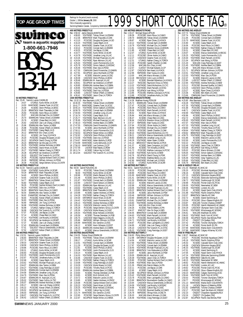|                                                                                                              | Rankings for the period (results received)                                                                         |                                                                                                                                                              |
|--------------------------------------------------------------------------------------------------------------|--------------------------------------------------------------------------------------------------------------------|--------------------------------------------------------------------------------------------------------------------------------------------------------------|
|                                                                                                              | October 1, 1999 to January 28, 2000                                                                                | <b>1999 SHORT</b>                                                                                                                                            |
| <b>TOP AGE GROUP TIMES</b>                                                                                   | TAG is financially supported by                                                                                    |                                                                                                                                                              |
|                                                                                                              | Swimming/Natation Canada. Compiled by SWIMNEWS                                                                     |                                                                                                                                                              |
|                                                                                                              | <b>400 METRES FREESTYLE</b>                                                                                        | <b>100 METRES BREASTSTROKE</b>                                                                                                                               |
|                                                                                                              | Rec: 3:58.32 Jamie Stevens, MANTA, 89                                                                              | Rec: 1:03.27 Michael Mason, EPS, 89                                                                                                                          |
|                                                                                                              | YOUTHDEC Tobias Oriwol, 14, ESWIM<br>4:08.63<br>1<br>$\overline{2}$<br>4:12.36<br>BRANTNOV Mark Thauvette, 14, OAK | 1:09.39<br>PCSCDEC Kevin Rioux, 14, CAMO<br>1<br>2<br>1:09.70<br>ESWIMJAN Tobias Oriwol, 14, ESWIN                                                           |
|                                                                                                              | 3<br>PCSCDEC Douglas McQueen, 14, GO<br>4:13.10                                                                    | 3<br>KCSDEC Ryan Chiew, 13, HYACK<br>1:09.87                                                                                                                 |
| $\infty$ team & aquatic supplies                                                                             | 4:16.24<br>YOUTHDEC Casey Ralph, 14, IS<br>4                                                                       | YOUTHDEC Conrad Aach, 14, ESWIM<br>1:10.12<br>4                                                                                                              |
| 1-800-661-7946                                                                                               | 5<br>4:16.41<br>MANTADEC Graeme Tozer, 14, UCSC<br>PCSCDEC Conrad Aach, 14, ESWIM<br>6<br>4:18.14                  | 5<br>1:10.79<br>YOUTHDEC Michael Chu, 14, CHAMP<br>1:11.81<br>CASCNOV Brandon Grove, 14, EDSC<br>6                                                           |
|                                                                                                              | 7<br>4:18.25<br>PCSCDEC Joe Bajcar, 13, OAK                                                                        | 7<br>1:11.85<br>KCSDEC Chase Reid, 14, CASC                                                                                                                  |
|                                                                                                              | 8<br>4:19.77<br>YOUTHDEC Kurtis Miller, 14, SCAR                                                                   | 8<br>1:12.07<br>UTJAN21 Kurtis Miller, 14, SCAR                                                                                                              |
| BOYS                                                                                                         | 9<br>4:19.78<br>YOUTHDEC Jonathan Long, 14, LAC<br>4:24.26<br>YOUTHDEC Michael Pisarczyk, 14, LAC<br>10            | 9<br>1:12.11<br>PCSCDEC Olivier Andre.14.CAMO<br>1:12.27<br>10                                                                                               |
|                                                                                                              | 11<br>4:24.54<br>YOUTHDEC Ryan Atkinson, 14, LAC                                                                   | CASCNOV Graeme Tozer, 14, UCSC<br>1:12.31<br>11<br>UTJAN21 Nathan Chang, 14, TORCH                                                                           |
|                                                                                                              | 12<br>4:25.43<br>YOUTHDEC Justin Pommerville, 13, IS                                                               | 12<br>1:12.43<br>PCSCDEC Gareth Chantler, 13, OAK                                                                                                            |
|                                                                                                              | YOUTHDEC Simon Gabsch, 13, MSSAC<br>13<br>4:25.78                                                                  | 13<br>1:12.56<br>MACJAN Eric Chan, 14, AAC                                                                                                                   |
|                                                                                                              | 14<br>4:26.49<br>YOUTHDEC Marc Sze, 14, PDSA<br>15<br>4:27.55<br>CNMNJAN David Provencher, 13, GAMIN               | 14<br>1:12.57<br>CLMOCT Michael Eubank, 14, CP<br>15<br>1:12.87<br>CASCNOV Ben Keast, 14, HYACK                                                              |
|                                                                                                              | 16<br>4:27.91<br>ISCUPNOV Janco Mynhardt, 13, PSW                                                                  | 16<br>1:12.96<br>RAPIDDEC Matt Yuzwa, 13, CASC                                                                                                               |
|                                                                                                              | 4:27.99<br>17<br>KCSDEC Malcolm Lavoie, 14, OSC                                                                    | 17<br>1:13.00<br>MACJAN Marco Monaco, 13, OAK                                                                                                                |
| $\blacksquare$                                                                                               | 4:28.39<br>18<br>CASCNOV Devin Phillips, 14, EKSC<br>19<br>4:28.46<br>ESWIMJAN M. Asarczyk, 14, LAC                | 18<br>1:13.18<br>RDCSCNOV Colin Lyon, 14, RACE<br>19<br>1:13.19<br>KCSDEC Brendan Robertson, 14, H                                                           |
|                                                                                                              | 20<br>4:28.61<br>ISCUPNOV Ian Anderson, 14, SPART                                                                  | 20<br>1:13.27<br>TMSCDEC Raymond Chow, 13, TMS                                                                                                               |
|                                                                                                              | 21<br>4:28.85<br>ESWIMJAN Andrew Baier, 14, COBRA                                                                  | 21<br>1:13.32<br>YOUTHDEC David McKechnie, 13, CY                                                                                                            |
|                                                                                                              | 22<br>4:28.95<br>YOUTHDEC Craig Partridge, 14, GGST<br>23                                                          | 22<br>1:13.51<br>YOUTHDEC Mark Pariselli, 14, NYAC<br>23                                                                                                     |
|                                                                                                              | 4:29.62<br>YOUTHDEC Dario Isic, 14, PDSA<br>24<br>4:29.80<br>LUSCOCT Kellan O'Neill, 12, SSMAC                     | 1:13.58<br>ISCUPNOV Ivan Wong, 14, PDSA<br>24<br>1:13.85<br>PCSCDEC Mathieu Larocque, 14, PC                                                                 |
|                                                                                                              | 25<br>4:30.41<br>YOUTHDEC Jason Chan, 14, TORCH                                                                    | 25<br>1:13.88<br>PCSCDEC Jonathana Aubry, 14, CNI                                                                                                            |
| 50 METRES FREESTYLE                                                                                          | <b>1500 METRES FREESTYLE</b>                                                                                       | 200 METRES BREASTSTROKE                                                                                                                                      |
| Rec: 23.45 Yannick Lupien, CAGRA, 95<br>24.07<br>UTJAN21 Kurtis Miller, 14, SCAR<br>1                        | Rec: 15:32.15 Alex Baumann, LUSC, 79<br>YOUTHDEC Tobias Oriwol, 14, ESWIM<br>16:30.35<br>1                         | Matthew Huang, PDSA, 98<br>Rec: 2:14.36<br>ESWIMJAN Tobias Oriwol, 14, ESWIN<br>2:25.72<br>1                                                                 |
| $\overline{2}$<br>24.50<br>MANTADEC Graeme Tozer, 14, UCSC                                                   | MANTADEC Graeme Tozer, 14, UCSC<br>2<br>16:41.77                                                                   | 2<br>2:27.47<br>PCSCDEC Conrad Aach, 14, ESWIM                                                                                                               |
| 3<br>25.09<br>KCSDEC Devin Phillips, 14, EKSC                                                                | YOUTHDEC Simon Gabsch, 13, MSSAC<br>3<br>16:55.14                                                                  | 2:30.39<br>PCSCDEC Kevin Rioux, 14, CAMO<br>3                                                                                                                |
| 25.29<br>BRANTNOV Mark Thauvette, 14, OAK<br>4<br>5<br>25.50<br>PCSCDEC Kevin Rioux, 14, CAMO                | YOUTHDEC Conrad Aach, 14, ESWIM<br>16:58.79<br>4<br>YOUTHDEC Jonathan Long, 14, LAC<br>5<br>17:04.93               | YOUTHDEC Mark Pariselli, 14, NYAC<br>2:35.06<br>4<br>KCSDEC Ryan Chiew, 13, HYACK<br>5<br>2:35.52                                                            |
| 25.57<br>6<br>MACJAN Michael Chu, 14, CHAMP                                                                  | YOUTHDEC Casey Ralph, 14, IS<br>YOUTHDEC Ryan Atkinson, 14, LAC<br>17:16.74<br>6                                   | MACJAN Marco Monaco, 13, OAK<br>2:35.84<br>6                                                                                                                 |
| 25.70<br>7<br>ESWIMJAN Tobias Oriwol, 14, ESWIM                                                              | 17:25.77<br>7                                                                                                      | KCSDEC Chase Reid, 14, CASC<br>2:36.47<br>7                                                                                                                  |
| 8<br>25.78<br>KCSDEC Chase Reid, 14, CASC<br>9<br>25.92<br>CASCNOV Jian-Lok Chang, 14, EKSC                  | 17:35.95<br>YOUTHDEC Michael Pisarczyk, 14, LAC<br>8<br>17:40.10<br>YOUTHDEC Andrew Baier, 14, COBRA<br>9          | 8<br>2:36.94<br>CASCNOV Brandon Grove, 14, EDSC<br>RAPIDDEC Matt Yuzwa, 13, CASC<br>9<br>2:37.37                                                             |
| 10<br>25.96<br><b>ESWIMJAN Alex Tanton.14.NEW</b>                                                            | 10<br>17:47.55<br>CNMNJAN David Provencher, 13, GAMIN                                                              | 10<br>2:37.64<br>PCSCDEC Olivier Andre, 14, CAMO                                                                                                             |
| PCSCDEC Kieran O'Neill, 14, SSMAC<br>11<br>25.98                                                             | 11 17:47.66<br>KCSDEC Janco Mynhardt, 13, PSW                                                                      | 2:38.09<br>YOUTHDEC Michael Chu, 14, CHAMP<br>11                                                                                                             |
| YOUTHDEC Casey Ralph, 14, IS<br>12<br>26.02                                                                  | 12 17:50.11<br>ISCUPNOV Justin Pommerville, 13, IS                                                                 | 2:38.53<br>PCSCDEC Gareth Chantler, 13, OAK<br>12<br>13                                                                                                      |
| 13<br>26.12<br>BRANTNOV Eric Chan, 13, AAC<br>14<br>KCSDEC Jim Tung, 13, HYACK<br>26.12                      | 13 17:50.53<br>ISCUPNOV Robert Miller, 14, CHENA<br>CASCNOV Devin Phillips, 14, EKSC<br>14 17:52.62                | 2:39.10<br>YOUTHDEC David McKechnie, 13, CY<br>14<br>2:39.21<br>CASCNOV Marcus Greenshields, 14, F                                                           |
| 15<br>26.20<br>PCSCDEC Douglas McQueen, 14, GO                                                               | 15 17:53.58<br>YOUTHDEC Dario Isic, 14, PDSA                                                                       | 15<br>2:39.83<br>ESWIMJAN Jonathan Long, 14, LAC                                                                                                             |
| 26.22<br>ISCUPNOV David Chung, 14, PSW<br>16<br>17<br>26.23                                                  | 16 17:54.67<br>MANTADEC Adam Abdulla, 13, ROD                                                                      | 2:40.29<br>YOUTHDEC Adam Slater, 13, NEW<br>16<br>17<br>2:41.14                                                                                              |
| BRANTNOV Ian McLean, 14, CYPS<br>18<br>26.25<br>YOUTHDEC Andrew Nicholas, 14, NEW                            | 17 17:54.99<br>MANTADEC Curtis Edmunds, 13, CP<br>18 17:56.10<br>MANTADEC Lee Cookson, 13, CP                      | BROCKOCT Warren Barnes, 14, PICK<br>18<br>2:41.37<br>KCSDEC Sean Compston, 14, CAS                                                                           |
| 19<br>26.25<br>YOUTHDEC David Hinan, 14, SCAR                                                                | 19 17:57.49<br>LACNOV Matt Hawes, 13, ROW                                                                          | 19<br>2:41.40<br>KCSDEC Tim Kinsella, 14, EKSC                                                                                                               |
| 20<br>26.27<br>YOUTHDEC Nathan Chang, 14, TORCH                                                              | 20 18:11.74<br>KCSDEC Callum Ng, 14, CASC                                                                          | 20<br>2:41.72<br>PCSCDEC Mathieu Larocque, 14, PC                                                                                                            |
| 21<br>26.28<br>ISCUPNOV Ian Anderson, 14, SPART<br>22<br>26.32<br>GOLDOCT Pat Turanich-N., 14, STSC          | 21 18:12.04<br>GOLDOCT Pat Turanich-N., 14, STSC                                                                   | 21<br>YOUTHDEC Kyle Sorrie, 14, NEW<br>2:42.00<br>22<br>2:42.76<br>ISCUPNOV David Chung, 14, PSW                                                             |
| 23<br>26.38<br>PCSCDEC Sophian Mohand-Cherif, 14, CAMO                                                       |                                                                                                                    | 23<br>2:42.86<br>YOUTHDEC Matthew Bento, 14, LAC                                                                                                             |
| 24                                                                                                           |                                                                                                                    |                                                                                                                                                              |
| 26.39<br>RAPIDDEC William Johnson, 14, PDSA                                                                  |                                                                                                                    | 2:42.90<br>24<br>MANTADEC Michael Lett, 13, PASS                                                                                                             |
| 25<br>26.39<br>PCSCDEC Serge Demers-Giroux, 13, CNTR                                                         |                                                                                                                    | 25<br>2:42.92<br>UTJAN21 Kurtis Miller, 14, SCAR                                                                                                             |
| <b>100 METRES FREESTYLE</b><br>Rec: 51.03 Yannick Lupien, CAGRA, 95                                          | <b>100 METRES BACKSTROKE</b><br>Rec: 56.93 Garret Pulle, MAC, 93                                                   | <b>100 METRES BUTTERFLY</b><br>Rec: 56.61 Garret Pulle, MAC, 93                                                                                              |
| YOUTHDEC Kurtis Miller, 14, SCAR<br>1<br>53.64                                                               | PCSCDEC Tobias Oriwol, 14, ESWIM<br>58.33<br>1                                                                     | 1:00.33<br>PCSCDEC Douglas McQueen, 14, GO<br>1                                                                                                              |
| $\overline{2}$<br>54.29<br>BRANTNOV Mark Thauvette, 14, OAK                                                  | 2<br>YOUTHDEC Kurtis Miller, 14, SCAR<br>58.40                                                                     | 2<br>1:00.90<br>PCSCDEC Kevin Rioux, 14, CAMO                                                                                                                |
| 3<br>KCSDEC Devin Phillips, 14, EKSC<br>54.40<br>4<br>54.55<br>CASCNOV Graeme Tozer, 14, UCSC                | 1:00.96<br>PCSCDEC Martin Renaud, 14, CNB<br>3<br>KCSDEC Devin Phillips, 14, EKSC<br>1:01.48<br>4                  | 3<br>MANTADEC Graeme Tozer, 14, UCSC<br>1:01.00<br>ONTSRNOV Kurtis Miller, 14, SCAR<br>4<br>1:01.41                                                          |
| 5<br>54.77<br>BRANTNOV Tobias Oriwol, 14, ESWIM                                                              | 5<br>YOUTHDEC Conrad Aach, 14, ESWIM<br>1:01.87                                                                    | 5<br>1:01.50                                                                                                                                                 |
| 55.60<br>YOUTHDEC Casey Ralph, 14, IS<br>6                                                                   | LUSCOCT David Gibson, 14, SSMAC<br>1:02.90<br>6                                                                    | ESWIMJAN Tobias Oriwol, 14, ESWIN<br>1:02.22<br>KCSDEC Malcolm Lavoie, 14, OSC<br>6                                                                          |
| PCSCDEC Sophian Mohand-Cherif, 14, CAMO<br>7<br>56.26<br>8<br>56.29                                          | ESWIMJAN Ryan Atkinson, 14, LAC<br>7<br>1:03.20<br>8<br>1:03.62                                                    | 7<br>1:02.69<br>8<br>1:03.05                                                                                                                                 |
| YOUTHDEC Dario Isic, 14, PDSA<br>9<br>BRANTNOV Kevin Rioux, 14, CAMO<br>56.30                                | YOUTHDEC Casey Ralph, 14, IS<br>9<br>1:03.83<br>BRANTNOV Mark Thauvette, 14, OAK                                   | KCSDEC Marcus Greenshields, 14, F<br>YOUTHDEC Michael Pisarczyk, 14, LA<br>9<br>BRANTNOV Sophian Mohand-Cherif, 14<br>1:03.22                                |
| 10<br>56.54<br>ESWIMJAN Alex Tanton, 14, NEW                                                                 | KCSDEC Gaelen Andrews, 14, FMSC<br>10<br>1:03.98                                                                   | 10<br>1:03.38                                                                                                                                                |
| 11<br>CHAMPDEC Michael Chu, 14, CHAMP<br>56.62<br>PCSCDEC Kieran O'Neill, 14, SSMAC<br>56.64<br>12           | 11<br>1:04.28<br>YOUTHDEC Nathan Chang, 14, TORCH<br>ONTSRNOV David Hinan, 14, SCAR<br>1:04.30<br>12               | 11<br>1:03.46<br>ESWIMJAN M. Asarczyk, 14, LAC<br>1:03.60<br>12                                                                                              |
| 13<br>56.83<br>YOUTHDEC Marc Sze, 14, PDSA                                                                   | 13<br>1:04.42<br>YOUTHDEC Justin Pommerville, 13, IS                                                               | 13<br>1:03.81                                                                                                                                                |
| 14<br>56.90<br>RAPIDDEC Jim Tung, 13, HYACK                                                                  | 1:05.14<br>YOUTHDEC Andrew Nicholas, 14, NEW<br>14                                                                 | KCSDEC Janco Mynhardt, 13, PSW<br>RAPIDDEC William Johnson, 14, PDS<br>CHAMPDEC Michael Chu, 14, CHAMP<br>1:03.83<br>YOUTHDEC Andrew Nicholas, 14, NEV<br>14 |
| 15<br>56.98<br>YOUTHDEC Andrew Nicholas, 14, NEW<br>UTJAN21 Nathan Chang, 14, TORCH<br>16<br>56.99           | 15<br>1:05.16<br>CASCNOV Malcolm Lavoie, 13, OSC<br>1:05.28<br>PCSCDEC Serge Demers-Giroux, 13, CNTR<br>16         | 15<br>1:04.20<br>MACJAN Eric Chan, 14, AAC<br>1:04.26<br>KCSDEC Patrick Waters, 14, PN<br>16                                                                 |
| 17<br>CASCNOV Pat Turanich-N., 14, STSC<br>56.99                                                             | 1:05.36<br>CASCNOV Myles Maxey, 14, CASC<br>17                                                                     | 17<br>1:04.37<br>MWCOCT Alex St-Onge, 14, NES                                                                                                                |
| PCSCDEC Joe Bajcar, 13, OAK<br>18<br>57.07<br>19<br>57.14                                                    | 18<br>1:05.54<br>YOUTHDEC Brian Holland, 13, MSSAC<br>19                                                           | 18<br>1:04.45<br>BRANTNOV Conrad Aach, 14, ESWIM<br>19                                                                                                       |
| KCSDEC Chase Reid, 14, CASC<br>20<br>YOUTHDEC Lee Murphy, 14, MSSAC<br>57.14                                 | 1:05.59<br>KCSDEC Thomas Demetzer, 14, PGB<br>20<br>1:05.75<br>CASCNOV Ward Haggins, 14, KALOS                     | 1:04.63<br>YOUTHDEC Mark Pariselli, 14, NYAC<br>20<br>1:04.70<br>PCSCDEC Boumed Gueffai, 14, CAN                                                             |
| 21<br>ISCUPNOV Ian Anderson, 14, SPART<br>57.35                                                              | 21<br>1:05.86<br>RAPIDDEC William Johnson, 14, PDSA                                                                | 21<br>1:04.71<br>YOUTHDEC Lee Murphy, 14, MSSAC                                                                                                              |
| 22<br>57.37<br>KCSDEC Jian-Lok Chang, 14, EKSC                                                               | 22<br>1:05.99<br>MANTADEC Eric Gendron, 13, KSC                                                                    | 22<br>PCSCDEC Marc Lachapelle, 13, CAN<br>1:04.87                                                                                                            |
| 23<br>57.43<br>ESWIMJAN Conrad Aach, 14, ESWIM<br>24<br>57.51<br>GOLDOCT Marcus Greenshields, 14, RDCSC      | 23<br>1:06.12<br>KCSDEC Kevin Gillespie, 13, EXST<br>24<br>1:06.16<br>ESWIMJAN Andrew Baier, 14, COBRA             | 23<br>1:04.95<br>KCSDEC Jian-Lok Chang, 14, EKS<br>24<br>1:05.10<br>CASCNOV Pat Turanich-N., 14, STS                                                         |
| 25<br>57.52<br>LUSCOCT Kellan O'Neill, 12, SSMAC                                                             | 25<br>KCSDEC Marcus Greenshields, 14, RDCSC<br>1:06.27                                                             | 25<br>1:05.22<br>YOUTHDEC Craig Partridge, 14, GGST                                                                                                          |
| <b>200 METRES FREESTYLE</b>                                                                                  | <b>200 METRES BACKSTROKE</b>                                                                                       | <b>200 METRES BUTTERFLY</b>                                                                                                                                  |
| Rec: 1:52.51 Yannick Lupien, CAGRA, 95<br>1:56.93<br>BRANTNOV Mark Thauvette, 14, OAK<br>1                   | Rec: 2:04.55<br>Tobias Oriwol, ESWIM, 99<br>2:04.55<br>YOUTHDEC Tobias Oriwol, 14, ESWIM<br>1                      | Rec: 2:04.83<br>Philip Weiss, SKSC, 94<br>2:12.98<br>ONTSRNOV Douglas McQueen, 14, GO<br>1                                                                   |
| 2<br>1:57.74<br>BRANTNOV Tobias Oriwol, 14, ESWIM                                                            | 2<br>2:08.17<br>UTJAN21 Kurtis Miller, 14, SCAR                                                                    | 2<br>2:14.56<br>KCSDEC Malcolm Lavoie, 14, OSC                                                                                                               |
| 3<br>1:58.33<br>CASCNOV Graeme Tozer, 14, UCSC                                                               | 3<br>2:10.91<br>YOUTHDEC Conrad Aach, 14, ESWIM                                                                    | 3<br>2:17.69<br>YOUTHDEC Tobias Oriwol, 14, ESWIN                                                                                                            |
| 1:58.58<br>CASCNOV Devin Phillips, 14, EKSC<br>4<br>5<br>1:59.96<br>PCSCDEC Kevin Rioux, 14, CAMO            | 2:11.29<br>PCSCDEC Douglas McQueen, 14, GO<br>4<br>5<br>2:12.81<br>KCSDEC Devin Phillips, 14, EKSC                 | 2:17.97<br>4<br>YOUTHDEC Conrad Aach, 14, ESWIM<br>5<br>2:18.40<br>YOUTHDEC Michael Pisarczyk, 14, LA                                                        |
| 2:00.31<br>UTJAN21 Kurtis Miller, 14, SCAR<br>6                                                              | 2:15.38<br>YOUTHDEC Justin Pommerville, 13, IS<br>6                                                                | 2:18.98<br>BRANTNOV Yuto Matsudaira, 14, ROV<br>6                                                                                                            |
| 7<br>2:00.93<br>PCSCDEC Douglas McQueen, 14, GO                                                              | 2:16.14<br>KCSDEC Casey Ralph, 14, IS<br>7                                                                         | 2:19.87<br>KCSDEC Janco Mynhardt, 13, PSW<br>7                                                                                                               |
| 8<br>2:02.25<br>YOUTHDEC Justin Pommerville, 13, IS<br>9<br>2:02.67<br>PCSCDEC Jonathana Aubry, 14, CNB      | 8<br>YOUTHDEC Ryan Atkinson, 14, LAC<br>2:16.33<br>9<br>2:16.46<br>CASCNOV Graeme Tozer, 14, UCSC                  | 8<br>2:20.05<br>ESWIMJAN M. Asarczyk, 14, LAC<br>9<br>2:20.39<br>YOUTHDEC Jason Chan, 14, TORCH                                                              |
| 2:02.68<br>KCSDEC Casey Ralph, 14, IS<br>10                                                                  | 2:18.79<br>YOUTHDEC Nathan Chang, 14, TORCH<br>10                                                                  | PCSCDEC Sophian Mohand-Cherif, 14<br>10<br>2:20.80                                                                                                           |
| YOUTHDEC Michael Pisarczyk, 14, LAC<br>2:03.62<br>11                                                         | 2:19.08<br>YOUTHDEC Craig Partridge, 14, GGST<br>11                                                                | YOUTHDEC Marc Sze, 14, PDSA<br>2:20.86<br>11                                                                                                                 |
| 2:04.07<br><b>ESWIMJAN Alex Tanton, 14, NEW</b><br>12<br>2:04.27<br>YOUTHDEC Craig Partridge, 14, GGST<br>13 | 2:19.29<br>CASCNOV Myles Maxey, 14, CASC<br>12<br>2:19.32<br>PCSCDEC Timothy Ruse, 14, PCSC<br>13                  | PRASCJAN Patrick Waters, 14, PN<br>12<br>2:21.35<br>2:22.11<br>PCSCDEC Joe Bajcar, 13, OAK<br>13                                                             |
| 2:04.35<br>ESWIMJAN Conrad Aach, 14, ESWIM<br>14                                                             | 14<br>2:19.55<br>ESWIMJAN Andrew Baier, 14, COBRA                                                                  | KCSDEC Casey Ralph, 14, IS<br>14<br>2:22.65                                                                                                                  |
| 15<br>2:04.58<br>ESWIMJAN Jonathan Long, 14, LAC                                                             | KCSDEC Thomas Demetzer, 14, PGB<br>15<br>2:19.64                                                                   | 2:22.88<br>15<br>ISCUPNOV William Johnson, 14, PDS                                                                                                           |
| 16<br>2:04.79<br>YOUTHDEC Marc Sze, 14, PDSA<br>ESWIMJAN M. Asarczyk, 14, LAC<br>17<br>2:04.87               | 16<br>2:19.65<br>KCSDEC Erich Schmitt, 14, IS<br>17<br>2:19.72<br>KCSDEC Malcolm Lavoie, 14, OSC                   | 16<br>2:23.42<br>YOUTHDEC Mark Pariselli, 14, NYAC<br>2:23.78<br>PCSCDEC Marc Lachapelle, 13, CAN<br>17                                                      |
| 18<br>2:05.02<br>YOUTHDEC Sean Collins, 14, TSC                                                              | 2:19.85<br>18<br>KCSDEC Gaelen Andrews, 14, FMSC                                                                   | 2:23.90<br>BRANTNOV Boumedienn Guaffai, 14,<br>18                                                                                                            |
| 19<br>2:05.07<br>ESWIMJAN Andrew Nicholas, 14, NEW                                                           | 19<br>2:20.08<br>PCSCDEC Sophian Mohand-Cherif, 14, CAMO                                                           | 19<br>2:23.94<br>CASCNOV Marcus Greenshields, 14, F                                                                                                          |
| 2:05.17<br>KCSDEC Jian-Lok Chang, 14, EKSC<br>20<br>PCSCDEC Kieran O'Neill, 14, SSMAC<br>21<br>2:05.22       | 20<br>2:20.23<br>YOUTHDEC David Hinan, 14, SCAR<br>21<br>YOUTHDEC Brian Holland, 13, MSSAC<br>2:20.25              | 20<br>2:24.09<br>YOUTHDEC Lee Murphy, 14, MSSAC<br>21<br>KCSDEC Callum Ng, 14, CASC<br>2:24.68                                                               |
| 22<br>2:05.52<br>ISCUPNOV Ian Anderson, 14, SPART                                                            | 22<br>2:20.78<br>KCSDEC Callum Ng, 14, CASC                                                                        | 22<br>2:24.91<br>PCSCDEC Boumed Gueffai, 14, CAN                                                                                                             |
| 23<br>2:06.03<br>RAPIDDEC Jim Tung, 13, HYACK<br>24<br>2:06.07<br>CASCNOV Pat Turanich-N., 14, STSC          | 23<br>2:21.74<br>MANTADEC Eric Gendron, 13, KSC<br>24<br>2:22.65<br>PCSCDEC Serge Demers-Giroux, 13, CNTR          | 23<br>2:25.78<br>RAPIDDEC Shingo Kido,14,DELTA<br>24<br>2:26.20<br>MACJAN Marco Monaco, 13, OAK                                                              |

# **100 METRES BREASTSTROKE**<br>Rec: 1:03.27 Michael Mason,EPS,89<br>1 1:09.39 PCSCDEC Kevin Rioux,14,CAMO 1:09.70 ESWIMJAN Tobias Oriwol, 14, ESWIM<br>1:09.87 KCSDEC Ryan Chiew, 13, HYACK 3 1:09.87 KCSDEC Ryan Chiew,13,HYACK 4 1:10.12 YOUTHDEC Conrad Aach,14,ESWIM 5 1:10.79 YOUTHDEC Michael Chu,14,CHAMP 6 1:11.81 CASCNOV Brandon Grove,14,EDSON 7 1:11.85 KCSDEC Chase Reid,14,CASC 8 1:12.07 UTJAN21 Kurtis Miller,14,SCAR 9 1:12.11 PCSCDEC Olivier Andre,14,CAMO 10 1:12.27 CASCNOV Graeme Tozer,14,UCSC<br>11 1:12.31 UTJAN21 Nathan Chang,14,TORCH<br>12 1:12.43 PCSCDEC Gareth Chantler, 13,OAK<br>13 1:12.56 MACJAN Eric Chan,14,AAC<br>14 1:12.57 CLMOCT Michael Eubank,14,CP 15 1:12.87 CASCNOV Ben Keast,14,HYACK 16 1:12.96 RAPIDDEC Matt Yuzwa,13,CASC 17 1:13.00 MACJAN Marco Monaco,13,OAK 18 1:13.18 RDCSCNOV Colin Lyon,14,RACE<br>19 1:13.19 KCSDEC Brendan Robertson,14,HYACK<br>20 1:13.27 TMSCDEC Raymond Chow,13,TMSC<br>21 1:13.32 YOUTHDEC Mark Pariselli,14,NYAC<br>22 1:13.51 YOUTHDEC Mark Pariselli,14,NYAC 23 1:13.58 ISCUPNOV Ivan Wong,14,PDSA<br>24 1:13.85 PCSCDEC Mathieu Larocque,14,PCSC<br>25 1:13.88 PCSCDEC Jonathana Aubry,14,CNB **200 METRES BREASTSTROKE**<br>Rec: 2:14.36 Matthew Huang,PDSA,98<br>1 2:25.72 ESWIMJAN Tobias Oriwol,14,ESWIM<br>2 2:20.47 PCSCDEC Conrad Aach,14,ESWIM<br>3 2:30.39 PCSCDEC Kevin Rioux,14,CAMO 2:35.06 YOUTHDEC Mark Pariselli,14,NYAC<br>2:35.52 KCSDEC Ryan Chiew 13 HYACK 5 2:35.52 KCSDEC Ryan Chiew,13,HYACK 6 2:35.84 MACJAN Marco Monaco,13,OAK 7 2:36.47 KCSDEC Chase Reid,14,CASC<br>8 2:36.94 CASCNOV Brandon Grove,14,EDSON<br>9 2:37.37 RAPIDDEC Matt Yuzwa,13,CASC 10 2:37.64 PCSCDEC Olivier Andre,14,CAMO 11 2:38.09 YOUTHDEC Michael Chu,14,CHAMP 12 2:38.53 PCSCDEC Gareth Chantler, 13, 0AK<br>13 2:39.10 YOUTHDEC David McKechnie, 13, CYC<br>14 2:39.21 CASCNOV Marcus Greenshields, 14, RDCSC<br>15 2:39.83 ESWIMJAN Jonathan Long, 14, LAC<br>16 2:40.29 YOUTHDEC Adam Slater, 13, NEW 21 2:42.00 YOUTHDEC Kyle Sorrie,14,NEW 22 2:42.76 ISCUPNOV David Chung,14,PSW 23 2:42.86 YOUTHDEC Matthew Bento,14,LAC 24 2:42.90 MANTADEC Michael Lett,13,PASS 25 2:42.92 UTJAN21 Kurtis Miller,14,SCAR **100 METRES BUTTERFLY** Rec: 56.61 Garret Pulle,MAC,93 1 1:00.33 PCSCDEC Douglas McQueen,14,GO 2 1:00.90 PCSCDEC Kevin Rioux,14,CAMO 3 1:01.00 MANTADEC Graeme Tozer,14,UCSC 4 1:01.41 ONTSRNOV Kurtis Miller,14,SCAR 5 1:01.50 ESWIMJAN Tobias Oriwol,14,ESWIM<br>6 1:02.22 KCSDEC Malcolm Lavoie,14,OSC<br>7 1:02.69 KCSDEC Marcus Greenshields,14,RDCSC 8 1:03.05 YOUTHDEC Michael Pisarczyk,14,LAC 9 1:03.22 BRANTNOV Sophian Mohand-Cherif,14,CAMO 10 1:03.38 KCSDEC Janco Mynhardt,13,PSW<br>11 1:03.46 RAPIDDEC William Johnson,14,PDSA<br>12 1:03.60 ESWIMJAN M. Asarczyk,14,LAC<br>13 1:03.81 CHAMPDEC Michael Chu,14,CHAMP<br>14 1:03.83 YOUTHDEC Andrew Nicholas,14,NEW 15 1:04.20 MACJAN Eric Chan, 14, AAC<br>16 1:04.26 KCSDEC Patrick Waters, 14, PN<br>17 1:04.37 MWCOCT Alex St-Onge, 14, NES<br>18 1:04.45 BRANTNOV Conrad Aach, 14, ESWIM<br>20 1:04.43 YOUTHDEC Mark Pariselli, 14, NACA<br>20 1:04.70 PCSCD 24 1:05.10 CASCNOV Pat Turanich-N.,14,STSC<br>25 1:05.22 YOUTHDEC Craig Partridge,14,GGST<br>Rec: 2:04.83 Philip Weiss,SKSC,94<br>1 2:12.98 ONTSRNOV Douglas McQueen,14,GO<br>2 2:14.56 KCSDEC Malcolm Lavoie,14,OSC 3 2:17.69 YOUTHDEC Tobias Oriwol,14,ESWIM<br>5 2:17.97 YOUTHDEC Conrad Aach,14,ESWIM<br>6 2:18.40 YOUTHDEC Michael Pisarczyk,14,LAC<br>6 2:18.98 BRANTNOV Yuto Matsudaira,14,ROW<br>7 2:19.87 KCSDEC Janco Mynhardt,13,PSW 8 2:20.05 ESWIMJAN M. Asarczyk,14,LAC<br>9 2:20.39 YOUTHDEC Jason Chan,14,TORCH<br>10 2:20.80 PCSCDEC Sophian Mohand-Cherif,14,CAMO<br>11 2:20.86 YOUTHDEC Marc Sze,14,PDSA 2:21.35 PRASCJAN Patrick Waters, 14, PN<br>2:21.35 PRASCJAN Patrick Waters, 14, PN<br>2:22.11 PCSCDFC Joe Baicar.13.0AK 13 2:22.11 PCSCDEC Joe Bajcar, 13,0AK<br>14 2:22.65 KCSDEC Casey Ralph, 14, ISBN 0-222.88 ISCUPNOV William Johnson, 14, PDSA<br>16 2:22.88 ISCUPNOV William Johnson, 14, PDSA<br>17 2:23.78 PCSCDEC Marc Lachapelle, 13, CAMO<br>18 2:23.7 19 2:23.94 CASCNOV Marcus Greenshields, 14, RDCSC<br>20 2:24.09 YOUTHDEC Lee Murphy, 14, MSSAC<br>22 2:24.68 KCSDEC Callum Ng, 14, CASC<br>22 2:25.78 RAPIDDEC Shingo Kiden, 14, DELTA<br>23 2:26.78 MACJAN Marco Monaco, 13, OAK<br>24 2:26.

| <b>SHORT COURSE TAG®</b>                                                                                                                         |                     |                               |                                                                                                                                                                                                                                                      |
|--------------------------------------------------------------------------------------------------------------------------------------------------|---------------------|-------------------------------|------------------------------------------------------------------------------------------------------------------------------------------------------------------------------------------------------------------------------------------------------|
| S BREASTSTROKE<br>Michael Mason, EPS, 89                                                                                                         |                     |                               | 200 METRES IND.MEDLEY<br>Rec: 2:07.74 Tobias Oriwol, ESWIM, 99                                                                                                                                                                                       |
| PCSCDEC Kevin Rioux, 14, CAMO                                                                                                                    | 1                   | 2:07.74                       | YOUTHDEC Tobias Oriwol, 14, ESWIM<br>PCSCDEC Conrad Aach, 14, ESWIM                                                                                                                                                                                  |
| ESWIMJAN Tobias Oriwol, 14, ESWIM<br>KCSDEC Ryan Chiew, 13, HYACK                                                                                | $\overline{2}$<br>3 | 2:11.05<br>2:15.70            | MANTADEC Graeme Tozer, 14, UCSC                                                                                                                                                                                                                      |
| YOUTHDEC Conrad Aach, 14, ESWIM<br>YOUTHDEC Michael Chu, 14, CHAMP                                                                               | 4<br>5              | 2:15.90<br>2:16.06            | KCSDEC Casey Ralph, 14, IS                                                                                                                                                                                                                           |
| CASCNOV Brandon Grove, 14, EDSON                                                                                                                 | 6                   | 2:18.64                       | PCSCDEC Kevin Rioux, 14, CAMO<br>YOUTHDEC Nathan Chang, 14, TORCH                                                                                                                                                                                    |
| KCSDEC Chase Reid, 14, CASC<br>UTJAN21 Kurtis Miller, 14, SCAR                                                                                   | 7<br>8              | 2:19.31<br>2:20.07            | KCSDEC Chase Reid,14,CASC<br>KCSDEC Marcus Greenshields, 14, RDCSC                                                                                                                                                                                   |
| PCSCDEC Olivier Andre, 14, CAMO<br>CASCNOV Graeme Tozer, 14, UCSC                                                                                | 9<br>10             | 2:20.25<br>2:20.30            | YOUTHDEC Justin Pommerville, 13, IS<br>YOUTHDEC Mark Pariselli, 14, NYAC                                                                                                                                                                             |
| UTJAN21 Nathan Chang, 14, TORCH<br>PCSCDEC Gareth Chantler, 13, OAK                                                                              | 11<br>12            | 2:21.04<br>2:21.20            | ISCUPNOV Ivan Wong, 14, PDSA                                                                                                                                                                                                                         |
| MACJAN Eric Chan, 14, AAC                                                                                                                        | 13                  | 2:21.45                       | MACJAN Craig Partridge, 14, GGST<br>YOUTHDEC Andrew Baier, 14, COBRA                                                                                                                                                                                 |
| CLMOCT Michael Eubank, 14, CP<br>CASCNOV Ben Keast, 14, HYACK                                                                                    | 14<br>15            | 2:21.66<br>2:21.71            | MACJAN Marco Monaco, 13, OAK<br>ISCUPNOV William Johnson, 14, PDSA                                                                                                                                                                                   |
| RAPIDDEC Matt Yuzwa, 13, CASC<br>MACJAN Marco Monaco, 13, OAK                                                                                    | 16<br>17            | 2:22.01<br>2:22.03            | YOUTHDEC Jonathan Long, 14, LAC<br>YOUTHDEC Marc Sze, 14, PDSA                                                                                                                                                                                       |
| RDCSCNOV Colin Lyon, 14, RACE                                                                                                                    | 18                  | 2:22.37                       | KCSDEC Malcolm Lavoie, 14, OSC                                                                                                                                                                                                                       |
| KCSDEC Brendan Robertson, 14, HYACK                                                                                                              | 19<br>20            | 2:22.85<br>2:22.94            | LUSCOCT Kellan O'Neill, 12, SSMAC<br>YOUTHDEC Andrew Nicholas, 14, NEW<br>PCSCDEC Boumed Gueffai, 14, CAMO                                                                                                                                           |
| TMSCDEC Raymond Chow, 13, TMSC<br>YOUTHDEC David McKechnie, 13, CYC<br>YOUTHDEC Mark Pariselli, 14, NYAC                                         | 21<br>22            | 2:23.12<br>2:23.25            | CASCNOV Devin Phillips, 14, EKSC                                                                                                                                                                                                                     |
|                                                                                                                                                  | 23<br>24            | 2:23.27<br>2:23.36            | KCSDEC Ryan Chiew, 13, HYACK<br>KCSDEC Ben Adam, 14, CASC                                                                                                                                                                                            |
| ISCUPNOV Ivan Wong, 14, PDSA<br>PCSCDEC Mathieu Larocque, 14, PCSC<br>PCSCDEC Jonathana Aubry, 14, CNB                                           | 25                  | 2:23.66                       | CNMNJAN David Provencher, 13, GAMIN                                                                                                                                                                                                                  |
| S BREASTSTROKE<br>Matthew Huang, PDSA, 98                                                                                                        |                     |                               | 400 METRES IND.MEDLEY<br>Rec: 4:25.80 Alex Baumann, LUSC, 79                                                                                                                                                                                         |
| ESWIMJAN Tobias Oriwol, 14, ESWIM                                                                                                                | 1<br>2              | 4:33.28<br>4:37.35            | YOUTHDEC Tobias Oriwol, 14, ESWIM<br>YOUTHDEC Conrad Aach, 14, ESWIM<br>PCSCDEC Douglas McQueen, 14, GO                                                                                                                                              |
| PCSCDEC Conrad Aach, 14, ESWIM<br>PCSCDEC Kevin Rioux, 14, CAMO                                                                                  | 3                   | 4:41.68                       |                                                                                                                                                                                                                                                      |
| YOUTHDEC Mark Pariselli, 14, NYAC<br>KCSDEC Ryan Chiew, 13, HYACK                                                                                | 4<br>5              | 4:48.71<br>4:50.69            | CASCNOV Graeme Tozer, 14, UCSC                                                                                                                                                                                                                       |
| MACJAN Marco Monaco, 13, OAK<br>KCSDEC Chase Reid, 14, CASC                                                                                      | 6<br>7              | 4:50.96<br>4:52.72            | YOUTHDEC Casey Ralph, 14, IS<br>KCSDEC Devin Phillips, 14, EKSC<br>KCSDEC Marcus Greenshields, 14, RDCSC                                                                                                                                             |
| CASCNOV Brandon Grove, 14, EDSON                                                                                                                 | 8                   | 4:55.00                       | YOUTHDEC Mark Pariselli, 14, NYAC                                                                                                                                                                                                                    |
| RAPIDDEC Matt Yuzwa, 13, CASC<br>PCSCDEC Olivier Andre, 14, CAMO                                                                                 | 9<br>10             | 4:57.07<br>4:57.33            | YOUTHDEC Marc Sze, 14, PDSA<br>YOUTHDEC Jonathan Long, 14, LAC                                                                                                                                                                                       |
| YOUTHDEC Michael Chu, 14, CHAMP<br>PCSCDEC Gareth Chantler, 13, OAK                                                                              | 11<br>12            | 4:58.60<br>4:58.64            | PCSCDEC Timothy Ruse, 14, PCSC<br>YOUTHDEC Nathan Chang, 14, TORCH                                                                                                                                                                                   |
| YOUTHDEC David McKechnie, 13, CYC<br>CASCNOV Marcus Greenshields, 14, RDCSC                                                                      | 13<br>14            | 4:59.62<br>4:59.75            | BRANTNOV Mark Thauvette, 14, OAK                                                                                                                                                                                                                     |
| ESWIMJAN Jonathan Long, 14, LAC                                                                                                                  | 15                  | 5:01.86                       | YOUTHDEC Craig Partridge,14,GGST<br>KCSDEC Malcolm Lavoie, 14, OSC                                                                                                                                                                                   |
| YOUTHDEC Adam Slater, 13, NEW<br>BROCKOCT Warren Barnes, 14, PICK                                                                                | 16<br>17            | 5:02.00<br>5:02.22            | KCSDEC Justin Pommerville, 13, IS                                                                                                                                                                                                                    |
| KCSDEC Sean Compston, 14, CASC<br>KCSDEC Tim Kinsella, 14, EKSC                                                                                  | 18<br>19            | 5:02.49<br>5:03.08            | PCSCDEC Joe Bajcar, 13, OAK<br>YOUTHDEC Jason Chan, 14, TORCH<br>ISCUPNOV Ivan Wong, 14, PDSA                                                                                                                                                        |
| PCSCDEC Mathieu Larocque, 14, PCSC                                                                                                               | 20                  | 5:05.02                       | PCSCDEC Marco Monaco, 13, OAK                                                                                                                                                                                                                        |
| YOUTHDEC Kyle Sorrie, 14, NEW<br>ISCUPNOV David Chung, 14, PSW                                                                                   | 21<br>22            | 5:05.04<br>5:05.07            | YOUTHDEC Simon Gabsch, 13, MSSAC<br>YOUTHDEC Andrew Baier, 14, COBRA                                                                                                                                                                                 |
| YOUTHDEC Matthew Bento, 14, LAC<br>MANTADEC Michael Lett, 13, PASS                                                                               | 23<br>24            | 5:05.49<br>5:05.66            | YOUTHDEC Greg Togtema, 14, LAC<br>YOUTHDEC Chase Reid, 14, CASC<br>RAPIDDEC Ben Adam, 14, CASC                                                                                                                                                       |
| UTJAN21 Kurtis Miller, 14, SCAR<br>S BUTTERFLY                                                                                                   | 25                  | 5:05.79                       | 4X50 M MEDLEY RELAY                                                                                                                                                                                                                                  |
| Garret Pulle, MAC, 93                                                                                                                            |                     |                               | Rec: 1:51.33 Markham AC, MAC, 92                                                                                                                                                                                                                     |
| PCSCDEC Douglas McQueen, 14, GO<br>PCSCDEC Kevin Rioux, 14, CAMO                                                                                 | 1<br>$\overline{2}$ | 1:55.20<br>1:56.16            | PCSCDEC Montreal Aquatique,CAMO<br>KCSDEC Cascade Swim Club,CASC                                                                                                                                                                                     |
| MANTADEC Graeme Tozer, 14, UCSC<br>ONTSRNOV Kurtis Miller, 14, SCAR                                                                              | 3<br>4              | 1:57.15<br>1:58.53            | CASCNOV Edmonton Keyano, EKSC                                                                                                                                                                                                                        |
| ESWIMJAN Tobias Oriwol, 14, ESWIM<br>KCSDEC Malcolm Lavoie, 14, OSC                                                                              | 5<br>6              | 1:58.72<br>1:59.99            | PCSCDEC Etobicoke Swimming, ESWIM<br>YOUTHDEC Scarborough SC, SCAR<br>PCSCDEC Pointe Claire SC, PCSC                                                                                                                                                 |
| KCSDEC Marcus Greenshields, 14, RDCSC                                                                                                            | 7                   | 2:00.00                       |                                                                                                                                                                                                                                                      |
| YOUTHDEC Michael Pisarczyk, 14, LAC<br>BRANTNOV Sophian Mohand-Cherif, 14, CAMO                                                                  | 8<br>9              | 2:00.06<br>2:01.62            | YOUTHDEC Newmarket SC, NEW<br>YOUTHDEC London AC, LAC<br>KCSDEC Hyack Swim Club, HYACK<br>YOUTHDEC Pacific Dolphins, PDSA                                                                                                                            |
| KCSDEC Janco Mynhardt, 13, PSW<br>RAPIDDEC William Johnson, 14, PDSA                                                                             | 10<br>11            | 2:01.98<br>2:02.07            | BRANTNOV Oakville AC, OAK                                                                                                                                                                                                                            |
| ESWIMJAN M. Asarczyk, 14, LAC                                                                                                                    | 12                  | 2:02.72                       | KCSDEC Island Swimming, IS                                                                                                                                                                                                                           |
| CHAMPDEC Michael Chu, 14, CHAMP<br>YOUTHDEC Andrew Nicholas, 14, NEW                                                                             | 13<br>14            | 2:03.54<br>2:03.87            | PCSCDEC Glouc-Ottawa Kingfish, GO<br>MACJAN Toronto Champs, CHAMP                                                                                                                                                                                    |
| MACJAN Eric Chan, 14, AAC<br>KCSDEC Patrick Waters, 14, PN                                                                                       | 15<br>16            | 2:03.95<br>2:04.29            | PCSCDEC Hamilt-Wentworth AC, HWAC<br>CASCNOV Olympian Swim Club, OSC                                                                                                                                                                                 |
| MWCOCT Alex St-Onge, 14, NES<br>BRANTNOV Conrad Aach, 14, ESWIM                                                                                  | 17<br>18            | 2:04.91<br>2:05.61            | YOUTHDEC Mississauga AC, MSSAC<br>MACJAN Markham AC, MAC                                                                                                                                                                                             |
| YOUTHDEC Mark Pariselli, 14, NYAC                                                                                                                | 19                  | 2:06.02                       | YOUTHDEC North York AC, NYAC                                                                                                                                                                                                                         |
| PCSCDEC Boumed Gueffai, 14, CAMO<br>YOUTHDEC Lee Murphy, 14, MSSAC                                                                               | 20<br>21            | 2:06.58<br>2:07.42            | ISCUPNOV Pacific Sea Wolves, PSW<br>CNQOCT CN Quebec, CNQ                                                                                                                                                                                            |
|                                                                                                                                                  | 22<br>23            | 2:07.42<br>2:07.48            | PICKDEC Toronto Olympians, TORCH<br>KCSDEC Points North SC, PN<br>MANTADEC Manta Swim Club, MANTA                                                                                                                                                    |
| POSCIDEC Marc Lachapelle, 13, CAMO<br>KCSDEC Jian-Lok Chang, 14, EKSC<br>CASCNOV Pat Turanich-N., 14, STSC<br>YOUTHDEC Craig Partridge, 14, GGST | 24<br>25            | 2:07.68<br>2:07.88            | MANTADEC Calgary Killarney SC, KSC                                                                                                                                                                                                                   |
| S BUTTERFLY                                                                                                                                      |                     | 4X50 M FREE RELAY             |                                                                                                                                                                                                                                                      |
| Philip Weiss, SKSC, 94<br>ONTSRNOV Douglas McQueen, 14, GO                                                                                       |                     |                               |                                                                                                                                                                                                                                                      |
|                                                                                                                                                  |                     |                               |                                                                                                                                                                                                                                                      |
|                                                                                                                                                  |                     |                               |                                                                                                                                                                                                                                                      |
|                                                                                                                                                  |                     |                               |                                                                                                                                                                                                                                                      |
| KCSDEC Malcolm Lavoie, 14, OSC<br>YOUTHDEC Tobias Oriwol, 14, ESWIM<br>YOUTHDEC Conrad Aach, 14, ESWIM<br>YOUTHDEC Michael Pisarczyk, 14, LAC    | 6                   | 1:47.01                       | <b>FREE THE MANUFACTION ACCESS TO THE RELATION CONTROL 1.143.27 PCSCDEC Montreal Aquatique,CAMO<br/> 2 1.45.16 YOUTHDEC Pacific Dolphins,PDSA<br/> 3 1.45.53 KCSDEC Cascade Swim Club,CASC<br/> 4 1.45.58 CASCNOV Edmonton Keyano,EKSC<br/> 5 1.</b> |
| BRANTNOV Yuto Matsudaira, 14, ROW<br>KCSDEC Janco Mynhardt, 13, PSW<br>ESWIMJAN M. Asarczyk, 14, LAC                                             | 7<br>8              | 1:47.05<br>1:47.24            |                                                                                                                                                                                                                                                      |
| YOUTHDEC Jason Chan, 14, TORCH                                                                                                                   | 9                   | 1:47.90                       | KCSDEC Island Swimming, IS<br>KCSDEC Hyack Swim Club, HYACK<br>YOUTHDEC Etobicoke Swimming, ESWIM<br>BRANTNOV Oakville AC, OAK                                                                                                                       |
| PCSCDEC Sophian Mohand-Cherif, 14, CAMO<br>YOUTHDEC Marc Sze, 14, PDSA                                                                           | 10<br>11            | 1:48.15<br>1:48.62            | YOUTHDEC Newmarket SC, NEW                                                                                                                                                                                                                           |
| PRASCJAN Patrick Waters, 14, PN<br>PCSCDEC Joe Bajcar, 13, OAK                                                                                   | 12<br>13            | 1:49.18<br>1:49.62            | PCSCDEC Hamilt-Wentworth AC, HWAC<br>YOUTHDEC London AC, LAC<br>PCSCDEC Pointe Claire SC, PCSC                                                                                                                                                       |
| KCSDEC Casey Ralph, 14, IS                                                                                                                       | 14<br>15            | 1:49.83<br>1:50.23            | PCSCDEC Glouc-Ottawa Kingfish, GO<br>MANTADEC Calgary Swimming, UCSC                                                                                                                                                                                 |
| ISCUPNOV William Johnson, 14, PDSA<br>YOUTHDEC Mark Pariselli, 14, NYAC                                                                          | 16                  | 1:50.44                       | YOUTHDEC North York AC, NYAC                                                                                                                                                                                                                         |
| PCSCDEC Marc Lachapelle, 13, CAMO<br>BRANTNOV Boumedienn Guaffai, 14, CAMO                                                                       | 17<br>18            | 1:50.53<br>1:50.77            | PICKDEC Toronto Olympians, TORCH<br>PICKDEC Mississauga AC, MSSAC                                                                                                                                                                                    |
| CASCNOV Marcus Greenshields, 14, RDCSC<br>YOUTHDEC Lee Murphy, 14, MSSAC                                                                         | 19<br>20            | 1:51.13<br>1:51.18            | MANTADEC Manta Swim Club, MANTA<br>LACNOV Region of Waterloo,ROW                                                                                                                                                                                     |
| KCSDEC Callum Ng,14,CASC                                                                                                                         | 21                  | 1:51.62                       | CHAMPDEC Toronto Champs, CHAMP                                                                                                                                                                                                                       |
| PCSCDEC Boumed Gueffai, 14, CAMO<br>RAPIDDEC Shingo Kido, 14, DELTA<br>MACJAN Marco Monaco, 13, OAK                                              | 22<br>23<br>24      | 1:52.17<br>1:52.23<br>1:52.24 | PCSCDEC Sault Ste.Marie AC,SSMAC<br>CNOOCT Chaudiere-Appalache,RCA<br>CNQOCT CN Quebec, CNQ                                                                                                                                                          |

### **SWIM**NEWS JANUARY 2000 25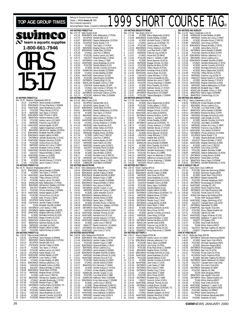| <b>TOP AGE GROUP TIMES</b>                                                                                                                                                                        | Rankings for the period (results received)<br>October 1, 1999 to January 28, 2000       |
|---------------------------------------------------------------------------------------------------------------------------------------------------------------------------------------------------|-----------------------------------------------------------------------------------------|
|                                                                                                                                                                                                   | TAG is financially supported by<br>Swimming/Natation Canada. Compiled b                 |
|                                                                                                                                                                                                   | 400 METRES FREESTYLE                                                                    |
|                                                                                                                                                                                                   | Rec: 4:07.79 Nikki Dryden, IS, 93                                                       |
|                                                                                                                                                                                                   | EDMONNOV Kelly 9<br>1<br>4:15.35<br>$\overline{a}$<br>4:15.75<br><b>ISCUPNOV Daniel</b> |
|                                                                                                                                                                                                   | 3<br>4:18.87<br>BEAVNDEC Deann                                                          |
| team & aquatic supplies                                                                                                                                                                           | 4<br>4:20.46<br><b>ISCUPNOV Karley</b><br>5<br>4:23.30<br>KCSDEC Tara T                 |
| 1-800-661-7946                                                                                                                                                                                    | 6<br>4:24.95<br><b>BEAVNDEC Megha</b>                                                   |
|                                                                                                                                                                                                   | 7<br>4:25.22<br><b>EDMONNOV Tamee</b><br>8<br>4:25.38<br>UTJAN21 Jolie F                |
|                                                                                                                                                                                                   | 9<br>4:25.53<br>PCSCDEC Audrey<br>10<br>4:25.79<br>GOLDOCT Shaun                        |
|                                                                                                                                                                                                   | 11<br>4:26.17<br><b>ONTSRNOV Loren</b>                                                  |
|                                                                                                                                                                                                   | 12<br>4:26.23<br>MANTADEC Jessie<br>13<br><b>PCSCDEC Daniel</b><br>4:26.56              |
|                                                                                                                                                                                                   | 4:26.93<br>KCSDEC Jennif<br>14                                                          |
|                                                                                                                                                                                                   | 15<br>4:28.06<br>ESWIMJAN Jenna<br>4:28.08<br>UTJAN21 Krister<br>16                     |
|                                                                                                                                                                                                   | 4:28.81<br>MANTADEC Marcia<br>17                                                        |
|                                                                                                                                                                                                   | PCSCDEC Alana<br>4:29.90<br>18<br>4:30.21<br>ONTSRNOV Chand<br>19                       |
|                                                                                                                                                                                                   | 20<br>4:30.68<br>RODSCJAN Elizabe<br>21<br>4:31.12<br>CASCNOV Andrea                    |
|                                                                                                                                                                                                   | 22<br>4:31.28<br>UTJAN21 Dale C                                                         |
|                                                                                                                                                                                                   | KCSDEC Amber<br>23<br>4:31.34<br>24<br>4:31.62                                          |
|                                                                                                                                                                                                   | <b>ONTSRNOV Domin</b><br>PCSCDEC Kather<br>25<br>4:31.74                                |
| <b>50 METRES FREESTYLE</b><br>Rec: 25.25 Shannon Shakespeare, MM, 93                                                                                                                              | 800 METRES FREESTYLE<br>Rec: 8:31.65 Nikki Dryden, IS, 93                               |
| 26.19<br>COLPKNOV Jenna Gresdal, 15, ESWIM<br>1                                                                                                                                                   | 8:43.45<br><b>ISCUPNOV Daniel</b><br>1                                                  |
| $\frac{2}{3}$<br>26.25<br>26.32                                                                                                                                                                   | 8:53.13<br>2<br>3<br><b>ISCUPNOV Karley</b><br>8:53.87<br>EDMONNOV Tamee                |
| EDMONNOV Chrissy MacAulay, 17, ESWIM<br>MANTADEC Jessie Bradshaw, 15, UCSC<br>PCSCDEC Tiffany Woods, 15, PCSC<br>RAPIDDEC Tara Taylor, 17, HYACK<br>4<br>26.73                                    | 4<br>8:56.61<br>BEAVNDEC Deann                                                          |
| 5<br>26.78<br>6<br>26.81<br>EDMONNOV Kelly O'Toole, 17, EKSC                                                                                                                                      | 5<br>8:57.56<br>KCSDEC Tara T<br>6<br>9:05.15<br><b>BEAVNDEC Allisor</b>                |
| 7<br>26.90<br>BRANTNOV Adrienne Karney, 16, AAC                                                                                                                                                   | 7<br>9:09.03<br>UTJAN21 Dale C                                                          |
| 8<br>27.00<br>PCSCDEC Audrey Lacroix, 16, CAMO<br>RAPIDDEC Francine Ling, 16, DELTA<br>9<br>27.01                                                                                                 | 8<br>9:10.01<br>MANTADEC Alicia.<br>9<br>9:12.40<br>UTJAN21 Christ                      |
| 10<br>27.03<br>MANTADEC Andrea Hayden, 16, GPP<br>27.09<br>11                                                                                                                                     | 10<br>9:14.32<br>RAPIDDEC Katie F<br><b>KCSDEC Amber</b>                                |
| UTJAN21 Natalie Kiegelmann, 16, BTSC<br>12<br>27.16<br>BEAVNDEC Adriana Koc-Spadaro, 16, PDSA                                                                                                     | 11<br>9:14.61<br>12<br>9:15.93<br><b>ISCUPNOV Stepha</b>                                |
| 13<br>27.21<br>EDMONNOV Elizabeth Wycliffe, 16, EBSC<br>14<br>27.24<br>EDMONNOV Angela Catford, 16, NEW                                                                                           | 13<br>9:16.22<br>RAPIDDEC Megha<br>KCSDEC LesĪie<br>14<br>9:17.54                       |
| 15<br>27.32<br>ONTSRNOV Jennefer Brankovsky, 17, EYSC                                                                                                                                             | 15<br>UTJAN21 Jolie F<br>9:21.76                                                        |
| 16<br>27.39<br>MANTADEC Meghan Demchuk, 15, ROD<br>27.44<br>PCSCDEC Victoria Poon, 15, CALAC<br>17                                                                                                | 9:22.32<br>MANTADEC Andrea<br>16<br>17<br>9:23.07<br>RAPIDDEC Karen                     |
| 27.50<br>RAPIDDEC Andree-Ann Leroy, 17, NRST<br>18                                                                                                                                                | RAPIDDEC Amano<br>9:23.71<br>18                                                         |
| 19<br>27.61<br>CASCNOV Elizabeth Collins, 16, ROD<br>MANTADEC Michelle Brunet, 19, MANTA<br>20<br>27.62                                                                                           | 19<br>9:24.04<br>GOLDOCT Annan<br>20<br>9:24.87<br>UTJAN21 Jennif                       |
| 27.63<br>GOLDOCT Shauna McNally, 17, EKSC<br>MANTADEC Kristen Lis, 16, ROD<br>21<br>22<br>27.64                                                                                                   | KCSDEC Sara N<br>21<br>9:25.98<br><b>KCSDEC Miche</b><br>22<br>9:26.17                  |
| RAPIDDEC Julie Behl, 16, CASC<br>KCSDEC Jennifer Kasuya, 17, HYACK<br>23<br>27.67                                                                                                                 | 23<br>9:27.39<br>RAPIDDEC Gail Fi<br>MANTADEC Jocely                                    |
| 27.68<br>24<br>27.69<br>PCSCDEC Janice Tijssen, 17, PCSC<br>25                                                                                                                                    | 9:28.29<br>24<br>COBRAJAN Julie B<br>25<br>9:29.46                                      |
| <b>100 METRES FREESTYLE</b>                                                                                                                                                                       | 100 METRES BACKSTROKE                                                                   |
| Rec: 54.75 Shannon Shakespeare, MM, 94<br>56.70<br>1                                                                                                                                              | Rec: 1:00.43 Kelly Stefanyshyn,PI<br>EDMONNOV Kelly S<br>1<br>1:00.50                   |
| EDMONNOV Jenna Gresdal, 15, ESWIM<br>KCSDEC Tara Taylor, 17, HYACK<br>MANTADEC Jessie Bradshaw, 15, UCSC<br>PCSCDEC Tifrary Woods, 15, PCSCC<br>DCSCDEC Audrey Jersey 14, CAMO<br>2<br>57.38<br>3 | 2<br>1:03.45<br>EDMONNOV Jennif<br>3<br>1:03.46<br><b>EDMONNOV Elizabe</b>              |
| 4<br>57.49                                                                                                                                                                                        | 4<br>1:03.49<br>PCSCDEC Melan                                                           |
| 5<br>PCSCDEC Audrey Lacroix, 16, CAMO<br>57.62<br>SHANGJAN Kelly Stefanyshyn, 17, PDSA<br>58.18                                                                                                   | 5<br>1:04.52<br>ONTSRNOV Jenna<br>6<br>1:04.54<br>EDMONNOV Shaun                        |
| 6<br>7<br>BEAVNDEC Adriana Koc-Spadaro, 16, PDSA<br>58.20<br>8                                                                                                                                    | 7<br>1:04.83<br>ONTSRNOV Amy J                                                          |
| GOLDOCT Elizabeth Collins, 16, ROD<br>58.63<br>9<br>58.74<br>PCSCDEC Chrissy MacAulay, 17, ESWIM                                                                                                  | 8<br><b>ONTSRNOV Jennif</b><br>1:04.87<br>9<br>1:04.92<br>RAPIDDEC Andree               |
| 10<br>58.79<br>MANTADEC Andrea Hayden, 16, GPP<br>PCSCDEC Victoria Poon, 15, CALAC<br>58.91<br>11                                                                                                 | 10<br>1:05.03<br><b>KCSDEC Caitlin</b><br>EDMONNOV Stepha<br>1:05.25<br>11              |
| 58.96<br>KCSDEC Kelly O'Toole, 17, EKSC<br>12                                                                                                                                                     | 1:05.40<br><b>ONTSRNOV Jennif</b><br>12                                                 |
| 13<br>59.00<br><b>ISCUPNOV Karley Stutzel, 17, IS</b><br>59.08<br>14<br>COLPKNOV Jennifer Fratesi, 15, ROW                                                                                        | 13<br>1:05.75<br>ONTSRNOV Sasha<br>14<br>1:05.76<br><b>KCSDEC Miche</b>                 |
| 15<br>59.17<br>TDJAN Elizabeth Wycliffe,16,EBSC                                                                                                                                                   | 15<br>1:06.08<br><b>BEAVNDEC Adrian</b>                                                 |
| 16<br>59.28<br>ONTSRNOV Loren Sweny, 17, NKB<br>17<br>59.29<br>ONTSRNOV Natalie Kiegelmann, 16, BTSC                                                                                              | 16<br>1:06.09<br><b>ONTSRNOV Alexis</b><br>17<br>CASCNOV Micha<br>1:06.17               |
| 18<br>59.30<br>MANTADEC Meghan Demchuk, 15, ROD<br>19<br>59.42<br>KCSDEC Michaela Schmidt, 16, CASC                                                                                               | 18<br>1:06.18<br>MANTADEC Ashlei<br>19<br>MANTADEC Adrien                               |
| MANTADEC Megan Kinsella, 18, UCSC<br>20<br>59.51                                                                                                                                                  | 1:06.18<br>20<br>1:06.34<br><b>ISCUPNOV Jennif</b>                                      |
| 21<br>59.55<br>BRANTNOV Chandra Engs, 15, CAJ<br>22<br>59.57<br>BRANTNOV Adrienne Karney, 16, AAC                                                                                                 | 21<br>1:06.35<br>MANTADEC Heathe<br>22<br><b>KCSDEC Leslie</b><br>1:06.42               |
| RAPIDDEC Julie Behl, 16, CASC<br>23<br>59.58                                                                                                                                                      | 23<br>HWACOCT Rache<br>1:06.50                                                          |
| ONTSRNOV Angela Catford, 16, NEW<br>24<br>59.58<br>PCSCDEC Sophie McKay, 16, CAMO<br>25<br>59.67                                                                                                  | <b>ONTSRNOV Erin D</b><br>24<br>1:06.57<br>MANTADEC Julie (<br>25<br>1:06.61            |
| 200 METRES FREESTYLE                                                                                                                                                                              | <b>200 METRES BACKSTROKE</b>                                                            |
| Rec: 1:58.28 Patricia Noall, CNMN, 88<br>COLPKNOV Jenna Gresdal, 15, ESWIM<br>2:02.91<br>1                                                                                                        | Rec: 2:08.06 Kelly Stefanyshyn, PI<br>EDMONNOV Kelly S<br>1<br>2:08.06                  |
| BEAVNDEC Deanna Stefanyshyn, 15, PDSA<br>$\overline{a}$<br>2:03.17                                                                                                                                | 2<br>2:13.49<br>EDMONNOV Jennif                                                         |
| 3<br>2:03.24<br>ISCUPNOV Danielle Bell, 16, IS<br>4<br>2:04.17                                                                                                                                    | 3<br>2:14.14<br>PCSCDEC Melan<br>4<br>2:16.80<br><b>EDMONNOV Shaun</b>                  |
| 5<br>2:04.78<br>6<br>2:04.99                                                                                                                                                                      | <b>BEAVNDEC Allisor</b><br>5<br>2:18.14                                                 |
| COLPKNOV Jennifer Fratesi, 15, ROW<br>KCSDEC Tara Taylor, 17, HYACK<br>PCSCDEC Audrey Lacroix, 16, CAMO<br>ISCUPNOV Karley Stutzel, 17, IS<br>7<br>2:05.18                                        | 6<br>2:18.20<br>ONTSRNOV Jenna<br>7<br>2:18.35<br><b>EDMONNOV Elizabe</b>               |
| 8<br>2:05.43<br>MANTADEC Andrea Hayden, 16, GPP<br>9<br>ONTSRNOV Loren Sweny, 17, NKB<br>2:05.44                                                                                                  | 8<br>2:18.87<br>RAPIDDEC Micha<br>9<br>2:19.31<br>MANTADEC Adrien                       |
| 10<br>2:05.98<br>UTJAN21 Kristen Bradley, 16, NEW                                                                                                                                                 | 10<br>2:19.40<br>PCSCDEC Sophie                                                         |
| 11<br>2:06.31<br>EDMONNOV Melissa Laflamme, 17, UL<br>12<br>2:06.94<br>CASCNOV Elizabeth Collins, 16, ROD                                                                                         | 2:19.43<br>UTJAN21 Jennif<br>11<br><b>BRANTNOV Erin D</b><br>12<br>2:19.72              |
| GOLDOCT Shauna McNally, 17, EKSC<br>13<br>2:06.95                                                                                                                                                 | 13<br>KCSDEC Jennif<br>2:20.02                                                          |
| 2:06.98 EDMONNOV Tamee Ebert, 16, PDSA<br>14<br>15<br>2:07.16<br>RAPIDDEC Meghan Brown, 15, PDSA                                                                                                  | 14<br>2:20.11<br>UTJAN21 Krister<br>15<br>ESWIMJAN Jennif<br>2:20.20                    |
| 2:07.27<br>16<br>KCSDEC Leslie Cove, 17, RDCSC                                                                                                                                                    | 16<br>2:20.39<br>PCSCDEC Lucy N                                                         |
| 17<br>2:07.40<br>BEAVNDEC Adriana Koc-Spadaro, 16, PDSA<br>2:07.58<br>18<br>UTJAN21 Jennefer Brankovsky, 17, EYSC                                                                                 | 17<br>2:21.03<br>ESWIMJAN Kather<br>18<br>2:21.14<br><b>EDMONNOV Kristy</b>             |
| 19<br>2:07.66<br>PCSCDEC Melanie Frigon, 17, BBF<br>2:07.82<br>ONTSRNOV Cynthia Pearce, 16, MSSAC-TO<br>20                                                                                        | 19<br>2:21.21<br>KCSDEC Leslie<br>20<br>2:21.59<br><b>KCSDEC Shawr</b>                  |
| 21<br>2:07.83<br>UTJAN21 Angela Catford, 17, NEW                                                                                                                                                  | 21<br>2:21.82<br><b>ONTSRNOV Rache</b>                                                  |
| 22<br>2:07.88<br>PCSCDEC Danielle Beland, 15, GO<br>23<br>2:08.12<br>CASCNOV Jessie Bradshaw, 15, UCSC                                                                                            | 2:21.91<br>RAPIDDEC Felicia<br>22<br>MANTADEC Anna 9<br>23<br>2:21.97                   |
| KCSDEC Jennifer Coombs, 16, HYACK<br>24<br>2:08.40<br>PCSCDEC Melanie Bouchard, 17, CNB<br>25<br>2:08.47                                                                                          | RAPIDDEC Amano<br>24<br>2:22.12<br>25 2:22.33<br>MANTADEC Julie 0                       |
|                                                                                                                                                                                                   |                                                                                         |

|                |                         | October 1, 1999 <b>to January 28</b> , 2000  |                                                                                                                                                                                                                                                  |
|----------------|-------------------------|----------------------------------------------|--------------------------------------------------------------------------------------------------------------------------------------------------------------------------------------------------------------------------------------------------|
|                |                         | TAG is financially supported by              | Swimming/Natation Canada. Compiled by SWIMNEWS                                                                                                                                                                                                   |
|                |                         |                                              |                                                                                                                                                                                                                                                  |
|                | Rec: 4:07.79            | 400 METRES FREESTYLE<br>Nikki Dryden, IS, 93 |                                                                                                                                                                                                                                                  |
| 1              | 4:15.35                 |                                              | EDMONNOV Kelly Stefanyshyn, 17, PDSA<br>ISCUPNOV Danielle Bell, 16, IS<br>BEAVNDEC Deanna Stefanyshyn, 15, PDSA                                                                                                                                  |
| 2<br>3         | 4:15.75                 |                                              |                                                                                                                                                                                                                                                  |
| 4              | 4:18.87<br>4:20.46      |                                              | ISCUPNOV Karley Stutzel, 17, IS                                                                                                                                                                                                                  |
| 5              | 4:23.30                 |                                              | KCSDEC Tara Taylor, 17, HYACK<br>BEAVNDEC Meghan Brown, 15, PDSA                                                                                                                                                                                 |
| 6<br>7         | 4:24.95<br>4:25.22      |                                              | EDMONNOV Tamee Ebert, 16, PDSA                                                                                                                                                                                                                   |
| 8              | 4:25.38                 |                                              | UTJAN21 Jolie Pun, 17, BROCK                                                                                                                                                                                                                     |
| 9              | 4:25.53                 |                                              | PCSCDEC Audrey Lacroix, 16, CAMO<br>GOLDOCT Shauna McNally, 17, EKSC                                                                                                                                                                             |
| 10<br>11       | 4:25.79<br>4:26.17      |                                              | ONTSRNOV Loren Sweny, 17, NKB                                                                                                                                                                                                                    |
| 12             | 4:26.23                 | MANTADEC                                     | Jessie Bradshaw, 15, UCSC                                                                                                                                                                                                                        |
| 13             | 4:26.56                 |                                              | PCSCDEC Danielle Beland, 15, GO                                                                                                                                                                                                                  |
| 14<br>15       | 4:26.93<br>4:28.06      |                                              | KCSDEC Jennifer Coombs, 16, HYACK<br>ESWIMJAN Jenna Gresdal, 15, ESWIM                                                                                                                                                                           |
| 16             | 4:28.08                 |                                              | UTJAN21 Kristen Bradley,16,NEW                                                                                                                                                                                                                   |
| 17             | 4:28.81                 |                                              | MANTADEC Marcia Bryon, 16, USC                                                                                                                                                                                                                   |
| 18<br>19       | 4:29.90<br>4:30.21      |                                              | PCSCDEC Alana Murphy, 15, ESWIM<br>ONTSRNOV Chandra Engs, 15, CAJ                                                                                                                                                                                |
| 20             | 4:30.68                 |                                              | RODSCJAN Elizabeth Collins, 17, ROD                                                                                                                                                                                                              |
| 21             | 4:31.12<br>4:31.28      |                                              | CASCNOV Andrea Hayden, 16, GPP                                                                                                                                                                                                                   |
| 22<br>23       | 4:31.34                 |                                              | UTJAN21 Dale Colman, 17, MSSAC-TO                                                                                                                                                                                                                |
| --<br>24<br>25 | 4:31.62                 |                                              | KCSDEC Amber Dykes, 16, HYACK<br>ONTSRNOV Dominique Charron, 15, PPO<br>PCSCDEC Katherine Telfer, 15, ESWIM                                                                                                                                      |
|                | 4:31.74                 | 800 METRES FREESTYLE                         |                                                                                                                                                                                                                                                  |
|                | Rec: 8:31.65            | Nikki Dryden, IS, 93                         |                                                                                                                                                                                                                                                  |
|                | 8:43.45                 |                                              | ISCUPNOV Danielle Bell,16,IS<br>ISCUPNOV Karley Stutzel,17,IS                                                                                                                                                                                    |
| $\frac{1}{2}$  | 8:53.13<br>8:53.87      |                                              |                                                                                                                                                                                                                                                  |
| 4              | 8:56.61                 |                                              | EDMONNOV Tamee Ebert, 16, PDSA<br>BEAVNDEC Deanna Stefanyshyn, 15, PDSA                                                                                                                                                                          |
| 5              | 8:57.56                 | KCSDEC                                       |                                                                                                                                                                                                                                                  |
| 6<br>7         | 9:05.15<br>9:09.03      |                                              | KCSDEC Tara Taylor, 17, HYACK<br>BEAVNDEC Allison Laidlow, 15, LL<br>UTJAN21 Dale Colman, 17, MSSAC-TO                                                                                                                                           |
| 8              | 9:10.01                 |                                              | MANTADEC Alicia Jobse, 16, MANTA                                                                                                                                                                                                                 |
| 9              | 9:12.40                 |                                              | UTJAN21 Christy Anderson, 17, STARS                                                                                                                                                                                                              |
| 10<br>11       | 9:14.32<br>9:14.61      |                                              | RAPIDDEC Katie Humphries, 16, IS<br>KCSDEC Amber Dykes, 16, HYACK                                                                                                                                                                                |
| 12             | 9:15.93                 |                                              | ISCUPNOV Stephanie Koczka, 16, IS                                                                                                                                                                                                                |
| 13             | 9:16.22                 |                                              | RAPIDDEC Meghan Brown, 15, PDSA                                                                                                                                                                                                                  |
| 14<br>15       | 9:17.54<br>9:21.76      | UTJAN21                                      | KCSDEC Leslie Cove, 17, RDCSC<br>Jolie Pun, 17, BROCK                                                                                                                                                                                            |
| 16             | 9:22.32                 | MANTADEC                                     | Andrea Hayden, 16, GPP                                                                                                                                                                                                                           |
| 17<br>18       | 9:23.07<br>9:23.71      |                                              | RAPIDDEC Karen Fahrni, 16, CASC<br>RAPIDDEC Amanda Leslie, 16, RAYS                                                                                                                                                                              |
| 19             | 9:24.04                 |                                              | GOLDOCT Annamay Pierse, 15, EKSC                                                                                                                                                                                                                 |
| 20             | 9:24.87                 | UTJAN21                                      | Jennifer Dalton, 16, NEW                                                                                                                                                                                                                         |
| 21<br>22       | 9:25.98<br>9:26.17      | KCSDEC                                       | Sara McNally, 15, EKSC<br>KCSDEC Michelle Cove, 15, RDCSC                                                                                                                                                                                        |
| 23             | 9:27.39                 | RAPIDDEC<br>MANTADEC                         | Gail Findlay-Shirras, 16, PDSA                                                                                                                                                                                                                   |
| 24             | 9:28.29                 |                                              | MANTADEC Jocelyn Tanner, 17, ROD<br>COBRAJAN Julie Babin, 16, ESWIM                                                                                                                                                                              |
| 25             | 9:29.46                 | 100 METRES BACKSTROKE                        |                                                                                                                                                                                                                                                  |
|                | Rec: 1:00.43            |                                              | Kelly Stefanyshyn,PDSA,99<br>EDMONNOV Kelly Stefanyshyn,17,PDSA                                                                                                                                                                                  |
| 1              | 1:00.50<br>1:03.45      |                                              |                                                                                                                                                                                                                                                  |
| $\frac{2}{3}$  | 1:03.46                 |                                              | EDMONNOV Kenly Steranstyn, 17. PDSA<br>EDMONNOV Elizabeth Wycliffe, 16, EBSC<br>POSCOEC Melanie Frigen, 17, BBF<br>ONTSRNOV Jenna Gresdal, 15, ESWIM<br>EDMONNOV Shauna McNally, 17, EKSC<br>ONTSRNOV Amm Jacina, 15, GMAC<br>ONTSRNOV Amm Jacin |
| 4              | 1:03.49                 |                                              |                                                                                                                                                                                                                                                  |
| 5<br>6         | 1:04.52<br>1:04.54      |                                              |                                                                                                                                                                                                                                                  |
| 7              | 1:04.83                 |                                              |                                                                                                                                                                                                                                                  |
| 8              | 1:04.87                 |                                              | ONTSRNOV Jennifer Cooper, 17, LAC<br>RAPIDDEC Andree-Ann Leroy, 17, NRST<br>KCSDEC Caitlin Meredith, 15, KCS                                                                                                                                     |
| 9<br>10        | 1:04.92<br>1:05.03      |                                              |                                                                                                                                                                                                                                                  |
| 11             | 1:05.25                 |                                              |                                                                                                                                                                                                                                                  |
| 12<br>13       | 1:05.40                 |                                              | EDMONNOV Stephanie Barbe, 16, UL<br>ONTSRNOV Jennifer Esford, 15, ROW<br>ONTSRNOV Sasha Taylor, 17, PERTH                                                                                                                                        |
| 14             | 1:05.75<br>1:05.76      |                                              | KCSDEC Michelle Poirier, 17, RDCSC                                                                                                                                                                                                               |
| 15             | 1:06.08                 |                                              | BEAVNDEC Adriana Koc-Spadaro, 16, PDSA                                                                                                                                                                                                           |
| 16<br>17       | 1:06.09<br>1:06.17      |                                              | ONTSRNOV Alexis Rieck, 17, ROW<br>CASCNOV Michaela Schmidt, 15, CASC                                                                                                                                                                             |
| 18             | 1:06.18                 |                                              | MANTADEC Ashleigh Thomas,16,USC                                                                                                                                                                                                                  |
| 19             | 1:06.18                 |                                              | MANTADEC Adrienne Ford, 16, YLSC                                                                                                                                                                                                                 |
| 20<br>21       | 1:06.34<br>1:06.35      |                                              | ISCUPNOV Jennifer Kasuya, 17, HYACK<br>MANTADEC Heather McIntosh, 17, LEDUC                                                                                                                                                                      |
| 22             | 1:06.42                 |                                              | KCSDEC Leslie Cove, 17, RDCSC                                                                                                                                                                                                                    |
| 23<br>24       | 1:06.50<br>1:06.57      |                                              | HWACOCT Rachel Hosford-E., 16, HWAC                                                                                                                                                                                                              |
| 25             | 1:06.61                 |                                              | ONTSRNOV Erin Dermody, 17, HWAC<br>MANTADEC Julie Cocks, 17, UCSC                                                                                                                                                                                |
|                |                         | 200 METRES BACKSTROKE                        |                                                                                                                                                                                                                                                  |
| 1              | Rec: 2:08.06<br>2:08.06 |                                              | Kelly Stefanyshyn, PDSA, 99<br>EDMONNOV Kelly Stefanyshyn, 17, PDSA                                                                                                                                                                              |
| $\frac{2}{3}$  | 2:13.49                 |                                              | Jennifer Fratesi, 15, ROW                                                                                                                                                                                                                        |
|                | 2:14.14                 |                                              | EDMONNOV Jennifer Fratesi, 15<br>PCSCDEC Melanie Frigon, 17<br>,BBF                                                                                                                                                                              |
| 4<br>5         | 2:16.80<br>2:18.14      |                                              | EDMONNOV Shauna McÑally, 17, EKSC<br>BEAVNDEC Allison Laidlow, 15, LL                                                                                                                                                                            |
| 6              | 2:18.20                 |                                              |                                                                                                                                                                                                                                                  |
| 7              | 2:18.35                 |                                              | <b>ONTSRNOV Jenna Gresdal, 15, ESWIM<br/>EDMONNOV Elizabeth Wycliffe, 16, EBSC<br/>RAPIDDEC Michaela Schmidt, 16, CASC</b>                                                                                                                       |
| 8<br>9         | 2:18.87<br>2:19.31      |                                              | MANTADEC Adrienne Ford, 16, YLSC                                                                                                                                                                                                                 |
| 10             | 2:19.40                 |                                              | PCSCDEC Sophie McKay 16,CAMO                                                                                                                                                                                                                     |
| 11<br>12       | 2:19.43<br>2:19.72      | UTJAN21                                      | Jennifer Esford, 16, ROW<br>UTJAN21 Jennifer Esford,16,ROW<br>BRANTNOV Erin Dermody,17,HWAC                                                                                                                                                      |
| 13             | 2:20.02                 |                                              | KCSDEC Jennifer Kasuya, 17, HYACK                                                                                                                                                                                                                |
| 14             | 2:20.11                 |                                              | UTJAN21 Kristen Bradley, 16, NEW                                                                                                                                                                                                                 |
| 15<br>16       | 2:20.20<br>2:20.39      |                                              | ESWIMJAN Jennifer Cooper, 1 /, LAC<br>PCSCDEC Lucy Mae Smith, 17, BBF                                                                                                                                                                            |
| 17             | 2:21.03                 |                                              | ESWIMJAN Katherine Telfer, 15, ESWIM                                                                                                                                                                                                             |
| 18             | 2:21.14                 |                                              | EDMONNOV Kristy MacLennan, 17, ESWIM                                                                                                                                                                                                             |
| 19<br>20       | 2:21.21<br>2:21.59      | KCSDEC<br>KCSDEC                             | Leslie Cove, 17, RDCSC<br>Shawna Bothwell, 16, RDCSC                                                                                                                                                                                             |
| 21             | 2:21.82                 |                                              | ONTSRNOV Rachel Hosford-E., 16, HWAC                                                                                                                                                                                                             |
| 22             | 2:21.91                 |                                              | RAPIDDEC Felicia Culham, 17, PDSA                                                                                                                                                                                                                |
| 23<br>24       | 2:21.97<br>2:22.12      | MANTADEC                                     | Anna Szaflarski, 15, BROCK<br>RAPIDDEC Amanda Leslie, 16, RAYS                                                                                                                                                                                   |
| 25             | 2:22.33                 |                                              | MANTADEC Julie Cocks, 17, UCSC                                                                                                                                                                                                                   |

|                           | 1999 SHORT COURSE TAG                                                                                                                        |                                                                                                                                               |
|---------------------------|----------------------------------------------------------------------------------------------------------------------------------------------|-----------------------------------------------------------------------------------------------------------------------------------------------|
|                           | 100 METRES BREASTSTROKE                                                                                                                      | 200 METRES IND.MEDLEY                                                                                                                         |
| n, 17, PDSA               | Rec: 1:07.96 Tara Sloan, UCSC, 97<br>KCSDEC Marcy Edgecumbe, 16, EKSC<br>1<br>1:12.66                                                        | Rec: 2:12.50 Nancy Sweetnam, LLSC, 91<br>2:16.68<br>HONGKJAN Kristen Bradley, 16, NEW<br>1                                                    |
| Is<br>hyn,15,PDSA         | $\overline{c}$<br>1:13.00<br>EDMONNOV Kristen Bradley, 16, NEW<br>3<br>1:13.09<br>KCSDEC Michelle Poirier, 17, RDCSC                         | 2<br>2:20.88<br>RAPIDDEC Andree-Ann Leroy, 17, NRST<br>KCSDEC Michelle Poirier, 17, RDCSC<br>3<br>2:20.89                                     |
| ,IS                       | 4<br>1:13.12<br>UTJAN21 Joanna Lee, 15, MSSAC-TO                                                                                             | 2:20.89<br>RAPIDDEC Julie Unrau, 16, PDSA<br>4                                                                                                |
| YACK<br>5, PDSA           | PCSCDEC Trisha Lakatos, 17, PCSC<br>5<br>1:13.46<br>EDMONNOV Christy Anderson, 16, STARS<br>1:13.53<br>6                                     | EDMONNOV Shauna McNally, 17, EKSC<br>2:21.03<br>5<br>KCSDEC Janice Berry, 19, KCS<br>ONTSRNOV Jenna Gresdal, 15, ESWIM<br>2:21.17<br>6        |
| PDSA<br>JСK               | PCSCDEC Lucy Mae Smith, 17, BBF<br>7<br>1:13.55<br>8<br>1:13.57<br>RAPIDDEC Francine Ling, 16, DELTA                                         | 2:21.46<br>7<br>PCSCDEC Marieve De Blois, 15, PPO<br>2:21.86<br>8                                                                             |
| 6,CAMO<br>17,EKSC         | 9<br>UTJAN21 Ariane Kich, 16, GMAC<br>PCSCDEC Marie-C. Guilbert, 17, BBF<br>1:13.67<br>10<br>1:13.82                                         | 2:21.90<br>EDMONNOV Melissa Laflamme, 17, UL<br>9<br>2:22.16<br>10<br>BEAVNDEC Allison Laidlow, 15, LL                                        |
| NKB<br>,15,UCSC           | 11<br>1:13.99<br>KCSDEC Emma Spooner, 16, NCSA<br>12<br>1:14.03                                                                              | 2:22.38<br>EDMONNOV Elizabeth Wycliffe, 16, EBSC<br>11<br>2:23.05<br>12<br>UTJAN21 Jennefer Brankovsky, 17, EY                                |
| 15,GO                     | RAPIDDEC Meagan Sinclair, 15, CASC<br>PCSCDEC Marieve De Blois, 15, PPO<br>PCSCDEC Tiffany Woods, 15, PCSC<br>13<br>1:14.22<br>14<br>1:14.28 | 2:23.48<br>KCSDEC Jennifer Coombs, 16, HYAC<br>13<br>2:23.61<br>14                                                                            |
| ;,16,HYACK<br>5,ESWIM     | 15<br>1:14.32<br>EDMONNOV Annamay Pierse, 15, EKSC                                                                                           | KCSDEC Michaela Schmidt, 16, CASO<br>15<br>2:24.01<br>KCSDEC Marcy Edgecumbe, 16, EKS                                                         |
| 6,NEW<br><b>USC</b>       | 1:14.92<br>16<br>MANTADEC Jessica Sloan, 16, UCSC<br>17<br>1:14.92<br>CASCNOV Lesley Williams, 17, STSC                                      | 2:24.08<br>PCSCDEC Tiffany Woods, 15, PCSC<br>RAPIDDEC Francine Ling, 16, DELTA<br>16<br>17<br>2:24.10                                        |
| 5,ESWIM<br>i,CAJ          | 18<br>RAPIDDEC Victoria Arrandale, 20, SFU<br>1:15.05<br>19<br>1:15.10<br>RAPIDDEC Andree-Ann Leroy, 17, NRST                                | 2:24.19<br>18<br>HWACOCT Rachel Hosford-E., 16, HWA<br>19<br>2:24.23<br>KCSDEC Jennifer Kasuya, 17, HYACK                                     |
| ,17,ROD<br>6,GPP          | 20<br>1:15.26<br>PCSCDEC Chrissy MacAulay, 17, ESWIM<br>21<br>KCSDEC Mitra Chandler, 15, HYACK<br>1:15.63                                    | 20<br>2:24.33<br>MANTADEC Meghan Demchuk, 15, ROD<br>2:24.64<br>21<br>RAPIDDEC Deanna Stefanyshyn, 15, PD                                     |
| MSSAC-TO<br>HYACK         | 22<br>KCSDEC Kathleen Stoody, 17, HYACK<br>1:15.78<br>23<br>1:15.80<br>RAPIDDEC Bronwyn Inkster, 16, CASC                                    | 2:25.23<br>22<br>ESWIMJAN Elizabeth Day, 17, NEW<br>23<br>2:25.40<br>RODSCJAN Elizabeth Collins, 17, ROD                                      |
| r <b>on, 15, PPO</b>      | 24<br>1:15.87<br>ONTSRNOV Shayna Burns, 16, CHAMP<br>25                                                                                      | 24<br>2:25.43<br>BRANTNOV Nancy Gajos, 15, ESWIM<br>25                                                                                        |
| 15,ESWIM                  | PCSCDEC Tatiana Banjeglav, 17, ESWIM<br>1:15.91<br><b>200 METRES BREASTSTROKE</b>                                                            | 2:25.48<br>BRANTNOV Chandra Engs, 15, CAJ<br><b>400 METRES IND.MEDLEY</b>                                                                     |
| IS                        | Rec: 2:27.08 Anne Ottenbrite, AAC, 84<br>2:35.01<br>1<br>KCSDEC Marcy Edgecumbe, 16, EKSC                                                    | Rec: 4:39.32 Nancy Sweetnam, LLSC, 91<br>4:46.69<br>1<br>HONGKJAN Kristen Bradley, 16, NEW                                                    |
| ,IS<br>PDSA               | $\overline{2}$<br>2:36.95<br>PCSCDEC Trisha Lakatos, 17, PCSC<br>3<br>2:37.34<br>KCSDEC Michelle Poirier, 17, RDCSC                          | 4:53.71<br>2<br>BEAVNDEC Allison Laidlow, 15, LL<br>3<br>4:57.17<br>PCSCDEC Lucy Mae Smith, 17, BBF                                           |
| hyn,15,PDSA<br>YACK       | 4<br>2:37.36<br>RAPIDDEC Meagan Sinclair, 15, CASC<br>5<br>2:37.42<br>MANTADEC Alicia Jobse, 16, MANTA                                       | 4:58.47<br>BRANTNOV Jenna Gresdal, 15, ESWIM<br>4<br>ONTSRNOV Marieve De Blois, 15, PPO<br>5<br>5:00.03                                       |
| 15,LL<br>MSSAC-TO         | ONTSRNOV Marieve De Blois, 15, PPO<br>2:37.91<br>6<br>PCSCDEC Marie-C. Guilbert, 17, BBF<br>7<br>2:38.05                                     | RAPIDDEC Michaela Schmidt, 16, CASO<br>6<br>5:00.64<br>MANTADEC Leah Schaab, 15, UCSC<br>5:01.18<br>7                                         |
| MANTA                     | 8<br>2:38.29<br>UTJAN21 Kristen Bradley, 16, NEW                                                                                             | 5:01.22<br>8                                                                                                                                  |
| 1,17,STARS<br>,16,IS      | 9<br>2:38.37<br>ONTSRNOV Joanna Lee, 15, MSSAC-TO<br>2:38.73<br>10<br>UTJAN21 Christy Anderson, 17, STARS                                    | KCSDEC Jennifer Coombs, 16, HYAC<br>PCSCDEC Julie Babin, 16, ESWIM<br>RAPIDDEC Andree-Ann Leroy, 17, NRS1<br>9<br>5:01.47<br>5:02.47<br>10    |
| HYACK,<br>a,16,IS         | 2:38.86<br>11<br>KCSDEC Kathleen Stoody, 17, HYACK<br>2:39.26<br>12<br>EDMONNOV Annamay Pierse, 15, EKSC                                     | 5:02.66<br>RAPIDDEC Francine Ling, 16, DELTA<br>MANTADEC Terra Welsh, 16, MANTA<br>ONTSRNOV Christy Anderson, 16, STAR<br>11<br>5:02.74<br>12 |
| 5, PDSA<br>:DCSC          | KCSDEC Emma Spooner, 16, NCSA<br>13<br>2:40.19<br>14<br>2:40.68<br>CASCNOV Lesley Williams, 17, STSC                                         | 5:03.11<br>13<br>14<br>5:03.67<br>ISCUPNOV Karley Stutzel, 17, IS                                                                             |
| JСK<br>6,GPP              | 15<br>2:40.81<br>UTJAN21 Heather Bell, 16, BTSC<br>2:41.45                                                                                   | 15<br>5:05.76<br>KCSDEC Shawna Bothwell, 16, RDCS                                                                                             |
| CASC                      | MANTADEC Leah Schaab, 15, UCSC<br>16<br>2:42.23<br>17<br>ESWIMJAN Jenna Gresdal, 15, ESWIM                                                   | 5:05.80<br>GOLDOCT Shauna McNally, 17, EKSC<br>16<br>5:05.84<br>MANTADEC Meghan Demchuk, 15, ROD<br>17                                        |
| 6,RAYS<br>15,EKSC         | 18<br>2:42.47<br>KCSDEC Mitra Chandler, 15, HYACK<br>19<br>2:42.48<br>UTJAN21 Ariane Kich, 16, GMAC                                          | 5:06.14<br>18<br>KCSDEC Leslie Cove,17,RDCSC<br>19<br>5:06.34<br>ISCUPNOV Julie Unrau, 16, PDSA                                               |
| 6,NEW<br>,EKSC            | 20<br>2:42.77<br>ONTSRNOV Jennefer Brankovsky, 17, EYSC<br>21<br>2:44.04<br>PCSCDEC Kim Bacon, 15, COBRA                                     | 20<br>5:06.53<br>PCSCDEC Heather Rochette, 16, BBF<br>21<br>5:06.85<br>RAPIDDEC Deanna Stefanyshyn, 15, PD                                    |
| 5,RDCSC<br>ras,16,PDSA    | 22<br>2:44.13<br>RAPIDDEC Ingrid von Beckman, 17, PDSA<br>2:44.24<br>23<br>RAPIDDEC Katherine Cochrane, 15, CASC                             | 22<br>5:07.23<br>ONTSRNOV Lindsay Burton, 16, NKB<br>23<br>5:07.54<br>EDMONNOV Tamee Ebert, 16, PDSA                                          |
| 7,ROD                     | 24<br>2:44.34<br>BRANTNOV Chrissy MacAulay, 17, ESWIM                                                                                        | 24<br>5:07.94<br>BRANTNOV Nancy Gajos, 15, ESWIM<br>25                                                                                        |
| SWIM                      | 25<br>2:44.36<br>VKSCNOV Allison Laidlow, 15, LL<br><b>100 METRES BUTTERFLY</b>                                                              | 5:08.02<br>ONTSRNOV Jennefer Brankovsky, 17, EY<br>4X50 M MEDLEY RELAY                                                                        |
| n,17,PDSA                 | Rec: 1:00.45 Kristin Topham, EPS, 91<br>1<br>1:01.18<br>EDMONNOV Audrey Lacroix, 16, CNMM                                                    | Rec: 1:58.37<br>Cobra Swim Club, COBRA, 93<br>2:01.30<br>PCSCDEC Etobicoke Swimming, ESWI<br>1                                                |
| <b>5.ROW</b><br>e,16,EBSC | 2<br>1:02.31<br>EDMONNOV Jennifer Fratesi, 15, ROW<br>3<br>1:02.85<br>RAPIDDEC Julie Unrau, 16, PDSA                                         | 2<br>2:01.80<br>KCSDEC Edmonton Keyano, EKSC<br>3<br>2:02.26<br>KCSDEC Hyack Swim Club, HYACK                                                 |
| 7,BBF<br>5,ESWIM          | 1:03.09<br>4<br>MANTADEC Jessie Bradshaw, 15, UCSC<br>5<br>1:03.42<br>RAPIDDEC Michaela Schmidt, 16, CASC                                    | 2:03.61<br>ONTSRNOV Nepean Kanata, NKB<br>4<br>5<br>2:03.91<br>PCSCDEC Montreal Aquatique,CAMO                                                |
| ,17,EKSC<br>MAC           | 6<br>1:03.79<br>CASCNOV Elizabeth Collins, 16, ROD<br>7<br>1:03.90<br>PCSCDEC Nancy Gajos, 15, ESWIM                                         | 2:04.16<br>ONTSRNOV Mississauga AC, MSSAC<br>6<br>MANTADEC Uxbridge SC,USC<br>7<br>2:05.14                                                    |
| 17,LAC                    | PCSCDEC Danielle Beland, 15, GO<br>8<br>1:04.29                                                                                              | 8<br>2:05.40<br>ISCUPNOV Pacific Dolphins, PDSA<br>9                                                                                          |
| y,17,NRST<br>15,KCS       | 9<br>1:04.32<br>EDMONNOV Angela Catford, 16, NEW<br>1:04.50<br>ONTSRNOV Cynthia Pearce, 16, MSSAC-TO<br>10                                   | 2:05.60<br>ONTSRNOV Univ.New Brunswick, UNB<br>PCSCDEC Pointe Claire SC, PCSC<br>10<br>2:05.60                                                |
| 16,UL<br>5,ROW            | RAPIDDEC Meghan Brown, 15, PDSA<br>1:04.51<br>11<br>ONTSRNOV Elizabeth Day, 17, NEW<br>12<br>1:04.88                                         | 2:05.67<br>RODSCJAN Regina Opt.Dolphins,ROD<br>11<br>12<br>2:05.89<br>TDJAN Perth Stingrays, PERTH                                            |
| PERTH<br>17,RDCSC         | ONTSRNOV Pamela Tung, 17, MAC<br>13<br>1:05.06<br>14<br>1:05.41<br>ONTSRNOV Lindsay Burton, 16, NKB                                          | 2:05.90<br>MANTADEC Calgary Swimming, UCSC<br>13<br>14<br>2:05.91<br>GOLDOCT Cascade Swim Club, CASC                                          |
| daro, 16, PDSA<br>ЮW      | BRANTNOV Alexis Rieck, 17, ROW<br>KCSDEC Martina Zamecnik, 16, KISU<br>PCSCDEC Rocio Flores, 16, PPO<br>15<br>1:05.51<br>1:05.52<br>16       | ONTSRNOV Newmarket SC, NEW<br>15<br>2:06.71<br>2:07.11<br>16                                                                                  |
| tt,15,CASC<br>s,16,USC    | 17<br>1:05.54<br>18<br>1:05.62<br>KCSDEC Jennifer Coombs, 16, HYACK                                                                          | CHAMPDEC Ajax Aquatic Club, AAC<br>PCSCDEC Glouc-Ottawa Kingfish, GO<br>17<br>2:07.29<br>2:07.51<br>18                                        |
| 5, YLSC                   | 1:05.62<br>RAPIDDEC Claire Wong, 15, PDSA<br>19                                                                                              | PCSCDEC Oakville AC, OAK<br>19 2:09.47<br>MANTADEC Calgary Killarney SC, KSC<br>MANTADEC Saskatoon Y Lasers, YLSC                             |
| 17,HYACK<br>h,17,LEDUC    | 20<br>1:05.74<br>MACJAN Suzanne Brodeur, 17, MAC<br>ONTSRNOV Marieve De Blois, 15, PPO<br>21<br>1:05.79                                      | 20 2:10.07<br>21 2:10.32<br>CNQOCT CN Quebec, CNQ                                                                                             |
| :DCSC<br>E.,16,HWAC       | 22<br>1:05.93<br>RODSCJAN Jennifer Graf, 16, ROD<br>23<br>1:06.04<br>RAPIDDEC Francine Ling, 16, DELTA                                       | 22<br>2:10.47<br>KCSDEC Nose Creek SA, NCSA<br>23<br>2:10.48<br>TDJAN Milton Marlins, MMST                                                    |
| HWAC,<br>ICSC             | 24<br>1:06.14<br>MANTADEC Ashleigh Thomas, 16, USC<br>25<br>1:06.18<br>ESWIMOCT Kristy MacLennan, 17, ESWIM                                  | 2:10.51<br>GOLDOCT Red Deer Catalina SC, RDC<br>24<br>25 2:10.75<br>CNQOCT Chaudiere-Appalache, RCA                                           |
|                           | 200 METRES BUTTERFLY<br>Rec: 2:09.47 Jessica Deglau, PDSA, 98                                                                                | 4X50 M FREE RELAY<br>Rec: 1:46.11 Etobicoke Pepsi, EPS, 90                                                                                    |
| n,17,PDSA                 | 2:13.24<br>1<br>HONGKJAN Audrey Lacroix, 16, CAMO                                                                                            | 1:48.26<br>ONTSRNOV Etobicoke Swimming, ESWI<br>1                                                                                             |
| 15,ROW<br>7,BBF           | 2<br>2:17.04<br>EDMONNOV Melissa Laflamme, 17, UL<br>3<br>PCSCDEC Nancy Gajos, 15, ESWIM<br>2:18.90                                          | 2<br>1:48.83<br>KCSDEC Hyack Swim Club, HYACK<br>3<br>PCSCDEC Montreal Aquatique, CAMO<br>1:48.83                                             |
| 17,EKSC<br>15.LL          | 4<br>2:19.26<br>ISCUPNOV Julie Unrau, 16, PDSA<br>5<br>2:19.33<br>PCSCDEC Kristy MacLennan, 17, ESWIM                                        | 4<br>1:49.99<br>KCSDEC Edmonton Keyano, EKSC<br>5<br>1:50.06<br>ONTSRNOV Mississauga AC, MSSAC                                                |
| 5,ESWIM<br>e,16,EBSC      | 2:19.82<br>BEAVNDEC Meghan Brown, 15, PDSA<br>6<br>7<br>2:19.83 EDMONNOV Michaela Schmidt, 16, CASC                                          | 1:50.14<br>ONTSRNOV East York SC, EYSC<br>6<br>1:51.51<br>PCSCDEC Pointe Claire SC, PCSC<br>7                                                 |
| dt,16,CASC<br>5, YLSC     | MANTADEC Jessie Bradshaw, 15, UCSC<br>PCSCDEC Danielle Beland, 15, GO<br>8<br>2:20.84<br>9<br>2:20.96                                        | 1:51.77<br>ISCUPNOV Pacific Dolphins, PDSA<br>8<br>9<br>1:51.84<br>KCSDEC Red Deer Catalina SC, RDC                                           |
| 6,CAMO                    | 10 2:21.13<br>KCSDEC Jennifer Coombs, 16, HYACK<br>MANTADEC Julie Cocks, 17, UCSC                                                            | 1:51.86<br>ONTSRNOV Hamilt-Wentworth AC, HWA<br>10                                                                                            |
| 6,ROW<br>',HWAC           | 2:21.38<br>11<br>ONTSRNOV Loren Sweny, 17, NKB<br>2:22.40<br>12                                                                              | 1:52.25<br>GOLDOCT Cascade Swim Club, CASC<br>11<br>KCSDEC Kisu Swim Club, KISU<br>1:52.90<br>12                                              |
| 17,HYACK<br>6,NEW         | 2:22.40<br>ONTSRNOV Emily Aubie, 17, NKB<br>13<br>2:23.49<br>14<br>ONTSRNOV Pamela Tung, 17, MAC                                             | ONTSRNOV Newmarket SC, NEW<br>1:53.03<br>13<br>PCSCDEC Oakville AC, OAK<br>1:53.04<br>14                                                      |
| 17,LAC<br>17,BBF          | 2:23.53<br>15<br>UTJAN21 Alexis Rieck, 17, ROW<br>PCSCDEC Rocio Flores, 16, PPO<br>2:23.78<br>16                                             | 15<br>1:53.20<br>TDJAN Perth Stingrays, PERTH<br>BRANTNOV Ajax Aquatic Club, AAC<br>1:53.57<br>16                                             |
| 15,ESWIM<br>n,17,ESWIM    | 17<br>2:24.03<br>ONTSRNOV Elizabeth Day, 17, NEW<br>CNQOCT Veronick Cullen, 15, RCA<br>18<br>2:24.34                                         | 17<br>1:53.85<br>ONTSRNOV Glouc-Ottawa Kingfish, GO<br>18<br>1:54.38<br>TDJAN Milton Marlins, MMST                                            |
| :DCSC                     | MANTADEC Ashleigh Thomas, 16, USC<br>19<br>2:24.44                                                                                           | 1:54.85<br>19<br>KCSDEC Nose Creek SA, NCSA<br>MANTADEC Saskatoon Y Lasers, YLSC                                                              |
| I,16,RDCSC<br>E.,16,HWAC  | 20<br>2:24.90<br>ONTSRNOV Lindsay Burton, 16, NKB<br>2:25.08<br>UTJAN21 Cynthia Pearce, 16, MSSAC-TO<br>21                                   | 1:54.89<br>20<br>1:55.00<br>MANTADEC Regina Opt.Dolphins,ROD<br>21                                                                            |
| 7,PDSA<br>15,BROCK        | 2:25.35<br>CNQOCT Stephanie Barbe, 16, UL<br>22<br>2:25.52<br>23<br>UTJAN21 Danielle Gudgeon, 16, NYAC                                       | 1:55.06<br>PCSCDEC Brantford AC, BRANT<br>22<br>23<br>1:55.31<br><b>ISCUPNOV Island Swimming, IS</b>                                          |
| 6,RAYS<br>ICSC            | 24<br>2:25.55<br>MANTADEC Meghan Demchuk, 15, ROD<br>25 2:26.00<br>RAPIDDEC Claire Wong, 15, PDSA                                            | 1:55.43<br>TDJAN Ernestown Barracudas, EBS<br>24<br>25 1:55.54<br>PICKDEC Markham AC, MAC                                                     |

|                                            |                         |                             | IA<br>l J<br>$\circledR$                                                                                                                                                                                                                   |
|--------------------------------------------|-------------------------|-----------------------------|--------------------------------------------------------------------------------------------------------------------------------------------------------------------------------------------------------------------------------------------|
|                                            |                         | 200 METRES IND.MEDLEY       |                                                                                                                                                                                                                                            |
|                                            | Rec: 2:12.50<br>2:16.68 | Nancy Sweetnam, LLSC, 91    | HONGKJAN Kristen Bradley, 16, NEW                                                                                                                                                                                                          |
| $\begin{array}{c} 1 \\ 2 \\ 3 \end{array}$ | 2:20.88                 | RAPIDDEC<br>KCSDEC          | Andree-Ann Leroy, 17, NRST<br>Michelle Poirier, 17, RDCSC                                                                                                                                                                                  |
| 4                                          | 2:20.89<br>2:20.89      | <b>RAPIDDEC</b><br>RAPIDDEC | Julie Unrau, 16, PDSA                                                                                                                                                                                                                      |
| 5<br>6                                     | 2:21.03<br>2:21.17      |                             | EDMONNOV Shauna McNally, 17, EKSC                                                                                                                                                                                                          |
| 7<br>8                                     | 2:21.46<br>2:21.86      |                             | KCSDEC Janice Berry, 19, KCS<br>ONTSRNOV Jenna Gresdal, 15, ESWIM<br>PCSCDEC Marieve De Blois, 15, PPO                                                                                                                                     |
| 9<br>10                                    | 2:21.90                 | BEAVNDEC                    | EDMONNOV Melissa Laflamme, 17, UL<br>Allison Laidlow, 15, LL                                                                                                                                                                               |
| 11                                         | 2:22.16<br>2:22.38      |                             | EDMONNOV Elizabeth Wycliffe, 16, EBSC                                                                                                                                                                                                      |
| 12<br>13                                   | 2:23.05<br>2:23.48      |                             | UTJAN21 Jennefer Brankovsky, 17, EYSC                                                                                                                                                                                                      |
| 14<br>15                                   | 2:23.61<br>2:24.01      |                             |                                                                                                                                                                                                                                            |
| 16<br>17                                   | 2:24.08<br>2:24.10      |                             |                                                                                                                                                                                                                                            |
| 18<br>19                                   | 2:24.19                 |                             | COME Complete Databases, 17,113<br>KCSDEC Jennifer Comps, 16,HYACK<br>KCSDEC Marcy Edgecumbe, 16,EASC<br>KCSDEC Marcy Edgecumbe, 16,EKSC<br>PCSCDEC Tiffany Woods, 15, PCSC<br>PCSCDEC Tachel Hostor - 17, 16, HVACC<br>WACOCT Rachel Host |
| 20                                         | 2:24.23<br>2:24.33      |                             | KCSDEC Jennifer Kasuya, 17, HYACK<br>MANTADEC Meghan Demchuk, 15, ROD                                                                                                                                                                      |
| 21<br>22                                   | 2:24.64<br>2:25.23      |                             | RAPIDDEC Deanna Stefanyshyn, 15, PDSA<br>ESWIMJAN Elizabeth Day, 17, NEW                                                                                                                                                                   |
| 23<br>24                                   | 2:25.40<br>2:25.43      |                             | RODSCJAN Elizabeth Collins, 17, ROD<br>BRANTNOV Nancy Gajos, 15, ESWIM                                                                                                                                                                     |
| 25                                         | 2:25.48                 |                             | BRANTNOV Chandra Engs, 15, CAJ                                                                                                                                                                                                             |
|                                            | Rec: 4:39.32            | 400 METRES IND.MEDLEY       | Nancy Sweetnam, LLSC, 91<br>HONGKJAN Kristen Bradley, 16, NEW                                                                                                                                                                              |
| 1<br>$\frac{2}{3}$                         | 4:46.69<br>4:53.71      |                             |                                                                                                                                                                                                                                            |
| 4                                          | 4:57.17<br>4:58.47      |                             | BEAVNDEC Allison Laidlow, 15, LL<br>PCSCDEC Lucy Mae Smith, 17, BBF                                                                                                                                                                        |
| 5                                          | 5:00.03                 |                             | <b>BRANTNOV Jenna Gresdal, 15, ESWIM</b><br><b>ONTSRNOV Marieve De Blois, 15, PPO</b><br><b>RAPIDDEC Michaela Schmidt, 16, CASC</b><br><b>MANTADEC Leah Schaab, 15, UCSC</b>                                                               |
| 6<br>7                                     | 5:00.64<br>5:01.18      |                             |                                                                                                                                                                                                                                            |
| 8<br>9                                     | 5:01.22<br>5:01.47      |                             | WINDUCTURE COMBS, 16, HYACK<br>PCSCDEC Julie Babin, 16, ESWIM<br>RAPIDDEC Andree-Ann Leroy, 17, NRST<br>RAPIDDEC Francine Ling, 16, DELTA<br>AMANTADEC Terra Wesh, 16, MANTAD                                                              |
| 10<br>11                                   | 5:02.47                 |                             |                                                                                                                                                                                                                                            |
| 12                                         | 5:02.66<br>5:02.74      |                             |                                                                                                                                                                                                                                            |
| 13<br>14                                   | 5:03.11<br>5:03.67      |                             |                                                                                                                                                                                                                                            |
| 15<br>16                                   | 5:05.76<br>5:05.80      |                             |                                                                                                                                                                                                                                            |
| 17<br>18                                   | 5:05.84<br>5:06.14      |                             | MANTADEC Terra Welsh, 16, MANTA<br>ISLAM CONTENT AND ISLAM STRING ISLAM SCONDICT Sharma Bothwell, 16, RDCSC<br>ISCUPNOV Karley Stutze   17, IS<br>KCSDEC Sharma McMally, 17, EKSC<br>KCSDEC Leslie Cove   7, RDCSC<br>KCSDEC Leslie Cove   |
| 19                                         | 5:06.34                 |                             | ISCUPNOV Julie Unrau, 16, PDSA<br>PCSCDEC Heather Rochette, 16, BBF                                                                                                                                                                        |
| 20<br>21                                   | 5:06.53<br>5:06.85      |                             | RAPIDDEC Deanna Stefanyshyn, 15, PDSA                                                                                                                                                                                                      |
| 22<br>23                                   | 5:07.23<br>5:07.54      |                             | ONTSRNOV Lindsay Burton, 16, NKB<br>EDMONNOV Tamee Ebert, 16, PDSA                                                                                                                                                                         |
| 24<br>25                                   | 5:07.94<br>5:08.02      |                             | BRANTNOV Nancy Gajos, 15, ESWIM<br>ONTSRNOV Jennefer Brankovsky, 17, EYSC                                                                                                                                                                  |
|                                            |                         | 4X50 M MEDLEY RELAY         |                                                                                                                                                                                                                                            |
| 1                                          | Rec: 1:58.37<br>2:01.30 |                             | Cobra Swim Club, COBRA, 93<br>PCSCDEC Etobicoke Swimming, ESWIM                                                                                                                                                                            |
| $\overline{2}$<br>3                        | 2:01.80<br>2:02.26      |                             | KCSDEC Edmonton Keyano,EKSC<br>KCSDEC Hyack Swim Club,HYACK                                                                                                                                                                                |
| 4<br>5                                     | 2:03.61<br>2:03.91      |                             | ONTSRNOV Nepean Kanata, NKB<br>PCSCDEC Montreal Aquatique CAMO                                                                                                                                                                             |
| 6<br>7                                     | 2:04.16<br>2:05.14      |                             | ONTSRNOV Mississauga AC, MSSAC<br>MANTADEC Uxbridge SC,USC                                                                                                                                                                                 |
| 8                                          | 2:05.40                 |                             | ISCUPNOV Pacific Dolphins, PDSA                                                                                                                                                                                                            |
| 9<br>10                                    | 2:05.60<br>2:05.60      |                             | ONTSRNOV Univ.New Brunswick,UNB<br>PCSCDEC Pointe Claire SC,PCSC                                                                                                                                                                           |
| 11<br>12                                   | 2:05.67<br>2:05.89      |                             | RODSCJAN Regina Opt.Dolphins,ROD<br>TDJAN Perth Stingrays, PERTH                                                                                                                                                                           |
| 13                                         | 2:05.90                 |                             | MANTADEC Calgary Swimming,UCSC                                                                                                                                                                                                             |
| 14<br>15                                   | 2:05.9<br>2:06.71       | GOLDOCT                     | Cascade Swim Club<br>лэг<br>ONTSRNOV Newmarket SC, NEW                                                                                                                                                                                     |
| 16<br>17                                   | 2:07.11<br>2:07.29      |                             | CHAMPDEC Ajax Aquatic Club, AAC<br>PCSCDEC Glouc-Ottawa Kingfish, GO<br>PCSCDEC Oakville AC, OAK<br>MANTADEC Colorar Killerou SC KSC                                                                                                       |
| 18<br>19                                   | 2:07.51<br>2:09.47      |                             | MANTADEC Calgary Killarney SC, KSC                                                                                                                                                                                                         |
| 20<br>21                                   | 2:10.07                 |                             | Saskatoon Y Lasers, YLSC<br>MANTADEC Saskation Y Lase<br>CNQOCT CN Quebec, CNQ                                                                                                                                                             |
| 22                                         | 2:10.32<br>2:10.47      |                             | KCSDEC Nose Creek SA,NCSA                                                                                                                                                                                                                  |
| 23<br>24                                   | 2:10.48<br>2:10.51      |                             | TDJAN Milton Marlins,MMST<br>GOLDOCT Red Deer Catalina SC, RDCSC                                                                                                                                                                           |
| 25                                         | 2:10.75                 | 4X50 M FREE RELAY           | CNQOCT Chaudiere-Appalache, RCA                                                                                                                                                                                                            |
| 1                                          | Rec: 1:46.11<br>1:48.26 | Etobicoke Pepsi, EPS, 90    | ONTSRNOV Etobicoke Swimming, ESWIM                                                                                                                                                                                                         |
| 2                                          | 1:48.83                 |                             | KCSDEC Hyack Swim Club,HYACK                                                                                                                                                                                                               |
| 3<br>4                                     | 1:48.83<br>1:49.99      |                             | PCSCDEC Montreal Aquatique, CAMO<br>KCSDEC Edmonton Keyano, EKSC                                                                                                                                                                           |
| 5<br>6                                     | 1:50.06<br>1:50.14      |                             | ONTSRNOV Mississauga AC, MSSAC<br>ONTSRNOV East York SC, EYSC                                                                                                                                                                              |
| 7<br>8                                     | 1:51.51<br>1:51.77      |                             | PCSCDEC Pointe Claire SC, PCSC                                                                                                                                                                                                             |
| 9                                          | 1:51.84                 |                             | ISCUPNOV Pacific Dolphins, PDSA<br>KCSDEC Red Deer Catalina SC, RDCSC                                                                                                                                                                      |
| 10<br>11                                   | 1:51.86<br>1:52.25      |                             | ONTSRNOV Hamilt-Wentworth AC, HWAC<br>GOLDOCT Cascade Swim Club, CASC                                                                                                                                                                      |
| 12<br>13                                   | 1:52.90<br>1:53.03      |                             | KCSDEC Kisu Swim Club, KISU<br>ONTSRNOV Newmarket SC, NEW                                                                                                                                                                                  |
| 14<br>15                                   | 1:53.04                 |                             | PCSCDEC Oakville AC, OAK                                                                                                                                                                                                                   |
| 16                                         | 1:53.20<br>1:53.57      |                             | TDJAN Perth Stingrays, PERTH<br>BRANTNOV Ajax Aquatic Club, AAC<br>ONTSRNOV Glouc-Ottawa Kingfish, GO                                                                                                                                      |
| 17<br>18                                   | 1:53.85<br>1:54.38      |                             | TDJAN Milton Marlins, MMST                                                                                                                                                                                                                 |
| 19<br>20                                   | 1:54.85<br>1:54.89      |                             |                                                                                                                                                                                                                                            |
| 21                                         | 1:55.00                 |                             | KCSDEC Nose Creek SA,NCSA<br>MANTADEC Saskatoon Y Lasers,YLSC<br>MANTADEC Regina Opt.Dolphins,ROD<br>PCSCDEC Brantford AC,BRANT<br>ISCUPNOV Island Swimming,IS<br>ISCUPNOV Island Swimming,IS                                              |
| 22<br>23                                   | 1:55.06<br>1:55.31      |                             |                                                                                                                                                                                                                                            |
| 24<br>25                                   | 1:55.43<br>1:55.54      |                             | TDJAN Ernestown Barracudas,EBSC<br>PICKDEC Markham AC, MAC                                                                                                                                                                                 |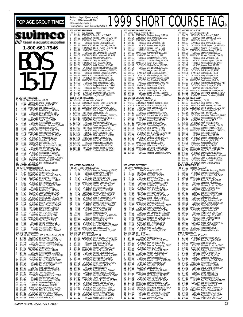| <b>TOP AGE GROUP TIMES</b>                                                                                                                                                                                                                                                                                                                                                                                                                                                                                                                                                                                                                                                                                                                                                                                                                                                                                                                                                                                                                                                                                                                                                                                                                                                                                                                                                                                                                                                                    | Rankings for the period (results received)<br>October 1, 1999 to January 28, 2000<br>TAG is financially supported by<br>Swimming/Natation Canada. Compiled by SWIMNEWS                                                                                                                                                                                                                                                                                                                                                                                                                                                                                                                                                                                                                                                                                                                                                                                                                                                                                                                                                                                                                                                                                                                                                                                                                                                                                                                                                                                        | 1999 SHORT COURSE TAG®                                                                                                                                                                                                                                                                                                                                                                                                                                                                                                                                                                                                                                                                                                                                                                                                                                                                                                                                                                                                                                                                                                                                                                                                                                                                                                                                                                                                                                                        |                                                                                                                                                                                                                                                                                                                                                                                                                                                                                                                                                                                                                                                                                                                                                                                                                                                                                                                                                                                                                                                                                                                                                                                                                                                                                                                                                                                                                                  |
|-----------------------------------------------------------------------------------------------------------------------------------------------------------------------------------------------------------------------------------------------------------------------------------------------------------------------------------------------------------------------------------------------------------------------------------------------------------------------------------------------------------------------------------------------------------------------------------------------------------------------------------------------------------------------------------------------------------------------------------------------------------------------------------------------------------------------------------------------------------------------------------------------------------------------------------------------------------------------------------------------------------------------------------------------------------------------------------------------------------------------------------------------------------------------------------------------------------------------------------------------------------------------------------------------------------------------------------------------------------------------------------------------------------------------------------------------------------------------------------------------|---------------------------------------------------------------------------------------------------------------------------------------------------------------------------------------------------------------------------------------------------------------------------------------------------------------------------------------------------------------------------------------------------------------------------------------------------------------------------------------------------------------------------------------------------------------------------------------------------------------------------------------------------------------------------------------------------------------------------------------------------------------------------------------------------------------------------------------------------------------------------------------------------------------------------------------------------------------------------------------------------------------------------------------------------------------------------------------------------------------------------------------------------------------------------------------------------------------------------------------------------------------------------------------------------------------------------------------------------------------------------------------------------------------------------------------------------------------------------------------------------------------------------------------------------------------|-------------------------------------------------------------------------------------------------------------------------------------------------------------------------------------------------------------------------------------------------------------------------------------------------------------------------------------------------------------------------------------------------------------------------------------------------------------------------------------------------------------------------------------------------------------------------------------------------------------------------------------------------------------------------------------------------------------------------------------------------------------------------------------------------------------------------------------------------------------------------------------------------------------------------------------------------------------------------------------------------------------------------------------------------------------------------------------------------------------------------------------------------------------------------------------------------------------------------------------------------------------------------------------------------------------------------------------------------------------------------------------------------------------------------------------------------------------------------------|----------------------------------------------------------------------------------------------------------------------------------------------------------------------------------------------------------------------------------------------------------------------------------------------------------------------------------------------------------------------------------------------------------------------------------------------------------------------------------------------------------------------------------------------------------------------------------------------------------------------------------------------------------------------------------------------------------------------------------------------------------------------------------------------------------------------------------------------------------------------------------------------------------------------------------------------------------------------------------------------------------------------------------------------------------------------------------------------------------------------------------------------------------------------------------------------------------------------------------------------------------------------------------------------------------------------------------------------------------------------------------------------------------------------------------|
| swimco<br>$\infty$ team a aquatic supplies<br>1-800-661-7946<br>$ 5-17$                                                                                                                                                                                                                                                                                                                                                                                                                                                                                                                                                                                                                                                                                                                                                                                                                                                                                                                                                                                                                                                                                                                                                                                                                                                                                                                                                                                                                       | 400 METRES FREESTYLE<br>Rec: 3:47.65 Alex Baumann, LUSC, 81<br>EDMONNOV Brian Johns, 17, RAPID<br>3:55.24<br>3:56.89<br>EDMONNOV Andrew Hurd, 17, MSSAC-TO<br>2<br>$\overline{3}$<br>3:58.60<br>EDMONNOV Brent O'Connor, 16, PDSA<br>4:01.80<br>$\overline{4}$<br>PCSCDEC Andrew Coupland, 16, GO<br>MANTADEC Richard Cormack, 17, GLEN<br>5<br>4:01.87<br>EDMONNOV Chuck Sayao, 17, MSSAC-TO<br>6<br>4:02.72<br>$\overline{7}$<br>4:04.99<br>RAPIDDEC Jesse Jacks, 17, IS<br>8<br>PCSCDEC Erik Gendreau-B., 16, CAMO<br>4:05.70<br>EDMONNOV Philippe Dubreuil, 17, SHER<br>KCSDEC Marcin Partyka, 17, PGB<br>9<br>4:06.01<br>10<br>4:07.20<br>RAPIDDEC Terry Nathan, 17, IS<br>4:07.37<br>11<br>EDMONNOV Bob Phipps, 16, STARS<br>4:07.44<br>12<br>BRANTNOV Keith Beavers, 16, STARS<br>13<br>4:07.64<br>ONTSRNOV Kurtis MacGillivary, 15, BRANT<br>14<br>4:08.23<br>MANTADEC Elliot MacDonald, 17, MANTA<br>15<br>4:08.61<br>4:08.66<br>PCSCDEC Francois Castonguay, 17, PPO<br>16<br>MANTADEC Jonathan Bird, 17, UCSC<br>17<br>4:08.81<br>ONTSRNOV Steven Medaglia, 15, GO<br>18<br>4:09.81<br>MANTADEC Stuart Starkey, 17, MANTA<br>19<br>4:10.22<br>20<br>4:10.95<br>PCSCDEC Mark Thauvette, 15, PCSC<br>ONTSRNOV Benjamin Petrieux, 17, PPO<br>21<br>4:11.48                                                                                                                                                                                                                                                                                            | <b>100 METRES BREASTSTROKE</b><br>Rec: 59.93 Morgan Knabe, UCSC, 99<br>EDMONNOV Matthew Huang, 15, PDSA<br>1<br>1:01.94<br>$\overline{2}$<br>1:02.54<br>EDMONNOV Chad Thomsen, 16, EKSC<br>$\mathbf{3}$<br>EDMONNOV Lee Raffa, 17, CS<br>1:06.16<br>KCSDEC Brian Verigin, 16, PGB<br>4<br>1:06.17<br>5<br>1:06.27<br>KCSDEC Andrew Sweet, 17, PGB<br>PCSCDEC Richard Hui, 17, RHAC<br>6<br>1:06.32<br>$\overline{1}$<br>1:06.44<br>UTJAN21 Chris Keung, 17, SCAR<br>8<br>MANTADEC Nathan Parker, 15, MJKFF<br>1:06.55<br>9<br>RAPIDDEC Ken Hamilton, 16, IS<br>1:06.81<br>10<br>1:06.82<br>PCSCDEC David Montpetit, 17, PPO<br>11<br>1:07.15<br>UTJAN21 Jonathan Cheng, 17, SCAR<br>MANTADEC Daniel Tracy, 16, USC<br>12<br>1:07.44<br>ONTSRNOV Michael Brown, 15, PERTH<br>13<br>1:07.49<br>PCSCDEC Donald Smith, 15, COBRA<br>1:07.94<br>14<br>15<br>1:07.96<br>TDJAN Keegan Harris, 17, NKB<br>BRANTNOV Scott Dickens, 15, BRANT<br>1:08.09<br>16<br>1:08.09<br>PCSCDEC Alex Boulanger, 17, CAMO<br>17<br>BRANTNOV Roman Margulis, 15, NYAC<br>18<br>1:08.20<br>PCSCDEC Dan Shewfelt, 16, BRANT<br>19<br>1:08.28<br>20<br>1:08.38<br>PICKDEC Brad Margison, 17, OSHAC<br>RAPIDDEC Mike Yuzwa, 17, CASC<br>21<br>1:08.42                                                                                                                                                                                                                                                    | 200 METRES IND.MEDLEY<br>Rec: 1:59.35 Curtis Myden, UCSC, 91<br>ISCUPNOV Brian Johns, 17, RAPID<br>2:04.01<br>2:05.32<br>UTJAN21 Keith Beavers.16.STARS<br>2<br>BRANTNOV Adam Sioui.17.TD<br>3<br>2:06.35<br>BEAVNDEC Chad Thomsen, 16, EKSC<br>2:06.65<br>-4<br>5<br>2:07.07<br>ONTSRNOV Chuck Sayao, 17, MSSAC-TO<br>PCSCDEC Andrew Coupland, 16, GO<br>2:07.93<br>6<br>2:08.00<br>EDMONNOV Matthew Huang, 15, PDSA<br>7<br>PCSCDEC Steven Medaglia, 15, GO<br>8<br>2:08.37<br>MANTADEC Richard Cormack, 17, GLEN<br>9<br>2:09.07<br>KCSDEC Brian Verigin, 16, PGB<br>10<br>2:09.40<br>KCSDEC Cameron Hyder, 17, NCSA<br>11<br>2:09.79<br>2:09.81<br>PCSCDEC Alex Boulanger, 17, CAMO<br>12<br>KCSDEC Andrew Sweet, 17, PGB<br>2:09.82<br>13<br>CNQOCT Stephen Preston, 17, UL<br>14<br>2:09.99<br>ONTSRNOV Bob Phipps, 16, STARS<br>15<br>2:10.24<br>2:10.81<br>BRANTNOV Bill Cocks, 15, TRENT<br>ONTSRNOV Andy White, 17, WTSC<br>ONTSRNOV Nick Langan, 17, SCAR<br>16<br>17<br>2:11.10<br>18<br>2:11.28<br>MANTADEC Geoff Keyser, 17, GLEN<br>19<br>2:11.33<br>ONTSRNOV Kurtis MacGillivary, 15, BRANT<br>ONTSRNOV Devon Ackroyd, 16, SCAR<br>20<br>2:12.28<br>21<br>2:12.93                                                                                                                                                                                                                                                |
| <b>50 METRES FREESTYLE</b><br>Rec: 22.56 Simon MacDonald, NKB, 97<br>BEAVNDEC Daniel Petrus, 16, PDSA<br>23.77<br>EDMONNOV Adam Sioui, 17, TD<br>$\mathfrak{p}$<br>23.95<br>MANTADEC Lee Raffa, 17, UCSC<br>3<br>24.05<br>PCSCDEC David Whang, 16, ESWIM<br>24.07<br>4<br>KCSDEC Brian Verigin, 16, PGB<br>24.09<br>5<br>ONTSRNOV Doug Fleming, 17, ODSC<br>24.11<br>6                                                                                                                                                                                                                                                                                                                                                                                                                                                                                                                                                                                                                                                                                                                                                                                                                                                                                                                                                                                                                                                                                                                        | KCSDEC Cameron Hyder, 17, NCSA<br>4:11.62<br>22<br>RAPIDDEC Anton Blais, 16, CASC<br>23<br>4:11.78<br>BRANTNOV Bryan McMillan, 17, GMAC<br>24<br>4:12.14<br>25<br>4:12.48<br>ESWIMJAN Joey Kehoe, 15, ESWIM<br>1500 METRES FREESTYLE<br>Rec: 15:04.14 Michael McWha, WAC, 95<br>15:13.76 EDMONNOV Andrew Hurd, 17, MSSAC-TO<br>-1<br>$\mathfrak{D}$<br>15:44.87<br>ISCUPNOV Brian Johns, 17, RAPID<br>3<br>15:57.68<br>EDMONNOV Brent O'Connor, 16, PDSA<br>16:02.11<br>UTJAN21 Chuck Sayao, 17, MSSAC-TO<br>4<br>RAPIDDEC Jesse Jacks, 17, IS<br>5<br>16:03.72<br>MANTADEC Elliot MacDonald, 17, MANTA<br>16:08.67<br>6                                                                                                                                                                                                                                                                                                                                                                                                                                                                                                                                                                                                                                                                                                                                                                                                                                                                                                                                      | 22<br>1:08.49<br>RAPIDDEC Ian Meredith, 16, RAYS<br>23<br>1:08.71<br>KCSDEC Daren Wylie, 17, HYACK<br>24<br>1:08.85<br>PCSCDEC Blaine Dolcetti, 17, SSMAC<br>25<br>1:08.90<br>TSCJAN Mauricio Montano, 15, MSSAC<br><b>200 METRES BREASTSTROKE</b><br>Morgan Knabe, UCSC, 98<br>Rec: 2:11.45<br>EDMONNOV Matthew Huang 15, PDSA<br>2:13.38<br>1<br>$\overline{2}$<br>EDMONNOV Chad Thomsen, 16, EKSC<br>2:16.09<br>$\sqrt{3}$<br>2:19.23<br>UTJAN21 Keith Beavers 16, STARS<br>2:20.74<br>RAPIDDEC Ken Hamilton.16.IS<br>4<br>5<br>2:21.16<br>PCSCDEC David Montpetit, 17, PPO<br>2:23.18<br>MANTADEC Nathan Parker, 15, MJKFF<br>6                                                                                                                                                                                                                                                                                                                                                                                                                                                                                                                                                                                                                                                                                                                                                                                                                                           | UTJAN21 Chris Keung, 17, SCAR<br>22<br>2:13.01<br>MANTADEC Matthew Del Mastro, 17, USC<br>23<br>2:13.31<br>RAPIDDEC Chris Kargl-Simard, 15, PDSA<br>24<br>2:13.31<br>RAPIDDEC Andrew Carruthers, 16, NRST<br>25<br>2:13.51<br>400 METRES IND.MEDLEY<br>Rec: 4:12.67 Alex Baumann, LUSC, 81<br>ISCUPNOV Brian Johns, 17, RAPID<br>4:21.92<br>BRANTNOV Keith Beavers, 16, STARS<br>$\overline{2}$<br>4:25.99<br>EDMONNOV Chuck Sayao, 17, MSSAC-TO<br>3<br>4:28.40<br>PCSCDEC Steven Medaglia, 15, GO<br>RAPIDDEC Ken Hamilton, 16, IS<br>4:30.56<br>$\overline{4}$<br>5<br>4:31.14<br>ONTSRNOV Kurtis MacGillivary, 15, BRANT<br>4:32.72<br>6                                                                                                                                                                                                                                                                                                                                                                                                                                                                                                                                                                                                                                                                                                                                                                                     |
| KCSDEC Borrey Kim, 17, OSC<br>MANTADEC Scott Briggs, 17, USC<br>PCSCDEC Cedric Sureau-L., 16, PPO<br>24.22<br>8<br>24.23<br>9<br>24.25<br>10<br>24.26<br>ONTSRNOV Matthew Liberatore, 17, ESWIM<br>UTJAN21 Nick Langan, 17, SCAR<br>11<br>24.28<br>12<br>24.36<br>ISCUPNOV Jason Strelzow, 17, PDSA<br>MANTADEC lan Grotkowski, 17, UCSC<br>13<br>24.46<br>PCSCDEC Andrew Bignell, 16, SSMAC<br>14<br>24.47<br>15<br>ONTSRNOV C. Vythoulkas, 15, DSC<br>24.49<br>RAPIDDEC Chris Barry, 16, PDSA<br>16<br>24.52<br>24.58<br>NORACJAN Bill Cocks, 15, TRENT<br>17<br>ONTSRNOV Bradley Vanderkam, 16, LAC<br>18<br>24.66<br>19<br>KCSDEC Marcin Partyka, 17, PGB<br>24.74<br>ONTSRNOV Jonathan Cheng, 17, SCAR<br>20<br>24.74<br>ONTSRNOV Chris Lukas, 16, ESWIM<br>21<br>24.76<br>22<br>KCSDEC Cameron Hyder, 17, NCSA<br>24.80<br>23<br>ONTSRNOV Remy Di Giovanni, 17, MSSAC<br>24.82<br>24<br>RODSCJAN Kevin Saganski, 17, GOLD<br>24.83                                                                                                                                                                                                                                                                                                                                                                                                                                                                                                                                                      | EDMONNOV Philippe Dubreuil, 17, SHER<br>7<br>16:12.12<br>RAPIDDEC Terry Nathan, 17, IS<br>8<br>16:22.71<br>9<br>16:30.42<br>KCSDEC Marcin Partyka, 17, PGB<br>10 16:37.70<br>RAPIDDEC Travis Musgrave, 15, COMOX<br>RAPIDDEC Anton Blais, 16, CASC<br>11 16:40.57<br>KCSDEC Andy Andrew, 16, WVOSC<br>12 16:45.27<br>13 16:45.43<br>GOLDOCT Karim Abdulla, 16, ROD<br>14 16:45.48<br>MEGADEC Matt Johnston, 15, MSSAC<br>15 16:45.48<br>MEGADEC Bentley Gaikis, 16, TSC<br>MANTADEC Ciaran Dickson, 16, ROD<br>16 16:46.75<br>17 16:52.84<br>KCSDEC Rylan Kafara, 16, RDCSC<br>18 16:55.59<br>MANTADEC Jonathan Bird, 17, UCSC<br>19 16:56.18<br>RAPIDDEC Richard Taylor, 15, RAPID<br>UTJAN21 Jordan Chittley, 17, NYAC<br>20 16:58.77                                                                                                                                                                                                                                                                                                                                                                                                                                                                                                                                                                                                                                                                                                                                                                                                                       | 2:23.67<br>BRANTNOV Alex Boulanger, 17, CAMO<br>7<br>KCSDEC Andrew Sweet, 17, PGB<br>8<br>2:23.71<br>MANTADEC Daniel Tracy, 16, USC<br>9<br>2:24.12<br>PCSCDEC Steven Medaglia, 15, GO<br>10<br>2:24.29<br>2:24.81<br>ISCUPNOV Brian Johns, 17, RAPID<br>11<br>2:25.44<br>ONTSRNOV Chris Keung, 17, SCAR<br>12<br>ONTSRNOV Chuck Sayao, 17, MSSAC-TO<br>13<br>2:26.08<br>ONTSRNOV Andy White, 17, WTSC<br>14<br>2:26.52<br>ONTSRNOV Jonathan Cheng, 17, SCAR<br>2:26.58<br>15<br>PGBNOV Brian Verigin, 15, PGB<br>2:26.69<br>16<br>2:27.38<br>MANTADEC Lee Raffa, 17, UCSC<br>17<br>RAPIDDEC Mike Yuzwa, 17, CASC<br>18<br>2:27.50<br>2:28.28<br>MANTADEC Jamie Del Mastro, 15, USC<br>19<br>2:28.49<br>PICKDEC Michael Brown, 15, PERTH<br>20<br>21<br>2:28.57<br>PCSCDEC Francois Castonguay, 17, PPO                                                                                                                                                                                                                                                                                                                                                                                                                                                                                                                                                                                                                                                                       | 4:34.12<br>PCSCDEC Alex Boulanger, 17, CAMO<br>RAPIDDEC Terry Nathan, 17, IS<br>ONTSRNOV Andy White, 17, WTSC<br>MANTADEC Richard Cormack, 17, GLEN<br>7<br>8<br>4:35.36<br>9<br>4:36.77<br>10<br>4:37.37<br>KCSDEC Cameron Hyder, 17, NCSA<br>11<br>4:37.57<br>MANTADEC Elliot MacDonald, 17, MANTA<br>12<br>4:37.63<br>KCSDEC Craig Gillis, 16, CASC<br>13<br>4:38.37<br>KCSDEC Andrew Sweet, 17, PGB<br>14<br>4:39.09<br>4:39.14<br>ONTSRNOV Bradley Vanderkam, 16, LAC<br>15<br>KCSDEC Brian Verigin, 16, PGB<br>4:42.38<br>16<br>4:42.91<br>MEGADEC Nick Langan, 17, SCAR<br>17<br>ONTSRNOV Mark Sy, 16, CREST<br>4:43.05<br>18<br>MANTADEC Matthew Del Mastro, 17, USC<br>19<br>4:45.00<br>MANTADEC Ciaran Dickson, 16, ROD<br>20<br>4:45.04<br>21<br>ONTSRNOV Steven Caswell, 16, HWAC<br>4:45.63<br>22<br>4:45.88<br>PCSCDEC Patrick Bourassa-F., 16, CAMO<br>23<br>4:45.99<br>PCSCDEC Jean-S. Savard, 17, CAMO<br>24<br>4:46.08<br>ONTSRNOV Blaine Dolcetti, 17, SSMAC                                                                                                                                                                                                                                                                                                                                                                                                                                                  |
| ONTSRNOV Bob Phipps, 16, STARS<br>25<br>24.87<br>100 METRES FREESTYLE<br>Rec: 49.84 Yannick Lupien, GO, 97<br>51.53<br>BEAVNDEC Daniel Petrus, 16, PDSA<br>51.54<br>EDMONNOV Adam Sioui, 17, TD<br>2<br>52.28<br>MANTADEC Richard Cormack, 17, GLEN<br>3<br>52.29<br>ISCUPNOV Brian Johns, 17, RAPID<br>4<br>52.51<br>PCSCDEC Cedric Sureau-L., 16, PPO<br>5<br><b>ONTSRNOV Bob Phipps, 16, STARS</b><br>52.57<br>6<br>PCSCDEC Nicolas Guillotte, 16, CAMO<br>52.72<br>KCSDEC Borrey Kim, 17, OSC<br>ESWIMJAN David Whang, 16, ESWIM<br>8<br>52.96<br>53.10<br>9<br>10<br>ISCUPNOV Jason Strelzow, 17, PDSA<br>53.24<br>ONTSRNOV Doug Fleming, 17, ODSC<br>11<br>53.31<br>ONTSRNOV Chuck Sayao, 17, MSSAC-10<br>12<br>53.34<br>13<br>MANTADEC Ian Grotkowski, 17, UCSC<br>53.41<br>14<br>ONTSRNOV Bradley Vanderkam, 16, LAC<br>53.46<br>15<br>RAPIDDEC Dugald Thomson, 17, CASC<br>53.65<br>RAPIDDEC Brent Hayden, 16, SPART<br>53.67<br>16<br>KCSDEC Marcin Partyka, 17, PGB<br>17<br>53.71<br>ONTSRNOV Anthony Costa, 17, NEW<br>18<br>53.74<br>19<br>53.77<br>KCSDEC Brian Verigin, 16, PGB<br>20<br>53.84<br>MANTADEC Jonathan Bird, 17, UCSC<br>21<br>53.89<br>ONTSRNOV Tim Sauve, 17, CYPS<br>22<br>53.98<br>KCSDEC Andrew Sweet, 17, PGB<br>23<br>54.03<br>PCSCDEC Mark Thauvette, 14, PCSC<br>24<br>54.13<br>KCSDEC Craig Gillis, 16, CASC                                                                                                                                           | <b>100 METRES BACKSTROKE</b><br>Rec: 54.56 Chris Renaud, UCSC, 93<br>57.59<br>ONTSRNOV Francois Castonguay, 17, PPO<br>57.60<br>PCSCDEC David Whang, 16, ESWIM<br>2<br>CNQOCT Stephen Preston, 17, UL<br>3<br>58.00<br>KCSDEC Craig Gillis, 16, CASC<br>58.24<br>4<br>ONTSRNOV Remy Di Giovanni, 17, MSSAC<br>5<br>59.04<br>MANTADEC Richard Cormack, 17, GLEN<br>6<br>59.06<br>59.10<br>ONTSRNOV Stefano Caprara, 16, VAC<br>7<br>8<br>ONTSRNOV Doug Fleming, 17, ODSC<br>59.34<br>9<br>59.34<br>UTJAN21 Keith Beavers, 16, STARS<br>10<br>59.40<br>BEAVNDEC Andrew Greener, 15, UNATT<br>11<br>MANTADEC Trevor Coulman.15.GOLD<br>59.52<br>12<br>59.59<br>ONTSRNOV Bradley Vanderkam, 16, LAU<br>13<br>59.62<br>ESWIMJAN Chris Lukas, 16, ESWIM<br>14<br>59.69<br>ONTSRNOV Richard Malolepszy, 17, ROW<br>UTJAN21 Bryan McMillan, 17, GMAC<br>15<br>59.69<br>ONTSRNOV Anthony Costa, 17, NEW<br>59.71<br>16<br>17<br>59.89<br>KCSDEC Andrew Sweet, 17, PGB<br>59.98<br>18<br>KCSDEC Kyle Nartz, 16, PN<br>UTJAN21 Chuck Sayao, 17, MSSAC-TO<br>19<br>1:00.02<br>KCSDEC Maciek Zielnik, 15, EKSC<br>20<br>1:00.25<br>21<br>1:00.30<br>BRANTNOV Chris Kula, 16, CAJ<br>ONTSRNOV C. Vythoulkas, 15, DSC<br>22<br>1:00.37<br>ONTSRNOV Kurtis MacGillivary, 15, BRANT<br>23<br>1:00.37<br>MANTADEC Lee Raffa, 17, UCSC<br>24<br>1:00.51                                                                                                                                                                                                                          | 100 METRES BUTTERFLY<br>Rec: 54.00 Adam Sioui, TD, 99<br>54.00<br>RIONOV Adam Sioui, 17, TD<br>л.<br>$\overline{2}$<br>57.33<br>RAPIDDEC Jesse Jacks, 17, IS<br>$\mathbf{3}$<br>RAPIDDEC Craig Gillis, 16, CASC<br>57.41<br>KCSDEC Borrey Kim, 17, OSC<br>4<br>57.72<br>58.13<br>ONTSRNOV Bradley Vanderkam, 16, LAC<br>5<br>PCSCDEC Cedric Sureau-L., 16, PPO<br>58.28<br>6<br>$\overline{7}$<br>58.31<br>PCSCDEC David Whang, 16, ESWIM<br>ONTSRNOV Andy White, 17, WTSC<br>PCSCDEC Jean-S. Savard, 17, CAMO<br>8<br>58.43<br>9<br>58.58<br>10<br>58.68<br>RAPIDDEC Chris Barry, 16, PDSA<br>11<br>58.84<br>PCSCDEC Andrew Bignell, 16, SSMAC<br>12<br>58.85<br>BEAVNDEC Daniel Petrus, 16, PDSA<br>13<br>58.88<br>GOLDOCT Chad Hankewich, 17, GOLD<br>58.95<br>MANTADEC Ian MacLeod, 16, USC<br>14<br>ONTSRNOV Francois Castonguay, 17, PPO<br>15<br>58.96<br>CASCNOV Karim Abdulla, 16, RÓD<br>59.05<br>16<br>17<br>59.10<br>MANTADEC Steven Demchuk, 17, ROD<br>18<br>59.38<br>PCSCDEC Erik Gendreau-B., 16, CAMO<br>BEAVNDEC Andrew Greener, 15, UNATT<br>19<br>59.39<br>20<br>59.41<br>MANTADEC Matthew Del Mastro, 17, USC<br>21<br>59.41<br>MEGADEC Nick Langan, 17, SCAR<br>22<br>59.47<br>BRANTNOV Bob Phipps, 16, STARS<br>23<br>59.47<br>NORACJAN Bill Cocks, 15, TRENT<br>59.52<br>ONTSRNOV Mark Sy, 16, CREST<br>24<br>25                                                                                                                                      | 25<br>ONTSRNOV Trevor McLean, 17, NKB<br>4:46.46<br>4X50 M MEDLEY RELAY<br>Rec: 1:44.53 Markham AC, MAC, 94<br>1:49.16<br>PCSCDEC Etobicoke Swimming, ESWIM<br>1:50.60<br>ONTSRNOV Scarborough SC, SCAR<br>$\mathcal{P}$<br>KCSDEC Cascade Swim Club, CASC<br>1:50.72<br>3<br>MANTADEC Uxbridge SC,USC<br>1:50.96<br>4<br>KCSDEC Prince George BSC, PGB<br>1:51.28<br>5<br>1:51.89<br>KCSDEC Edmonton Keyano, EKSC<br>6<br>1:52.24<br>PCSCDEC Montreal Aquatique,CAMO<br>PCSCDEC Pointe Claire SC,PCSC<br>PCSCDEC Oakville AC,OAK<br>7<br>1:53.90<br>8<br>1:54.38<br>GOLDOCT Saskatoon Goldfins, GOLD<br>1:54.59<br>10<br>1:54.88<br>GOLDOCT Regina Opt.Dolphins,ROD<br>11<br><b>PCSCDEC Brantford AC, BRANT</b><br>ΙZ<br>1:55.18<br>13<br>CASCNOV Calgary Swimming, UCSC<br>1:55.29<br>PCSCDEC Glouc-Ottawa Kingfish, GO<br>14<br>1:55.31<br>CASCNOV Silver Tide SC, STŠC<br>15 1:55.45<br>MANTADEC Glencoe Gators, GLEN<br>1:55.56<br>16<br>ONTSRNOV Nepean Kanata, NKB<br>17 1:56.26<br>KCSDEC Hyack Swim Club, HYACK<br>18<br>1:56.82<br>PCSCDEC Mississauga AC, MSSAC<br>19<br>1:56.96<br>PICKDEC Perth Stingrays, PERTH<br>20<br>1:57.38<br>LACNOV London AC, LAC<br>21<br>1:58.50<br>1:59.29<br>RODSCJAN Manta Swim Club, MANTA<br>22<br>PICKDEC Oshawa AC, OSHAC<br>23<br>1:59.81<br>1:59.96<br><b>BROCKOCT Pickering SC, PICK</b><br>24                                                                                 |
| 25<br>54.15<br>TDJAN Bryan McMillan, 17, GMAC<br>200 METRES FREESTYLE<br>Rec: 1:47.83 Alex Baumann, LUSC, 81 / Eddie Parenti, NSC, 89<br>1:49.16<br><b>ISCUPNOV Brian Johns.17.RAPID</b><br>1:52.76<br>MANTADEC Richard Cormack, 17, GLEN<br>2<br>1:53.46<br>PCSCDEC Andrew Coupland, 16, GO<br>3<br>ONTSRNOV Andrew Hurd, 17, MSSAC-TO<br>1:53.56<br>4<br>1:53.72<br>EDMONNOV Adam Sioui, 17, TD<br>5<br>BEAVNDEC Daniel Petrus, 16, PDSA<br>1:54.43<br>6<br>PCSCDEC Cedric Sureau-L., 16, PPO<br>1:54.53<br>7<br>EDMONNOV Chuck Sayao, 17, MSSAC-TO<br>1:54.58<br>8<br>ONTSRNOV Bob Phipps, 16, STARS<br>PCSCDEC Nicolas Guillotte, 16, CAMO<br>1:54.70<br>Q<br>1:55.08<br>10<br>1:55.29<br>PCSCDEC Erik Gendreau-B., 16, CAMO<br>11<br>1:55.34<br>KCSDEC Borrey Kim, 17, OSC<br>UTJAN21 Keith Beavers, 16, STARS<br>12<br>1:55.37<br>13<br>1:55.96<br>MANTADEC lan Grotkowski,17,UCSC<br>14<br>15<br>1:56.57<br>RAPIDDEC Terry Nathan, 17, IS<br>1:56.60<br>ONTSRNOV Benjamin Petrieux, 17, PPO<br>16<br>KCSDEC Marcin Partyka, 17, PGB<br>17<br>1:57.24<br>18<br>1:57.26<br>KCSDEC Cameron Hyder, 17, NCSA<br>PCSCDEC Steven Medaglia, 15, GO<br>19<br>1:57.40<br>UTJAN21 Nick Langan, 17, SCAR<br>20<br>1:57.51<br>BRANTNOV Bryan McMillan, 17, GMAC<br>21<br>1:57.86<br>PCSCDEC Mark Thauvette, 14, PCSC<br>22<br>1:58.10<br>ONTSRNOV Anthony Costa, 17, NEW<br>23<br>1:58.12<br>MANTADEC Elliot MacDonald, 17, MANTA<br>24<br>1:58.22<br>25<br>BRANTNOV Chris Kula, 16, CAJ<br>1:58.35 | 25<br>1:00.56<br>ONTSRNOV Goran Marjanovic, 17, HWAC<br><b>200 METRES BACKSTROKE</b><br>Rec: 1:57.13<br>Chris Renaud, UCSC, 94<br>2:01.77 EDMONNOV Chuck Sayao, 17, MSSAC-TO<br>1<br>ONTSRNOV Francois Castonguay, 17, PPO<br>$\overline{2}$<br>2:03.13<br>$_{3}$<br>KCSDEC Craig Gillis, 16, CASC<br>2:04.77<br>UTJAN21 Keith Beavers, 16, STARS<br>$\overline{4}$<br>2:05.78<br>5<br>MANTADEC Richard Cormack, 17, GLEN<br>2:05.82<br>MANTADEC Ciaran Dickson, 16, ROD<br>2:05.96<br>6<br>$\overline{7}$<br>PCSCDEC Andrew Coupland, 16, GO<br>2:06.56<br>ONTSRNOV Remy Di Giovanni, 16, MSSAC<br>8<br>2:07.12<br>ESWIMJAN Chris Lukas, 16, ESWIM<br>9<br>2:07.32<br>ONTSRNOV Doug Fleming, 17, ODSC<br>ONTSRNOV Goran Marjanovic, 17, HWAC<br>10<br>2:07.55<br>2:08.05<br>11<br>MANTADEC Geoff Keyser, 17, GLEN<br>KCSDEC Kyle Nartz, 16, PN<br>2:08.46<br>12<br>2:08.57<br>13<br>BRANTNOV Bryan McMillan, 17, GMAC<br>2:08.85<br>14<br>2:08.98<br>BEAVNDEC Andrew Greener, 15, UNATT<br>15<br>2:09.14<br>UTJAN21 Kurtis MacGillivary, 16, BRANT<br>16<br>MANTADEC Trevor Coulman, 15, GOLD<br>17<br>2:10.14<br>CASCNOV Charles Turanich-N., 15, STSC<br>2:10.22<br>18<br>19<br>2:10.37<br>ONTSRNOV Stefano Caprara, 16, VAC<br>2:10.40<br>RAPIDDEC Adam Martinson, 15, CASC<br>20<br>ONTSRNOV Anthony Costa, 17, NEW<br>21<br>2:10.61<br>ONTSRNOV Kevin Calaguiro, 16, HWAC<br>22<br>2:11.00<br>23<br>ONTSRNOV William Moore, 17, HWAC<br>2:11.39<br>24<br>2:11.49<br>MANTADEC Stuart Starkey, 17, MANTA<br>25 2:11.62<br>KCSDEC Maciek Zielnik, 15, EKSC | 59.62<br>KCSDEC Joseph Miller, 16, STSC<br>200 METRES BUTTERFLY<br>Rec: 1:57.66 Adam Sioui, TD, 99<br>1:57.66<br>RIONOV Adam Sioui, 17, TD<br>1<br>EDMONNOV Brent O'Connor, 16, PDSA<br>$\overline{2}$<br>2:04.35<br>3<br>ONTSRNOV Andy White, 17, WTSC<br>2:06.63<br>4<br>2:07.93<br>PCSCDEC Francois Castonguay, 17, PPO<br>5<br>ONTSRNOV Mark Sy, 16, CREST<br>2:08.02<br>PCSCDEC Jean-S. Savard, 17, CAMO<br>2:08.44<br>6<br>2:08.52<br>PCSCDEC Andrew Coupland, 16, GO<br>$\overline{1}$<br>MANTADEC Ian MacLeod, 16, USC<br>8<br>2:08.63<br>9<br>PCSCDEC Steven Medaglia, 15, GO<br>2:08.63<br>ONTSRNOV Andrew Hurd, 17, MSSAC-TO<br>10<br>2:08.89<br>CASCNOV Karim Abdulla, 16, ROD<br>RAPIDDEC Craig Gillis, 16, CASC<br>ISCUPNOV Jesse Jacks, 17, IS<br>2:09.08<br>11<br>2:09.68<br>12<br>2:10.38<br>13<br>UTJAN21 Jordan Chittley, 17, NYAC<br>2:10.60<br>14<br>MANTADEC Lawrence Cohen, 17, MANTA<br>15<br>2:11.28<br>2:11.28<br>PCSCDEC Alex Boulanger, 17, CAMO<br>16<br>CASCNOV Niels Versfeld, 18, UCSC<br>17<br>2:11.35<br>ONTSRNOV Steven Caswell, 16, HWAC<br>2:11.42<br>18<br>MANTADEC Steven Demchuk, 17, ROD<br>19<br>2:11.71<br>20<br>2:11.71<br>MANTADEC Matthew Del Mastro, 17, USC<br>RAPIDDEC Chris Kargl-Simard, 15, PDSA<br>21<br>2:12.23<br>22<br>2:12.69<br>ONTSRNOV Vlad Guerrero, 16, SCAR<br>23<br>2:12.74<br>PCSCDEC Erik Gendreau-B., 16, CAMO<br>24 2:13.10<br>KCSDEC Cameron Hyder, 17, NCSA<br>25 2:13.11<br>KCSDEC Borrey Kim, 17, OSC | 2:00.54<br>MANTADEC Manitoba Marlins, MM<br>25<br>4X50 M FREE RELAY<br>Rec: 1:34.58 Markham AC, MAC, 92<br>ONTSRNOV Scarborough SC, SCAR<br>1:37.28<br>-1<br>KCSDEC Prince George BSC, PGB<br>$\overline{2}$<br>1:38.01<br>MANTADEC Uxbridge SC, USC<br>3<br>1:39.02<br>PCSCDEC Montreal Aquatique, CAMO<br>1:39.43<br>$\overline{4}$<br>BRANTNOV Etobicoke Swimming, ESWIM<br>5<br>1:39.67<br>CASCNOV Calgary Swimming, UCSC<br>PCSCDEC Pointe Claire SC, PCSC<br>1:41.09<br>6<br>7<br>1:41.65<br>KCSDEC Nose Creek SA, NCSA<br>8<br>1:42.13<br>GOLDOCT Edmonton Keyano, EKSC<br>9<br>1:42.15<br>KCSDEC Cascade Swim Club, CASC<br>10<br>1:42.25<br>MEGADEC North York AC, NYAC<br>11<br>1:42.34<br>MANTADEC Glencoe Gators, GLEN<br>1:42.49<br>12<br>13<br>PCSCDEC Glouc-Ottawa Kingfish, GO<br>1:42.76<br>14<br>1:43.10<br>PCSCDEC Oakville AC, OAK<br>GOLDOCT Silver Tide SC, STSC<br>15<br>1:44.14<br>16<br>1:44.27<br>PCSCDEC Brantford AC, BRANT<br>MANTADEC Manitoba Marlins, MM<br>17<br>1:44.67<br>KCSDEC Red Deer Catalina SC, RDCSC<br>18<br>1:44.98<br>RODSCJAN Saskatoon Goldfins, GOLD<br>19<br>1:45.11<br>TDJAN Nepean Kanata, NKB<br>20<br>1:45.30<br>RODSCJAN Manta Swim Club, MANTA<br>21<br>1:45.50<br>CHAMPDEC Toronto Champs, CHAMP<br>22<br>1:45.76<br>23<br>PCSCDEC Mississauga AC, MSSAC<br>1:45.78<br>GOLDOCT Regina Opt.Dolphins, ROD<br>24<br>1:46.11<br>25 1:46.38<br>KCSDEC Hyack Swim Club, HYACK |

**SWIM**NEWS JANUARY 2000 27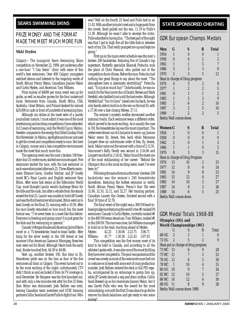# **SEARS SWIMMING SKINS**

# PRIZE MONEY AND THE FORMAT

# **Nikki Dryden**

Calgary—The inaugural Sears Swimming Skins competition on November 22, 1999, got underway after a one-hour "I Can Swim" clinic with some of this world's best swimmers. Over 400 Calgary youngsters watched demos and listened to the inspiring words of South African Penny Heyns, Canadians Joanne Malar and Curtis Myden, and American Tom Wilkens.

races. Swimmers from Canada, South Africa, USA,<br>Australia, Great Britain, and Poland dashed for almost **One** \$20,000 in cash in front of hundreds of screaming fans. Prize money of \$4000 per main event was up for grabs, as well as smaller purses for the four undercard races. Swimmers from Canada, South Africa, USA,

**Barrowman's Dryland** entertaining and exciting competitions I have attended. In12 years of swimming, only the World Cup in Malmo, Sweden compares to the energy that filled Lindsay Park<br>this Namurk in In Malma, madistries of music convert Although my duties at the meet were of a purely journalistic nature, I must admit it was one of the most this November. In Malmo, spotlights and music are used to get the crowd and competitors ready to race. But here in Calgary, money and a less competitive environment made the meet that much more fun.

The opening event was the men's broken 100 freestyle: four 25-metre races, started one minute apart. Five swimmers started the race, with the last swimmer in each wave eliminated after each 25. Three Alberta swimmers: Etienne Caron, Gordon Vatcher, and JP Gowdy raced BC's Ryan Laurin and English swimmer Sion Brinn. After some fast swims at the Edmonton World Cup, most thought Laurin would challenge Brinn for the title and the cash, but after a whistle from the stands erased the first 25, Laurin was unable to hold off Gowdy and was the third swimmer eliminated. Brinn went on to beat Gowdy on the final 25, winning with a 10.59. After his race Gowdy remarked on how much fun the meet format was. "I've never been in a meet like this before. Everyone is cheering and going crazy! It is just great for the kids and for swimming in general."

Canada's Morgan Knabe and American Jarrod Marrs raced in a 75-breaststroke head-to-head battle. After tying for the silver medal in the 100 breast at last summer's Pan American Games in Winnipeg, these two men were out for blood. Although Marrs took the early lead, Knabe touched first, 44.30 to 44.86.

Next up, another broken 100, this time in fly. Hometown pride was on the line as four of the five swimmers all train in Calgary. This event turned out to be the most exciting of the night; unfortunately CTV didn't think so and excluded it from its TV coverage in mid-December. Bo Simpson was the first knocked out, and with only a few minutes rest after his five 25 frees, Sion Brinn was eliminated. Josh Ballem was next, leaving Canadian team members and UCSC training partners Collin Sood and Garret Pulle to fight it out. Who

<span id="page-27-0"></span>won? Well on the fourth 25 Sood and Pulle tied in an 11.43. With another minute's rest and a huge push from the crowd, Sood pulled out the win, 11.19 to Pulle's 11.39. Although he wasn't able to emerge the victor, Pulle admitted to having fun. "The best part of the night was that I got to high five all the little kids in between each of my 25s. That really pumped me up and kept me going." **MADE THE MEET MUCH MORE FUN** Strated to having fun. "The best part of the night GDR European Champs Medals

First up on the main event schedule was the men's broken 200 backstroke, featuring five of Canada's top superstars. Butterfly specialist Shamek Pietucha took the place of Chris Renaud, who pulled out of the competition due to illness. Before the race, Pietucha had nothing but great things to say about the meet. "The atmosphere here is absolutely electrifying!" Pietucha said, "It is just so much fun!" Unfortunately, he was no match for the Vancouver duo of Dustin Hersee and Mark Versfeld, who battled it out until the last metre. Although Versfeld had "You're Gone" inked onto his back, he was only barely able to hold on to the win on the last 50, with a 27.00 over a fast-closing Hersee, 27.11.

The women's mystery medley showcased another national rivalry. Each swimmer swam a different order, which proved to be most exciting. As is usually the case in IM, the breaststroke leg was the most important. The orders were drawn out of a hat prior to warm-up: Joanne Malar swam fly, breast, free, back while Marianne Limpert drew an unfortunate order of free, fly, breast, back. Malar came out the winner with a time of 2:12.91, Vancouver's Kelly Doody was second in 2:16.06 and Limpert was third in 2:16.42. Malar found the meet one of the most exhilarating of her career: "Behind the Olympics this is the most exciting swim meet I've ever been to!"

Following the same format as the men's broken 200 backstroke was the women's 200 breaststroke showdown, featuring the hottest swimmer in world, South African Penny Heyns. Penny's four 50s were 31.84, 32.10, 32.12, and 32.27. Her training partner, Canadian Lauren Van Oosten, finished second with a final 50 time of 32.78.

The final event of the night was a 300 IM head-tohead grudge race featuring the world's two #1 ranked IM swimmers: Canada's Curtis Myden, currently ranked #1 in the 400 IM versus American Tom Wilkens, ranked #1 in the 200 IM. The race was close, but Wilkens managed to hold on to the lead, touching ahead of Myden: Myden: 42.25 1:30.04 2:23.75 3:06.71<br>Wilkens: 41.77 1:30.30 2:22.43 3:07.03 Wilkens: 41.77 1:30.30 2:22.43 3:07.03

This competition was the first money meet of its kind to be held in Canada, and according to all the athletes I spoke with, it was also one of the most thrilling they have ever competed in. The pool was packed and the crowd was rowdy as most of the swimmers marched out in costume or at least with some sort of crazy production number. Josh Ballem entered the deck in full PEI regalia, accompanied by an entourage to pump him up, while JP Gowdy donned a wig and disco clothes. Collin Sood dressed up as his roommate Joanne Malar, but it was Garret Pulle who won the award for the most intimidating: not until the first 25 was about to go did he remove his black balaclava and get ready to win some money!

# **STATE SPONSORED CHEATING**

| Men                             | G              | S                                     | B                   | <b>Total</b>   |  |  |
|---------------------------------|----------------|---------------------------------------|---------------------|----------------|--|--|
| 1954                            | 1              | $\overline{0}$                        | $\bf{0}$            | $\mathbf{1}$   |  |  |
| 1958                            | $\overline{0}$ | $\overline{0}$                        | $\overline{c}$      | $\overline{2}$ |  |  |
| 1962                            | 1              | $\mathbf{1}$                          | $\overline{5}$      | $\overline{7}$ |  |  |
| 1966                            | 3              | 3                                     | 3                   | $\overline{9}$ |  |  |
| 1970                            | 5              | 3                                     | $\overline{5}$      | 12             |  |  |
| Stasi in charge of Drug program |                |                                       |                     |                |  |  |
| 1974                            | 4              | 3                                     | $\boldsymbol{2}$    | 9              |  |  |
| 1977                            | $\mathbf{1}$   | $\overline{c}$                        | $\overline{c}$      | $\overline{5}$ |  |  |
| 1981                            | $\overline{0}$ | $\mathbf{1}$                          | $\overline{1}$      | $\overline{c}$ |  |  |
| 1983                            | 1              | $\overline{5}$                        | 3                   | 9              |  |  |
| 1985                            | $\overline{2}$ | $\boldsymbol{6}$                      | $\overline{c}$      | 10             |  |  |
| 1987                            | 3              | $\overline{2}$                        | $\overline{5}$      | 10             |  |  |
| 1989                            | $\mathbf{1}$   | $\overline{2}$                        | $\overline{2}$      | 5              |  |  |
| Berlin Wall comes down          |                |                                       |                     |                |  |  |
|                                 |                |                                       |                     |                |  |  |
| <b>Women G</b>                  |                | S                                     | B                   | Total          |  |  |
| 1954                            | 1              | $\overline{0}$                        | $\overline{0}$      | 1              |  |  |
| 1958                            | $\overline{0}$ | $\bf{0}$                              | $\bf{0}$            | $\bf{0}$       |  |  |
| 1962                            | $\overline{2}$ | $\overline{0}$                        | $\mathbf{1}$        | $\overline{3}$ |  |  |
| 1966                            | 1              | $\mathbf{1}$                          | $\bf{0}$            | $\overline{2}$ |  |  |
| 1970                            | 9              | 3                                     | 3                   | 15             |  |  |
|                                 |                |                                       |                     |                |  |  |
| 1974                            | 13             | Stasi in charge of Drug Program<br>10 | $\boldsymbol{2}$    | 25             |  |  |
| 1977                            | 12             | 8                                     | $\overline{4}$      | 24             |  |  |
| 1981                            | 14             | 9                                     | 8                   | 23             |  |  |
| 1983                            | 15             | 12                                    | $\overline{0}$      | 27             |  |  |
| 1985                            | 14             | 10                                    | 3                   | 27             |  |  |
| 1987                            | 14             | 9                                     | 3<br>$\overline{5}$ | 26             |  |  |

Berlin Wall comes down

# GDR Medal Totals 1968-88 **Olympics (OG) and**

**World Championships (WC)**

|              | G              | S                                   | B              | Total |
|--------------|----------------|-------------------------------------|----------------|-------|
| 68 OG        | $\overline{2}$ | 3                                   | 1              | b     |
| 72 OG        | $\overline{2}$ | 5                                   | 2              | 9     |
|              |                | Stasi put in charge of drug program |                |       |
| 73 WC        | 13             | 6                                   | 9              | 28    |
| 75 WC        | 11             | 7                                   | 5              | 23    |
| 76 OG        | -12            | 6                                   | $\overline{2}$ | 20    |
| <b>78 WC</b> | 1              | 10                                  | 4              | 15    |
| 80 OG        | 10             | 9                                   | 7              | 26    |
| 82 WC        | 12             | 10                                  | 5              | 27    |
| 86 WC        | 14             | 12                                  | 4              | 30    |
| 88 OG        | 11             | 8                                   | 9              | 28    |
|              |                | Berlin Wall comes down 1989         |                |       |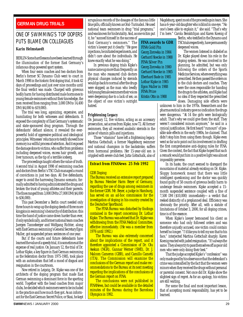# <span id="page-28-0"></span>**GERMAN DRUG TRIALS**

# ONE OF SWIMMING'S TOP DOPERS PUTS BLAME ON COLLEAGUES

# **Karin Helmstaedt**

BERLIN-Some hard lessons have been learned through the illumination of the former East Germany's infamous drug-powered sport system.

When four swim coaches and two doctors from Berlin's former SC Dynamo Club went to court in March 1998 in the historic first doping trial, it took 42 days of proceedings and just over nine months until the final verdict was made. Charged with grievous bodily harm for having distributed male hormones to young female swimmers without their knowledge, the men received fines ranging from 3,000 DM to 14,400 DM (\$4,000 to \$19,000).

The trial was long, agonizing, expensive, and humiliating for both witnesses and defendants. It exposed the complexity of East Germany's systematic and state-sponsored drug program. Through the defendants' defiant silence, it revealed the everpowerful hold of oppressive political and ideological principles. Witnesses' reluctance to testify showed how memory is a willful process of selection. And it exposed the damage done to victims, who suffer from problems including deepened voices, excess hair growth, and liver tumours, as the tip of a terrible iceberg.

The proceedings taught others the value of truth. A second trial in August 1998 of swimming coaches and doctors from Berlin's TSC Club managed a round of convictions in just two days. All five defendants, eager to avoid the harrowing Dynamo scenario, formally admitted to having administrated the drugs and broken the trust of young athletes and their parents. The fines ranged from 3,000 DM to 27,000 DM (\$4,000 to \$36,000).

This past December a Berlin court needed only three hours to wrap up the doping deeds of three more kingpins in swimming's heirarchy of distribution: this time the hand of justice came down harder than ever, if only symbolically, and former national team coaches Juergen Tanneberger and Wolfgang Richter, along with East German swimming's General Secretary Egon Muller, got suspended prison sentences of one year.

But if the courts and future defendants have learned the value of a speedy trial, it is sometimes at the expense of real justice. On January 12, the trial of Dr. Lothar Kipke, a key figure in East German swimming as the federation doctor from 1975-1985, took place with an automatism that left a mood of disgust and resignation in the courtroom.

Now retired in Leipzig, Dr. Kipke was one of the architects of the doping program that made East German swimming a dominant force in the sporting world. Together with the head coaches from major clubs, he decided which swimmers were to be included in the practice and how much they got. As an informant for the East German Secret Police, or Stasi, he kept scrupulous records of the dosages of the famous little blue pills, officially known as Oral-Turinabol. He used national team swimmers in drug "trial programs," and was known for his brutality. And, as one victim put

> **FINA awards to GDR** *FINA Gold Pin* Georg Zorowka in 1984 Gerhard Hoecke in 1988 *FINA Silver Pin* Georg Zorowka in 1980 Gerhard Hoecke in 1985 Eberhard Bade in 1985 Lothar Kipke in 1985 Egon Muller in 1988 *FINA Prize* Kristin Otto in 1988

it, he "sunned himself in the success of East Germany's swimmers." The victim's lawyer put it clearly: "He gave injections, he initiated experiments, and didn't care about the individuals. He knew exactly what he was doing."

In previous doping trials Kipke's name came up more than frequently: as the man who reassured club doctors physical changes induced by steroids would go back to normal after the drugs were stopped; as the man who lewdly told young female swimmers their voices were deepening due to a lack of sex; as the object of one victim's outright hatred.

# **Frightening Legacy**

On January 12, five victims, acting as an accessory prosecution, sat across from Kipke, now 72. All former swimmers, they all received anabolic steroids in the guise of vitamin pills and injections.

Those "vitamins" have left a frightening legacy. Martina Gottschalt, a former Magdeburg swimmer and national champion in the backstroke, suffers from hormonal problems. Her 15-year-old son is crippled with severe club feet. Jutta Gottschalk, also of

# **Extract from FINANews 25 Feb 1992**

# GDR Doping

The Bureau received an extensive report prepared by Bureau Member Harm Beyer of Germany, regarding the use of drugs among swimmers in the former GDR. Mr. Beyer, a judge in Hamburg, has served on an ad-hoc commission for the investigation of doping in his country created by the Deutscher Sportbund.

The FINA Bureau was disturbed by findings contained in the report concerning Dr. Lothar Kipke. The Bureau was advised that Dr. Kipke was withdrawing from the FINA Medical Committee, effective immediately. (He was a member from 1976 until 1992.)

The Bureau was also extremely concerned about the implications of the report, and it therefore appointed a Commission of Dr. Olu Asekun (NGR), Gunnar Werner (SWE), Dr. J. Malcom Cameron (GBR), and Camillo Cametti (ITA). The Commission will examine the conclusions of the German report and make recommendations to the Bureau at its next meeting regarding the implications of the conclusions of the German report on FINA.

The conclusions were not published in FINANews, but could be available in the detailed minutes of the Bureau during the Barcelona Olympics in 1992.

Magdeburg, spent most of the proceedings in tears. She has a 6-year-old daughter who is blind in one eye. "No one's been able to explain it," she said. "That's why I'm here." Carola Beraktchjan and Karen Koenig of

Berlin, who testified in the Dynamo and TSC trials respectively, have permanently deepened voices.

The women listened in disbelief as Dr. Kipke played down his role in the doping system. He was involved in the planning, he admitted, but was only following the orders of the Sports Medicine Services, where everything was prescribed. He then passed the orders on to the club doctors and coaches. They were the ones responsible for handing the drugs to the athletes, and Kipke had no idea if they respected the prescribed doses. Damaging side effects were

unknown to him in the 1970s. Researchers and the pharmaceutical industry gave no indication the drugs were dangerous. "At 14 the girls were biologically adult. That's why we could give them the stuff. They weren't considered minors anymore," he said in a cynical justification. He first heard "rumours" of possible side effects in the early 1980s, he claimed. That didn't stop him from using them though. Kipke even went so far as to point out his involvement in drafting the first comprehensive anti-doping rules for FINA. Given the context, the fact that Kipke hoped that such a remark would put him in a positive light was almost impossibly perverse.

In its haste, the court seemed to disregard the mountains of material already existing on Dr. Kipke. Sloppy homework meant that there was little intelligent questioning and the doctor was quickly found guilty of 58 counts of grievous bodily harm to underage female swimmers. Kipke accepted a 15 month suspended sentence coupled with a fine of 7,500 DM (\$10,000) immediately—a verdict that reeked distinctly of a preplanned deal. Efficiency was obviously the priority. After all, with a statute of limitations of October 3, 2000, for all doping crimes, time is of the essence.

When Kipke's lawyer bemoaned his client as someone who had only followed orders and was therefore unjustly accused, one victim could contain herself no longer. "I'd like you to tell my son that to his face," interjected Martina Gottschalt sharply. Karen Koenig reacted with jaded resignation. "It's always the same. They always try to pass themselves off as poor old men who were only doing their best."

That the judge accepted Kipke's "confession" was only made good by his observance that the defendant's crime was intensified by the fact that the women were minors when they received the drugs without personal or parental consent. Not once did Dr. Kipke show the slightest sign of regret. As for an apology, his victims are still waiting.

For some the final and most important lesson, that of accepting moral responsibility, has yet to be learned.